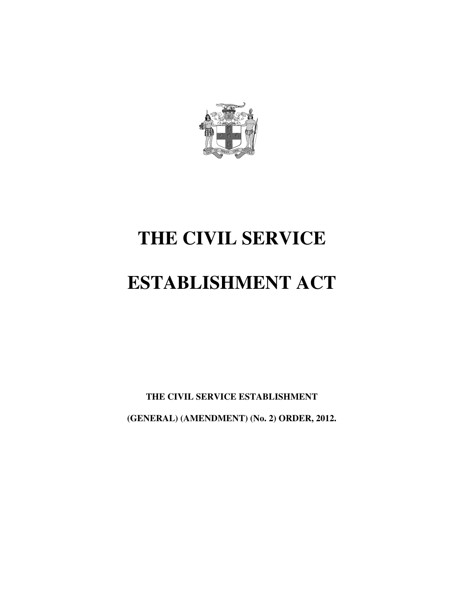

# **THE CIVIL SERVICE**

# **ESTABLISHMENT ACT**

**THE CIVIL SERVICE ESTABLISHMENT (GENERAL) (AMENDMENT) (No. 2) ORDER, 2012.**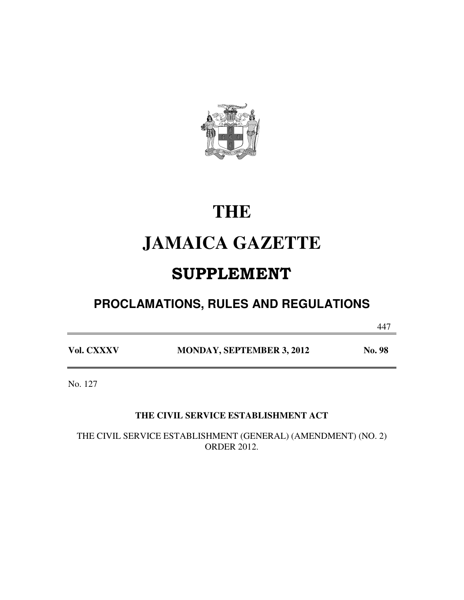

# **THE**

# **JAMAICA GAZETTE**

# SUPPLEMENT

## **PROCLAMATIONS, RULES AND REGULATIONS**

447

Vol. CXXXV MONDAY, SEPTEMBER 3, 2012 No. 98

No. 127

### **THE CIVIL SERVICE ESTABLISHMENT ACT**

THE CIVIL SERVICE ESTABLISHMENT (GENERAL) (AMENDMENT) (NO. 2) ORDER 2012.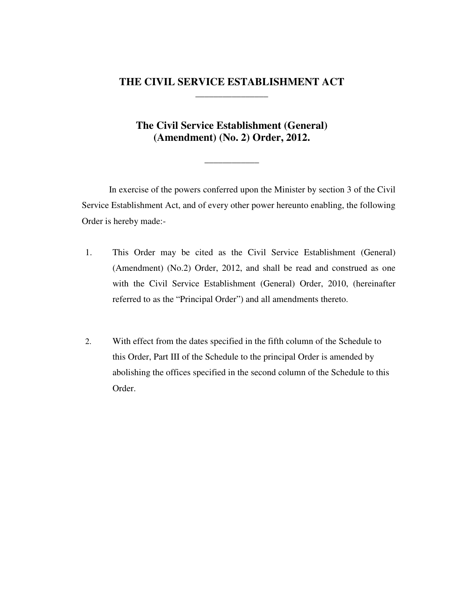#### **THE CIVIL SERVICE ESTABLISHMENT ACT \_\_\_\_\_\_\_\_\_\_\_\_\_\_\_\_**

### **The Civil Service Establishment (General) (Amendment) (No. 2) Order, 2012.**

**\_\_\_\_\_\_\_\_\_\_\_\_** 

In exercise of the powers conferred upon the Minister by section 3 of the Civil Service Establishment Act, and of every other power hereunto enabling, the following Order is hereby made:-

- 1. This Order may be cited as the Civil Service Establishment (General) (Amendment) (No.2) Order, 2012, and shall be read and construed as one with the Civil Service Establishment (General) Order, 2010, (hereinafter referred to as the "Principal Order") and all amendments thereto.
- 2. With effect from the dates specified in the fifth column of the Schedule to this Order, Part III of the Schedule to the principal Order is amended by abolishing the offices specified in the second column of the Schedule to this Order.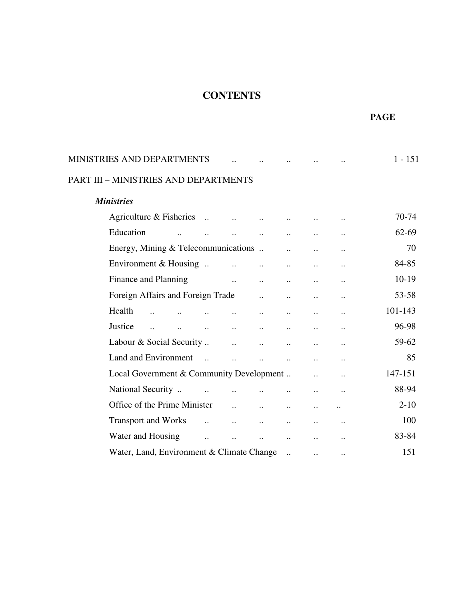## **CONTENTS**

 **PAGE** 

| <b>MINISTRIES AND DEPARTMENTS</b>                       |                       |                       |                       |                       |                      |                      | $1 - 151$ |
|---------------------------------------------------------|-----------------------|-----------------------|-----------------------|-----------------------|----------------------|----------------------|-----------|
| PART III - MINISTRIES AND DEPARTMENTS                   |                       |                       |                       |                       |                      |                      |           |
| <b>Ministries</b>                                       |                       |                       |                       |                       |                      |                      |           |
| Agriculture & Fisheries                                 |                       | $\dddot{\phantom{0}}$ | $\ddot{\phantom{a}}$  |                       |                      |                      | 70-74     |
| Education                                               |                       | $\ddot{\phantom{a}}$  |                       |                       | $\ddot{\phantom{0}}$ | $\ddot{\phantom{0}}$ | 62-69     |
| Energy, Mining & Telecommunications                     |                       |                       |                       |                       |                      | $\ddot{\phantom{a}}$ | 70        |
| Environment & Housing                                   |                       | $\dddot{\phantom{0}}$ | $\dddot{\phantom{0}}$ | $\ddot{\phantom{a}}$  | $\ddot{\phantom{a}}$ | $\ddot{\phantom{a}}$ | 84-85     |
| Finance and Planning                                    |                       | $\ddotsc$             | $\ddotsc$             | $\ddot{\phantom{0}}$  | $\ddot{\phantom{a}}$ | $\ddot{\phantom{0}}$ | $10-19$   |
| Foreign Affairs and Foreign Trade                       |                       |                       |                       |                       | $\ddot{\phantom{0}}$ | $\ddot{\phantom{0}}$ | 53-58     |
| Health                                                  |                       |                       | $\ddot{\phantom{a}}$  | $\ddot{\phantom{a}}$  | $\ddot{\phantom{a}}$ | $\ddot{\phantom{0}}$ | 101-143   |
| Justice<br>$\ddot{\phantom{a}}$<br>$\ddot{\phantom{a}}$ | $\ddot{\phantom{a}}$  | $\ddot{\phantom{a}}$  | $\ddotsc$             | $\ddot{\phantom{a}}$  | $\ddot{\phantom{a}}$ | $\ddot{\phantom{0}}$ | 96-98     |
| Labour & Social Security                                |                       | $\ddotsc$             | $\ddots$              | $\ddot{\phantom{a}}$  | $\ddot{\phantom{a}}$ | $\ddot{\phantom{0}}$ | 59-62     |
| Land and Environment                                    | $\dddot{\phantom{1}}$ | $\ddot{\phantom{a}}$  | $\ddot{\phantom{a}}$  | $\ddot{\phantom{a}}$  | $\ddot{\phantom{a}}$ | $\ddot{\phantom{0}}$ | 85        |
| Local Government & Community Development                |                       |                       |                       |                       |                      | $\ddot{\phantom{a}}$ | 147-151   |
| National Security                                       |                       |                       |                       | $\ddot{\phantom{a}}$  | $\ddot{\phantom{a}}$ | $\ddot{\phantom{0}}$ | 88-94     |
| Office of the Prime Minister                            |                       | $\ddotsc$             | $\ddotsc$             | $\ddot{\phantom{a}}$  | $\ddot{\phantom{a}}$ |                      | $2 - 10$  |
| <b>Transport and Works</b>                              | $\dddot{\phantom{0}}$ | $\dddot{\phantom{0}}$ | $\ddot{\phantom{a}}$  | $\ddot{\phantom{a}}$  | $\ddot{\phantom{a}}$ | $\ddot{\phantom{0}}$ | 100       |
| Water and Housing                                       |                       |                       |                       | $\ddot{\phantom{a}}$  |                      | $\ddot{\phantom{0}}$ | 83-84     |
| Water, Land, Environment & Climate Change               |                       |                       |                       | $\dddot{\phantom{0}}$ | $\ddot{\phantom{a}}$ | $\ddot{\phantom{0}}$ | 151       |
|                                                         |                       |                       |                       |                       |                      |                      |           |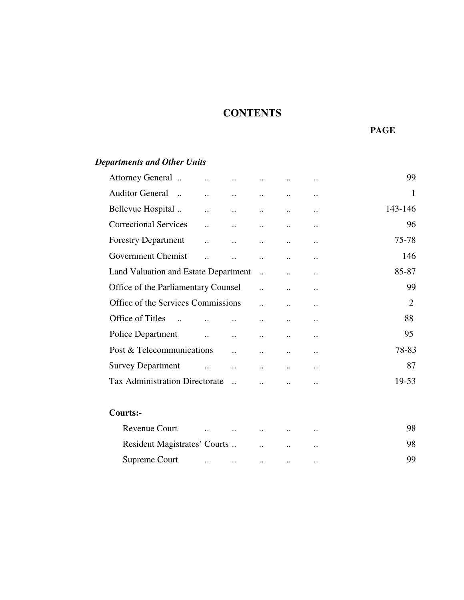## **CONTENTS**

#### **PAGE**

## Attorney General .. .. .. .. .. .. 99 Auditor General .. .. .. .. .. .. 1 Bellevue Hospital ... ... ... ... ... ... ... ... 143-146 Correctional Services ... ... ... ... ... ... ... 96 Forestry Department .. .. .. .. .. 75-78 Government Chemist .. .. .. .. .. 146 Land Valuation and Estate Department ... ... ... ... 85-87 Office of the Parliamentary Counsel ... ... ... ... 99 Office of the Services Commissions ... ... ... ... 2 Office of Titles .. .. .. .. .. .. 88 Police Department .. .. .. .. .. 95 Post & Telecommunications .. .. .. .. 78-83 Survey Department .. .. .. .. .. 87 Tax Administration Directorate ... ... ... ... ... 19-53

#### **Courts:-**

*Departments and Other Units* 

|               |                                                                                                                     |  | $\cdot \cdot$ | 98 |
|---------------|---------------------------------------------------------------------------------------------------------------------|--|---------------|----|
|               |                                                                                                                     |  | $\cdot \cdot$ | 98 |
| Supreme Court | and the contract of the contract of the contract of the contract of the contract of the contract of the contract of |  | $\cdot \cdot$ | 99 |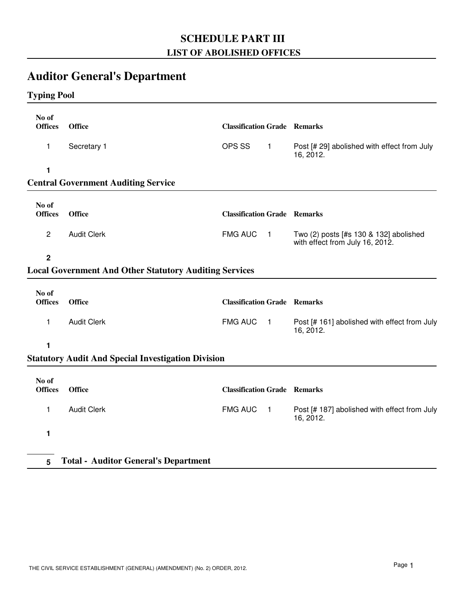## **SCHEDULE PART III LIST OF ABOLISHED OFFICES**

## **Auditor General's Department**

## **Typing Pool**

| No of<br><b>Offices</b> | <b>Office</b>                                                 | <b>Classification Grade Remarks</b> |                |                                                                           |
|-------------------------|---------------------------------------------------------------|-------------------------------------|----------------|---------------------------------------------------------------------------|
| 1                       | Secretary 1                                                   | OPS SS                              | $\mathbf{1}$   | Post [# 29] abolished with effect from July<br>16, 2012.                  |
| 1                       |                                                               |                                     |                |                                                                           |
|                         | <b>Central Government Auditing Service</b>                    |                                     |                |                                                                           |
| No of<br><b>Offices</b> | <b>Office</b>                                                 | <b>Classification Grade Remarks</b> |                |                                                                           |
| $\overline{2}$          | <b>Audit Clerk</b>                                            | <b>FMG AUC</b>                      | $\blacksquare$ | Two (2) posts [#s 130 & 132] abolished<br>with effect from July 16, 2012. |
| $\overline{2}$          |                                                               |                                     |                |                                                                           |
|                         | <b>Local Government And Other Statutory Auditing Services</b> |                                     |                |                                                                           |
| No of<br><b>Offices</b> | <b>Office</b>                                                 | <b>Classification Grade Remarks</b> |                |                                                                           |
| 1                       | <b>Audit Clerk</b>                                            | <b>FMG AUC</b>                      | $\blacksquare$ | Post [# 161] abolished with effect from July<br>16, 2012.                 |
| 1                       |                                                               |                                     |                |                                                                           |
|                         | <b>Statutory Audit And Special Investigation Division</b>     |                                     |                |                                                                           |
| No of<br><b>Offices</b> | <b>Office</b>                                                 | <b>Classification Grade Remarks</b> |                |                                                                           |
| 1                       | <b>Audit Clerk</b>                                            | <b>FMG AUC</b>                      | $\blacksquare$ | Post [# 187] abolished with effect from July<br>16, 2012.                 |
| 1                       |                                                               |                                     |                |                                                                           |
| 5                       | <b>Total - Auditor General's Department</b>                   |                                     |                |                                                                           |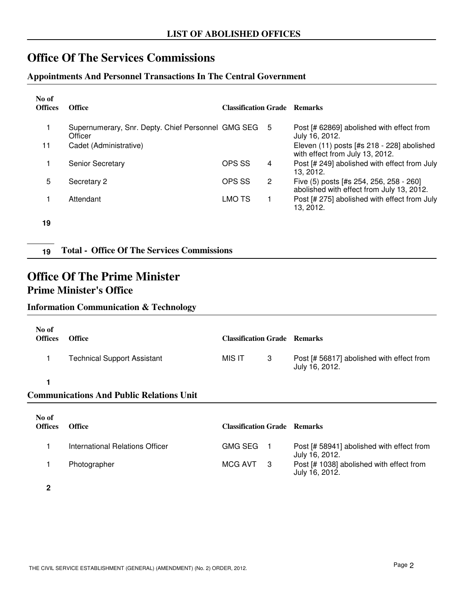## **Office Of The Services Commissions**

#### **Appointments And Personnel Transactions In The Central Government**

| No of<br><b>Offices</b> | <b>Office</b>                                                 | <b>Classification Grade Remarks</b> |    |                                                                                      |
|-------------------------|---------------------------------------------------------------|-------------------------------------|----|--------------------------------------------------------------------------------------|
|                         | Supernumerary, Snr. Depty. Chief Personnel GMG SEG<br>Officer |                                     | -5 | Post [# 62869] abolished with effect from<br>July 16, 2012.                          |
| 11                      | Cadet (Administrative)                                        |                                     |    | Eleven $(11)$ posts [#s 218 - 228] abolished<br>with effect from July 13, 2012.      |
|                         | <b>Senior Secretary</b>                                       | OPS SS                              | 4  | Post [# 249] abolished with effect from July<br>13, 2012.                            |
| 5.                      | Secretary 2                                                   | OPS SS                              | 2  | Five (5) posts [#s 254, 256, 258 - 260]<br>abolished with effect from July 13, 2012. |
|                         | Attendant                                                     | LMO TS                              |    | Post [# 275] abolished with effect from July<br>13, 2012.                            |
| 19                      |                                                               |                                     |    |                                                                                      |

**19 Total - Office Of The Services Commissions**

## **Office Of The Prime Minister Prime Minister's Office**

### **Information Communication & Technology**

| No of<br><b>Offices</b> | <b>Office</b>                                   | <b>Classification Grade Remarks</b> |   |                                                             |
|-------------------------|-------------------------------------------------|-------------------------------------|---|-------------------------------------------------------------|
|                         | <b>Technical Support Assistant</b>              | MIS IT                              | 3 | Post [# 56817] abolished with effect from<br>July 16, 2012. |
| 1                       |                                                 |                                     |   |                                                             |
|                         | <b>Communications And Public Relations Unit</b> |                                     |   |                                                             |
| No of<br><b>Offices</b> | <b>Office</b>                                   | <b>Classification Grade Remarks</b> |   |                                                             |
|                         | International Relations Officer                 | <b>GMG SEG</b>                      |   | Post [# 58941] abolished with effect from<br>July 16, 2012. |

1 Photographer **Photographer** Photographer **Post 1** ACG AVT 3 Post [# 1038] abolished with effect from

MCG AVT 3

July 16, 2012.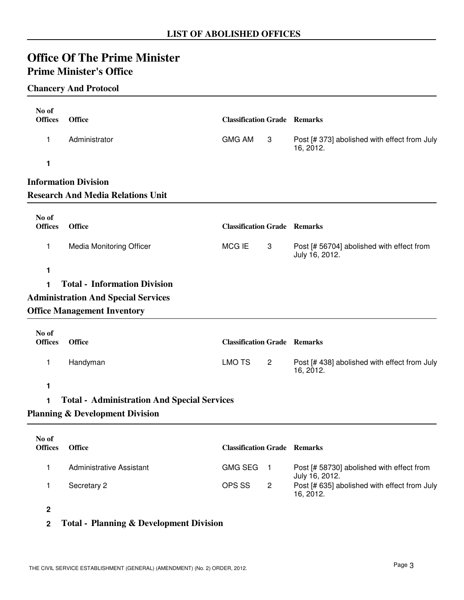## **Office Of The Prime Minister Prime Minister's Office**

#### **Chancery And Protocol**

| No of<br><b>Offices</b> | <b>Office</b>                                      | <b>Classification Grade Remarks</b> |                |                                                             |
|-------------------------|----------------------------------------------------|-------------------------------------|----------------|-------------------------------------------------------------|
|                         | Administrator                                      | <b>GMG AM</b>                       |                |                                                             |
| 1                       |                                                    |                                     | 3              | Post [# 373] abolished with effect from July<br>16, 2012.   |
| 1                       |                                                    |                                     |                |                                                             |
|                         | <b>Information Division</b>                        |                                     |                |                                                             |
|                         | <b>Research And Media Relations Unit</b>           |                                     |                |                                                             |
| No of                   |                                                    |                                     |                |                                                             |
| <b>Offices</b>          | <b>Office</b>                                      | <b>Classification Grade Remarks</b> |                |                                                             |
| 1                       | Media Monitoring Officer                           | MCG IE                              | 3              | Post [# 56704] abolished with effect from<br>July 16, 2012. |
| 1                       |                                                    |                                     |                |                                                             |
| 1                       | <b>Total - Information Division</b>                |                                     |                |                                                             |
|                         | <b>Administration And Special Services</b>         |                                     |                |                                                             |
|                         | <b>Office Management Inventory</b>                 |                                     |                |                                                             |
| No of<br><b>Offices</b> | <b>Office</b>                                      | <b>Classification Grade Remarks</b> |                |                                                             |
| 1                       | Handyman                                           | <b>LMO TS</b>                       | $\overline{c}$ | Post [# 438] abolished with effect from July<br>16, 2012.   |
| 1                       |                                                    |                                     |                |                                                             |
| 1                       | <b>Total - Administration And Special Services</b> |                                     |                |                                                             |
|                         | <b>Planning &amp; Development Division</b>         |                                     |                |                                                             |
|                         |                                                    |                                     |                |                                                             |
| No of<br><b>Offices</b> | <b>Office</b>                                      | <b>Classification Grade Remarks</b> |                |                                                             |
| 1                       | <b>Administrative Assistant</b>                    | <b>GMG SEG</b>                      | 1.             | Post [# 58730] abolished with effect from<br>July 16, 2012. |
| 1                       | Secretary 2                                        | OPS SS                              | $\overline{c}$ | Post [# 635] abolished with effect from July<br>16, 2012.   |
| $\mathbf{2}$            |                                                    |                                     |                |                                                             |

## **2 Total - Planning & Development Division**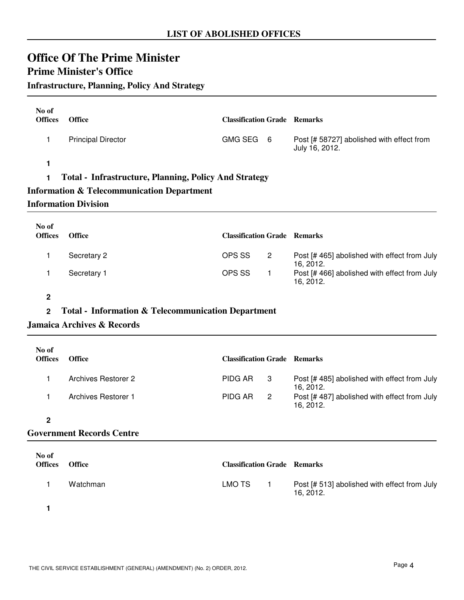## **Prime Minister's Office**

## **Infrastructure, Planning, Policy And Strategy**

| No of<br><b>Offices</b> | <b>Office</b>                                                | <b>Classification Grade Remarks</b> |  |                                                             |  |  |
|-------------------------|--------------------------------------------------------------|-------------------------------------|--|-------------------------------------------------------------|--|--|
|                         | <b>Principal Director</b>                                    | GMG SEG 6                           |  | Post [# 58727] abolished with effect from<br>July 16, 2012. |  |  |
|                         |                                                              |                                     |  |                                                             |  |  |
|                         | <b>Total - Infrastructure, Planning, Policy And Strategy</b> |                                     |  |                                                             |  |  |

### **Information & Telecommunication Department**

#### **Information Division**

| No of<br><b>Offices</b> | <b>Office</b> | <b>Classification Grade Remarks</b> |                |                                                          |
|-------------------------|---------------|-------------------------------------|----------------|----------------------------------------------------------|
|                         | Secretary 2   | OPS SS                              | $\overline{2}$ | Post [#465] abolished with effect from July<br>16. 2012. |
|                         | Secretary 1   | OPS SS                              |                | Post [#466] abolished with effect from July<br>16, 2012. |

#### **2**

#### **2 Total - Information & Telecommunication Department**

#### **Jamaica Archives & Records**

| No of<br><b>Offices</b> | <b>Office</b>              | <b>Classification Grade Remarks</b> |                            |                                                          |
|-------------------------|----------------------------|-------------------------------------|----------------------------|----------------------------------------------------------|
|                         | <b>Archives Restorer 2</b> | PIDG AR                             | -3                         | Post [#485] abolished with effect from July<br>16.2012.  |
|                         | Archives Restorer 1        | PIDG AR                             | $\overline{\phantom{0}}^2$ | Post [#487] abolished with effect from July<br>16, 2012. |
|                         |                            |                                     |                            |                                                          |

#### **Government Records Centre**

| No of<br><b>Offices</b> | <b>Office</b> | <b>Classification Grade Remarks</b> |                                                           |
|-------------------------|---------------|-------------------------------------|-----------------------------------------------------------|
|                         | Watchman      | LMO TS                              | Post [# 513] abolished with effect from July<br>16. 2012. |
|                         |               |                                     |                                                           |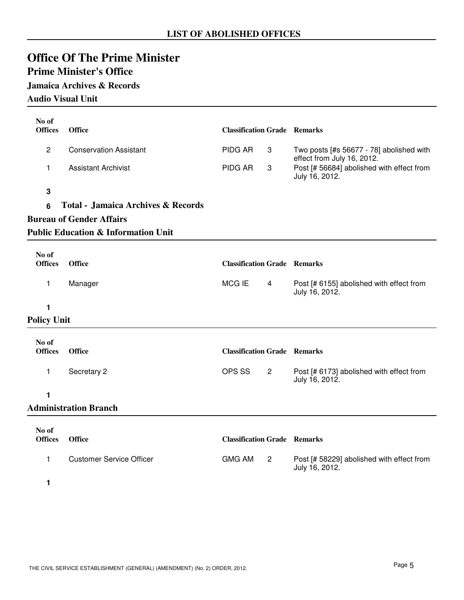## **Prime Minister's Office**

### **Jamaica Archives & Records**

**Audio Visual Unit**

| No of<br><b>Offices</b> | Office                                         | <b>Classification Grade Remarks</b> |                |                                                                        |
|-------------------------|------------------------------------------------|-------------------------------------|----------------|------------------------------------------------------------------------|
| $\overline{c}$          | <b>Conservation Assistant</b>                  | <b>PIDG AR</b>                      | 3              | Two posts [#s 56677 - 78] abolished with<br>effect from July 16, 2012. |
| 1                       | <b>Assistant Archivist</b>                     | <b>PIDG AR</b>                      | 3              | Post [# 56684] abolished with effect from<br>July 16, 2012.            |
| 3                       |                                                |                                     |                |                                                                        |
| 6                       | <b>Total - Jamaica Archives &amp; Records</b>  |                                     |                |                                                                        |
|                         | <b>Bureau of Gender Affairs</b>                |                                     |                |                                                                        |
|                         | <b>Public Education &amp; Information Unit</b> |                                     |                |                                                                        |
| No of                   |                                                |                                     |                |                                                                        |
| <b>Offices</b>          | Office                                         | <b>Classification Grade Remarks</b> |                |                                                                        |
| 1                       | Manager                                        | <b>MCGIE</b>                        | $\overline{4}$ | Post [# 6155] abolished with effect from<br>July 16, 2012.             |
| 1                       |                                                |                                     |                |                                                                        |
| <b>Policy Unit</b>      |                                                |                                     |                |                                                                        |
| No of                   |                                                |                                     |                |                                                                        |
| <b>Offices</b>          | Office                                         | <b>Classification Grade Remarks</b> |                |                                                                        |
| 1                       | Secretary 2                                    | OPS SS                              | $\overline{2}$ | Post [# 6173] abolished with effect from<br>July 16, 2012.             |
| 1                       |                                                |                                     |                |                                                                        |
|                         | <b>Administration Branch</b>                   |                                     |                |                                                                        |
| No of                   |                                                |                                     |                |                                                                        |
| <b>Offices</b>          | Office                                         | <b>Classification Grade Remarks</b> |                |                                                                        |
| $\mathbf{1}$            | <b>Customer Service Officer</b>                | <b>GMG AM</b>                       | $\overline{2}$ | Post [# 58229] abolished with effect from<br>July 16, 2012.            |

**1**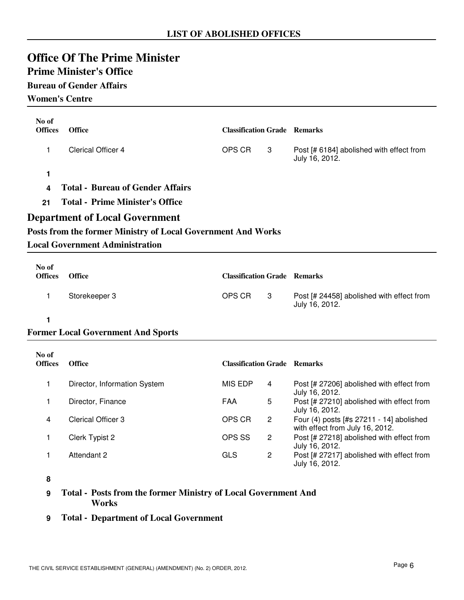## **Prime Minister's Office**

### **Bureau of Gender Affairs**

**Women's Centre**

| No of<br><b>Offices</b> | Office                                                       | <b>Classification Grade Remarks</b> |                |                                                                             |
|-------------------------|--------------------------------------------------------------|-------------------------------------|----------------|-----------------------------------------------------------------------------|
| 1                       | <b>Clerical Officer 4</b>                                    | OPS CR                              | 3              | Post [# 6184] abolished with effect from<br>July 16, 2012.                  |
| 1                       |                                                              |                                     |                |                                                                             |
| 4                       | <b>Total - Bureau of Gender Affairs</b>                      |                                     |                |                                                                             |
| 21                      | <b>Total - Prime Minister's Office</b>                       |                                     |                |                                                                             |
|                         | <b>Department of Local Government</b>                        |                                     |                |                                                                             |
|                         | Posts from the former Ministry of Local Government And Works |                                     |                |                                                                             |
|                         | <b>Local Government Administration</b>                       |                                     |                |                                                                             |
| No of                   |                                                              |                                     |                |                                                                             |
| <b>Offices</b>          | Office                                                       | <b>Classification Grade Remarks</b> |                |                                                                             |
| 1                       | Storekeeper 3                                                | OPS CR                              | 3              | Post [# 24458] abolished with effect from<br>July 16, 2012.                 |
| 1                       |                                                              |                                     |                |                                                                             |
|                         | <b>Former Local Government And Sports</b>                    |                                     |                |                                                                             |
| No of<br><b>Offices</b> | Office                                                       | <b>Classification Grade Remarks</b> |                |                                                                             |
|                         |                                                              |                                     |                |                                                                             |
| 1                       | Director, Information System                                 | <b>MIS EDP</b>                      | 4              | Post [# 27206] abolished with effect from<br>July 16, 2012.                 |
| 1                       | Director, Finance                                            | FAA                                 | 5              | Post [# 27210] abolished with effect from<br>July 16, 2012.                 |
| 4                       | Clerical Officer 3                                           | OPS CR                              | $\overline{c}$ | Four (4) posts [#s 27211 - 14] abolished<br>with effect from July 16, 2012. |
| 1                       | Clerk Typist 2                                               | OPS SS                              | $\overline{c}$ | Post [# 27218] abolished with effect from<br>July 16, 2012.                 |
| 1                       | Attendant 2                                                  | <b>GLS</b>                          | 2              | Post [# 27217] abolished with effect from<br>July 16, 2012.                 |

**8**

**9 Total - Posts from the former Ministry of Local Government And Works**

**9 Total - Department of Local Government**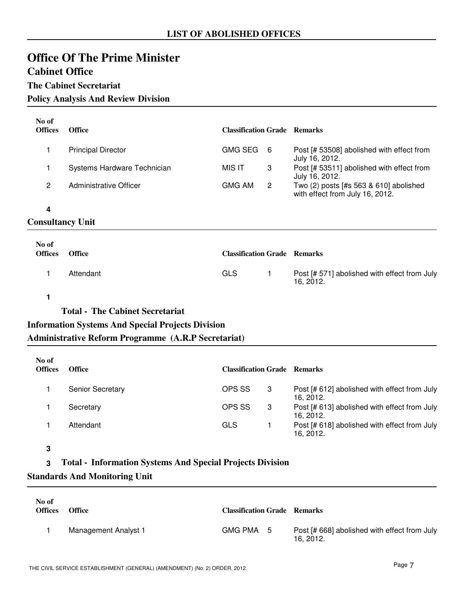## **Office Of The Prime Minister Cabinet Office**

#### **The Cabinet Secretariat**

#### **Policy Analysis And Review Division**

| No of<br><b>Offices</b> | <b>Office</b>               | <b>Classification Grade Remarks</b> |                |                                                                           |
|-------------------------|-----------------------------|-------------------------------------|----------------|---------------------------------------------------------------------------|
| 1                       | <b>Principal Director</b>   | <b>GMG SEG</b>                      | 6              | Post [# 53508] abolished with effect from<br>July 16, 2012.               |
| 1                       | Systems Hardware Technician | MIS IT                              | 3              | Post [# 53511] abolished with effect from<br>July 16, 2012.               |
| $\overline{2}$          | Administrative Officer      | <b>GMG AM</b>                       | $\overline{2}$ | Two (2) posts [#s 563 & 610] abolished<br>with effect from July 16, 2012. |
| 4                       |                             |                                     |                |                                                                           |
| <b>Consultancy Unit</b> |                             |                                     |                |                                                                           |
| No of<br><b>Offices</b> | <b>Office</b>               | <b>Classification Grade Remarks</b> |                |                                                                           |
|                         | Attendant                   | GLS.                                | 1              | Post [# 571] abolished with effect from July<br>16, 2012.                 |

#### **1**

**Total - The Cabinet Secretariat**

### **Information Systems And Special Projects Division**

**Administrative Reform Programme (A.R.P Secretariat)**

| No of<br><b>Offices</b> | <b>Office</b>           | <b>Classification Grade Remarks</b> |   |                                                           |
|-------------------------|-------------------------|-------------------------------------|---|-----------------------------------------------------------|
|                         | <b>Senior Secretary</b> | OPS SS                              | 3 | Post [# 612] abolished with effect from July<br>16. 2012. |
|                         | Secretary               | OPS SS                              | 3 | Post [# 613] abolished with effect from July<br>16. 2012. |
|                         | Attendant               | GLS                                 |   | Post [# 618] abolished with effect from July<br>16. 2012. |

#### **3**

#### **3 Total - Information Systems And Special Projects Division**

#### **Standards And Monitoring Unit**

| No of<br><b>Offices</b> | <b>Office</b>        | <b>Classification Grade Remarks</b> |                                                           |
|-------------------------|----------------------|-------------------------------------|-----------------------------------------------------------|
|                         | Management Analyst 1 | GMG PMA 5                           | Post [# 668] abolished with effect from July<br>16. 2012. |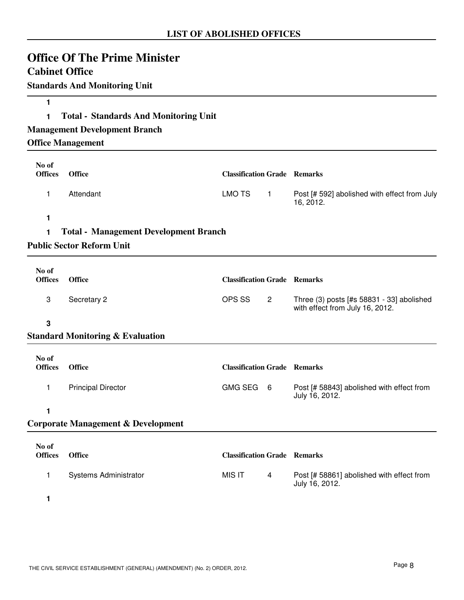| <b>Cabinet Office</b>   | <b>Office Of The Prime Minister</b>           |                                     |              |                                                                              |
|-------------------------|-----------------------------------------------|-------------------------------------|--------------|------------------------------------------------------------------------------|
|                         | <b>Standards And Monitoring Unit</b>          |                                     |              |                                                                              |
| 1                       |                                               |                                     |              |                                                                              |
| 1                       | <b>Total - Standards And Monitoring Unit</b>  |                                     |              |                                                                              |
|                         | <b>Management Development Branch</b>          |                                     |              |                                                                              |
|                         | <b>Office Management</b>                      |                                     |              |                                                                              |
| No of<br><b>Offices</b> | <b>Office</b>                                 | <b>Classification Grade Remarks</b> |              |                                                                              |
| 1                       | Attendant                                     | <b>LMO TS</b>                       | $\mathbf{1}$ | Post [# 592] abolished with effect from July<br>16, 2012.                    |
| 1                       |                                               |                                     |              |                                                                              |
| 1                       | <b>Total - Management Development Branch</b>  |                                     |              |                                                                              |
|                         | <b>Public Sector Reform Unit</b>              |                                     |              |                                                                              |
| No of                   |                                               |                                     |              |                                                                              |
| <b>Offices</b>          | <b>Office</b>                                 | <b>Classification Grade Remarks</b> |              |                                                                              |
| 3                       | Secretary 2                                   | OPS SS                              | $\mathbf{2}$ | Three (3) posts [#s 58831 - 33] abolished<br>with effect from July 16, 2012. |
| 3                       |                                               |                                     |              |                                                                              |
|                         | <b>Standard Monitoring &amp; Evaluation</b>   |                                     |              |                                                                              |
| No of<br><b>Offices</b> | <b>Office</b>                                 | <b>Classification Grade Remarks</b> |              |                                                                              |
| $\mathbf{1}$            | <b>Principal Director</b>                     | GMG SEG 6                           |              | Post [# 58843] abolished with effect from<br>July 16, 2012.                  |
| 1                       |                                               |                                     |              |                                                                              |
|                         | <b>Corporate Management &amp; Development</b> |                                     |              |                                                                              |
| No of                   |                                               |                                     |              |                                                                              |
| <b>Offices</b>          | <b>Office</b>                                 | <b>Classification Grade Remarks</b> |              |                                                                              |
| 1                       | Systems Administrator                         | <b>MIS IT</b>                       | 4            | Post [# 58861] abolished with effect from<br>July 16, 2012.                  |
| 1                       |                                               |                                     |              |                                                                              |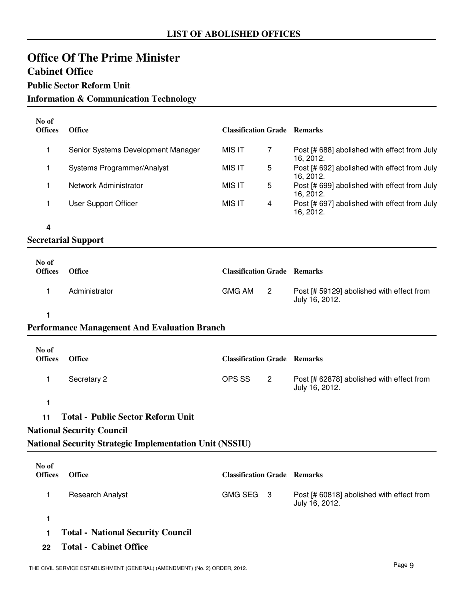## **Office Of The Prime Minister Cabinet Office**

## **Public Sector Reform Unit**

**Information & Communication Technology**

| No of<br><b>Offices</b> | <b>Office</b>                      | <b>Classification Grade Remarks</b> |   |                                                           |
|-------------------------|------------------------------------|-------------------------------------|---|-----------------------------------------------------------|
|                         | Senior Systems Development Manager | MIS IT                              |   | Post [# 688] abolished with effect from July<br>16. 2012. |
|                         | Systems Programmer/Analyst         | MIS IT                              | 5 | Post [# 692] abolished with effect from July<br>16. 2012. |
|                         | Network Administrator              | MIS IT                              | 5 | Post [# 699] abolished with effect from July<br>16. 2012. |
|                         | User Support Officer               | MIS IT                              | 4 | Post [# 697] abolished with effect from July<br>16, 2012. |
|                         |                                    |                                     |   |                                                           |

**4**

#### **Secretarial Support**

| No of<br><b>Offices</b> | <b>Office</b> | <b>Classification Grade Remarks</b> |                                                             |
|-------------------------|---------------|-------------------------------------|-------------------------------------------------------------|
|                         | Administrator | GMG AM                              | Post [# 59129] abolished with effect from<br>July 16, 2012. |

#### **1**

#### **Performance Management And Evaluation Branch**

| No of<br><b>Offices</b> | <b>Office</b> | <b>Classification Grade Remarks</b> |                |                                                             |
|-------------------------|---------------|-------------------------------------|----------------|-------------------------------------------------------------|
|                         | Secretary 2   | OPS SS                              | $\overline{2}$ | Post [# 62878] abolished with effect from<br>July 16, 2012. |

### **1**

**11 Total - Public Sector Reform Unit**

### **National Security Council**

**National Security Strategic Implementation Unit (NSSIU)**

| No of<br><b>Offices</b> | <b>Office</b>           | <b>Classification Grade Remarks</b> |                                                             |
|-------------------------|-------------------------|-------------------------------------|-------------------------------------------------------------|
|                         | <b>Research Analyst</b> | GMG SEG 3                           | Post [# 60818] abolished with effect from<br>July 16, 2012. |

**1**

- **1 Total National Security Council**
- **22 Total Cabinet Office**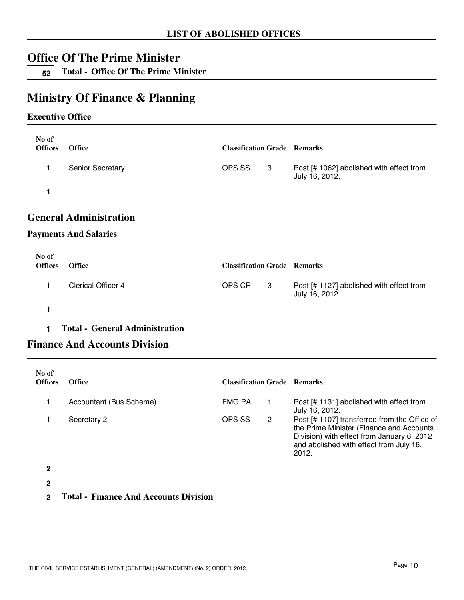**52 Total - Office Of The Prime Minister**

## **Ministry Of Finance & Planning**

#### **Executive Office**

| No of<br><b>Offices</b> | <b>Office</b>           | <b>Classification Grade Remarks</b> |     |                                                            |
|-------------------------|-------------------------|-------------------------------------|-----|------------------------------------------------------------|
|                         | <b>Senior Secretary</b> | OPS SS                              | - 3 | Post [# 1062] abolished with effect from<br>July 16, 2012. |
|                         |                         |                                     |     |                                                            |

## **General Administration**

#### **Payments And Salaries**

| No of<br><b>Offices</b> | <b>Office</b>      | <b>Classification Grade Remarks</b> |   |                                                            |
|-------------------------|--------------------|-------------------------------------|---|------------------------------------------------------------|
|                         | Clerical Officer 4 | OPS CR                              | 3 | Post [# 1127] abolished with effect from<br>July 16, 2012. |
|                         |                    |                                     |   |                                                            |

#### **1 Total - General Administration**

## **Finance And Accounts Division**

| No of<br><b>Offices</b> | <b>Office</b>           | <b>Classification Grade</b> |   | <b>Remarks</b>                                                                                                                                                                             |
|-------------------------|-------------------------|-----------------------------|---|--------------------------------------------------------------------------------------------------------------------------------------------------------------------------------------------|
|                         | Accountant (Bus Scheme) | <b>FMG PA</b>               |   | Post [# 1131] abolished with effect from<br>July 16, 2012.                                                                                                                                 |
|                         | Secretary 2             | OPS SS                      | 2 | Post [# 1107] transferred from the Office of<br>the Prime Minister (Finance and Accounts<br>Division) with effect from January 6, 2012<br>and abolished with effect from July 16,<br>2012. |

**2**

**2**

**2 Total - Finance And Accounts Division**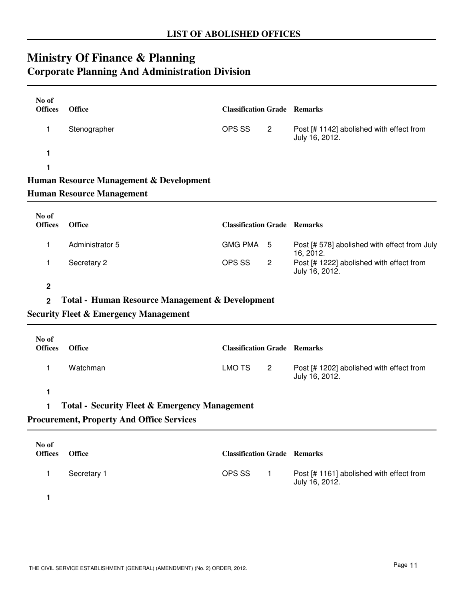## **Ministry Of Finance & Planning Corporate Planning And Administration Division**

| No of<br><b>Offices</b> | <b>Office</b>                                              | <b>Classification Grade Remarks</b> |                |                                                            |
|-------------------------|------------------------------------------------------------|-------------------------------------|----------------|------------------------------------------------------------|
| 1                       | Stenographer                                               | OPS SS                              | $\overline{2}$ | Post [# 1142] abolished with effect from<br>July 16, 2012. |
| 1                       |                                                            |                                     |                |                                                            |
| 1                       |                                                            |                                     |                |                                                            |
|                         | Human Resource Management & Development                    |                                     |                |                                                            |
|                         | <b>Human Resource Management</b>                           |                                     |                |                                                            |
|                         |                                                            |                                     |                |                                                            |
| No of<br><b>Offices</b> | <b>Office</b>                                              | <b>Classification Grade Remarks</b> |                |                                                            |
| 1                       | Administrator 5                                            | <b>GMG PMA</b>                      | -5             | Post [# 578] abolished with effect from July<br>16, 2012.  |
| 1                       | Secretary 2                                                | OPS SS                              | $\overline{c}$ | Post [# 1222] abolished with effect from<br>July 16, 2012. |
| $\overline{2}$          |                                                            |                                     |                |                                                            |
| $\overline{2}$          | <b>Total - Human Resource Management &amp; Development</b> |                                     |                |                                                            |
|                         | <b>Security Fleet &amp; Emergency Management</b>           |                                     |                |                                                            |
|                         |                                                            |                                     |                |                                                            |
| No of<br><b>Offices</b> | <b>Office</b>                                              | <b>Classification Grade Remarks</b> |                |                                                            |
| 1                       | Watchman                                                   | <b>LMO TS</b>                       | $\overline{2}$ | Post [# 1202] abolished with effect from<br>July 16, 2012. |
| 1                       |                                                            |                                     |                |                                                            |
| 1                       | <b>Total - Security Fleet &amp; Emergency Management</b>   |                                     |                |                                                            |
|                         | <b>Procurement, Property And Office Services</b>           |                                     |                |                                                            |
|                         |                                                            |                                     |                |                                                            |
| No of<br><b>Offices</b> | <b>Office</b>                                              | <b>Classification Grade Remarks</b> |                |                                                            |
| 1                       | Secretary 1                                                | OPS SS                              | $\mathbf{1}$   | Post [# 1161] abolished with effect from<br>July 16, 2012. |
| 1                       |                                                            |                                     |                |                                                            |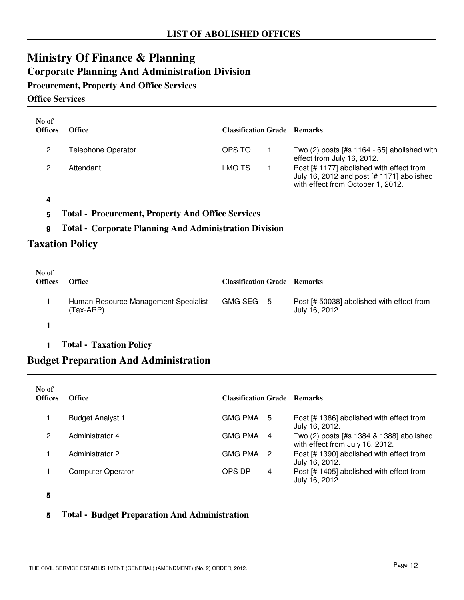## **Ministry Of Finance & Planning Corporate Planning And Administration Division**

**Procurement, Property And Office Services**

**Office Services**

| No of<br><b>Offices</b> | <b>Office</b>      | <b>Classification Grade</b> Remarks |                                                                                                                            |
|-------------------------|--------------------|-------------------------------------|----------------------------------------------------------------------------------------------------------------------------|
| 2                       | Telephone Operator | OPS TO                              | Two $(2)$ posts [#s 1164 - 65] abolished with<br>effect from July 16, 2012.                                                |
|                         | Attendant          | LMO TS                              | Post [# 1177] abolished with effect from<br>July 16, 2012 and post [# 1171] abolished<br>with effect from October 1, 2012. |

**4**

**5 Total - Procurement, Property And Office Services**

#### **9 Total - Corporate Planning And Administration Division**

### **Taxation Policy**

| No of<br><b>Offices</b> | <b>Office</b>                                     | <b>Classification Grade Remarks</b> |                                                             |
|-------------------------|---------------------------------------------------|-------------------------------------|-------------------------------------------------------------|
|                         | Human Resource Management Specialist<br>(Tax-ARP) | GMG SEG 5                           | Post [# 50038] abolished with effect from<br>July 16, 2012. |
|                         |                                                   |                                     |                                                             |

#### **1 Total - Taxation Policy**

## **Budget Preparation And Administration**

| No of<br><b>Offices</b> | <b>Office</b>            | <b>Classification Grade Remarks</b> |                |                                                                             |
|-------------------------|--------------------------|-------------------------------------|----------------|-----------------------------------------------------------------------------|
|                         | <b>Budget Analyst 1</b>  | GMG PMA 5                           |                | Post [# 1386] abolished with effect from<br>July 16, 2012.                  |
| 2                       | Administrator 4          | GMG PMA                             | -4             | Two (2) posts [#s 1384 & 1388] abolished<br>with effect from July 16, 2012. |
|                         | Administrator 2          | <b>GMG PMA</b>                      | $\overline{2}$ | Post [# 1390] abolished with effect from<br>July 16, 2012.                  |
|                         | <b>Computer Operator</b> | OPS DP                              | 4              | Post [# 1405] abolished with effect from<br>July 16, 2012.                  |

**5**

#### **5 Total - Budget Preparation And Administration**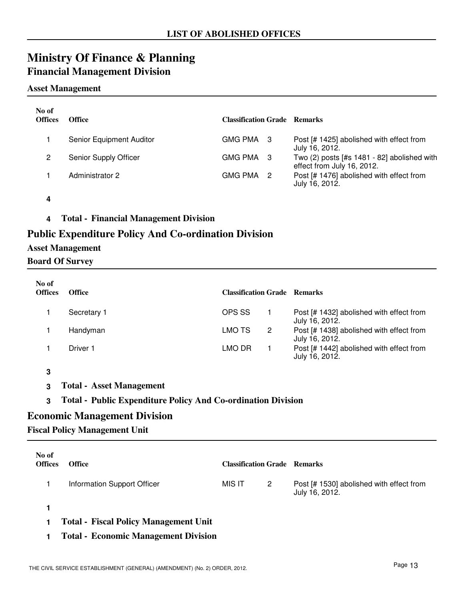## **Ministry Of Finance & Planning Financial Management Division**

#### **Asset Management**

| No of<br><b>Offices</b> | <b>Office</b>            | <b>Classification Grade Remarks</b> |                                                                             |
|-------------------------|--------------------------|-------------------------------------|-----------------------------------------------------------------------------|
|                         | Senior Equipment Auditor | GMG PMA 3                           | Post [# 1425] abolished with effect from<br>July 16, 2012.                  |
| 2                       | Senior Supply Officer    | GMG PMA 3                           | Two $(2)$ posts [#s 1481 - 82] abolished with<br>effect from July 16, 2012. |
|                         | Administrator 2          | GMG PMA 2                           | Post [# 1476] abolished with effect from<br>July 16, 2012.                  |

- **4**
- **4 Total Financial Management Division**

### **Public Expenditure Policy And Co-ordination Division**

#### **Asset Management**

#### **Board Of Survey**

| No of<br><b>Offices</b> | Office      | <b>Classification Grade Remarks</b> |                |                                                            |
|-------------------------|-------------|-------------------------------------|----------------|------------------------------------------------------------|
|                         | Secretary 1 | OPS SS                              |                | Post [# 1432] abolished with effect from<br>July 16, 2012. |
|                         | Handyman    | LMO TS                              | $\overline{2}$ | Post [# 1438] abolished with effect from<br>July 16, 2012. |
|                         | Driver 1    | LMO DR                              |                | Post [# 1442] abolished with effect from<br>July 16, 2012. |

- **3**
- **3 Total Asset Management**

#### **3 Total - Public Expenditure Policy And Co-ordination Division**

#### **Economic Management Division**

#### **Fiscal Policy Management Unit**

| No of<br><b>Offices</b> | <b>Office</b>                                | <b>Classification Grade Remarks</b> |   |                                                            |
|-------------------------|----------------------------------------------|-------------------------------------|---|------------------------------------------------------------|
|                         | Information Support Officer                  | MIS IT                              | 2 | Post [# 1530] abolished with effect from<br>July 16, 2012. |
|                         |                                              |                                     |   |                                                            |
|                         | <b>Total - Fiscal Policy Management Unit</b> |                                     |   |                                                            |

**1 Total - Economic Management Division**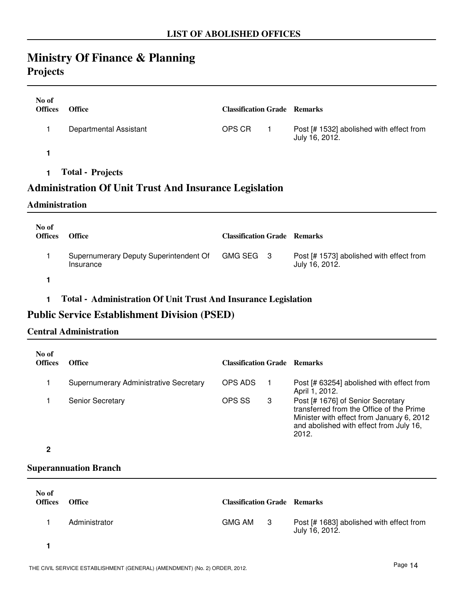## **Ministry Of Finance & Planning Projects**

| No of<br><b>Offices</b> | <b>Office</b>                 | <b>Classification Grade Remarks</b> |                                                            |
|-------------------------|-------------------------------|-------------------------------------|------------------------------------------------------------|
|                         | <b>Departmental Assistant</b> | OPS CR                              | Post [# 1532] abolished with effect from<br>July 16, 2012. |
|                         |                               |                                     |                                                            |
|                         | <b>Total - Projects</b>       |                                     |                                                            |

### **Administration Of Unit Trust And Insurance Legislation**

#### **Administration**

| No of<br><b>Offices</b> | <b>Office</b>                                                 | <b>Classification Grade Remarks</b> |                                                            |
|-------------------------|---------------------------------------------------------------|-------------------------------------|------------------------------------------------------------|
|                         | Supernumerary Deputy Superintendent Of GMG SEG 3<br>Insurance |                                     | Post [# 1573] abolished with effect from<br>July 16, 2012. |
|                         |                                                               |                                     |                                                            |

### **1 Total - Administration Of Unit Trust And Insurance Legislation**

### **Public Service Establishment Division (PSED)**

#### **Central Administration**

| No of<br><b>Offices</b> | Office                                 | <b>Classification Grade Remarks</b> |   |                                                                                                                                                                                |
|-------------------------|----------------------------------------|-------------------------------------|---|--------------------------------------------------------------------------------------------------------------------------------------------------------------------------------|
|                         | Supernumerary Administrative Secretary | OPS ADS                             |   | Post [# 63254] abolished with effect from<br>April 1, 2012.                                                                                                                    |
|                         | <b>Senior Secretary</b>                | OPS SS                              | 3 | Post [# 1676] of Senior Secretary<br>transferred from the Office of the Prime<br>Minister with effect from January 6, 2012<br>and abolished with effect from July 16,<br>2012. |

#### **2**

### **Superannuation Branch**

| No of<br><b>Offices</b> | <b>Office</b> | <b>Classification Grade Remarks</b> |                                                            |
|-------------------------|---------------|-------------------------------------|------------------------------------------------------------|
|                         | Administrator | GMG AM 3                            | Post [# 1683] abolished with effect from<br>July 16, 2012. |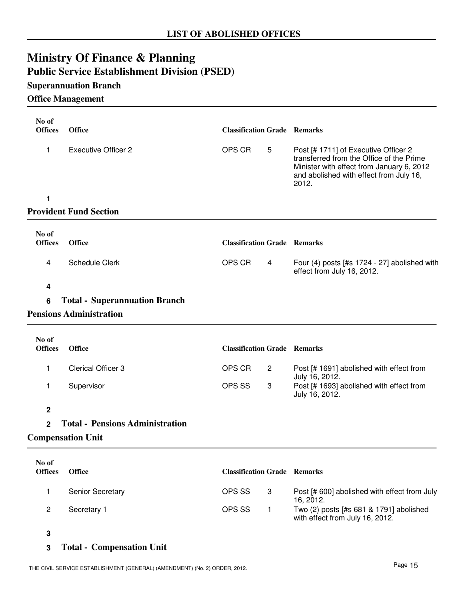## **Ministry Of Finance & Planning Public Service Establishment Division (PSED)**

## **Superannuation Branch**

### **Office Management**

| No of<br><b>Offices</b> | <b>Office</b>                          | <b>Classification Grade Remarks</b> |                                                                                                                                                                                   |
|-------------------------|----------------------------------------|-------------------------------------|-----------------------------------------------------------------------------------------------------------------------------------------------------------------------------------|
| 1                       | <b>Executive Officer 2</b>             | OPS CR<br>5                         | Post [# 1711] of Executive Officer 2<br>transferred from the Office of the Prime<br>Minister with effect from January 6, 2012<br>and abolished with effect from July 16,<br>2012. |
| 1                       |                                        |                                     |                                                                                                                                                                                   |
|                         | <b>Provident Fund Section</b>          |                                     |                                                                                                                                                                                   |
| No of<br><b>Offices</b> | <b>Office</b>                          | <b>Classification Grade Remarks</b> |                                                                                                                                                                                   |
| 4                       | <b>Schedule Clerk</b>                  | OPS CR<br>4                         | Four $(4)$ posts [#s 1724 - 27] abolished with<br>effect from July 16, 2012.                                                                                                      |
| 4                       |                                        |                                     |                                                                                                                                                                                   |
| 6                       | <b>Total - Superannuation Branch</b>   |                                     |                                                                                                                                                                                   |
|                         | <b>Pensions Administration</b>         |                                     |                                                                                                                                                                                   |
| No of                   |                                        |                                     |                                                                                                                                                                                   |
| <b>Offices</b>          | <b>Office</b>                          | <b>Classification Grade Remarks</b> |                                                                                                                                                                                   |
| 1                       | <b>Clerical Officer 3</b>              | OPS CR<br>2                         | Post [# 1691] abolished with effect from<br>July 16, 2012.                                                                                                                        |
| 1                       | Supervisor                             | OPS SS<br>3                         | Post [# 1693] abolished with effect from<br>July 16, 2012.                                                                                                                        |
| $\overline{2}$          |                                        |                                     |                                                                                                                                                                                   |
| $\overline{2}$          | <b>Total - Pensions Administration</b> |                                     |                                                                                                                                                                                   |
|                         | <b>Compensation Unit</b>               |                                     |                                                                                                                                                                                   |
|                         |                                        |                                     |                                                                                                                                                                                   |
| No of<br><b>Offices</b> | <b>Office</b>                          | <b>Classification Grade Remarks</b> |                                                                                                                                                                                   |
| 1                       | Senior Secretary                       | OPS SS<br>3                         | Post [# 600] abolished with effect from July<br>16, 2012.                                                                                                                         |
| $\overline{c}$          | Secretary 1                            | OPS SS<br>$\mathbf{1}$              | Two (2) posts [#s 681 & 1791] abolished<br>with effect from July 16, 2012.                                                                                                        |
| 3                       |                                        |                                     |                                                                                                                                                                                   |

### **3 Total - Compensation Unit**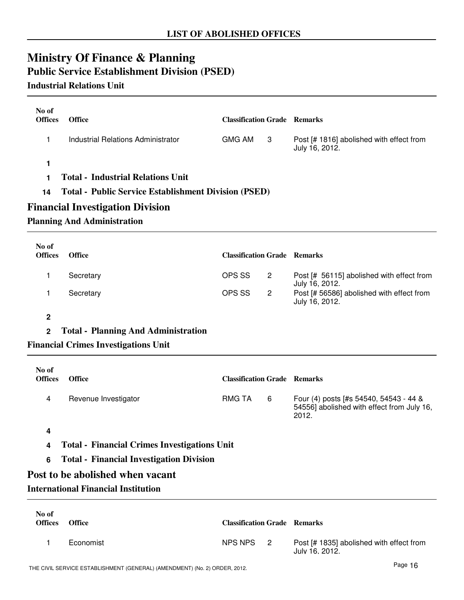## **Ministry Of Finance & Planning Public Service Establishment Division (PSED)**

### **Industrial Relations Unit**

| No of<br><b>Offices</b> | <b>Office</b>                                               | <b>Classification Grade Remarks</b> |     |                                                            |
|-------------------------|-------------------------------------------------------------|-------------------------------------|-----|------------------------------------------------------------|
|                         | Industrial Relations Administrator                          | GMG AM                              | - 3 | Post [# 1816] abolished with effect from<br>July 16, 2012. |
|                         |                                                             |                                     |     |                                                            |
|                         | <b>Total - Industrial Relations Unit</b>                    |                                     |     |                                                            |
| 14                      | <b>Total - Public Service Establishment Division (PSED)</b> |                                     |     |                                                            |
|                         | <b>Financial Investigation Division</b>                     |                                     |     |                                                            |

#### **Planning And Administration**

| No of<br><b>Offices</b> | <b>Office</b> | <b>Classification Grade Remarks</b> |   |                                                             |
|-------------------------|---------------|-------------------------------------|---|-------------------------------------------------------------|
|                         | Secretary     | OPS SS                              |   | Post [# 56115] abolished with effect from<br>July 16, 2012. |
|                         | Secretary     | OPS SS                              | 2 | Post [# 56586] abolished with effect from<br>July 16, 2012. |

#### **2**

#### **2 Total - Planning And Administration**

#### **Financial Crimes Investigations Unit**

| No of<br><b>Offices</b> | <b>Office</b>        | <b>Classification Grade Remarks</b> |   |                                                                                               |
|-------------------------|----------------------|-------------------------------------|---|-----------------------------------------------------------------------------------------------|
| 4                       | Revenue Investigator | RMG TA                              | 6 | Four (4) posts [#s 54540, 54543 - 44 &<br>54556] abolished with effect from July 16,<br>2012. |

#### **4**

- **4 Total Financial Crimes Investigations Unit**
- **6 Total Financial Investigation Division**

## **Post to be abolished when vacant**

### **International Financial Institution**

| No of<br><b>Offices</b> | Office    | <b>Classification Grade Remarks</b> |                                                            |
|-------------------------|-----------|-------------------------------------|------------------------------------------------------------|
|                         | Economist | NPS NPS 2                           | Post [# 1835] abolished with effect from<br>July 16, 2012. |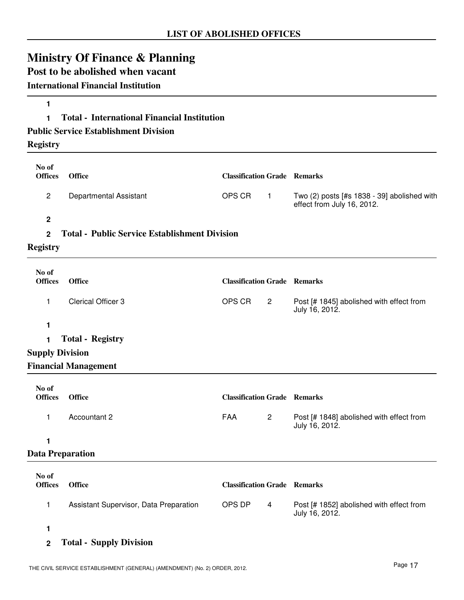## **Ministry Of Finance & Planning**

## **Post to be abolished when vacant**

### **International Financial Institution**

### **1 Total - International Financial Institution**

#### **Public Service Establishment Division**

**Registry**

**1**

| No of                   |                                                      |                                     |                |                                                                           |
|-------------------------|------------------------------------------------------|-------------------------------------|----------------|---------------------------------------------------------------------------|
| <b>Offices</b>          | <b>Office</b>                                        | <b>Classification Grade Remarks</b> |                |                                                                           |
| $\overline{c}$          | <b>Departmental Assistant</b>                        | OPS CR                              | $\overline{1}$ | Two (2) posts [#s 1838 - 39] abolished with<br>effect from July 16, 2012. |
| $\boldsymbol{2}$        |                                                      |                                     |                |                                                                           |
| $\overline{2}$          | <b>Total - Public Service Establishment Division</b> |                                     |                |                                                                           |
| <b>Registry</b>         |                                                      |                                     |                |                                                                           |
| No of                   |                                                      |                                     |                |                                                                           |
| <b>Offices</b>          | <b>Office</b>                                        | <b>Classification Grade Remarks</b> |                |                                                                           |
| 1.                      | <b>Clerical Officer 3</b>                            | OPS CR                              | $\overline{2}$ | Post [# 1845] abolished with effect from<br>July 16, 2012.                |
| 1                       |                                                      |                                     |                |                                                                           |
| 1                       | <b>Total - Registry</b>                              |                                     |                |                                                                           |
| <b>Supply Division</b>  |                                                      |                                     |                |                                                                           |
|                         | <b>Financial Management</b>                          |                                     |                |                                                                           |
| No of                   |                                                      |                                     |                |                                                                           |
| <b>Offices</b>          | <b>Office</b>                                        | <b>Classification Grade Remarks</b> |                |                                                                           |
| 1                       | Accountant 2                                         | <b>FAA</b>                          | $\overline{2}$ | Post [# 1848] abolished with effect from<br>July 16, 2012.                |
| 1                       |                                                      |                                     |                |                                                                           |
| <b>Data Preparation</b> |                                                      |                                     |                |                                                                           |
| No of                   |                                                      |                                     |                |                                                                           |
| <b>Offices</b>          | <b>Office</b>                                        | <b>Classification Grade Remarks</b> |                |                                                                           |
| $\mathbf{1}$            | Assistant Supervisor, Data Preparation               | OPS DP                              | $\overline{4}$ | Post [# 1852] abolished with effect from<br>July 16, 2012.                |

**1**

**2 Total - Supply Division**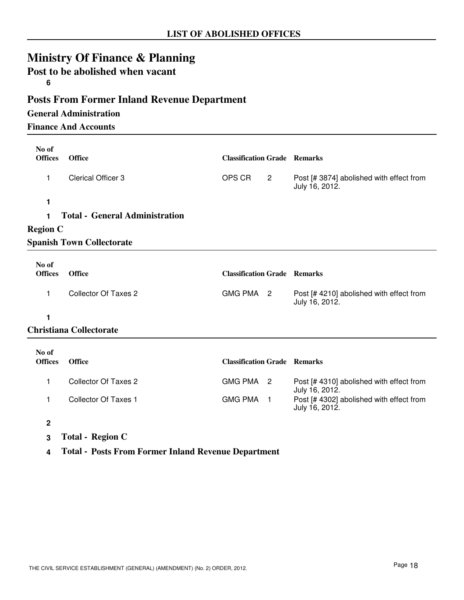## **Ministry Of Finance & Planning**

## **Post to be abolished when vacant**

**6**

## **Posts From Former Inland Revenue Department**

#### **General Administration**

**Finance And Accounts**

| No of<br><b>Offices</b> | <b>Office</b>                         | <b>Classification Grade Remarks</b> |                |                                                            |
|-------------------------|---------------------------------------|-------------------------------------|----------------|------------------------------------------------------------|
| 1                       | <b>Clerical Officer 3</b>             | OPS CR                              | $\overline{2}$ | Post [# 3874] abolished with effect from<br>July 16, 2012. |
| 1                       |                                       |                                     |                |                                                            |
| 1.                      | <b>Total - General Administration</b> |                                     |                |                                                            |
| <b>Region C</b>         |                                       |                                     |                |                                                            |
|                         | <b>Spanish Town Collectorate</b>      |                                     |                |                                                            |
| No of<br><b>Offices</b> | <b>Office</b>                         | <b>Classification Grade Remarks</b> |                |                                                            |
| 1.                      | <b>Collector Of Taxes 2</b>           | GMG PMA 2                           |                | Post [# 4210] abolished with effect from<br>July 16, 2012. |
| 1                       |                                       |                                     |                |                                                            |
|                         | <b>Christiana Collectorate</b>        |                                     |                |                                                            |
| No of<br><b>Offices</b> | Office                                | <b>Classification Grade Remarks</b> |                |                                                            |
| 1                       | Collector Of Taxes 2                  | GMG PMA 2                           |                | Post [# 4310] abolished with effect from<br>July 16, 2012. |
| 1                       | <b>Collector Of Taxes 1</b>           | <b>GMG PMA</b>                      | $\overline{1}$ | Post [# 4302] abolished with effect from<br>July 16, 2012. |

**2**

- **3 Total Region C**
- **4 Total Posts From Former Inland Revenue Department**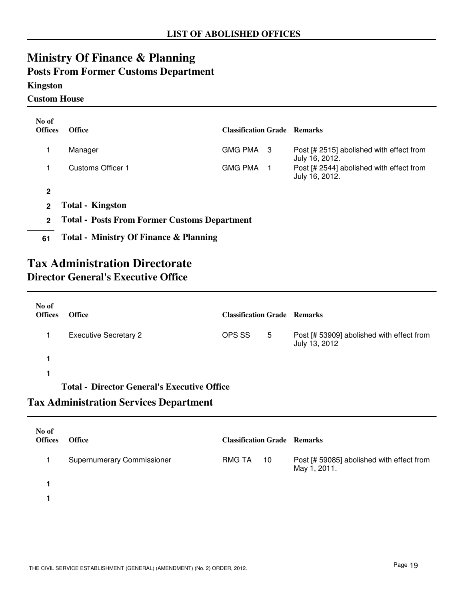## **Ministry Of Finance & Planning**

## **Posts From Former Customs Department**

### **Kingston**

**Custom House**

| No of<br><b>Offices</b> | <b>Office</b>                                       | <b>Classification Grade Remarks</b> |  |                                                            |
|-------------------------|-----------------------------------------------------|-------------------------------------|--|------------------------------------------------------------|
|                         | Manager                                             | GMG PMA 3                           |  | Post [# 2515] abolished with effect from<br>July 16, 2012. |
|                         | Customs Officer 1                                   | <b>GMG PMA</b>                      |  | Post [# 2544] abolished with effect from<br>July 16, 2012. |
| $\mathbf{2}$            |                                                     |                                     |  |                                                            |
| $\mathbf 2$             | <b>Total - Kingston</b>                             |                                     |  |                                                            |
| $\mathbf{2}$            | <b>Total - Posts From Former Customs Department</b> |                                     |  |                                                            |
| 61                      | <b>Total - Ministry Of Finance &amp; Planning</b>   |                                     |  |                                                            |

## **Tax Administration Directorate Director General's Executive Office**

| No of<br><b>Offices</b> | <b>Office</b>                                      | <b>Classification Grade Remarks</b> |   |                                                            |
|-------------------------|----------------------------------------------------|-------------------------------------|---|------------------------------------------------------------|
|                         | <b>Executive Secretary 2</b>                       | OPS SS                              | 5 | Post [# 53909] abolished with effect from<br>July 13, 2012 |
|                         |                                                    |                                     |   |                                                            |
|                         |                                                    |                                     |   |                                                            |
|                         | <b>Total - Director General's Executive Office</b> |                                     |   |                                                            |

## **Tax Administration Services Department**

| No of<br><b>Offices</b> | <b>Office</b>                     | <b>Classification Grade Remarks</b> |                                                           |
|-------------------------|-----------------------------------|-------------------------------------|-----------------------------------------------------------|
|                         | <b>Supernumerary Commissioner</b> | <b>RMG TA</b><br>10                 | Post [# 59085] abolished with effect from<br>May 1, 2011. |
|                         |                                   |                                     |                                                           |
|                         |                                   |                                     |                                                           |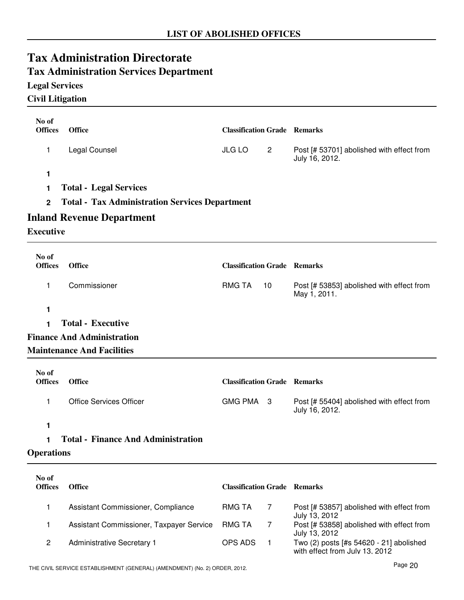# **Tax Administration Directorate**

## **Tax Administration Services Department**

## **Legal Services**

**Civil Litigation**

| No of                   |                                                       |                                     |                                                             |
|-------------------------|-------------------------------------------------------|-------------------------------------|-------------------------------------------------------------|
| <b>Offices</b>          | <b>Office</b>                                         | <b>Classification Grade Remarks</b> |                                                             |
| 1                       | Legal Counsel                                         | <b>JLG LO</b><br>$\overline{2}$     | Post [# 53701] abolished with effect from<br>July 16, 2012. |
| 1                       |                                                       |                                     |                                                             |
| 1                       | <b>Total - Legal Services</b>                         |                                     |                                                             |
| $\overline{2}$          | <b>Total - Tax Administration Services Department</b> |                                     |                                                             |
|                         | <b>Inland Revenue Department</b>                      |                                     |                                                             |
| <b>Executive</b>        |                                                       |                                     |                                                             |
| No of                   |                                                       |                                     |                                                             |
| <b>Offices</b>          | <b>Office</b>                                         | <b>Classification Grade Remarks</b> |                                                             |
| 1                       | Commissioner                                          | <b>RMG TA</b><br>10                 | Post [# 53853] abolished with effect from<br>May 1, 2011.   |
| 1                       |                                                       |                                     |                                                             |
| 1                       | <b>Total - Executive</b>                              |                                     |                                                             |
|                         | <b>Finance And Administration</b>                     |                                     |                                                             |
|                         | <b>Maintenance And Facilities</b>                     |                                     |                                                             |
| No of<br><b>Offices</b> | <b>Office</b>                                         | <b>Classification Grade Remarks</b> |                                                             |
| 1                       | <b>Office Services Officer</b>                        | <b>GMG PMA</b><br>- 3               | Post [# 55404] abolished with effect from<br>July 16, 2012. |
| 1                       |                                                       |                                     |                                                             |
| 1                       | <b>Total - Finance And Administration</b>             |                                     |                                                             |
| <b>Operations</b>       |                                                       |                                     |                                                             |
| No of<br><b>Offices</b> | <b>Office</b>                                         | <b>Classification Grade Remarks</b> |                                                             |
| 1                       | Assistant Commissioner, Compliance                    | <b>RMG TA</b><br>$\overline{7}$     | Post [# 53857] abolished with effect from<br>July 13, 2012  |

RMG TA

with effect from July 13, 2012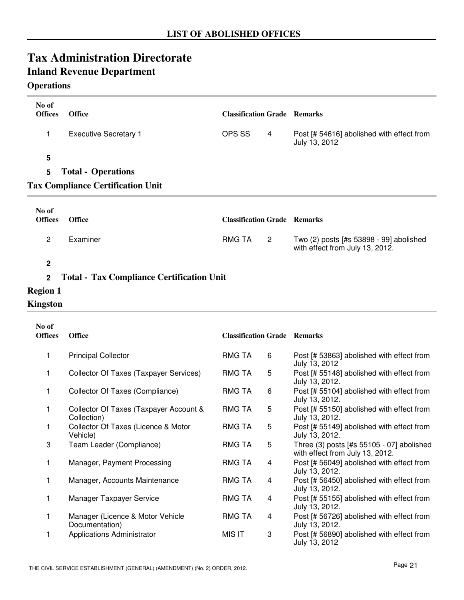#### **Operations**

| No of<br><b>Offices</b> | <b>Office</b>                                                         | <b>Classification Grade Remarks</b> |   |                                                            |
|-------------------------|-----------------------------------------------------------------------|-------------------------------------|---|------------------------------------------------------------|
| 1.                      | <b>Executive Secretary 1</b>                                          | OPS SS                              | 4 | Post [# 54616] abolished with effect from<br>July 13, 2012 |
| 5<br>5                  | <b>Total - Operations</b><br><b>Tax Compliance Certification Unit</b> |                                     |   |                                                            |
| No of<br><b>Offices</b> | <b>Office</b>                                                         | <b>Classification Grade Remarks</b> |   |                                                            |
| 2                       | Examiner                                                              | <b>RMG TA</b>                       | 2 | Two (2) posts [#s 53898 - 99] abolished                    |

**2**

#### **2 Total - Tax Compliance Certification Unit**

- **Region 1**
- **Kingston**

| No of<br><b>Offices</b> | <b>Office</b>                                         | <b>Classification Grade Remarks</b> |   |                                                                              |
|-------------------------|-------------------------------------------------------|-------------------------------------|---|------------------------------------------------------------------------------|
| 1                       | <b>Principal Collector</b>                            | RMG TA                              | 6 | Post [# 53863] abolished with effect from<br>July 13, 2012                   |
| 1                       | Collector Of Taxes (Taxpayer Services)                | <b>RMG TA</b>                       | 5 | Post [# 55148] abolished with effect from<br>July 13, 2012.                  |
| 1                       | Collector Of Taxes (Compliance)                       | RMG TA                              | 6 | Post [# 55104] abolished with effect from<br>July 13, 2012.                  |
| 1                       | Collector Of Taxes (Taxpayer Account &<br>Collection) | <b>RMG TA</b>                       | 5 | Post [# 55150] abolished with effect from<br>July 13, 2012.                  |
| $\mathbf{1}$            | Collector Of Taxes (Licence & Motor<br>Vehicle)       | <b>RMG TA</b>                       | 5 | Post [# 55149] abolished with effect from<br>July 13, 2012.                  |
| 3                       | Team Leader (Compliance)                              | RMG TA                              | 5 | Three (3) posts [#s 55105 - 07] abolished<br>with effect from July 13, 2012. |
| 1                       | Manager, Payment Processing                           | RMG TA                              | 4 | Post [# 56049] abolished with effect from<br>July 13, 2012.                  |
| 1                       | Manager, Accounts Maintenance                         | <b>RMG TA</b>                       | 4 | Post [# 56450] abolished with effect from<br>July 13, 2012.                  |
| 1                       | Manager Taxpayer Service                              | RMG TA                              | 4 | Post [# 55155] abolished with effect from<br>July 13, 2012.                  |
|                         | Manager (Licence & Motor Vehicle<br>Documentation)    | <b>RMG TA</b>                       | 4 | Post [# 56726] abolished with effect from<br>July 13, 2012.                  |
| 1                       | Applications Administrator                            | MIS IT                              | 3 | Post [# 56890] abolished with effect from<br>July 13, 2012                   |

with effect from July 13, 2012.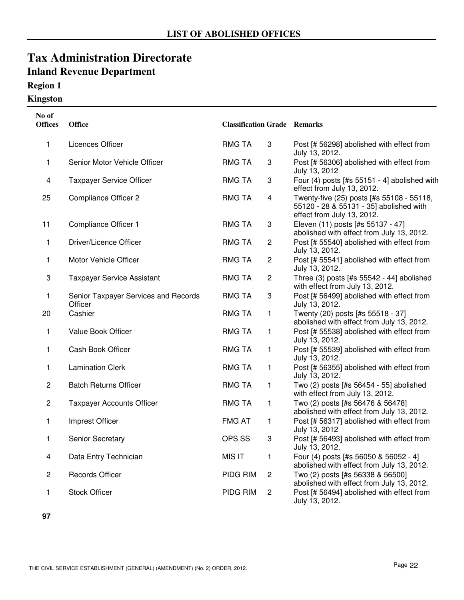## **Region 1**

### **Kingston**

| No of<br><b>Offices</b> | <b>Office</b>                                   | <b>Classification Grade Remarks</b> |                |                                                                                                                    |
|-------------------------|-------------------------------------------------|-------------------------------------|----------------|--------------------------------------------------------------------------------------------------------------------|
| 1                       | Licences Officer                                | <b>RMG TA</b>                       | 3              | Post [# 56298] abolished with effect from<br>July 13, 2012.                                                        |
| 1                       | Senior Motor Vehicle Officer                    | <b>RMG TA</b>                       | 3              | Post [# 56306] abolished with effect from<br>July 13, 2012                                                         |
| 4                       | <b>Taxpayer Service Officer</b>                 | <b>RMG TA</b>                       | 3              | Four (4) posts [#s 55151 - 4] abolished with<br>effect from July 13, 2012.                                         |
| 25                      | <b>Compliance Officer 2</b>                     | <b>RMG TA</b>                       | 4              | Twenty-five (25) posts [#s 55108 - 55118,<br>55120 - 28 & 55131 - 35] abolished with<br>effect from July 13, 2012. |
| 11                      | Compliance Officer 1                            | <b>RMG TA</b>                       | 3              | Eleven (11) posts [#s 55137 - 47]<br>abolished with effect from July 13, 2012.                                     |
| $\mathbf{1}$            | Driver/Licence Officer                          | <b>RMG TA</b>                       | 2              | Post [# 55540] abolished with effect from<br>July 13, 2012.                                                        |
| 1                       | Motor Vehicle Officer                           | <b>RMG TA</b>                       | 2              | Post [# 55541] abolished with effect from<br>July 13, 2012.                                                        |
| 3                       | <b>Taxpayer Service Assistant</b>               | <b>RMG TA</b>                       | $\overline{c}$ | Three (3) posts [#s 55542 - 44] abolished<br>with effect from July 13, 2012.                                       |
| 1                       | Senior Taxpayer Services and Records<br>Officer | <b>RMG TA</b>                       | 3              | Post [# 56499] abolished with effect from<br>July 13, 2012.                                                        |
| 20                      | Cashier                                         | <b>RMG TA</b>                       | 1              | Twenty (20) posts [#s 55518 - 37]<br>abolished with effect from July 13, 2012.                                     |
| $\mathbf{1}$            | Value Book Officer                              | <b>RMG TA</b>                       | 1              | Post [# 55538] abolished with effect from<br>July 13, 2012.                                                        |
| 1                       | Cash Book Officer                               | <b>RMG TA</b>                       | 1              | Post [# 55539] abolished with effect from<br>July 13, 2012.                                                        |
| 1                       | <b>Lamination Clerk</b>                         | <b>RMG TA</b>                       | 1              | Post [# 56355] abolished with effect from<br>July 13, 2012.                                                        |
| $\overline{c}$          | <b>Batch Returns Officer</b>                    | <b>RMG TA</b>                       | 1              | Two (2) posts [#s 56454 - 55] abolished<br>with effect from July 13, 2012.                                         |
| 2                       | <b>Taxpayer Accounts Officer</b>                | <b>RMG TA</b>                       | 1              | Two (2) posts [#s 56476 & 56478]<br>abolished with effect from July 13, 2012.                                      |
| 1                       | Imprest Officer                                 | <b>FMG AT</b>                       | 1              | Post [# 56317] abolished with effect from<br>July 13, 2012                                                         |
| 1                       | Senior Secretary                                | OPS SS                              | 3              | Post [# 56493] abolished with effect from<br>July 13, 2012.                                                        |
| 4                       | Data Entry Technician                           | <b>MIS IT</b>                       | 1              | Four (4) posts [#s 56050 & 56052 - 4]<br>abolished with effect from July 13, 2012.                                 |
| 2                       | <b>Records Officer</b>                          | PIDG RIM                            | $\overline{c}$ | Two (2) posts [#s 56338 & 56500]<br>abolished with effect from July 13, 2012.                                      |
| 1                       | <b>Stock Officer</b>                            | PIDG RIM                            | $\overline{c}$ | Post [# 56494] abolished with effect from<br>July 13, 2012.                                                        |

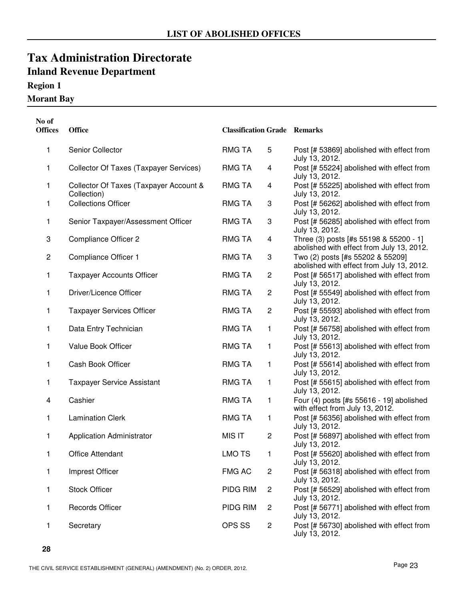## **Region 1**

### **Morant Bay**

| No of<br><b>Offices</b> | Office                                                | <b>Classification Grade Remarks</b> |                |                                                                                     |
|-------------------------|-------------------------------------------------------|-------------------------------------|----------------|-------------------------------------------------------------------------------------|
| 1                       | Senior Collector                                      | <b>RMG TA</b>                       | 5              | Post [# 53869] abolished with effect from<br>July 13, 2012.                         |
| 1                       | Collector Of Taxes (Taxpayer Services)                | <b>RMG TA</b>                       | 4              | Post [# 55224] abolished with effect from<br>July 13, 2012.                         |
| 1                       | Collector Of Taxes (Taxpayer Account &<br>Collection) | <b>RMG TA</b>                       | 4              | Post [# 55225] abolished with effect from<br>July 13, 2012.                         |
| 1                       | <b>Collections Officer</b>                            | <b>RMG TA</b>                       | 3              | Post [# 56262] abolished with effect from<br>July 13, 2012.                         |
| 1                       | Senior Taxpayer/Assessment Officer                    | <b>RMG TA</b>                       | 3              | Post [# 56285] abolished with effect from<br>July 13, 2012.                         |
| 3                       | Compliance Officer 2                                  | <b>RMG TA</b>                       | 4              | Three (3) posts [#s 55198 & 55200 - 1]<br>abolished with effect from July 13, 2012. |
| $\overline{c}$          | Compliance Officer 1                                  | <b>RMG TA</b>                       | 3              | Two (2) posts [#s 55202 & 55209]<br>abolished with effect from July 13, 2012.       |
| 1                       | <b>Taxpayer Accounts Officer</b>                      | <b>RMG TA</b>                       | $\overline{c}$ | Post [# 56517] abolished with effect from<br>July 13, 2012.                         |
| 1                       | Driver/Licence Officer                                | <b>RMG TA</b>                       | 2              | Post [# 55549] abolished with effect from<br>July 13, 2012.                         |
| 1                       | <b>Taxpayer Services Officer</b>                      | <b>RMG TA</b>                       | 2              | Post [# 55593] abolished with effect from<br>July 13, 2012.                         |
| 1                       | Data Entry Technician                                 | <b>RMG TA</b>                       | 1              | Post [# 56758] abolished with effect from<br>July 13, 2012.                         |
| 1                       | Value Book Officer                                    | <b>RMG TA</b>                       | 1              | Post [# 55613] abolished with effect from<br>July 13, 2012.                         |
| 1                       | Cash Book Officer                                     | <b>RMG TA</b>                       | 1              | Post [# 55614] abolished with effect from<br>July 13, 2012.                         |
| 1                       | <b>Taxpayer Service Assistant</b>                     | <b>RMG TA</b>                       | 1              | Post [# 55615] abolished with effect from<br>July 13, 2012.                         |
| 4                       | Cashier                                               | <b>RMG TA</b>                       | 1              | Four (4) posts [#s 55616 - 19] abolished<br>with effect from July 13, 2012.         |
| 1                       | <b>Lamination Clerk</b>                               | <b>RMG TA</b>                       | 1              | Post [# 56356] abolished with effect from<br>July 13, 2012.                         |
| 1                       | <b>Application Administrator</b>                      | <b>MIS IT</b>                       | $\overline{c}$ | Post [# 56897] abolished with effect from<br>July 13, 2012.                         |
| 1                       | Office Attendant                                      | <b>LMO TS</b>                       | 1              | Post [# 55620] abolished with effect from<br>July 13, 2012.                         |
| 1                       | Imprest Officer                                       | <b>FMG AC</b>                       | $\overline{c}$ | Post [# 56318] abolished with effect from<br>July 13, 2012.                         |
| 1                       | <b>Stock Officer</b>                                  | PIDG RIM                            | 2              | Post [# 56529] abolished with effect from<br>July 13, 2012.                         |
| 1                       | <b>Records Officer</b>                                | PIDG RIM                            | 2              | Post [# 56771] abolished with effect from<br>July 13, 2012.                         |
| 1                       | Secretary                                             | OPS SS                              | 2              | Post [# 56730] abolished with effect from<br>July 13, 2012.                         |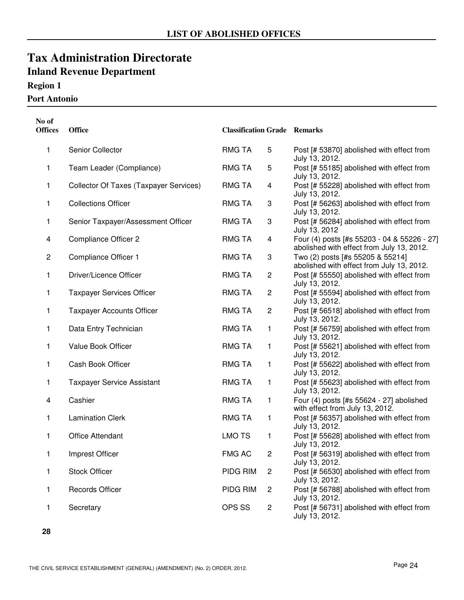## **Region 1**

#### **Port Antonio**

| No of<br><b>Offices</b> | <b>Office</b>                          | <b>Classification Grade Remarks</b> |                         |                                                                                          |
|-------------------------|----------------------------------------|-------------------------------------|-------------------------|------------------------------------------------------------------------------------------|
| 1                       | Senior Collector                       | RMG TA                              | 5                       | Post [# 53870] abolished with effect from<br>July 13, 2012.                              |
| 1                       | Team Leader (Compliance)               | <b>RMG TA</b>                       | 5                       | Post [# 55185] abolished with effect from<br>July 13, 2012.                              |
| 1                       | Collector Of Taxes (Taxpayer Services) | <b>RMG TA</b>                       | $\overline{\mathbf{4}}$ | Post [# 55228] abolished with effect from<br>July 13, 2012.                              |
| 1                       | <b>Collections Officer</b>             | <b>RMG TA</b>                       | 3                       | Post [# 56263] abolished with effect from<br>July 13, 2012.                              |
| 1                       | Senior Taxpayer/Assessment Officer     | <b>RMG TA</b>                       | 3                       | Post [# 56284] abolished with effect from<br>July 13, 2012                               |
| 4                       | <b>Compliance Officer 2</b>            | <b>RMG TA</b>                       | $\overline{\mathbf{4}}$ | Four (4) posts [#s 55203 - 04 & 55226 - 27]<br>abolished with effect from July 13, 2012. |
| $\overline{c}$          | Compliance Officer 1                   | <b>RMG TA</b>                       | 3                       | Two (2) posts [#s 55205 & 55214]<br>abolished with effect from July 13, 2012.            |
| 1                       | Driver/Licence Officer                 | <b>RMG TA</b>                       | $\overline{c}$          | Post [# 55550] abolished with effect from<br>July 13, 2012.                              |
| 1                       | <b>Taxpayer Services Officer</b>       | <b>RMG TA</b>                       | $\overline{c}$          | Post [# 55594] abolished with effect from<br>July 13, 2012.                              |
| 1                       | <b>Taxpayer Accounts Officer</b>       | <b>RMG TA</b>                       | $\sqrt{2}$              | Post [# 56518] abolished with effect from<br>July 13, 2012.                              |
| 1                       | Data Entry Technician                  | <b>RMG TA</b>                       | 1                       | Post [# 56759] abolished with effect from<br>July 13, 2012.                              |
| 1                       | Value Book Officer                     | <b>RMG TA</b>                       | 1                       | Post [# 55621] abolished with effect from<br>July 13, 2012.                              |
| 1                       | Cash Book Officer                      | <b>RMG TA</b>                       | 1                       | Post [# 55622] abolished with effect from<br>July 13, 2012.                              |
| 1                       | <b>Taxpayer Service Assistant</b>      | <b>RMG TA</b>                       | 1                       | Post [# 55623] abolished with effect from<br>July 13, 2012.                              |
| 4                       | Cashier                                | <b>RMG TA</b>                       | 1                       | Four (4) posts [#s 55624 - 27] abolished<br>with effect from July 13, 2012.              |
| 1                       | <b>Lamination Clerk</b>                | <b>RMG TA</b>                       | 1                       | Post [# 56357] abolished with effect from<br>July 13, 2012.                              |
| 1                       | <b>Office Attendant</b>                | <b>LMO TS</b>                       | 1                       | Post [# 55628] abolished with effect from<br>July 13, 2012.                              |
| 1                       | Imprest Officer                        | <b>FMG AC</b>                       | $\overline{c}$          | Post [# 56319] abolished with effect from<br>July 13, 2012.                              |
| 1                       | <b>Stock Officer</b>                   | PIDG RIM                            | $\overline{c}$          | Post [# 56530] abolished with effect from<br>July 13, 2012.                              |
| 1                       | <b>Records Officer</b>                 | PIDG RIM                            | $\overline{c}$          | Post [# 56788] abolished with effect from<br>July 13, 2012.                              |
| 1                       | Secretary                              | OPS SS                              | $\overline{c}$          | Post [# 56731] abolished with effect from<br>July 13, 2012.                              |

**<sup>28</sup>**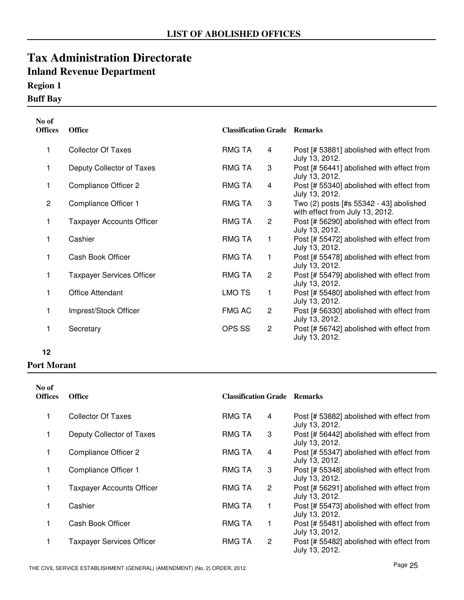## **Region 1**

## **Buff Bay**

| No of<br><b>Offices</b> | <b>Office</b>                    | <b>Classification Grade Remarks</b> |                |                                                                            |
|-------------------------|----------------------------------|-------------------------------------|----------------|----------------------------------------------------------------------------|
| 1                       | <b>Collector Of Taxes</b>        | <b>RMG TA</b>                       | 4              | Post [# 53881] abolished with effect from<br>July 13, 2012.                |
| 1                       | Deputy Collector of Taxes        | <b>RMG TA</b>                       | 3              | Post [# 56441] abolished with effect from<br>July 13, 2012.                |
| 1                       | <b>Compliance Officer 2</b>      | <b>RMG TA</b>                       | 4              | Post [# 55340] abolished with effect from<br>July 13, 2012.                |
| $\overline{2}$          | Compliance Officer 1             | <b>RMG TA</b>                       | 3              | Two (2) posts [#s 55342 - 43] abolished<br>with effect from July 13, 2012. |
| 1                       | <b>Taxpayer Accounts Officer</b> | RMG TA                              | $\overline{2}$ | Post [# 56290] abolished with effect from<br>July 13, 2012.                |
| 1                       | Cashier                          | RMG TA                              | 1              | Post [# 55472] abolished with effect from<br>July 13, 2012.                |
| 1                       | Cash Book Officer                | RMG TA                              | 1              | Post [# 55478] abolished with effect from<br>July 13, 2012.                |
| 1                       | <b>Taxpayer Services Officer</b> | <b>RMG TA</b>                       | $\overline{c}$ | Post [# 55479] abolished with effect from<br>July 13, 2012.                |
| 1                       | <b>Office Attendant</b>          | <b>LMO TS</b>                       | 1              | Post [# 55480] abolished with effect from<br>July 13, 2012.                |
| 1                       | Imprest/Stock Officer            | <b>FMG AC</b>                       | $\overline{c}$ | Post [# 56330] abolished with effect from<br>July 13, 2012.                |
| 1                       | Secretary                        | OPS SS                              | 2              | Post [# 56742] abolished with effect from<br>July 13, 2012.                |

#### **12**

#### **Port Morant**

| No of<br><b>Offices</b> | <b>Office</b>                    | <b>Classification Grade Remarks</b> |                |                                                             |
|-------------------------|----------------------------------|-------------------------------------|----------------|-------------------------------------------------------------|
| 1                       | Collector Of Taxes               | <b>RMG TA</b>                       | 4              | Post [# 53882] abolished with effect from<br>July 13, 2012. |
| 1                       | Deputy Collector of Taxes        | <b>RMG TA</b>                       | 3              | Post [# 56442] abolished with effect from<br>July 13, 2012. |
| 1                       | <b>Compliance Officer 2</b>      | RMG TA                              | 4              | Post [# 55347] abolished with effect from<br>July 13, 2012. |
| 1                       | Compliance Officer 1             | <b>RMG TA</b>                       | 3              | Post [# 55348] abolished with effect from<br>July 13, 2012. |
| 1                       | <b>Taxpayer Accounts Officer</b> | <b>RMG TA</b>                       | $\overline{2}$ | Post [# 56291] abolished with effect from<br>July 13, 2012. |
| 1                       | Cashier                          | <b>RMG TA</b>                       | 1              | Post [# 55473] abolished with effect from<br>July 13, 2012. |
| 1                       | Cash Book Officer                | <b>RMG TA</b>                       | 1              | Post [# 55481] abolished with effect from<br>July 13, 2012. |
|                         | <b>Taxpayer Services Officer</b> | <b>RMG TA</b>                       | $\overline{2}$ | Post [# 55482] abolished with effect from<br>July 13, 2012. |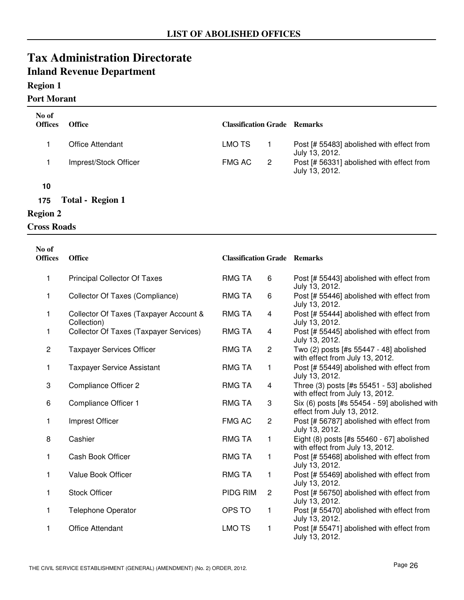### **Region 1**

#### **Port Morant**

| No of<br><b>Offices</b> | <b>Office</b>           | <b>Classification Grade Remarks</b> |                |                                                             |
|-------------------------|-------------------------|-------------------------------------|----------------|-------------------------------------------------------------|
|                         | Office Attendant        | LMO TS                              |                | Post [# 55483] abolished with effect from<br>July 13, 2012. |
|                         | Imprest/Stock Officer   | <b>FMG AC</b>                       | $\overline{2}$ | Post [# 56331] abolished with effect from<br>July 13, 2012. |
| 10                      |                         |                                     |                |                                                             |
| 175                     | <b>Total - Region 1</b> |                                     |                |                                                             |

## **Region 2**

## **Cross Roads**

| No of<br><b>Offices</b> | <b>Office</b>                                         | <b>Classification Grade Remarks</b> |                |                                                                              |
|-------------------------|-------------------------------------------------------|-------------------------------------|----------------|------------------------------------------------------------------------------|
| 1                       | <b>Principal Collector Of Taxes</b>                   | <b>RMG TA</b>                       | 6              | Post [# 55443] abolished with effect from<br>July 13, 2012.                  |
| 1.                      | Collector Of Taxes (Compliance)                       | <b>RMG TA</b>                       | 6              | Post [# 55446] abolished with effect from<br>July 13, 2012.                  |
| 1                       | Collector Of Taxes (Taxpayer Account &<br>Collection) | <b>RMG TA</b>                       | 4              | Post [# 55444] abolished with effect from<br>July 13, 2012.                  |
| 1                       | Collector Of Taxes (Taxpayer Services)                | <b>RMG TA</b>                       | $\overline{4}$ | Post [# 55445] abolished with effect from<br>July 13, 2012.                  |
| $\overline{c}$          | <b>Taxpayer Services Officer</b>                      | <b>RMG TA</b>                       | $\mathbf{2}$   | Two (2) posts [#s 55447 - 48] abolished<br>with effect from July 13, 2012.   |
| 1                       | <b>Taxpayer Service Assistant</b>                     | <b>RMG TA</b>                       | 1              | Post [# 55449] abolished with effect from<br>July 13, 2012.                  |
| 3                       | <b>Compliance Officer 2</b>                           | <b>RMG TA</b>                       | $\overline{4}$ | Three (3) posts [#s 55451 - 53] abolished<br>with effect from July 13, 2012. |
| 6                       | Compliance Officer 1                                  | <b>RMG TA</b>                       | 3              | Six (6) posts [#s 55454 - 59] abolished with<br>effect from July 13, 2012.   |
| 1.                      | Imprest Officer                                       | <b>FMG AC</b>                       | $\overline{c}$ | Post [# 56787] abolished with effect from<br>July 13, 2012.                  |
| 8                       | Cashier                                               | <b>RMG TA</b>                       | $\mathbf{1}$   | Eight (8) posts [#s 55460 - 67] abolished<br>with effect from July 13, 2012. |
| 1                       | Cash Book Officer                                     | <b>RMG TA</b>                       | 1              | Post [# 55468] abolished with effect from<br>July 13, 2012.                  |
| 1                       | Value Book Officer                                    | <b>RMG TA</b>                       | 1              | Post [# 55469] abolished with effect from<br>July 13, 2012.                  |
| 1                       | <b>Stock Officer</b>                                  | <b>PIDG RIM</b>                     | $\mathbf{2}$   | Post [# 56750] abolished with effect from<br>July 13, 2012.                  |
| 1                       | <b>Telephone Operator</b>                             | OPS TO                              | $\mathbf{1}$   | Post [# 55470] abolished with effect from<br>July 13, 2012.                  |
| 1                       | <b>Office Attendant</b>                               | <b>LMO TS</b>                       | 1              | Post [# 55471] abolished with effect from<br>July 13, 2012.                  |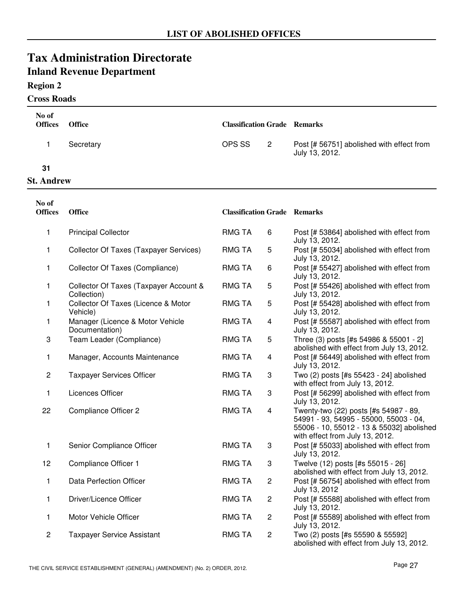### **Region 2**

#### **Cross Roads**

| No of<br><b>Offices</b> | Office                                                | <b>Classification Grade Remarks</b> |                         |                                                                                                                                                                 |
|-------------------------|-------------------------------------------------------|-------------------------------------|-------------------------|-----------------------------------------------------------------------------------------------------------------------------------------------------------------|
| 1                       | Secretary                                             | OPS SS                              | $\overline{2}$          | Post [# 56751] abolished with effect from<br>July 13, 2012.                                                                                                     |
| 31                      |                                                       |                                     |                         |                                                                                                                                                                 |
| <b>St. Andrew</b>       |                                                       |                                     |                         |                                                                                                                                                                 |
| No of<br><b>Offices</b> | <b>Office</b>                                         | <b>Classification Grade Remarks</b> |                         |                                                                                                                                                                 |
| 1                       | <b>Principal Collector</b>                            | <b>RMG TA</b>                       | 6                       | Post [# 53864] abolished with effect from<br>July 13, 2012.                                                                                                     |
| 1                       | <b>Collector Of Taxes (Taxpayer Services)</b>         | <b>RMG TA</b>                       | 5                       | Post [# 55034] abolished with effect from<br>July 13, 2012.                                                                                                     |
| 1                       | Collector Of Taxes (Compliance)                       | <b>RMG TA</b>                       | 6                       | Post [# 55427] abolished with effect from<br>July 13, 2012.                                                                                                     |
| 1                       | Collector Of Taxes (Taxpayer Account &<br>Collection) | <b>RMG TA</b>                       | 5                       | Post [# 55426] abolished with effect from<br>July 13, 2012.                                                                                                     |
| 1                       | Collector Of Taxes (Licence & Motor<br>Vehicle)       | <b>RMG TA</b>                       | 5                       | Post [# 55428] abolished with effect from<br>July 13, 2012.                                                                                                     |
| 1                       | Manager (Licence & Motor Vehicle<br>Documentation)    | <b>RMG TA</b>                       | $\overline{\mathbf{4}}$ | Post [# 55587] abolished with effect from<br>July 13, 2012.                                                                                                     |
| 3                       | Team Leader (Compliance)                              | <b>RMG TA</b>                       | 5                       | Three (3) posts [#s 54986 & 55001 - 2]<br>abolished with effect from July 13, 2012.                                                                             |
| 1                       | Manager, Accounts Maintenance                         | <b>RMG TA</b>                       | 4                       | Post [# 56449] abolished with effect from<br>July 13, 2012.                                                                                                     |
| $\overline{c}$          | <b>Taxpayer Services Officer</b>                      | <b>RMG TA</b>                       | 3                       | Two (2) posts [#s 55423 - 24] abolished<br>with effect from July 13, 2012.                                                                                      |
| 1                       | <b>Licences Officer</b>                               | <b>RMG TA</b>                       | 3                       | Post [# 56299] abolished with effect from<br>July 13, 2012.                                                                                                     |
| 22                      | <b>Compliance Officer 2</b>                           | <b>RMG TA</b>                       | $\overline{\mathbf{4}}$ | Twenty-two (22) posts [#s 54987 - 89,<br>54991 - 93, 54995 - 55000, 55003 - 04,<br>55006 - 10, 55012 - 13 & 55032] abolished<br>with effect from July 13, 2012. |
| 1                       | Senior Compliance Officer                             | <b>RMG TA</b>                       | 3                       | Post [# 55033] abolished with effect from<br>July 13, 2012.                                                                                                     |
| 12                      | Compliance Officer 1                                  | <b>RMG TA</b>                       | 3                       | Twelve (12) posts [#s 55015 - 26]<br>abolished with effect from July 13, 2012.                                                                                  |
| 1                       | <b>Data Perfection Officer</b>                        | <b>RMG TA</b>                       | $\overline{c}$          | Post [# 56754] abolished with effect from<br>July 13, 2012                                                                                                      |
| 1                       | Driver/Licence Officer                                | <b>RMG TA</b>                       | $\overline{c}$          | Post [# 55588] abolished with effect from<br>July 13, 2012.                                                                                                     |
| 1                       | Motor Vehicle Officer                                 | <b>RMG TA</b>                       | $\overline{c}$          | Post [# 55589] abolished with effect from<br>July 13, 2012.                                                                                                     |
| 2                       | <b>Taxpayer Service Assistant</b>                     | <b>RMG TA</b>                       | $\overline{c}$          | Two (2) posts [#s 55590 & 55592]<br>abolished with effect from July 13, 2012.                                                                                   |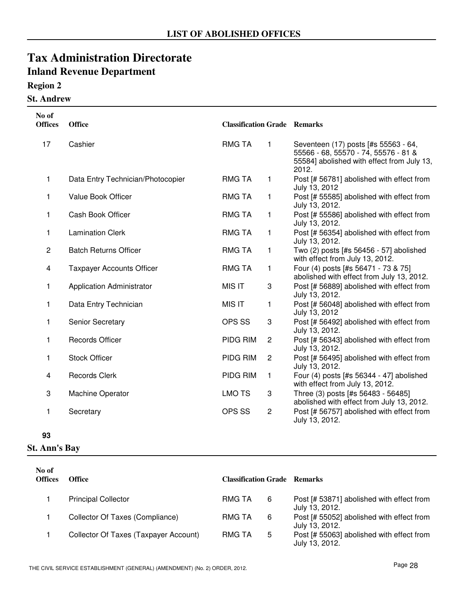### **Region 2**

## **St. Andrew**

| No of<br><b>Offices</b> | Office                            | <b>Classification Grade Remarks</b> |                |                                                                                                                                     |
|-------------------------|-----------------------------------|-------------------------------------|----------------|-------------------------------------------------------------------------------------------------------------------------------------|
| 17                      | Cashier                           | <b>RMG TA</b>                       | 1              | Seventeen (17) posts [#s 55563 - 64,<br>55566 - 68, 55570 - 74, 55576 - 81 &<br>55584] abolished with effect from July 13,<br>2012. |
| 1                       | Data Entry Technician/Photocopier | <b>RMG TA</b>                       | 1              | Post [# 56781] abolished with effect from<br>July 13, 2012                                                                          |
| 1                       | <b>Value Book Officer</b>         | <b>RMG TA</b>                       | 1              | Post [# 55585] abolished with effect from<br>July 13, 2012.                                                                         |
| 1                       | Cash Book Officer                 | <b>RMG TA</b>                       | 1              | Post [# 55586] abolished with effect from<br>July 13, 2012.                                                                         |
| 1                       | <b>Lamination Clerk</b>           | <b>RMG TA</b>                       | 1              | Post [# 56354] abolished with effect from<br>July 13, 2012.                                                                         |
| $\overline{c}$          | <b>Batch Returns Officer</b>      | <b>RMG TA</b>                       | 1              | Two (2) posts [#s 56456 - 57] abolished<br>with effect from July 13, 2012.                                                          |
| 4                       | <b>Taxpayer Accounts Officer</b>  | <b>RMG TA</b>                       | 1              | Four (4) posts [#s 56471 - 73 & 75]<br>abolished with effect from July 13, 2012.                                                    |
| 1                       | <b>Application Administrator</b>  | <b>MIS IT</b>                       | 3              | Post [# 56889] abolished with effect from<br>July 13, 2012.                                                                         |
| 1                       | Data Entry Technician             | <b>MIS IT</b>                       | 1              | Post [# 56048] abolished with effect from<br>July 13, 2012                                                                          |
| 1                       | Senior Secretary                  | OPS SS                              | 3              | Post [# 56492] abolished with effect from<br>July 13, 2012.                                                                         |
| 1                       | <b>Records Officer</b>            | PIDG RIM                            | 2              | Post [# 56343] abolished with effect from<br>July 13, 2012.                                                                         |
| 1                       | <b>Stock Officer</b>              | PIDG RIM                            | $\overline{c}$ | Post [# 56495] abolished with effect from<br>July 13, 2012.                                                                         |
| 4                       | <b>Records Clerk</b>              | PIDG RIM                            | 1              | Four (4) posts [#s 56344 - 47] abolished<br>with effect from July 13, 2012.                                                         |
| 3                       | Machine Operator                  | <b>LMO TS</b>                       | 3              | Three (3) posts [#s 56483 - 56485]<br>abolished with effect from July 13, 2012.                                                     |
| 1                       | Secretary                         | OPS SS                              | $\overline{c}$ | Post [# 56757] abolished with effect from<br>July 13, 2012.                                                                         |

#### **93**

#### **St. Ann's Bay**

| No of<br><b>Offices</b> | Office                                | <b>Classification Grade</b> Remarks |   |                                                             |
|-------------------------|---------------------------------------|-------------------------------------|---|-------------------------------------------------------------|
|                         | <b>Principal Collector</b>            | RMG TA                              | 6 | Post [# 53871] abolished with effect from<br>July 13, 2012. |
|                         | Collector Of Taxes (Compliance)       | RMG TA                              | 6 | Post [# 55052] abolished with effect from<br>July 13, 2012. |
|                         | Collector Of Taxes (Taxpayer Account) | <b>RMG TA</b>                       | 5 | Post [# 55063] abolished with effect from<br>July 13, 2012. |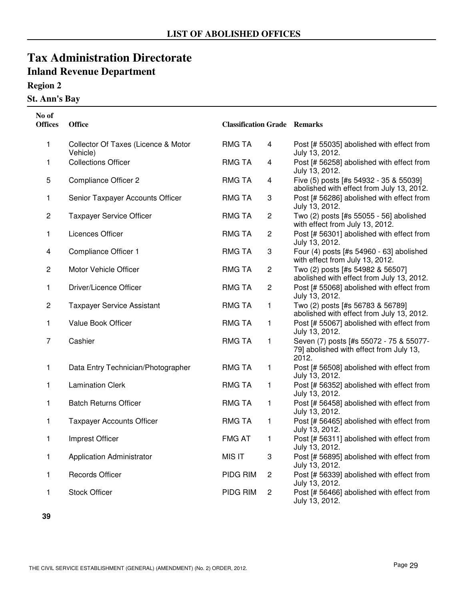## **Region 2**

### **St. Ann's Bay**

| No of<br><b>Offices</b> | <b>Office</b>                                   | <b>Classification Grade Remarks</b> |                         |                                                                                             |
|-------------------------|-------------------------------------------------|-------------------------------------|-------------------------|---------------------------------------------------------------------------------------------|
| 1                       | Collector Of Taxes (Licence & Motor<br>Vehicle) | <b>RMG TA</b>                       | 4                       | Post [# 55035] abolished with effect from<br>July 13, 2012.                                 |
| 1                       | <b>Collections Officer</b>                      | <b>RMG TA</b>                       | $\overline{\mathbf{4}}$ | Post [# 56258] abolished with effect from<br>July 13, 2012.                                 |
| 5                       | <b>Compliance Officer 2</b>                     | <b>RMG TA</b>                       | $\overline{\mathbf{4}}$ | Five (5) posts [#s 54932 - 35 & 55039]<br>abolished with effect from July 13, 2012.         |
| 1                       | Senior Taxpayer Accounts Officer                | <b>RMG TA</b>                       | 3                       | Post [# 56286] abolished with effect from<br>July 13, 2012.                                 |
| $\overline{c}$          | <b>Taxpayer Service Officer</b>                 | <b>RMG TA</b>                       | $\overline{c}$          | Two (2) posts [#s 55055 - 56] abolished<br>with effect from July 13, 2012.                  |
| 1                       | Licences Officer                                | <b>RMG TA</b>                       | $\overline{c}$          | Post [# 56301] abolished with effect from<br>July 13, 2012.                                 |
| 4                       | Compliance Officer 1                            | <b>RMG TA</b>                       | 3                       | Four (4) posts [#s 54960 - 63] abolished<br>with effect from July 13, 2012.                 |
| $\overline{c}$          | Motor Vehicle Officer                           | <b>RMG TA</b>                       | $\overline{c}$          | Two (2) posts [#s 54982 & 56507]<br>abolished with effect from July 13, 2012.               |
| 1                       | Driver/Licence Officer                          | <b>RMG TA</b>                       | $\overline{c}$          | Post [# 55068] abolished with effect from<br>July 13, 2012.                                 |
| $\overline{c}$          | <b>Taxpayer Service Assistant</b>               | <b>RMG TA</b>                       | 1                       | Two (2) posts [#s 56783 & 56789]<br>abolished with effect from July 13, 2012.               |
| 1                       | Value Book Officer                              | <b>RMG TA</b>                       | 1                       | Post [# 55067] abolished with effect from<br>July 13, 2012.                                 |
| 7                       | Cashier                                         | <b>RMG TA</b>                       | $\mathbf{1}$            | Seven (7) posts [#s 55072 - 75 & 55077-<br>79] abolished with effect from July 13,<br>2012. |
| 1                       | Data Entry Technician/Photographer              | <b>RMG TA</b>                       | 1                       | Post [# 56508] abolished with effect from<br>July 13, 2012.                                 |
| 1                       | <b>Lamination Clerk</b>                         | <b>RMG TA</b>                       | $\mathbf{1}$            | Post [# 56352] abolished with effect from<br>July 13, 2012.                                 |
| 1                       | <b>Batch Returns Officer</b>                    | <b>RMG TA</b>                       | 1                       | Post [# 56458] abolished with effect from<br>July 13, 2012.                                 |
| 1                       | <b>Taxpayer Accounts Officer</b>                | <b>RMG TA</b>                       | 1                       | Post [# 56465] abolished with effect from<br>July 13, 2012.                                 |
| 1                       | Imprest Officer                                 | <b>FMG AT</b>                       | 1                       | Post [# 56311] abolished with effect from<br>July 13, 2012.                                 |
| 1                       | <b>Application Administrator</b>                | MIS IT                              | 3                       | Post [# 56895] abolished with effect from<br>July 13, 2012.                                 |
| 1                       | <b>Records Officer</b>                          | PIDG RIM                            | $\overline{c}$          | Post [# 56339] abolished with effect from<br>July 13, 2012.                                 |
| 1                       | <b>Stock Officer</b>                            | PIDG RIM                            | $\overline{c}$          | Post [# 56466] abolished with effect from<br>July 13, 2012.                                 |

**39**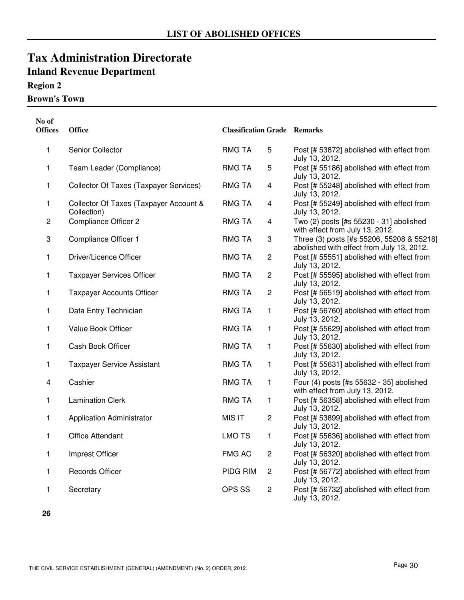## **Region 2**

**Brown's Town**

| No of<br><b>Offices</b> | Office                                                | <b>Classification Grade Remarks</b> |                         |                                                                                        |
|-------------------------|-------------------------------------------------------|-------------------------------------|-------------------------|----------------------------------------------------------------------------------------|
| 1                       | Senior Collector                                      | <b>RMG TA</b>                       | 5                       | Post [# 53872] abolished with effect from<br>July 13, 2012.                            |
| 1                       | Team Leader (Compliance)                              | <b>RMG TA</b>                       | 5                       | Post [# 55186] abolished with effect from<br>July 13, 2012.                            |
| 1                       | <b>Collector Of Taxes (Taxpayer Services)</b>         | <b>RMG TA</b>                       | $\overline{\mathbf{4}}$ | Post [# 55248] abolished with effect from<br>July 13, 2012.                            |
| 1                       | Collector Of Taxes (Taxpayer Account &<br>Collection) | <b>RMG TA</b>                       | $\overline{\mathbf{4}}$ | Post [# 55249] abolished with effect from<br>July 13, 2012.                            |
| $\overline{c}$          | <b>Compliance Officer 2</b>                           | <b>RMG TA</b>                       | $\overline{\mathbf{4}}$ | Two (2) posts [#s 55230 - 31] abolished<br>with effect from July 13, 2012.             |
| 3                       | Compliance Officer 1                                  | <b>RMG TA</b>                       | 3                       | Three (3) posts [#s 55206, 55208 & 55218]<br>abolished with effect from July 13, 2012. |
| 1                       | Driver/Licence Officer                                | <b>RMG TA</b>                       | $\overline{c}$          | Post [# 55551] abolished with effect from<br>July 13, 2012.                            |
| 1                       | <b>Taxpayer Services Officer</b>                      | <b>RMG TA</b>                       | $\overline{c}$          | Post [# 55595] abolished with effect from<br>July 13, 2012.                            |
| 1                       | <b>Taxpayer Accounts Officer</b>                      | <b>RMG TA</b>                       | $\overline{c}$          | Post [# 56519] abolished with effect from<br>July 13, 2012.                            |
| 1                       | Data Entry Technician                                 | <b>RMG TA</b>                       | 1                       | Post [# 56760] abolished with effect from<br>July 13, 2012.                            |
| 1                       | Value Book Officer                                    | <b>RMG TA</b>                       | 1                       | Post [# 55629] abolished with effect from<br>July 13, 2012.                            |
| 1                       | Cash Book Officer                                     | <b>RMG TA</b>                       | $\mathbf{1}$            | Post [# 55630] abolished with effect from<br>July 13, 2012.                            |
| 1                       | <b>Taxpayer Service Assistant</b>                     | <b>RMG TA</b>                       | 1                       | Post [# 55631] abolished with effect from<br>July 13, 2012.                            |
| 4                       | Cashier                                               | <b>RMG TA</b>                       | 1                       | Four (4) posts [#s 55632 - 35] abolished<br>with effect from July 13, 2012.            |
| 1                       | <b>Lamination Clerk</b>                               | <b>RMG TA</b>                       | 1                       | Post [# 56358] abolished with effect from<br>July 13, 2012.                            |
| 1                       | <b>Application Administrator</b>                      | <b>MIS IT</b>                       | $\overline{c}$          | Post [# 53899] abolished with effect from<br>July 13, 2012.                            |
| 1                       | <b>Office Attendant</b>                               | <b>LMO TS</b>                       | 1                       | Post [# 55636] abolished with effect from<br>July 13, 2012.                            |
| 1                       | Imprest Officer                                       | <b>FMG AC</b>                       | $\overline{c}$          | Post [# 56320] abolished with effect from<br>July 13, 2012.                            |
| 1                       | <b>Records Officer</b>                                | PIDG RIM                            | $\overline{c}$          | Post [# 56772] abolished with effect from<br>July 13, 2012.                            |
| 1                       | Secretary                                             | OPS SS                              | $\overline{c}$          | Post [# 56732] abolished with effect from<br>July 13, 2012.                            |

**26**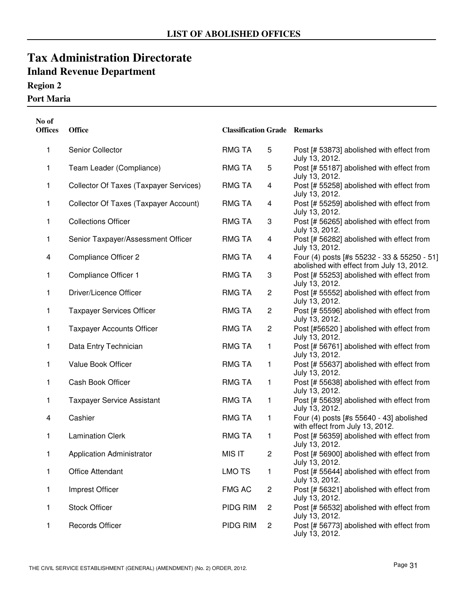## **Region 2**

#### **Port Maria**

| No of<br><b>Offices</b> | <b>Office</b>                          | <b>Classification Grade Remarks</b> |                |                                                                                          |
|-------------------------|----------------------------------------|-------------------------------------|----------------|------------------------------------------------------------------------------------------|
| 1                       | Senior Collector                       | RMG TA                              | 5              | Post [# 53873] abolished with effect from<br>July 13, 2012.                              |
| 1                       | Team Leader (Compliance)               | RMG TA                              | 5              | Post [# 55187] abolished with effect from<br>July 13, 2012.                              |
| 1                       | Collector Of Taxes (Taxpayer Services) | <b>RMG TA</b>                       | $\overline{4}$ | Post [# 55258] abolished with effect from<br>July 13, 2012.                              |
| 1                       | Collector Of Taxes (Taxpayer Account)  | <b>RMG TA</b>                       | $\overline{4}$ | Post [# 55259] abolished with effect from<br>July 13, 2012.                              |
| 1                       | <b>Collections Officer</b>             | <b>RMG TA</b>                       | 3              | Post [# 56265] abolished with effect from<br>July 13, 2012.                              |
| 1                       | Senior Taxpayer/Assessment Officer     | <b>RMG TA</b>                       | $\overline{4}$ | Post [# 56282] abolished with effect from<br>July 13, 2012.                              |
| 4                       | <b>Compliance Officer 2</b>            | <b>RMG TA</b>                       | $\overline{4}$ | Four (4) posts [#s 55232 - 33 & 55250 - 51]<br>abolished with effect from July 13, 2012. |
| 1                       | Compliance Officer 1                   | <b>RMG TA</b>                       | 3              | Post [# 55253] abolished with effect from<br>July 13, 2012.                              |
| 1                       | Driver/Licence Officer                 | <b>RMG TA</b>                       | $\overline{c}$ | Post [# 55552] abolished with effect from<br>July 13, 2012.                              |
| 1                       | <b>Taxpayer Services Officer</b>       | <b>RMG TA</b>                       | $\overline{c}$ | Post [# 55596] abolished with effect from<br>July 13, 2012.                              |
| 1                       | <b>Taxpayer Accounts Officer</b>       | <b>RMG TA</b>                       | $\overline{c}$ | Post [#56520] abolished with effect from<br>July 13, 2012.                               |
| 1                       | Data Entry Technician                  | <b>RMG TA</b>                       | 1              | Post [# 56761] abolished with effect from<br>July 13, 2012.                              |
| 1                       | Value Book Officer                     | <b>RMG TA</b>                       | $\mathbf{1}$   | Post [# 55637] abolished with effect from<br>July 13, 2012.                              |
| 1                       | Cash Book Officer                      | <b>RMG TA</b>                       | 1              | Post [# 55638] abolished with effect from<br>July 13, 2012.                              |
| 1                       | <b>Taxpayer Service Assistant</b>      | <b>RMG TA</b>                       | 1              | Post [# 55639] abolished with effect from<br>July 13, 2012.                              |
| 4                       | Cashier                                | <b>RMG TA</b>                       | 1              | Four (4) posts [#s 55640 - 43] abolished<br>with effect from July 13, 2012.              |
| 1                       | <b>Lamination Clerk</b>                | RMG TA                              | 1              | Post [# 56359] abolished with effect from<br>July 13, 2012.                              |
| 1                       | <b>Application Administrator</b>       | MIS IT                              | $\overline{c}$ | Post [# 56900] abolished with effect from<br>July 13, 2012.                              |
| 1                       | <b>Office Attendant</b>                | <b>LMO TS</b>                       | 1              | Post [# 55644] abolished with effect from<br>July 13, 2012.                              |
| 1                       | Imprest Officer                        | <b>FMG AC</b>                       | $\overline{c}$ | Post [# 56321] abolished with effect from<br>July 13, 2012.                              |
| 1                       | <b>Stock Officer</b>                   | PIDG RIM                            | $\overline{c}$ | Post [# 56532] abolished with effect from<br>July 13, 2012.                              |
| 1                       | <b>Records Officer</b>                 | PIDG RIM                            | $\overline{c}$ | Post [# 56773] abolished with effect from<br>July 13, 2012.                              |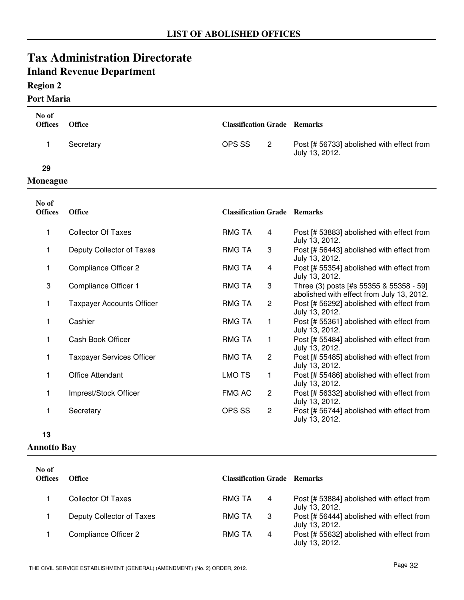### **Region 2**

#### **Port Maria**

| No of<br><b>Offices</b> | <b>Office</b>                    | <b>Classification Grade Remarks</b> |                |                                                                                      |  |
|-------------------------|----------------------------------|-------------------------------------|----------------|--------------------------------------------------------------------------------------|--|
|                         |                                  |                                     |                |                                                                                      |  |
| 1                       | Secretary                        | OPS SS                              | $\overline{2}$ | Post [# 56733] abolished with effect from<br>July 13, 2012.                          |  |
| 29                      |                                  |                                     |                |                                                                                      |  |
| <b>Moneague</b>         |                                  |                                     |                |                                                                                      |  |
| No of                   |                                  |                                     |                |                                                                                      |  |
| <b>Offices</b>          | <b>Office</b>                    | <b>Classification Grade Remarks</b> |                |                                                                                      |  |
| 1                       | <b>Collector Of Taxes</b>        | <b>RMG TA</b>                       | 4              | Post [# 53883] abolished with effect from<br>July 13, 2012.                          |  |
| 1                       | Deputy Collector of Taxes        | RMG TA                              | 3              | Post [# 56443] abolished with effect from<br>July 13, 2012.                          |  |
| 1                       | <b>Compliance Officer 2</b>      | <b>RMG TA</b>                       | 4              | Post [# 55354] abolished with effect from<br>July 13, 2012.                          |  |
| 3                       | Compliance Officer 1             | <b>RMG TA</b>                       | 3              | Three (3) posts [#s 55355 & 55358 - 59]<br>abolished with effect from July 13, 2012. |  |
| 1                       | <b>Taxpayer Accounts Officer</b> | <b>RMG TA</b>                       | $\overline{2}$ | Post [# 56292] abolished with effect from<br>July 13, 2012.                          |  |
| 1                       | Cashier                          | <b>RMG TA</b>                       | $\mathbf{1}$   | Post [# 55361] abolished with effect from<br>July 13, 2012.                          |  |
| 1                       | Cash Book Officer                | <b>RMG TA</b>                       | 1              | Post [# 55484] abolished with effect from<br>July 13, 2012.                          |  |
| 1                       | <b>Taxpayer Services Officer</b> | <b>RMG TA</b>                       | $\mathbf{2}$   | Post [# 55485] abolished with effect from<br>July 13, 2012.                          |  |
| 1                       | <b>Office Attendant</b>          | <b>LMO TS</b>                       | 1              | Post [# 55486] abolished with effect from<br>July 13, 2012.                          |  |
| 1                       | Imprest/Stock Officer            | <b>FMG AC</b>                       | $\overline{2}$ | Post [# 56332] abolished with effect from<br>July 13, 2012.                          |  |
| 1                       | Secretary                        | OPS SS                              | 2              | Post [# 56744] abolished with effect from<br>July 13, 2012.                          |  |

**13**

#### **Annotto Bay**

| No of<br><b>Offices</b> | Office                    | <b>Classification Grade Remarks</b> |    |                                                             |
|-------------------------|---------------------------|-------------------------------------|----|-------------------------------------------------------------|
|                         | <b>Collector Of Taxes</b> | RMG TA                              | 4  | Post [# 53884] abolished with effect from<br>July 13, 2012. |
|                         | Deputy Collector of Taxes | <b>RMG TA</b>                       | -3 | Post [# 56444] abolished with effect from<br>July 13, 2012. |
|                         | Compliance Officer 2      | RMG TA                              | 4  | Post [# 55632] abolished with effect from<br>July 13, 2012. |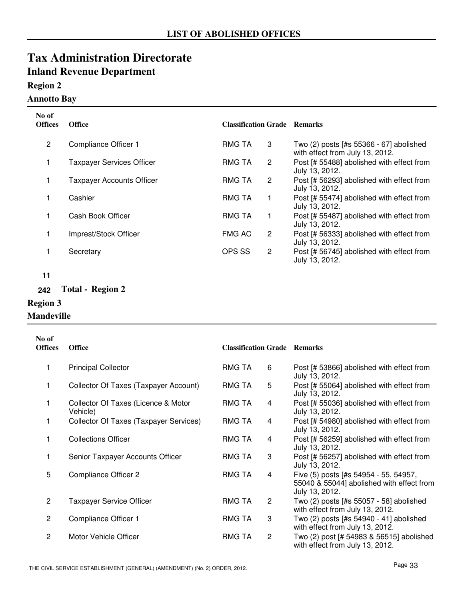### **Region 2**

#### **Annotto Bay**

| No of<br><b>Offices</b> | <b>Office</b>                    | <b>Classification Grade Remarks</b> |                |                                                                            |
|-------------------------|----------------------------------|-------------------------------------|----------------|----------------------------------------------------------------------------|
| 2                       | Compliance Officer 1             | <b>RMG TA</b>                       | 3              | Two (2) posts [#s 55366 - 67] abolished<br>with effect from July 13, 2012. |
| 1                       | <b>Taxpayer Services Officer</b> | <b>RMG TA</b>                       | 2              | Post [# 55488] abolished with effect from<br>July 13, 2012.                |
|                         | <b>Taxpayer Accounts Officer</b> | <b>RMG TA</b>                       | $\overline{2}$ | Post [# 56293] abolished with effect from<br>July 13, 2012.                |
|                         | Cashier                          | <b>RMG TA</b>                       |                | Post [# 55474] abolished with effect from<br>July 13, 2012.                |
|                         | Cash Book Officer                | <b>RMG TA</b>                       |                | Post [# 55487] abolished with effect from<br>July 13, 2012.                |
|                         | Imprest/Stock Officer            | <b>FMG AC</b>                       | 2              | Post [# 56333] abolished with effect from<br>July 13, 2012.                |
|                         | Secretary                        | OPS SS                              | $\overline{c}$ | Post [# 56745] abolished with effect from<br>July 13, 2012.                |

**11**

**242 Total - Region 2**

### **Region 3**

**Mandeville**

| No of<br><b>Offices</b> | <b>Office</b>                                   | <b>Classification Grade Remarks</b> |                |                                                                                                      |
|-------------------------|-------------------------------------------------|-------------------------------------|----------------|------------------------------------------------------------------------------------------------------|
| 1                       | <b>Principal Collector</b>                      | RMG TA                              | 6              | Post [# 53866] abolished with effect from<br>July 13, 2012.                                          |
| 1                       | Collector Of Taxes (Taxpayer Account)           | RMG TA                              | 5              | Post [# 55064] abolished with effect from<br>July 13, 2012.                                          |
|                         | Collector Of Taxes (Licence & Motor<br>Vehicle) | <b>RMG TA</b>                       | 4              | Post [# 55036] abolished with effect from<br>July 13, 2012.                                          |
| 1                       | Collector Of Taxes (Taxpayer Services)          | RMG TA                              | 4              | Post [# 54980] abolished with effect from<br>July 13, 2012.                                          |
| 1                       | <b>Collections Officer</b>                      | <b>RMG TA</b>                       | 4              | Post [# 56259] abolished with effect from<br>July 13, 2012.                                          |
| 1                       | Senior Taxpayer Accounts Officer                | RMG TA                              | 3              | Post [# 56257] abolished with effect from<br>July 13, 2012.                                          |
| 5                       | Compliance Officer 2                            | RMG TA                              | 4              | Five (5) posts [#s 54954 - 55, 54957,<br>55040 & 55044] abolished with effect from<br>July 13, 2012. |
| $\overline{c}$          | <b>Taxpayer Service Officer</b>                 | <b>RMG TA</b>                       | $\overline{c}$ | Two (2) posts [#s 55057 - 58] abolished<br>with effect from July 13, 2012.                           |
| $\overline{2}$          | Compliance Officer 1                            | RMG TA                              | 3              | Two (2) posts [#s 54940 - 41] abolished<br>with effect from July 13, 2012.                           |
| $\overline{2}$          | Motor Vehicle Officer                           | RMG TA                              | $\overline{2}$ | Two (2) post [# 54983 & 56515] abolished<br>with effect from July 13, 2012.                          |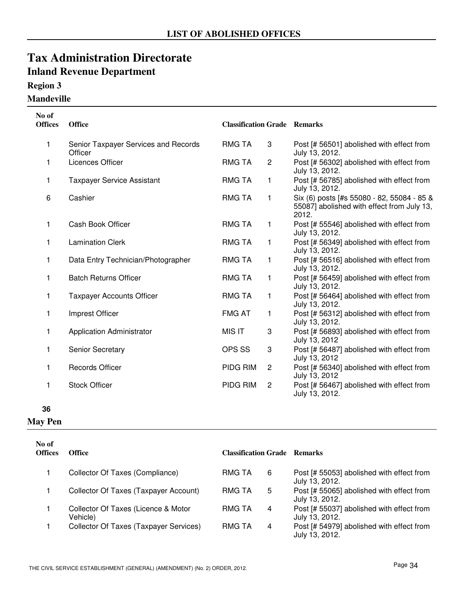### **Region 3**

### **Mandeville**

| No of<br><b>Offices</b> | <b>Office</b>                                   | <b>Classification Grade Remarks</b> |                |                                                                                                   |
|-------------------------|-------------------------------------------------|-------------------------------------|----------------|---------------------------------------------------------------------------------------------------|
| 1                       | Senior Taxpayer Services and Records<br>Officer | <b>RMG TA</b>                       | 3              | Post [# 56501] abolished with effect from<br>July 13, 2012.                                       |
| 1                       | Licences Officer                                | <b>RMG TA</b>                       | $\overline{c}$ | Post [# 56302] abolished with effect from<br>July 13, 2012.                                       |
| 1                       | <b>Taxpayer Service Assistant</b>               | <b>RMG TA</b>                       | 1              | Post [# 56785] abolished with effect from<br>July 13, 2012.                                       |
| 6                       | Cashier                                         | <b>RMG TA</b>                       | 1              | Six (6) posts [#s 55080 - 82, 55084 - 85 &<br>55087] abolished with effect from July 13,<br>2012. |
| 1                       | Cash Book Officer                               | <b>RMG TA</b>                       | 1              | Post [# 55546] abolished with effect from<br>July 13, 2012.                                       |
| 1                       | <b>Lamination Clerk</b>                         | <b>RMG TA</b>                       | 1              | Post [# 56349] abolished with effect from<br>July 13, 2012.                                       |
| 1                       | Data Entry Technician/Photographer              | <b>RMG TA</b>                       | 1              | Post [# 56516] abolished with effect from<br>July 13, 2012.                                       |
| 1                       | <b>Batch Returns Officer</b>                    | <b>RMG TA</b>                       | 1              | Post [# 56459] abolished with effect from<br>July 13, 2012.                                       |
| 1                       | <b>Taxpayer Accounts Officer</b>                | <b>RMG TA</b>                       | 1              | Post [# 56464] abolished with effect from<br>July 13, 2012.                                       |
| 1                       | Imprest Officer                                 | <b>FMG AT</b>                       | 1              | Post [# 56312] abolished with effect from<br>July 13, 2012.                                       |
| 1                       | <b>Application Administrator</b>                | MIS IT                              | 3              | Post [# 56893] abolished with effect from<br>July 13, 2012                                        |
| 1                       | Senior Secretary                                | OPS SS                              | 3              | Post [# 56487] abolished with effect from<br>July 13, 2012                                        |
| 1                       | <b>Records Officer</b>                          | PIDG RIM                            | $\overline{2}$ | Post [# 56340] abolished with effect from<br>July 13, 2012                                        |
| 1                       | <b>Stock Officer</b>                            | PIDG RIM                            | $\overline{c}$ | Post [# 56467] abolished with effect from<br>July 13, 2012.                                       |

#### **36**

#### **May Pen**

| No of<br><b>Offices</b> | <b>Office</b>                                   | <b>Classification Grade Remarks</b> |                                                             |
|-------------------------|-------------------------------------------------|-------------------------------------|-------------------------------------------------------------|
| 1                       | Collector Of Taxes (Compliance)                 | RMG TA<br>6                         | Post [# 55053] abolished with effect from<br>July 13, 2012. |
|                         | Collector Of Taxes (Taxpayer Account)           | RMG TA<br>5                         | Post [# 55065] abolished with effect from<br>July 13, 2012. |
|                         | Collector Of Taxes (Licence & Motor<br>Vehicle) | RMG TA<br>4                         | Post [# 55037] abolished with effect from<br>July 13, 2012. |
|                         | Collector Of Taxes (Taxpayer Services)          | <b>RMG TA</b><br>4                  | Post [# 54979] abolished with effect from<br>July 13, 2012. |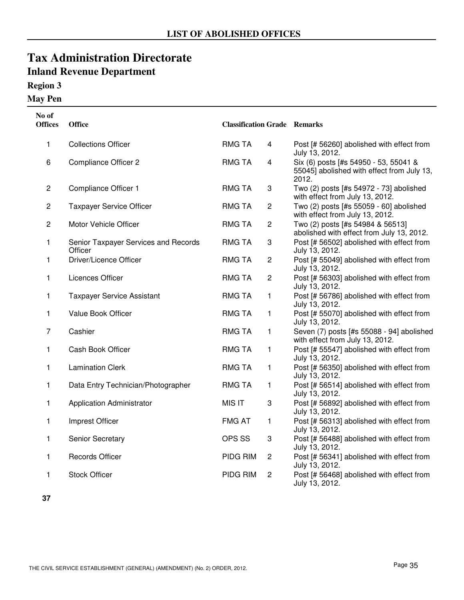### **Region 3**

**May Pen**

| No of<br><b>Offices</b> | Office                                          | <b>Classification Grade Remarks</b> |                         |                                                                                              |
|-------------------------|-------------------------------------------------|-------------------------------------|-------------------------|----------------------------------------------------------------------------------------------|
| 1                       | <b>Collections Officer</b>                      | <b>RMG TA</b>                       | $\overline{4}$          | Post [# 56260] abolished with effect from<br>July 13, 2012.                                  |
| 6                       | <b>Compliance Officer 2</b>                     | <b>RMG TA</b>                       | $\overline{\mathbf{4}}$ | Six (6) posts [#s 54950 - 53, 55041 &<br>55045] abolished with effect from July 13,<br>2012. |
| $\mathbf{2}$            | Compliance Officer 1                            | <b>RMG TA</b>                       | 3                       | Two (2) posts [#s 54972 - 73] abolished<br>with effect from July 13, 2012.                   |
| $\overline{c}$          | <b>Taxpayer Service Officer</b>                 | <b>RMG TA</b>                       | $\overline{c}$          | Two (2) posts [#s 55059 - 60] abolished<br>with effect from July 13, 2012.                   |
| $\overline{c}$          | Motor Vehicle Officer                           | <b>RMG TA</b>                       | $\overline{c}$          | Two (2) posts [#s 54984 & 56513]<br>abolished with effect from July 13, 2012.                |
| 1                       | Senior Taxpayer Services and Records<br>Officer | <b>RMG TA</b>                       | 3                       | Post [# 56502] abolished with effect from<br>July 13, 2012.                                  |
| 1                       | Driver/Licence Officer                          | <b>RMG TA</b>                       | $\overline{c}$          | Post [# 55049] abolished with effect from<br>July 13, 2012.                                  |
| 1                       | Licences Officer                                | <b>RMG TA</b>                       | $\overline{c}$          | Post [# 56303] abolished with effect from<br>July 13, 2012.                                  |
| 1                       | <b>Taxpayer Service Assistant</b>               | <b>RMG TA</b>                       | 1                       | Post [# 56786] abolished with effect from<br>July 13, 2012.                                  |
| 1                       | Value Book Officer                              | <b>RMG TA</b>                       | 1                       | Post [# 55070] abolished with effect from<br>July 13, 2012.                                  |
| $\overline{7}$          | Cashier                                         | <b>RMG TA</b>                       | $\mathbf{1}$            | Seven (7) posts [#s 55088 - 94] abolished<br>with effect from July 13, 2012.                 |
| 1                       | Cash Book Officer                               | <b>RMG TA</b>                       | $\mathbf{1}$            | Post [# 55547] abolished with effect from<br>July 13, 2012.                                  |
| 1                       | <b>Lamination Clerk</b>                         | <b>RMG TA</b>                       | 1                       | Post [# 56350] abolished with effect from<br>July 13, 2012.                                  |
| 1                       | Data Entry Technician/Photographer              | <b>RMG TA</b>                       | 1                       | Post [# 56514] abolished with effect from<br>July 13, 2012.                                  |
| 1                       | <b>Application Administrator</b>                | <b>MIS IT</b>                       | 3                       | Post [# 56892] abolished with effect from<br>July 13, 2012.                                  |
| 1                       | Imprest Officer                                 | <b>FMG AT</b>                       | 1                       | Post [# 56313] abolished with effect from<br>July 13, 2012.                                  |
| 1                       | Senior Secretary                                | OPS SS                              | 3                       | Post [# 56488] abolished with effect from<br>July 13, 2012.                                  |
| 1                       | <b>Records Officer</b>                          | PIDG RIM                            | $\overline{c}$          | Post [# 56341] abolished with effect from<br>July 13, 2012.                                  |
| 1                       | <b>Stock Officer</b>                            | PIDG RIM                            | $\overline{2}$          | Post [# 56468] abolished with effect from<br>July 13, 2012.                                  |

**37**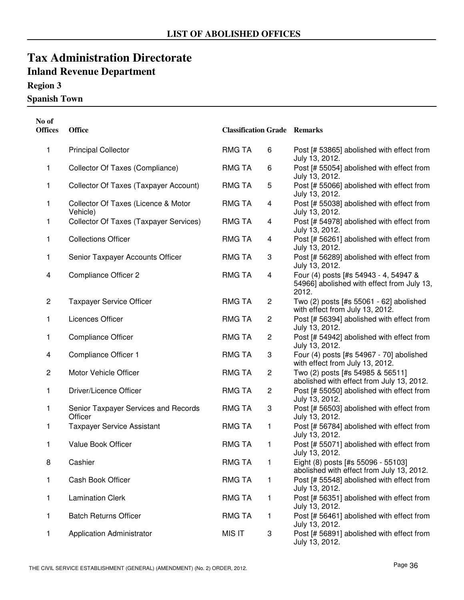### **Region 3**

**Spanish Town**

| No of<br><b>Offices</b> | <b>Office</b>                                   | <b>Classification Grade Remarks</b> |                         |                                                                                              |
|-------------------------|-------------------------------------------------|-------------------------------------|-------------------------|----------------------------------------------------------------------------------------------|
| 1                       | <b>Principal Collector</b>                      | <b>RMG TA</b>                       | 6                       | Post [# 53865] abolished with effect from<br>July 13, 2012.                                  |
| 1                       | Collector Of Taxes (Compliance)                 | <b>RMG TA</b>                       | 6                       | Post [# 55054] abolished with effect from<br>July 13, 2012.                                  |
| 1                       | Collector Of Taxes (Taxpayer Account)           | <b>RMG TA</b>                       | 5                       | Post [# 55066] abolished with effect from<br>July 13, 2012.                                  |
| 1                       | Collector Of Taxes (Licence & Motor<br>Vehicle) | <b>RMG TA</b>                       | 4                       | Post [# 55038] abolished with effect from<br>July 13, 2012.                                  |
| 1                       | <b>Collector Of Taxes (Taxpayer Services)</b>   | <b>RMG TA</b>                       | 4                       | Post [# 54978] abolished with effect from<br>July 13, 2012.                                  |
| 1                       | <b>Collections Officer</b>                      | <b>RMG TA</b>                       | 4                       | Post [# 56261] abolished with effect from<br>July 13, 2012.                                  |
| 1                       | Senior Taxpayer Accounts Officer                | <b>RMG TA</b>                       | 3                       | Post [# 56289] abolished with effect from<br>July 13, 2012.                                  |
| 4                       | <b>Compliance Officer 2</b>                     | <b>RMG TA</b>                       | $\overline{\mathbf{4}}$ | Four (4) posts [#s 54943 - 4, 54947 &<br>54966] abolished with effect from July 13,<br>2012. |
| $\overline{c}$          | <b>Taxpayer Service Officer</b>                 | <b>RMG TA</b>                       | $\overline{2}$          | Two (2) posts [#s 55061 - 62] abolished<br>with effect from July 13, 2012.                   |
| 1                       | Licences Officer                                | <b>RMG TA</b>                       | $\overline{\mathbf{c}}$ | Post [# 56394] abolished with effect from<br>July 13, 2012.                                  |
| 1                       | <b>Compliance Officer</b>                       | <b>RMG TA</b>                       | 2                       | Post [# 54942] abolished with effect from<br>July 13, 2012.                                  |
| 4                       | Compliance Officer 1                            | <b>RMG TA</b>                       | 3                       | Four (4) posts [#s 54967 - 70] abolished<br>with effect from July 13, 2012.                  |
| $\overline{2}$          | Motor Vehicle Officer                           | <b>RMG TA</b>                       | $\overline{c}$          | Two (2) posts [#s 54985 & 56511]<br>abolished with effect from July 13, 2012.                |
| 1                       | Driver/Licence Officer                          | <b>RMG TA</b>                       | $\overline{c}$          | Post [# 55050] abolished with effect from<br>July 13, 2012.                                  |
| 1                       | Senior Taxpayer Services and Records<br>Officer | <b>RMG TA</b>                       | 3                       | Post [# 56503] abolished with effect from<br>July 13, 2012.                                  |
| 1                       | <b>Taxpayer Service Assistant</b>               | <b>RMG TA</b>                       | 1                       | Post [# 56784] abolished with effect from<br>July 13, 2012.                                  |
| 1                       | Value Book Officer                              | <b>RMG TA</b>                       | 1                       | Post [# 55071] abolished with effect from<br>July 13, 2012.                                  |
| 8                       | Cashier                                         | <b>RMG TA</b>                       | 1                       | Eight (8) posts [#s 55096 - 55103]<br>abolished with effect from July 13, 2012.              |
| 1                       | Cash Book Officer                               | <b>RMG TA</b>                       | 1                       | Post [# 55548] abolished with effect from<br>July 13, 2012.                                  |
| 1                       | <b>Lamination Clerk</b>                         | <b>RMG TA</b>                       | 1                       | Post [# 56351] abolished with effect from<br>July 13, 2012.                                  |
| 1                       | <b>Batch Returns Officer</b>                    | <b>RMG TA</b>                       | 1                       | Post [# 56461] abolished with effect from<br>July 13, 2012.                                  |
| 1                       | <b>Application Administrator</b>                | <b>MIS IT</b>                       | 3                       | Post [# 56891] abolished with effect from<br>July 13, 2012.                                  |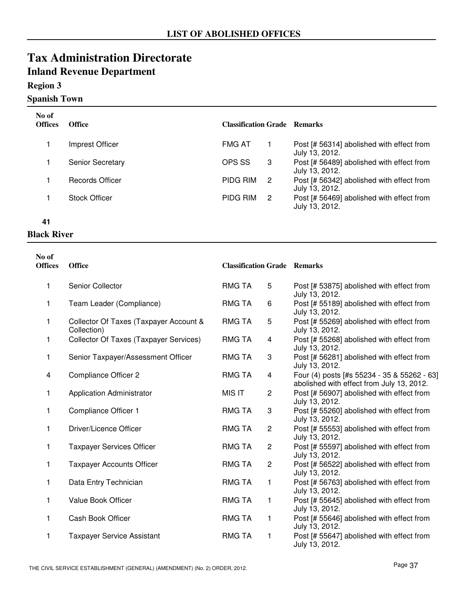### **Region 3**

### **Spanish Town**

| No of<br><b>Offices</b> | <b>Office</b>           | <b>Classification Grade Remarks</b> |   |                                                             |
|-------------------------|-------------------------|-------------------------------------|---|-------------------------------------------------------------|
|                         | Imprest Officer         | <b>FMG AT</b>                       |   | Post [# 56314] abolished with effect from<br>July 13, 2012. |
|                         | <b>Senior Secretary</b> | OPS SS                              | 3 | Post [# 56489] abolished with effect from<br>July 13, 2012. |
|                         | Records Officer         | PIDG RIM                            | 2 | Post [# 56342] abolished with effect from<br>July 13, 2012. |
|                         | <b>Stock Officer</b>    | PIDG RIM                            | 2 | Post [# 56469] abolished with effect from<br>July 13, 2012. |

#### **41**

### **Black River**

| No of<br><b>Offices</b> | <b>Office</b>                                         | <b>Classification Grade Remarks</b> |                |                                                                                          |
|-------------------------|-------------------------------------------------------|-------------------------------------|----------------|------------------------------------------------------------------------------------------|
| 1                       | Senior Collector                                      | <b>RMG TA</b>                       | 5              | Post [# 53875] abolished with effect from<br>July 13, 2012.                              |
| 1                       | Team Leader (Compliance)                              | RMG TA                              | 6              | Post [# 55189] abolished with effect from<br>July 13, 2012.                              |
| 1                       | Collector Of Taxes (Taxpayer Account &<br>Collection) | <b>RMG TA</b>                       | $\mathbf 5$    | Post [# 55269] abolished with effect from<br>July 13, 2012.                              |
| 1                       | <b>Collector Of Taxes (Taxpayer Services)</b>         | <b>RMG TA</b>                       | 4              | Post [# 55268] abolished with effect from<br>July 13, 2012.                              |
| 1                       | Senior Taxpayer/Assessment Officer                    | <b>RMG TA</b>                       | 3              | Post [# 56281] abolished with effect from<br>July 13, 2012.                              |
| 4                       | <b>Compliance Officer 2</b>                           | RMG TA                              | 4              | Four (4) posts [#s 55234 - 35 & 55262 - 63]<br>abolished with effect from July 13, 2012. |
| 1                       | <b>Application Administrator</b>                      | <b>MIS IT</b>                       | $\overline{c}$ | Post [# 56907] abolished with effect from<br>July 13, 2012.                              |
| 1                       | Compliance Officer 1                                  | <b>RMG TA</b>                       | 3              | Post [# 55260] abolished with effect from<br>July 13, 2012.                              |
| 1                       | Driver/Licence Officer                                | <b>RMG TA</b>                       | $\mathbf{2}$   | Post [# 55553] abolished with effect from<br>July 13, 2012.                              |
| 1                       | <b>Taxpayer Services Officer</b>                      | <b>RMG TA</b>                       | $\mathbf{2}$   | Post [# 55597] abolished with effect from<br>July 13, 2012.                              |
| 1                       | <b>Taxpayer Accounts Officer</b>                      | <b>RMG TA</b>                       | $\overline{2}$ | Post [# 56522] abolished with effect from<br>July 13, 2012.                              |
| 1                       | Data Entry Technician                                 | <b>RMG TA</b>                       | 1              | Post [# 56763] abolished with effect from<br>July 13, 2012.                              |
| 1                       | Value Book Officer                                    | RMG TA                              | 1              | Post [# 55645] abolished with effect from<br>July 13, 2012.                              |
| 1                       | Cash Book Officer                                     | <b>RMG TA</b>                       | 1              | Post [# 55646] abolished with effect from<br>July 13, 2012.                              |
| 1                       | <b>Taxpayer Service Assistant</b>                     | <b>RMG TA</b>                       | 1              | Post [# 55647] abolished with effect from<br>July 13, 2012.                              |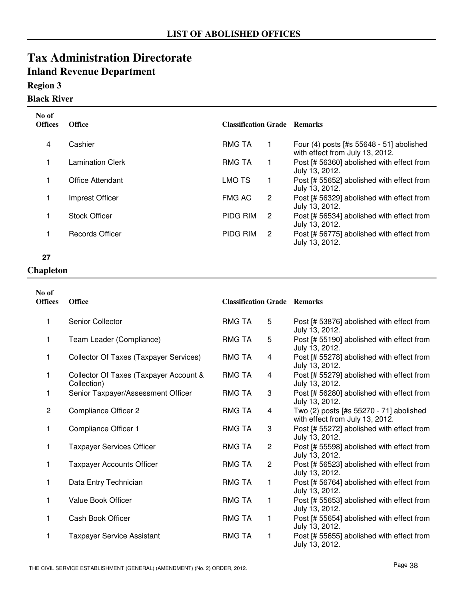### **Region 3**

### **Black River**

| No of<br><b>Offices</b> | <b>Office</b>           | <b>Classification Grade Remarks</b> |    |                                                                               |
|-------------------------|-------------------------|-------------------------------------|----|-------------------------------------------------------------------------------|
| 4                       | Cashier                 | RMG TA                              |    | Four $(4)$ posts [#s 55648 - 51] abolished<br>with effect from July 13, 2012. |
|                         | <b>Lamination Clerk</b> | <b>RMG TA</b>                       | 1  | Post [# 56360] abolished with effect from<br>July 13, 2012.                   |
|                         | Office Attendant        | <b>LMO TS</b>                       |    | Post [# 55652] abolished with effect from<br>July 13, 2012.                   |
|                         | Imprest Officer         | <b>FMG AC</b>                       | 2  | Post [# 56329] abolished with effect from<br>July 13, 2012.                   |
|                         | <b>Stock Officer</b>    | <b>PIDG RIM</b>                     | -2 | Post [# 56534] abolished with effect from<br>July 13, 2012.                   |
|                         | <b>Records Officer</b>  | <b>PIDG RIM</b>                     | 2  | Post [# 56775] abolished with effect from<br>July 13, 2012.                   |

#### **27**

#### **Chapleton**

| No of<br><b>Offices</b> | <b>Office</b>                                         | <b>Classification Grade Remarks</b> |                |                                                                            |
|-------------------------|-------------------------------------------------------|-------------------------------------|----------------|----------------------------------------------------------------------------|
| 1                       | Senior Collector                                      | <b>RMG TA</b>                       | 5              | Post [# 53876] abolished with effect from<br>July 13, 2012.                |
| 1                       | Team Leader (Compliance)                              | <b>RMG TA</b>                       | 5              | Post [# 55190] abolished with effect from<br>July 13, 2012.                |
| 1                       | Collector Of Taxes (Taxpayer Services)                | <b>RMG TA</b>                       | 4              | Post [# 55278] abolished with effect from<br>July 13, 2012.                |
| 1                       | Collector Of Taxes (Taxpayer Account &<br>Collection) | <b>RMG TA</b>                       | 4              | Post [# 55279] abolished with effect from<br>July 13, 2012.                |
| 1                       | Senior Taxpayer/Assessment Officer                    | <b>RMG TA</b>                       | 3              | Post [# 56280] abolished with effect from<br>July 13, 2012.                |
| $\overline{c}$          | Compliance Officer 2                                  | <b>RMG TA</b>                       | 4              | Two (2) posts [#s 55270 - 71] abolished<br>with effect from July 13, 2012. |
| 1                       | Compliance Officer 1                                  | <b>RMG TA</b>                       | 3              | Post [# 55272] abolished with effect from<br>July 13, 2012.                |
| 1                       | <b>Taxpayer Services Officer</b>                      | <b>RMG TA</b>                       | $\overline{2}$ | Post [# 55598] abolished with effect from<br>July 13, 2012.                |
| 1                       | <b>Taxpayer Accounts Officer</b>                      | <b>RMG TA</b>                       | $\mathbf{2}$   | Post [# 56523] abolished with effect from<br>July 13, 2012.                |
| 1                       | Data Entry Technician                                 | <b>RMG TA</b>                       | 1              | Post [# 56764] abolished with effect from<br>July 13, 2012.                |
| 1                       | <b>Value Book Officer</b>                             | <b>RMG TA</b>                       | 1              | Post [# 55653] abolished with effect from<br>July 13, 2012.                |
| 1                       | Cash Book Officer                                     | <b>RMG TA</b>                       | 1              | Post [# 55654] abolished with effect from<br>July 13, 2012.                |
| 1                       | <b>Taxpayer Service Assistant</b>                     | <b>RMG TA</b>                       | 1              | Post [# 55655] abolished with effect from<br>July 13, 2012.                |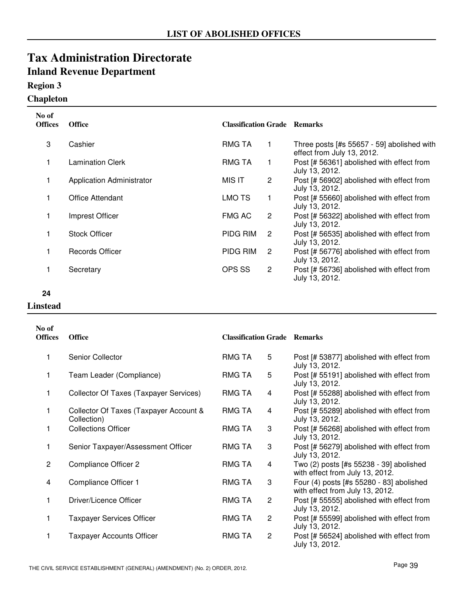### **Region 3**

### **Chapleton**

| No of<br><b>Offices</b> | <b>Office</b>                    | <b>Classification Grade Remarks</b> |                      |                                                                          |
|-------------------------|----------------------------------|-------------------------------------|----------------------|--------------------------------------------------------------------------|
| 3                       | Cashier                          | <b>RMG TA</b>                       | 1                    | Three posts [#s 55657 - 59] abolished with<br>effect from July 13, 2012. |
|                         | <b>Lamination Clerk</b>          | <b>RMG TA</b>                       | 1                    | Post [# 56361] abolished with effect from<br>July 13, 2012.              |
|                         | <b>Application Administrator</b> | MIS IT                              | $\overline{2}$       | Post [# 56902] abolished with effect from<br>July 13, 2012.              |
|                         | Office Attendant                 | LMO TS                              |                      | Post [# 55660] abolished with effect from<br>July 13, 2012.              |
|                         | Imprest Officer                  | <b>FMG AC</b>                       | $\mathbf{2}^{\circ}$ | Post [# 56322] abolished with effect from<br>July 13, 2012.              |
| $\mathbf{1}$            | <b>Stock Officer</b>             | PIDG RIM                            | 2                    | Post [# 56535] abolished with effect from<br>July 13, 2012.              |
|                         | Records Officer                  | PIDG RIM                            | 2                    | Post [# 56776] abolished with effect from<br>July 13, 2012.              |
|                         | Secretary                        | OPS SS                              | $\mathbf{2}^{\circ}$ | Post [# 56736] abolished with effect from<br>July 13, 2012.              |

- **24**
- **Linstead**

| No of<br><b>Offices</b> | <b>Office</b>                                         | <b>Classification Grade Remarks</b> |                |                                                                             |
|-------------------------|-------------------------------------------------------|-------------------------------------|----------------|-----------------------------------------------------------------------------|
| 1                       | Senior Collector                                      | RMG TA                              | 5              | Post [# 53877] abolished with effect from<br>July 13, 2012.                 |
| 1                       | Team Leader (Compliance)                              | <b>RMG TA</b>                       | 5              | Post [# 55191] abolished with effect from<br>July 13, 2012.                 |
| 1                       | Collector Of Taxes (Taxpayer Services)                | RMG TA                              | 4              | Post [# 55288] abolished with effect from<br>July 13, 2012.                 |
| 1                       | Collector Of Taxes (Taxpayer Account &<br>Collection) | RMG TA                              | 4              | Post [# 55289] abolished with effect from<br>July 13, 2012.                 |
| 1                       | <b>Collections Officer</b>                            | <b>RMG TA</b>                       | 3              | Post [# 56268] abolished with effect from<br>July 13, 2012.                 |
| 1                       | Senior Taxpayer/Assessment Officer                    | <b>RMG TA</b>                       | 3              | Post [# 56279] abolished with effect from<br>July 13, 2012.                 |
| $\overline{2}$          | <b>Compliance Officer 2</b>                           | <b>RMG TA</b>                       | 4              | Two (2) posts [#s 55238 - 39] abolished<br>with effect from July 13, 2012.  |
| 4                       | Compliance Officer 1                                  | <b>RMG TA</b>                       | 3              | Four (4) posts [#s 55280 - 83] abolished<br>with effect from July 13, 2012. |
| 1                       | Driver/Licence Officer                                | RMG TA                              | $\overline{2}$ | Post [# 55555] abolished with effect from<br>July 13, 2012.                 |
| 1                       | <b>Taxpayer Services Officer</b>                      | RMG TA                              | 2              | Post [# 55599] abolished with effect from<br>July 13, 2012.                 |
| 1                       | <b>Taxpayer Accounts Officer</b>                      | <b>RMG TA</b>                       | $\overline{2}$ | Post [# 56524] abolished with effect from<br>July 13, 2012.                 |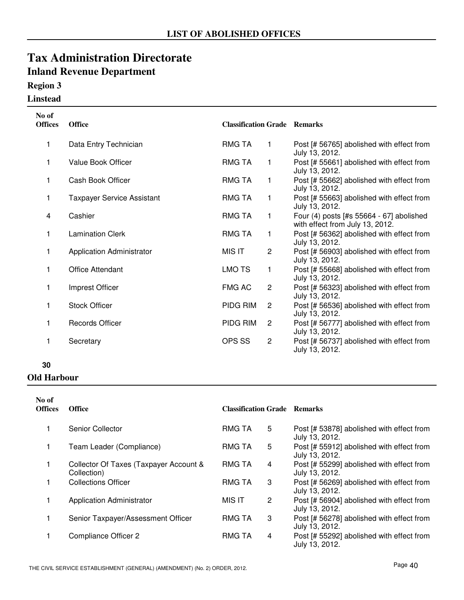### **Region 3**

#### **Linstead**

| No of<br><b>Offices</b> | <b>Office</b>                     | <b>Classification Grade Remarks</b> |                |                                                                             |
|-------------------------|-----------------------------------|-------------------------------------|----------------|-----------------------------------------------------------------------------|
| 1                       | Data Entry Technician             | <b>RMG TA</b>                       | 1              | Post [# 56765] abolished with effect from<br>July 13, 2012.                 |
| 1                       | Value Book Officer                | <b>RMG TA</b>                       | 1              | Post [# 55661] abolished with effect from<br>July 13, 2012.                 |
| 1                       | Cash Book Officer                 | <b>RMG TA</b>                       | 1              | Post [# 55662] abolished with effect from<br>July 13, 2012.                 |
| 1                       | <b>Taxpayer Service Assistant</b> | <b>RMG TA</b>                       | 1              | Post [# 55663] abolished with effect from<br>July 13, 2012.                 |
| 4                       | Cashier                           | <b>RMG TA</b>                       | 1              | Four (4) posts [#s 55664 - 67] abolished<br>with effect from July 13, 2012. |
| 1                       | <b>Lamination Clerk</b>           | <b>RMG TA</b>                       | 1              | Post [# 56362] abolished with effect from<br>July 13, 2012.                 |
| 1                       | <b>Application Administrator</b>  | <b>MIS IT</b>                       | $\overline{2}$ | Post [# 56903] abolished with effect from<br>July 13, 2012.                 |
| 1                       | Office Attendant                  | LMO TS                              | 1              | Post [# 55668] abolished with effect from<br>July 13, 2012.                 |
| 1                       | Imprest Officer                   | <b>FMG AC</b>                       | $\overline{2}$ | Post [# 56323] abolished with effect from<br>July 13, 2012.                 |
| 1                       | <b>Stock Officer</b>              | PIDG RIM                            | $\overline{2}$ | Post [# 56536] abolished with effect from<br>July 13, 2012.                 |
| 1                       | <b>Records Officer</b>            | PIDG RIM                            | $\overline{2}$ | Post [# 56777] abolished with effect from<br>July 13, 2012.                 |
| $\mathbf{1}$            | Secretary                         | OPS SS                              | $\overline{2}$ | Post [# 56737] abolished with effect from<br>July 13, 2012.                 |

#### **30**

#### **Old Harbour**

| No of<br><b>Offices</b> | <b>Office</b>                                         | <b>Classification Grade Remarks</b> |   |                                                             |
|-------------------------|-------------------------------------------------------|-------------------------------------|---|-------------------------------------------------------------|
|                         | Senior Collector                                      | <b>RMG TA</b>                       | 5 | Post [# 53878] abolished with effect from<br>July 13, 2012. |
|                         | Team Leader (Compliance)                              | <b>RMG TA</b>                       | 5 | Post [# 55912] abolished with effect from<br>July 13, 2012. |
|                         | Collector Of Taxes (Taxpayer Account &<br>Collection) | <b>RMG TA</b>                       | 4 | Post [# 55299] abolished with effect from<br>July 13, 2012. |
|                         | <b>Collections Officer</b>                            | <b>RMG TA</b>                       | 3 | Post [# 56269] abolished with effect from<br>July 13, 2012. |
|                         | <b>Application Administrator</b>                      | MIS IT                              | 2 | Post [# 56904] abolished with effect from<br>July 13, 2012. |
|                         | Senior Taxpayer/Assessment Officer                    | <b>RMG TA</b>                       | 3 | Post [# 56278] abolished with effect from<br>July 13, 2012. |
|                         | Compliance Officer 2                                  | <b>RMG TA</b>                       | 4 | Post [# 55292] abolished with effect from<br>July 13, 2012. |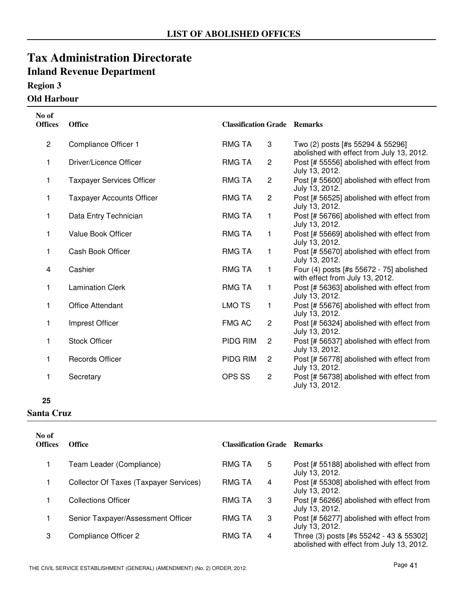#### **OLLTE** 1

| <b>Old Harbour</b> |  |
|--------------------|--|
|                    |  |

| No of<br><b>Offices</b> | <b>Office</b>                    | <b>Classification Grade Remarks</b> |                |                                                                               |
|-------------------------|----------------------------------|-------------------------------------|----------------|-------------------------------------------------------------------------------|
| $\mathbf{2}$            | Compliance Officer 1             | <b>RMG TA</b>                       | 3              | Two (2) posts [#s 55294 & 55296]<br>abolished with effect from July 13, 2012. |
| 1                       | Driver/Licence Officer           | <b>RMG TA</b>                       | $\overline{c}$ | Post [# 55556] abolished with effect from<br>July 13, 2012.                   |
| 1                       | <b>Taxpayer Services Officer</b> | <b>RMG TA</b>                       | $\overline{c}$ | Post [# 55600] abolished with effect from<br>July 13, 2012.                   |
| 1                       | <b>Taxpayer Accounts Officer</b> | RMG TA                              | $\overline{c}$ | Post [# 56525] abolished with effect from<br>July 13, 2012.                   |
| 1                       | Data Entry Technician            | <b>RMG TA</b>                       | $\mathbf{1}$   | Post [# 56766] abolished with effect from<br>July 13, 2012.                   |
| 1                       | Value Book Officer               | <b>RMG TA</b>                       | $\mathbf{1}$   | Post [# 55669] abolished with effect from<br>July 13, 2012.                   |
| 1                       | Cash Book Officer                | <b>RMG TA</b>                       | $\mathbf{1}$   | Post [# 55670] abolished with effect from<br>July 13, 2012.                   |
| 4                       | Cashier                          | <b>RMG TA</b>                       | $\mathbf{1}$   | Four (4) posts [#s 55672 - 75] abolished<br>with effect from July 13, 2012.   |
| 1                       | <b>Lamination Clerk</b>          | <b>RMG TA</b>                       | 1              | Post [# 56363] abolished with effect from<br>July 13, 2012.                   |
| $\mathbf{1}$            | <b>Office Attendant</b>          | <b>LMO TS</b>                       | $\mathbf{1}$   | Post [# 55676] abolished with effect from<br>July 13, 2012.                   |
| 1                       | Imprest Officer                  | <b>FMG AC</b>                       | $\mathbf{2}$   | Post [# 56324] abolished with effect from<br>July 13, 2012.                   |
| 1                       | <b>Stock Officer</b>             | PIDG RIM                            | $\overline{c}$ | Post [# 56537] abolished with effect from<br>July 13, 2012.                   |
| 1                       | <b>Records Officer</b>           | PIDG RIM                            | $\overline{2}$ | Post [# 56778] abolished with effect from<br>July 13, 2012.                   |
| 1                       | Secretary                        | OPS SS                              | $\overline{c}$ | Post [# 56738] abolished with effect from<br>July 13, 2012.                   |

**<sup>25</sup>**

**Santa Cruz**

| No of<br><b>Offices</b> | <b>Office</b>                          | <b>Classification Grade Remarks</b> |   |                                                                                      |
|-------------------------|----------------------------------------|-------------------------------------|---|--------------------------------------------------------------------------------------|
|                         | Team Leader (Compliance)               | RMG TA                              | 5 | Post [# 55188] abolished with effect from<br>July 13, 2012.                          |
|                         | Collector Of Taxes (Taxpayer Services) | <b>RMG TA</b>                       | 4 | Post [# 55308] abolished with effect from<br>July 13, 2012.                          |
|                         | <b>Collections Officer</b>             | <b>RMG TA</b>                       | 3 | Post [# 56266] abolished with effect from<br>July 13, 2012.                          |
|                         | Senior Taxpayer/Assessment Officer     | <b>RMG TA</b>                       | 3 | Post [# 56277] abolished with effect from<br>July 13, 2012.                          |
| 3                       | Compliance Officer 2                   | <b>RMG TA</b>                       | 4 | Three (3) posts [#s 55242 - 43 & 55302]<br>abolished with effect from July 13, 2012. |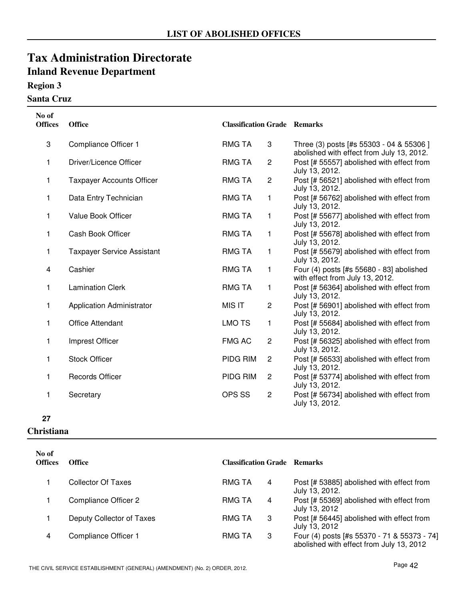### **Region 3**

#### **Santa Cruz**

| No of<br><b>Offices</b> | <b>Office</b>                     | <b>Classification Grade Remarks</b> |                |                                                                                       |
|-------------------------|-----------------------------------|-------------------------------------|----------------|---------------------------------------------------------------------------------------|
| 3                       | Compliance Officer 1              | <b>RMG TA</b>                       | 3              | Three (3) posts [#s 55303 - 04 & 55306 ]<br>abolished with effect from July 13, 2012. |
| 1                       | Driver/Licence Officer            | <b>RMG TA</b>                       | $\overline{c}$ | Post [# 55557] abolished with effect from<br>July 13, 2012.                           |
| 1                       | <b>Taxpayer Accounts Officer</b>  | <b>RMG TA</b>                       | $\mathbf{2}$   | Post [# 56521] abolished with effect from<br>July 13, 2012.                           |
| 1                       | Data Entry Technician             | <b>RMG TA</b>                       | 1              | Post [# 56762] abolished with effect from<br>July 13, 2012.                           |
| 1                       | Value Book Officer                | <b>RMG TA</b>                       | $\mathbf{1}$   | Post [# 55677] abolished with effect from<br>July 13, 2012.                           |
| 1                       | Cash Book Officer                 | <b>RMG TA</b>                       | 1              | Post [# 55678] abolished with effect from<br>July 13, 2012.                           |
| 1                       | <b>Taxpayer Service Assistant</b> | RMG TA                              | 1              | Post [# 55679] abolished with effect from<br>July 13, 2012.                           |
| 4                       | Cashier                           | <b>RMG TA</b>                       | $\mathbf{1}$   | Four (4) posts [#s 55680 - 83] abolished<br>with effect from July 13, 2012.           |
| 1                       | <b>Lamination Clerk</b>           | <b>RMG TA</b>                       | 1              | Post [# 56364] abolished with effect from<br>July 13, 2012.                           |
| 1                       | <b>Application Administrator</b>  | <b>MIS IT</b>                       | $\overline{c}$ | Post [# 56901] abolished with effect from<br>July 13, 2012.                           |
| 1                       | <b>Office Attendant</b>           | <b>LMO TS</b>                       | 1              | Post [# 55684] abolished with effect from<br>July 13, 2012.                           |
| 1                       | Imprest Officer                   | <b>FMG AC</b>                       | $\overline{c}$ | Post [# 56325] abolished with effect from<br>July 13, 2012.                           |
| 1                       | <b>Stock Officer</b>              | PIDG RIM                            | $\overline{c}$ | Post [# 56533] abolished with effect from<br>July 13, 2012.                           |
| 1                       | <b>Records Officer</b>            | PIDG RIM                            | $\overline{c}$ | Post [# 53774] abolished with effect from<br>July 13, 2012.                           |
| 1                       | Secretary                         | OPS SS                              | $\overline{c}$ | Post [# 56734] abolished with effect from<br>July 13, 2012.                           |

#### **27**

#### **Christiana**

| No of<br><b>Offices</b> | Office                    | <b>Classification Grade Remarks</b> |                                                                                         |
|-------------------------|---------------------------|-------------------------------------|-----------------------------------------------------------------------------------------|
|                         | Collector Of Taxes        | RMG TA<br>4                         | Post [# 53885] abolished with effect from<br>July 13, 2012.                             |
|                         | Compliance Officer 2      | <b>RMG TA</b><br>4                  | Post [# 55369] abolished with effect from<br>July 13, 2012                              |
|                         | Deputy Collector of Taxes | RMG TA<br>3                         | Post [# 56445] abolished with effect from<br>July 13, 2012                              |
| 4                       | Compliance Officer 1      | <b>RMG TA</b><br>3                  | Four (4) posts [#s 55370 - 71 & 55373 - 74]<br>abolished with effect from July 13, 2012 |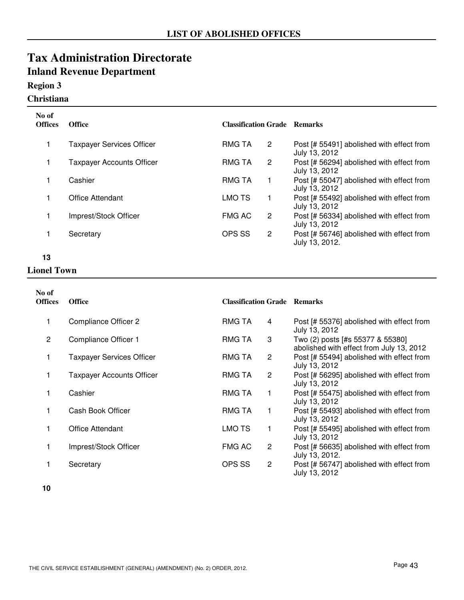### **Region 3**

### **Christiana**

| No of<br><b>Offices</b> | <b>Office</b>                    | <b>Classification Grade Remarks</b> |                |                                                             |
|-------------------------|----------------------------------|-------------------------------------|----------------|-------------------------------------------------------------|
|                         | <b>Taxpayer Services Officer</b> | <b>RMG TA</b>                       | 2              | Post [# 55491] abolished with effect from<br>July 13, 2012  |
|                         | <b>Taxpayer Accounts Officer</b> | <b>RMG TA</b>                       | 2              | Post [# 56294] abolished with effect from<br>July 13, 2012  |
|                         | Cashier                          | <b>RMG TA</b>                       |                | Post [# 55047] abolished with effect from<br>July 13, 2012  |
|                         | Office Attendant                 | <b>LMO TS</b>                       |                | Post [# 55492] abolished with effect from<br>July 13, 2012  |
|                         | Imprest/Stock Officer            | <b>FMG AC</b>                       | 2              | Post [# 56334] abolished with effect from<br>July 13, 2012  |
|                         | Secretary                        | OPS SS                              | $\overline{2}$ | Post [# 56746] abolished with effect from<br>July 13, 2012. |

#### **13**

#### **Lionel Town**

| No of<br><b>Offices</b> | <b>Office</b>                    | <b>Classification Grade Remarks</b> |                |                                                                              |
|-------------------------|----------------------------------|-------------------------------------|----------------|------------------------------------------------------------------------------|
|                         | Compliance Officer 2             | <b>RMG TA</b>                       | 4              | Post [# 55376] abolished with effect from<br>July 13, 2012                   |
| 2                       | Compliance Officer 1             | RMG TA                              | 3              | Two (2) posts [#s 55377 & 55380]<br>abolished with effect from July 13, 2012 |
| 1                       | <b>Taxpayer Services Officer</b> | RMG TA                              | 2              | Post [# 55494] abolished with effect from<br>July 13, 2012                   |
|                         | <b>Taxpayer Accounts Officer</b> | RMG TA                              | $\overline{2}$ | Post [# 56295] abolished with effect from<br>July 13, 2012                   |
|                         | Cashier                          | RMG TA                              | 1.             | Post [# 55475] abolished with effect from<br>July 13, 2012                   |
|                         | Cash Book Officer                | RMG TA                              | 1              | Post [# 55493] abolished with effect from<br>July 13, 2012                   |
|                         | <b>Office Attendant</b>          | LMO TS                              | 1              | Post [# 55495] abolished with effect from<br>July 13, 2012                   |
|                         | Imprest/Stock Officer            | <b>FMG AC</b>                       | 2              | Post [# 56635] abolished with effect from<br>July 13, 2012.                  |
|                         | Secretary                        | OPS SS                              | $\overline{2}$ | Post [# 56747] abolished with effect from<br>July 13, 2012                   |

**<sup>10</sup>**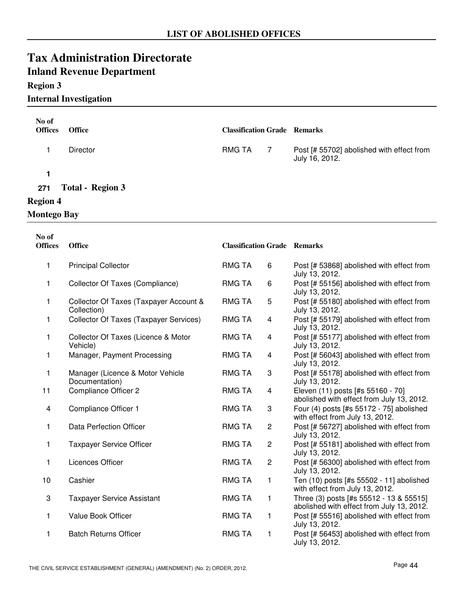# **Inland Revenue Department**

#### **Region 3**

#### **Internal Investigation**

| No of<br><b>Offices</b> | <b>Office</b>           | <b>Classification Grade Remarks</b> |     |                                                             |
|-------------------------|-------------------------|-------------------------------------|-----|-------------------------------------------------------------|
|                         | <b>Director</b>         | <b>RMG TA</b>                       | - 7 | Post [# 55702] abolished with effect from<br>July 16, 2012. |
| 1                       |                         |                                     |     |                                                             |
| 271                     | <b>Total - Region 3</b> |                                     |     |                                                             |
| <b>Region 4</b>         |                         |                                     |     |                                                             |
| <b>Montego Bay</b>      |                         |                                     |     |                                                             |

**Office Classification Grade Offices Remarks No of** 1 Principal Collector **Principal Collection** Post [# 53868] abolished with effect from July 13, 2012. **RMG TA** 1 Collector Of Taxes (Compliance) RMG TA 6 Post [# 55156] abolished with effect from July 13, 2012. RMG TA 1 Collector Of Taxes (Taxpayer Account & RMG TA 5 Post [# 55180] abolished with effect from Collection) July 13, 2012. RMG TA<sub>5</sub> 1 Collector Of Taxes (Taxpayer Services) RMG TA 4 Post [# 55179] abolished with effect from July 13, 2012. RMG TA Collector Of Taxes (Licence & Motor Vehicle) 1 Collector Of Taxes (Licence & Motor RMG TA 4 Post [# 55177] abolished with effect from July 13, 2012. RMG TA 1 Manager, Payment Processing **Post The State Contract Post if a 4** Post [# 56043] abolished with effect from July 13, 2012. RMG TA Manager (Licence & Motor Vehicle Documentation) 1 Manager (Licence & Motor Vehicle RMG TA 3 Post [# 55178] abolished with effect from July 13, 2012. RMG TA 11 Compliance Officer 2 **Eleven (11)** posts [#s 55160 - 70] abolished with effect from July 13, 2012. **RMG TA** 4 Compliance Officer 1 **Four ACCEL EXECUTE:** Four (4) posts [#s 55172 - 75] abolished with effect from July 13, 2012. RMG TA 1 Data Perfection Officer **Post Contained ACCO** RMG TA 2 Post [# 56727] abolished with effect from July 13, 2012. RMG TA 1 Taxpayer Service Officer **Post COMENTIA** 2 Post [# 55181] abolished with effect from July 13, 2012. RMG TA 1 Licences Officer **Post EXECUTE:** RMG TA 2 Post [# 56300] abolished with effect from July 13, 2012. RMG TA 2 10 Cashier Cashier Cashier Consumed to the South of the Ten (10) posts [#s 55502 - 11] abolished with effect from July 13, 2012. RMG TA 3 Taxpayer Service Assistant Three (3) posts [#s 55512 - 13 & 55515] abolished with effect from July 13, 2012. RMG TA 1 1 Value Book Officer **Post 1** RMG TA 1 Post [# 55516] abolished with effect from July 13, 2012. RMG TA 1 Batch Returns Officer **Post Communist Contract Constructs** RMG TA 1 Post [# 56453] abolished with effect from RMG TA 1

July 13, 2012.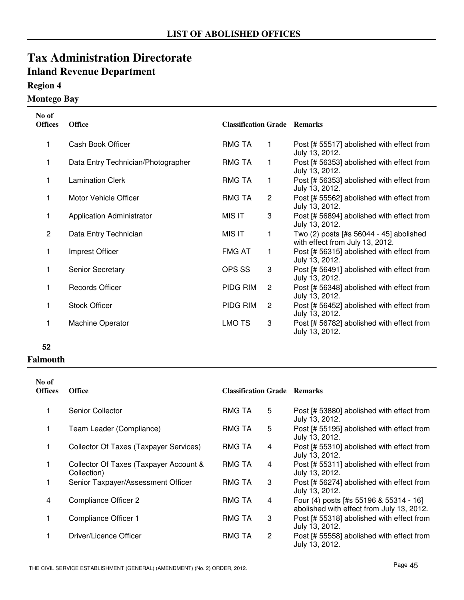### **Region 4**

### **Montego Bay**

| No of<br><b>Offices</b> | <b>Office</b>                      | <b>Classification Grade Remarks</b> |                |                                                                            |
|-------------------------|------------------------------------|-------------------------------------|----------------|----------------------------------------------------------------------------|
| 1                       | Cash Book Officer                  | RMG TA                              | 1              | Post [# 55517] abolished with effect from<br>July 13, 2012.                |
| 1                       | Data Entry Technician/Photographer | RMG TA                              | 1              | Post [# 56353] abolished with effect from<br>July 13, 2012.                |
| 1                       | <b>Lamination Clerk</b>            | RMG TA                              | 1              | Post [# 56353] abolished with effect from<br>July 13, 2012.                |
| 1                       | Motor Vehicle Officer              | <b>RMG TA</b>                       | 2              | Post [# 55562] abolished with effect from<br>July 13, 2012.                |
| 1                       | <b>Application Administrator</b>   | MIS IT                              | 3              | Post [# 56894] abolished with effect from<br>July 13, 2012.                |
| $\overline{2}$          | Data Entry Technician              | MIS IT                              | 1              | Two (2) posts [#s 56044 - 45] abolished<br>with effect from July 13, 2012. |
| 1                       | Imprest Officer                    | <b>FMG AT</b>                       | 1              | Post [# 56315] abolished with effect from<br>July 13, 2012.                |
| 1                       | <b>Senior Secretary</b>            | OPS SS                              | 3              | Post [# 56491] abolished with effect from<br>July 13, 2012.                |
| 1                       | <b>Records Officer</b>             | PIDG RIM                            | $\overline{c}$ | Post [# 56348] abolished with effect from<br>July 13, 2012.                |
| 1                       | <b>Stock Officer</b>               | PIDG RIM                            | $\overline{c}$ | Post [# 56452] abolished with effect from<br>July 13, 2012.                |
| 1                       | <b>Machine Operator</b>            | <b>LMO TS</b>                       | 3              | Post [# 56782] abolished with effect from<br>July 13, 2012.                |

#### **52**

#### **Falmouth**

| No of<br><b>Offices</b> | <b>Office</b>                                         | <b>Classification Grade Remarks</b> |                |                                                                                     |
|-------------------------|-------------------------------------------------------|-------------------------------------|----------------|-------------------------------------------------------------------------------------|
| 1                       | Senior Collector                                      | <b>RMG TA</b>                       | 5              | Post [# 53880] abolished with effect from<br>July 13, 2012.                         |
| 1                       | Team Leader (Compliance)                              | <b>RMG TA</b>                       | 5              | Post [# 55195] abolished with effect from<br>July 13, 2012.                         |
| 1                       | Collector Of Taxes (Taxpayer Services)                | <b>RMG TA</b>                       | 4              | Post [# 55310] abolished with effect from<br>July 13, 2012.                         |
| 1                       | Collector Of Taxes (Taxpayer Account &<br>Collection) | <b>RMG TA</b>                       | 4              | Post [# 55311] abolished with effect from<br>July 13, 2012.                         |
| 1                       | Senior Taxpayer/Assessment Officer                    | <b>RMG TA</b>                       | 3              | Post [# 56274] abolished with effect from<br>July 13, 2012.                         |
| 4                       | Compliance Officer 2                                  | <b>RMG TA</b>                       | 4              | Four (4) posts [#s 55196 & 55314 - 16]<br>abolished with effect from July 13, 2012. |
| 1                       | Compliance Officer 1                                  | <b>RMG TA</b>                       | 3              | Post [# 55318] abolished with effect from<br>July 13, 2012.                         |
| 1                       | Driver/Licence Officer                                | <b>RMG TA</b>                       | $\overline{2}$ | Post [# 55558] abolished with effect from<br>July 13, 2012.                         |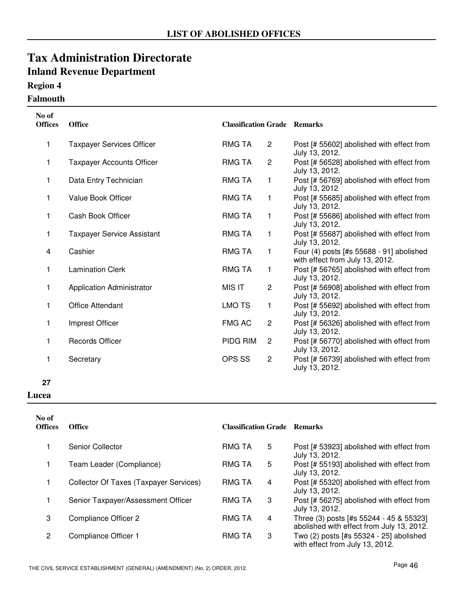### **Region 4**

#### **Falmouth**

| No of<br><b>Offices</b> | <b>Office</b>                     | <b>Classification Grade Remarks</b> |                |                                                                             |
|-------------------------|-----------------------------------|-------------------------------------|----------------|-----------------------------------------------------------------------------|
| 1                       | <b>Taxpayer Services Officer</b>  | <b>RMG TA</b>                       | $\overline{2}$ | Post [# 55602] abolished with effect from<br>July 13, 2012.                 |
| 1                       | <b>Taxpayer Accounts Officer</b>  | <b>RMG TA</b>                       | $\overline{2}$ | Post [# 56528] abolished with effect from<br>July 13, 2012.                 |
| 1                       | Data Entry Technician             | RMG TA                              | 1              | Post [# 56769] abolished with effect from<br>July 13, 2012                  |
| 1                       | <b>Value Book Officer</b>         | RMG TA                              | 1              | Post [# 55685] abolished with effect from<br>July 13, 2012.                 |
| 1                       | Cash Book Officer                 | <b>RMG TA</b>                       | 1              | Post [# 55686] abolished with effect from<br>July 13, 2012.                 |
| 1                       | <b>Taxpayer Service Assistant</b> | <b>RMG TA</b>                       | $\mathbf{1}$   | Post [# 55687] abolished with effect from<br>July 13, 2012.                 |
| 4                       | Cashier                           | RMG TA                              | $\mathbf{1}$   | Four (4) posts [#s 55688 - 91] abolished<br>with effect from July 13, 2012. |
| 1                       | <b>Lamination Clerk</b>           | RMG TA                              | $\mathbf{1}$   | Post [# 56765] abolished with effect from<br>July 13, 2012.                 |
| 1                       | <b>Application Administrator</b>  | <b>MIS IT</b>                       | $\overline{2}$ | Post [# 56908] abolished with effect from<br>July 13, 2012.                 |
| 1                       | <b>Office Attendant</b>           | <b>LMO TS</b>                       | 1              | Post [# 55692] abolished with effect from<br>July 13, 2012.                 |
| 1                       | Imprest Officer                   | <b>FMG AC</b>                       | $\overline{c}$ | Post [# 56326] abolished with effect from<br>July 13, 2012.                 |
| 1                       | <b>Records Officer</b>            | PIDG RIM                            | $\overline{2}$ | Post [# 56770] abolished with effect from<br>July 13, 2012.                 |
| 1                       | Secretary                         | OPS SS                              | $\mathbf{2}$   | Post [# 56739] abolished with effect from<br>July 13, 2012.                 |

#### **27**

#### **Lucea**

| No of<br><b>Offices</b> | <b>Office</b>                          | <b>Classification Grade Remarks</b> |   |                                                                                      |
|-------------------------|----------------------------------------|-------------------------------------|---|--------------------------------------------------------------------------------------|
|                         | Senior Collector                       | <b>RMG TA</b>                       | 5 | Post [# 53923] abolished with effect from<br>July 13, 2012.                          |
|                         | Team Leader (Compliance)               | <b>RMG TA</b>                       | 5 | Post [# 55193] abolished with effect from<br>July 13, 2012.                          |
|                         | Collector Of Taxes (Taxpayer Services) | <b>RMG TA</b>                       | 4 | Post [# 55320] abolished with effect from<br>July 13, 2012.                          |
|                         | Senior Taxpayer/Assessment Officer     | <b>RMG TA</b>                       | 3 | Post [# 56275] abolished with effect from<br>July 13, 2012.                          |
| 3                       | Compliance Officer 2                   | <b>RMG TA</b>                       | 4 | Three (3) posts [#s 55244 - 45 & 55323]<br>abolished with effect from July 13, 2012. |
| 2                       | Compliance Officer 1                   | <b>RMG TA</b>                       | 3 | Two (2) posts [#s 55324 - 25] abolished<br>with effect from July 13, 2012.           |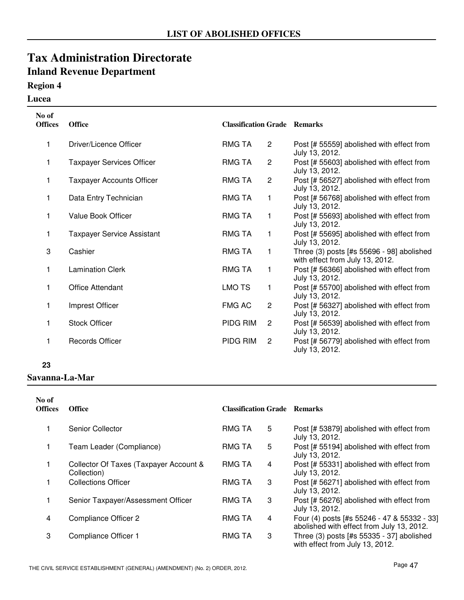### **Region 4**

#### **Lucea**

| No of<br><b>Offices</b> | <b>Office</b>                     | <b>Classification Grade Remarks</b> |                |                                                                              |
|-------------------------|-----------------------------------|-------------------------------------|----------------|------------------------------------------------------------------------------|
| 1                       | Driver/Licence Officer            | <b>RMG TA</b>                       | $\overline{2}$ | Post [# 55559] abolished with effect from<br>July 13, 2012.                  |
| 1                       | <b>Taxpayer Services Officer</b>  | <b>RMG TA</b>                       | $\mathbf{2}$   | Post [# 55603] abolished with effect from<br>July 13, 2012.                  |
| 1                       | <b>Taxpayer Accounts Officer</b>  | <b>RMG TA</b>                       | $\overline{2}$ | Post [# 56527] abolished with effect from<br>July 13, 2012.                  |
| 1                       | Data Entry Technician             | <b>RMG TA</b>                       | 1              | Post [# 56768] abolished with effect from<br>July 13, 2012.                  |
| 1                       | <b>Value Book Officer</b>         | <b>RMG TA</b>                       | 1              | Post [# 55693] abolished with effect from<br>July 13, 2012.                  |
| 1                       | <b>Taxpayer Service Assistant</b> | <b>RMG TA</b>                       | 1              | Post [# 55695] abolished with effect from<br>July 13, 2012.                  |
| 3                       | Cashier                           | <b>RMG TA</b>                       | 1              | Three (3) posts [#s 55696 - 98] abolished<br>with effect from July 13, 2012. |
| 1                       | <b>Lamination Clerk</b>           | <b>RMG TA</b>                       | 1              | Post [# 56366] abolished with effect from<br>July 13, 2012.                  |
| 1                       | Office Attendant                  | <b>LMO TS</b>                       | 1              | Post [# 55700] abolished with effect from<br>July 13, 2012.                  |
| 1                       | Imprest Officer                   | <b>FMG AC</b>                       | $\overline{c}$ | Post [# 56327] abolished with effect from<br>July 13, 2012.                  |
| 1                       | <b>Stock Officer</b>              | PIDG RIM                            | $\overline{2}$ | Post [# 56539] abolished with effect from<br>July 13, 2012.                  |
| 1                       | <b>Records Officer</b>            | PIDG RIM                            | $\overline{2}$ | Post [# 56779] abolished with effect from<br>July 13, 2012.                  |

#### **23**

#### **Savanna-La-Mar**

| No of<br><b>Offices</b> | <b>Office</b>                                         | <b>Classification Grade Remarks</b> |   |                                                                                          |
|-------------------------|-------------------------------------------------------|-------------------------------------|---|------------------------------------------------------------------------------------------|
|                         | Senior Collector                                      | <b>RMG TA</b>                       | 5 | Post [# 53879] abolished with effect from<br>July 13, 2012.                              |
|                         | Team Leader (Compliance)                              | RMG TA                              | 5 | Post [# 55194] abolished with effect from<br>July 13, 2012.                              |
|                         | Collector Of Taxes (Taxpayer Account &<br>Collection) | <b>RMG TA</b>                       | 4 | Post [# 55331] abolished with effect from<br>July 13, 2012.                              |
|                         | <b>Collections Officer</b>                            | <b>RMG TA</b>                       | 3 | Post [# 56271] abolished with effect from<br>July 13, 2012.                              |
|                         | Senior Taxpayer/Assessment Officer                    | RMG TA                              | 3 | Post [# 56276] abolished with effect from<br>July 13, 2012.                              |
| 4                       | Compliance Officer 2                                  | <b>RMG TA</b>                       | 4 | Four (4) posts [#s 55246 - 47 & 55332 - 33]<br>abolished with effect from July 13, 2012. |
| 3                       | Compliance Officer 1                                  | <b>RMG TA</b>                       | 3 | Three (3) posts [#s 55335 - 37] abolished<br>with effect from July 13, 2012.             |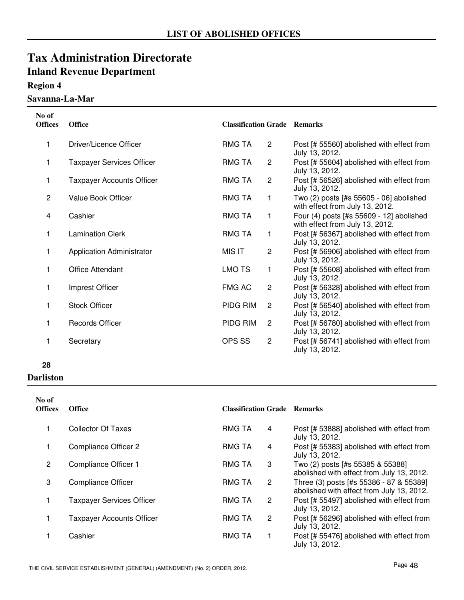### **Region 4**

**Savanna-La-Mar**

| No of<br><b>Offices</b> | <b>Office</b>                    | <b>Classification Grade Remarks</b> |                |                                                                             |
|-------------------------|----------------------------------|-------------------------------------|----------------|-----------------------------------------------------------------------------|
| 1                       | Driver/Licence Officer           | <b>RMG TA</b>                       | $\overline{2}$ | Post [# 55560] abolished with effect from<br>July 13, 2012.                 |
| 1                       | <b>Taxpayer Services Officer</b> | RMG TA                              | $\overline{c}$ | Post [# 55604] abolished with effect from<br>July 13, 2012.                 |
| 1                       | <b>Taxpayer Accounts Officer</b> | RMG TA                              | $\overline{2}$ | Post [# 56526] abolished with effect from<br>July 13, 2012.                 |
| $\overline{2}$          | Value Book Officer               | <b>RMG TA</b>                       | 1              | Two (2) posts [#s 55605 - 06] abolished<br>with effect from July 13, 2012.  |
| 4                       | Cashier                          | <b>RMG TA</b>                       | 1              | Four (4) posts [#s 55609 - 12] abolished<br>with effect from July 13, 2012. |
| 1                       | <b>Lamination Clerk</b>          | <b>RMG TA</b>                       | 1              | Post [# 56367] abolished with effect from<br>July 13, 2012.                 |
| 1                       | <b>Application Administrator</b> | <b>MIS IT</b>                       | $\overline{c}$ | Post [# 56906] abolished with effect from<br>July 13, 2012.                 |
| 1                       | <b>Office Attendant</b>          | <b>LMO TS</b>                       | 1              | Post [# 55608] abolished with effect from<br>July 13, 2012.                 |
| 1                       | Imprest Officer                  | FMG AC                              | $\overline{2}$ | Post [# 56328] abolished with effect from<br>July 13, 2012.                 |
| 1                       | <b>Stock Officer</b>             | PIDG RIM                            | $\overline{2}$ | Post [# 56540] abolished with effect from<br>July 13, 2012.                 |
| 1                       | <b>Records Officer</b>           | PIDG RIM                            | $\overline{2}$ | Post [# 56780] abolished with effect from<br>July 13, 2012.                 |
| 1                       | Secretary                        | OPS SS                              | $\overline{2}$ | Post [# 56741] abolished with effect from<br>July 13, 2012.                 |

#### **28**

**Darliston**

| No of<br><b>Offices</b> | <b>Office</b>                    | <b>Classification Grade Remarks</b> |   |                                                                                      |
|-------------------------|----------------------------------|-------------------------------------|---|--------------------------------------------------------------------------------------|
|                         | <b>Collector Of Taxes</b>        | <b>RMG TA</b>                       | 4 | Post [# 53888] abolished with effect from<br>July 13, 2012.                          |
|                         | Compliance Officer 2             | <b>RMG TA</b>                       | 4 | Post [# 55383] abolished with effect from<br>July 13, 2012.                          |
| 2                       | Compliance Officer 1             | <b>RMG TA</b>                       | 3 | Two (2) posts [#s 55385 & 55388]<br>abolished with effect from July 13, 2012.        |
| 3                       | <b>Compliance Officer</b>        | <b>RMG TA</b>                       | 2 | Three (3) posts [#s 55386 - 87 & 55389]<br>abolished with effect from July 13, 2012. |
|                         | <b>Taxpayer Services Officer</b> | <b>RMG TA</b>                       | 2 | Post [# 55497] abolished with effect from<br>July 13, 2012.                          |
|                         | <b>Taxpayer Accounts Officer</b> | <b>RMG TA</b>                       | 2 | Post [# 56296] abolished with effect from<br>July 13, 2012.                          |
|                         | Cashier                          | <b>RMG TA</b>                       |   | Post [# 55476] abolished with effect from<br>July 13, 2012.                          |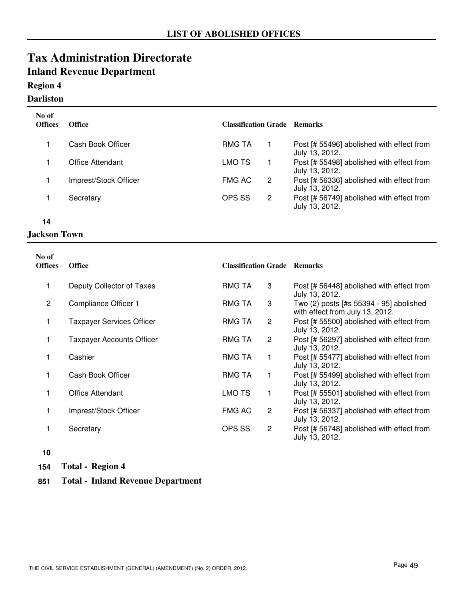### **Region 4**

#### **Darliston**

| No of<br><b>Offices</b> | <b>Office</b>         | <b>Classification Grade Remarks</b> |   |                                                             |
|-------------------------|-----------------------|-------------------------------------|---|-------------------------------------------------------------|
|                         | Cash Book Officer     | <b>RMG TA</b>                       |   | Post [# 55496] abolished with effect from<br>July 13, 2012. |
|                         | Office Attendant      | LMO TS                              |   | Post [# 55498] abolished with effect from<br>July 13, 2012. |
|                         | Imprest/Stock Officer | FMG AC                              | 2 | Post [# 56336] abolished with effect from<br>July 13, 2012. |
|                         | Secretary             | OPS SS                              | 2 | Post [# 56749] abolished with effect from<br>July 13, 2012. |

**14**

#### **Jackson Town**

| No of<br><b>Offices</b> | <b>Office</b>                    | <b>Classification Grade Remarks</b> |                |                                                                            |
|-------------------------|----------------------------------|-------------------------------------|----------------|----------------------------------------------------------------------------|
|                         | Deputy Collector of Taxes        | RMG TA                              | 3              | Post [# 56448] abolished with effect from<br>July 13, 2012.                |
| $\overline{2}$          | Compliance Officer 1             | RMG TA                              | 3              | Two (2) posts [#s 55394 - 95] abolished<br>with effect from July 13, 2012. |
|                         | <b>Taxpayer Services Officer</b> | RMG TA                              | $\overline{2}$ | Post [# 55500] abolished with effect from<br>July 13, 2012.                |
|                         | <b>Taxpayer Accounts Officer</b> | RMG TA                              | $\overline{c}$ | Post [# 56297] abolished with effect from<br>July 13, 2012.                |
|                         | Cashier                          | RMG TA                              | 1              | Post [# 55477] abolished with effect from<br>July 13, 2012.                |
|                         | Cash Book Officer                | RMG TA                              | 1              | Post [# 55499] abolished with effect from<br>July 13, 2012.                |
|                         | Office Attendant                 | LMO TS                              | 1              | Post [# 55501] abolished with effect from<br>July 13, 2012.                |
|                         | Imprest/Stock Officer            | <b>FMG AC</b>                       | $\overline{c}$ | Post [# 56337] abolished with effect from<br>July 13, 2012.                |
|                         | Secretary                        | OPS SS                              | $\overline{c}$ | Post [# 56748] abolished with effect from<br>July 13, 2012.                |

**10**

- **154 Total Region 4**
- **851 Total Inland Revenue Department**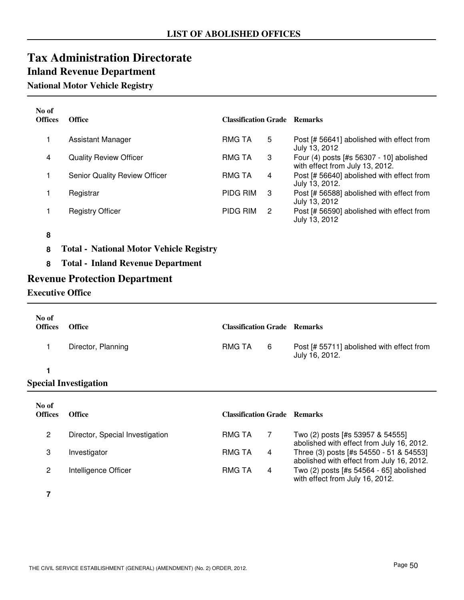### **National Motor Vehicle Registry**

| No of<br><b>Offices</b> | <b>Office</b>                 | <b>Classification Grade Remarks</b> |   |                                                                             |
|-------------------------|-------------------------------|-------------------------------------|---|-----------------------------------------------------------------------------|
|                         | Assistant Manager             | <b>RMG TA</b>                       | 5 | Post [# 56641] abolished with effect from<br>July 13, 2012                  |
| 4                       | <b>Quality Review Officer</b> | <b>RMG TA</b>                       | 3 | Four (4) posts [#s 56307 - 10] abolished<br>with effect from July 13, 2012. |
|                         | Senior Quality Review Officer | <b>RMG TA</b>                       | 4 | Post [# 56640] abolished with effect from<br>July 13, 2012.                 |
|                         | Registrar                     | <b>PIDG RIM</b>                     | 3 | Post [# 56588] abolished with effect from<br>July 13, 2012                  |
|                         | <b>Registry Officer</b>       | PIDG RIM                            | 2 | Post [# 56590] abolished with effect from<br>July 13, 2012                  |
| O                       |                               |                                     |   |                                                                             |

#### **8**

- **8 Total National Motor Vehicle Registry**
- **8 Total Inland Revenue Department**

### **Revenue Protection Department**

### **Executive Office**

| No of<br><b>Offices</b> | <b>Office</b>                   | <b>Classification Grade Remarks</b> |   |                                                                                      |
|-------------------------|---------------------------------|-------------------------------------|---|--------------------------------------------------------------------------------------|
| 1                       | Director, Planning              | <b>RMG TA</b>                       | 6 | Post [# 55711] abolished with effect from<br>July 16, 2012.                          |
|                         |                                 |                                     |   |                                                                                      |
|                         | <b>Special Investigation</b>    |                                     |   |                                                                                      |
| No of<br><b>Offices</b> | <b>Office</b>                   | <b>Classification Grade</b>         |   | <b>Remarks</b>                                                                       |
| $\overline{2}$          | Director, Special Investigation | <b>RMG TA</b>                       | 7 | Two (2) posts [#s 53957 & 54555]<br>abolished with effect from July 16, 2012.        |
| 3                       | Investigator                    | <b>RMG TA</b>                       | 4 | Three (3) posts [#s 54550 - 51 & 54553]<br>abolished with effect from July 16, 2012. |

2 Intelligence Officer Two (2) posts [#s 54564 - 65] abolished

RMG TA

**7**

with effect from July 16, 2012.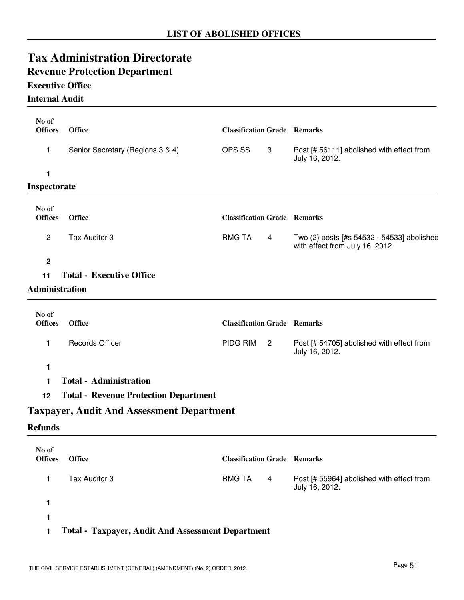# **Revenue Protection Department**

### **Executive Office**

### **Internal Audit**

| No of<br><b>Offices</b> | <b>Office</b>                                    | <b>Classification Grade Remarks</b> |                |                                                                               |
|-------------------------|--------------------------------------------------|-------------------------------------|----------------|-------------------------------------------------------------------------------|
| 1                       | Senior Secretary (Regions 3 & 4)                 | OPS SS                              | 3              | Post [# 56111] abolished with effect from<br>July 16, 2012.                   |
| 1                       |                                                  |                                     |                |                                                                               |
| Inspectorate            |                                                  |                                     |                |                                                                               |
| No of<br><b>Offices</b> | <b>Office</b>                                    | <b>Classification Grade Remarks</b> |                |                                                                               |
| $\overline{c}$          | Tax Auditor 3                                    | <b>RMG TA</b>                       | 4              | Two (2) posts [#s 54532 - 54533] abolished<br>with effect from July 16, 2012. |
| $\mathbf 2$             |                                                  |                                     |                |                                                                               |
| 11                      | <b>Total - Executive Office</b>                  |                                     |                |                                                                               |
| Administration          |                                                  |                                     |                |                                                                               |
| No of<br><b>Offices</b> | <b>Office</b>                                    | <b>Classification Grade Remarks</b> |                |                                                                               |
| 1                       | <b>Records Officer</b>                           | PIDG RIM                            | $\overline{2}$ | Post [# 54705] abolished with effect from<br>July 16, 2012.                   |
| 1                       |                                                  |                                     |                |                                                                               |
| 1                       | <b>Total - Administration</b>                    |                                     |                |                                                                               |
| 12                      | <b>Total - Revenue Protection Department</b>     |                                     |                |                                                                               |
|                         | <b>Taxpayer, Audit And Assessment Department</b> |                                     |                |                                                                               |
| <b>Refunds</b>          |                                                  |                                     |                |                                                                               |
| No of<br><b>Offices</b> | <b>Office</b>                                    | <b>Classification Grade Remarks</b> |                |                                                                               |
| 1                       | Tax Auditor 3                                    | <b>RMG TA</b>                       | 4              | Post [# 55964] abolished with effect from<br>July 16, 2012.                   |
| 1                       |                                                  |                                     |                |                                                                               |
| 1                       |                                                  |                                     |                |                                                                               |
|                         |                                                  |                                     |                |                                                                               |

### **1 Total - Taxpayer, Audit And Assessment Department**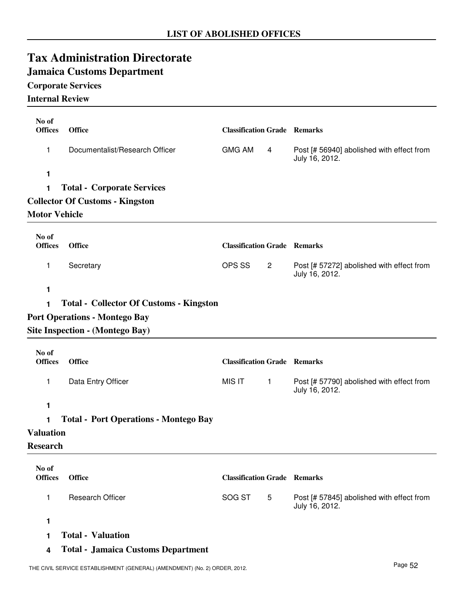### **Jamaica Customs Department**

### **Corporate Services**

### **Internal Review**

| No of<br><b>Offices</b> | <b>Office</b>                                  | <b>Classification Grade Remarks</b> |                |                                                             |
|-------------------------|------------------------------------------------|-------------------------------------|----------------|-------------------------------------------------------------|
| 1                       | Documentalist/Research Officer                 | <b>GMG AM</b>                       | 4              | Post [# 56940] abolished with effect from<br>July 16, 2012. |
| 1                       |                                                |                                     |                |                                                             |
| 1                       | <b>Total - Corporate Services</b>              |                                     |                |                                                             |
|                         | <b>Collector Of Customs - Kingston</b>         |                                     |                |                                                             |
| <b>Motor Vehicle</b>    |                                                |                                     |                |                                                             |
| No of<br><b>Offices</b> | <b>Office</b>                                  | <b>Classification Grade Remarks</b> |                |                                                             |
| 1                       | Secretary                                      | OPS SS                              | $\overline{2}$ | Post [# 57272] abolished with effect from<br>July 16, 2012. |
| 1                       |                                                |                                     |                |                                                             |
| 1                       | <b>Total - Collector Of Customs - Kingston</b> |                                     |                |                                                             |
|                         | <b>Port Operations - Montego Bay</b>           |                                     |                |                                                             |
|                         | Site Inspection - (Montego Bay)                |                                     |                |                                                             |
|                         |                                                |                                     |                |                                                             |
| No of<br><b>Offices</b> | <b>Office</b>                                  | <b>Classification Grade Remarks</b> |                |                                                             |
| 1                       | Data Entry Officer                             | <b>MIS IT</b>                       | $\mathbf{1}$   | Post [# 57790] abolished with effect from<br>July 16, 2012. |
| 1                       |                                                |                                     |                |                                                             |
| 1                       | <b>Total - Port Operations - Montego Bay</b>   |                                     |                |                                                             |
| <b>Valuation</b>        |                                                |                                     |                |                                                             |
| <b>Research</b>         |                                                |                                     |                |                                                             |
| No of                   |                                                |                                     |                |                                                             |
| <b>Offices</b>          | <b>Office</b>                                  | <b>Classification Grade Remarks</b> |                |                                                             |
| 1                       | <b>Research Officer</b>                        | SOG ST                              | 5              | Post [# 57845] abolished with effect from<br>July 16, 2012. |
| 1                       |                                                |                                     |                |                                                             |
| 1                       | <b>Total - Valuation</b>                       |                                     |                |                                                             |
| 4                       | <b>Total - Jamaica Customs Department</b>      |                                     |                |                                                             |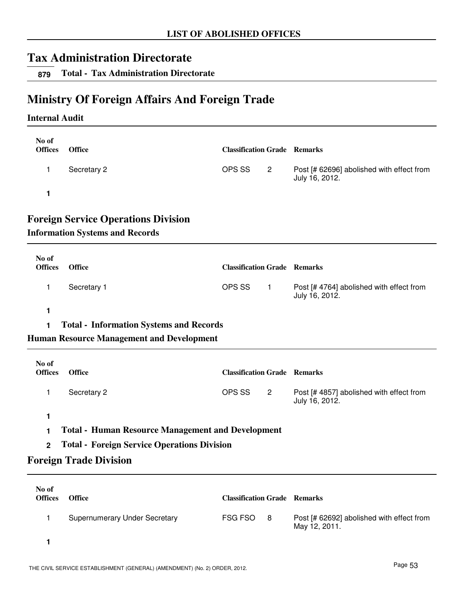**879 Total - Tax Administration Directorate**

### **Ministry Of Foreign Affairs And Foreign Trade**

#### **Internal Audit**

| No of<br><b>Offices</b> | <b>Office</b> | <b>Classification Grade Remarks</b> |                |                                                             |
|-------------------------|---------------|-------------------------------------|----------------|-------------------------------------------------------------|
|                         | Secretary 2   | OPS SS                              | $\overline{2}$ | Post [# 62696] abolished with effect from<br>July 16, 2012. |
|                         |               |                                     |                |                                                             |

### **Foreign Service Operations Division**

#### **Information Systems and Records**

| No of<br><b>Offices</b> | <b>Office</b> | <b>Classification Grade Remarks</b> |                                                           |
|-------------------------|---------------|-------------------------------------|-----------------------------------------------------------|
|                         | Secretary 1   | OPS SS                              | Post [#4764] abolished with effect from<br>July 16, 2012. |

### **1**

**1 Total - Information Systems and Records**

### **Human Resource Management and Development**

| No of<br><b>Offices</b> | <b>Office</b> | <b>Classification Grade Remarks</b> |                |                                                           |
|-------------------------|---------------|-------------------------------------|----------------|-----------------------------------------------------------|
|                         | Secretary 2   | OPS SS                              | $\overline{2}$ | Post [#4857] abolished with effect from<br>July 16, 2012. |
|                         |               |                                     |                |                                                           |

- **1 Total Human Resource Management and Development**
- **2 Total Foreign Service Operations Division**

### **Foreign Trade Division**

| No of<br><b>Offices</b> | <b>Office</b>                        | <b>Classification Grade Remarks</b> |     |                                                            |
|-------------------------|--------------------------------------|-------------------------------------|-----|------------------------------------------------------------|
|                         | <b>Supernumerary Under Secretary</b> | FSG FSO                             | - 8 | Post [# 62692] abolished with effect from<br>May 12, 2011. |
|                         |                                      |                                     |     |                                                            |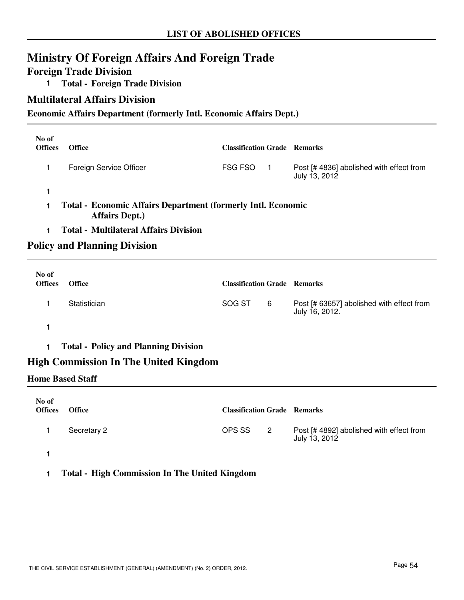### **Ministry Of Foreign Affairs And Foreign Trade**

### **Foreign Trade Division**

**1 Total - Foreign Trade Division**

### **Multilateral Affairs Division**

#### **Economic Affairs Department (formerly Intl. Economic Affairs Dept.)**

| No of<br><b>Offices</b> | <b>Office</b>                                                                                | <b>Classification Grade Remarks</b> |                                                          |
|-------------------------|----------------------------------------------------------------------------------------------|-------------------------------------|----------------------------------------------------------|
|                         | Foreign Service Officer                                                                      | <b>FSG FSO</b>                      | Post [#4836] abolished with effect from<br>July 13, 2012 |
|                         |                                                                                              |                                     |                                                          |
|                         | <b>Total - Economic Affairs Department (formerly Intl. Economic</b><br><b>Affairs Dept.)</b> |                                     |                                                          |

**1 Total - Multilateral Affairs Division**

### **Policy and Planning Division**

| No of<br><b>Offices</b> | <b>Office</b> | <b>Classification Grade Remarks</b> |   |                                                             |
|-------------------------|---------------|-------------------------------------|---|-------------------------------------------------------------|
|                         | Statistician  | SOG ST                              | 6 | Post [# 63657] abolished with effect from<br>July 16, 2012. |
|                         |               |                                     |   |                                                             |

**1 Total - Policy and Planning Division**

### **High Commission In The United Kingdom**

#### **Home Based Staff**

| No of<br><b>Offices</b> | <b>Office</b> | <b>Classification Grade Remarks</b> |                |                                                           |
|-------------------------|---------------|-------------------------------------|----------------|-----------------------------------------------------------|
|                         | Secretary 2   | OPS SS                              | $\overline{2}$ | Post [# 4892] abolished with effect from<br>July 13, 2012 |
|                         |               |                                     |                |                                                           |

#### **1 Total - High Commission In The United Kingdom**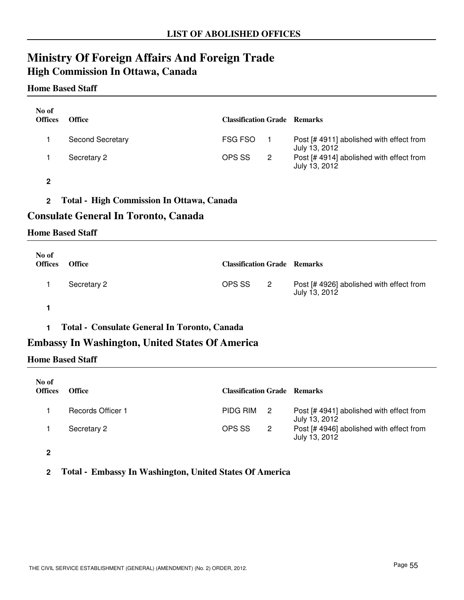## **Ministry Of Foreign Affairs And Foreign Trade High Commission In Ottawa, Canada**

#### **Home Based Staff**

| No of<br><b>Offices</b> | <b>Office</b>           | <b>Classification Grade Remarks</b> |   |                                                           |
|-------------------------|-------------------------|-------------------------------------|---|-----------------------------------------------------------|
|                         | <b>Second Secretary</b> | <b>FSG FSO</b>                      |   | Post [# 4911] abolished with effect from<br>July 13, 2012 |
|                         | Secretary 2             | OPS SS                              | 2 | Post [# 4914] abolished with effect from<br>July 13, 2012 |

**2**

**2 Total - High Commission In Ottawa, Canada**

### **Consulate General In Toronto, Canada**

#### **Home Based Staff**

| No of<br><b>Offices</b> | <b>Office</b> | <b>Classification Grade Remarks</b> |     |                                                           |
|-------------------------|---------------|-------------------------------------|-----|-----------------------------------------------------------|
|                         | Secretary 2   | OPS SS                              | - 2 | Post [# 4926] abolished with effect from<br>July 13, 2012 |
|                         |               |                                     |     |                                                           |

**1 Total - Consulate General In Toronto, Canada**

### **Embassy In Washington, United States Of America**

#### **Home Based Staff**

| No of<br><b>Offices</b> | <b>Office</b>            | <b>Classification Grade Remarks</b> |                |                                                           |
|-------------------------|--------------------------|-------------------------------------|----------------|-----------------------------------------------------------|
|                         | <b>Records Officer 1</b> | PIDG RIM                            | $\overline{2}$ | Post [#4941] abolished with effect from<br>July 13, 2012  |
|                         | Secretary 2              | OPS SS                              | $\overline{2}$ | Post [# 4946] abolished with effect from<br>July 13, 2012 |
|                         |                          |                                     |                |                                                           |

**2**

**2 Total - Embassy In Washington, United States Of America**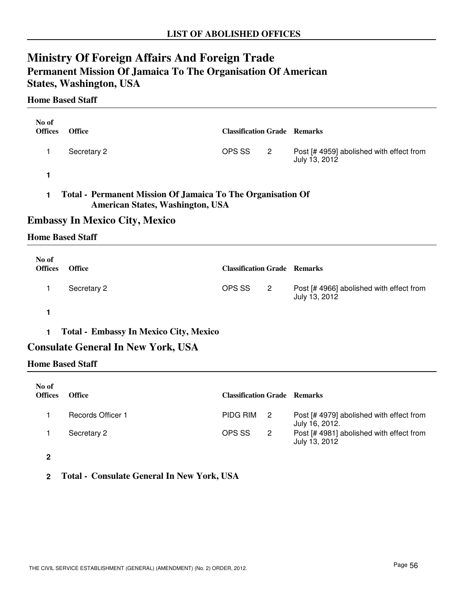## **Ministry Of Foreign Affairs And Foreign Trade Permanent Mission Of Jamaica To The Organisation Of American States, Washington, USA**

#### **Home Based Staff**

| No of<br><b>Offices</b>                                                                                | <b>Office</b> | <b>Classification Grade Remarks</b> |    |                                                           |
|--------------------------------------------------------------------------------------------------------|---------------|-------------------------------------|----|-----------------------------------------------------------|
|                                                                                                        | Secretary 2   | OPS SS                              | -2 | Post [# 4959] abolished with effect from<br>July 13, 2012 |
|                                                                                                        |               |                                     |    |                                                           |
| Total - Permanent Mission Of Jamaica To The Organisation Of<br><b>American States, Washington, USA</b> |               |                                     |    |                                                           |

### **Embassy In Mexico City, Mexico**

#### **Home Based Staff**

| No of<br><b>Offices</b> | <b>Office</b> | <b>Classification Grade Remarks</b> |     |                                                           |
|-------------------------|---------------|-------------------------------------|-----|-----------------------------------------------------------|
|                         | Secretary 2   | OPS SS                              | - 2 | Post [# 4966] abolished with effect from<br>July 13, 2012 |
|                         |               |                                     |     |                                                           |

### **1 Total - Embassy In Mexico City, Mexico**

### **Consulate General In New York, USA**

**Home Based Staff**

| No of<br><b>Offices</b> | <b>Office</b>     | <b>Classification Grade Remarks</b> |                |                                                           |
|-------------------------|-------------------|-------------------------------------|----------------|-----------------------------------------------------------|
|                         | Records Officer 1 | PIDG RIM                            | $\overline{2}$ | Post [#4979] abolished with effect from<br>July 16, 2012. |
|                         | Secretary 2       | OPS SS                              | -2             | Post [# 4981] abolished with effect from<br>July 13, 2012 |

**2**

**2 Total - Consulate General In New York, USA**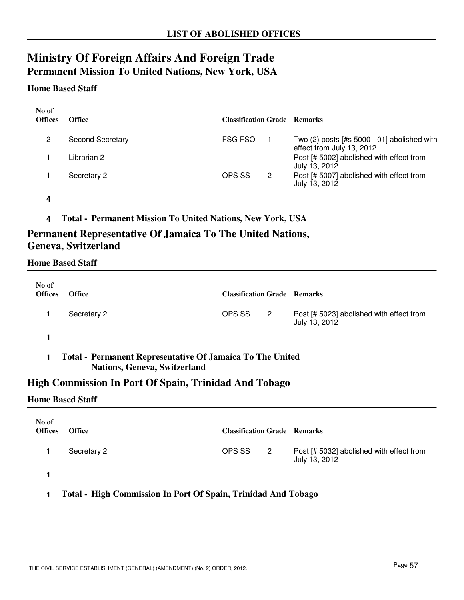### **Ministry Of Foreign Affairs And Foreign Trade Permanent Mission To United Nations, New York, USA**

#### **Home Based Staff**

| No of<br><b>Offices</b> | <b>Office</b>           | <b>Classification Grade Remarks</b> |   |                                                                            |
|-------------------------|-------------------------|-------------------------------------|---|----------------------------------------------------------------------------|
| 2                       | <b>Second Secretary</b> | FSG FSO                             |   | Two $(2)$ posts [#s 5000 - 01] abolished with<br>effect from July 13, 2012 |
|                         | Librarian 2             |                                     |   | Post [# 5002] abolished with effect from<br>July 13, 2012                  |
|                         | Secretary 2             | OPS SS                              | 2 | Post [# 5007] abolished with effect from<br>July 13, 2012                  |

**4**

**4 Total - Permanent Mission To United Nations, New York, USA**

### **Permanent Representative Of Jamaica To The United Nations, Geneva, Switzerland**

#### **Home Based Staff**

| No of<br><b>Offices</b> | <b>Office</b>                                                                                    | <b>Classification Grade Remarks</b> |                            |                                                           |
|-------------------------|--------------------------------------------------------------------------------------------------|-------------------------------------|----------------------------|-----------------------------------------------------------|
|                         | Secretary 2                                                                                      | OPS SS                              | $\overline{\phantom{0}}^2$ | Post [# 5023] abolished with effect from<br>July 13, 2012 |
|                         |                                                                                                  |                                     |                            |                                                           |
| 1                       | Total - Permanent Representative Of Jamaica To The United<br><b>Nations, Geneva, Switzerland</b> |                                     |                            |                                                           |

### **High Commission In Port Of Spain, Trinidad And Tobago**

#### **Home Based Staff**

| No of<br><b>Offices</b> | <b>Office</b> | <b>Classification Grade Remarks</b> |                            |                                                           |
|-------------------------|---------------|-------------------------------------|----------------------------|-----------------------------------------------------------|
|                         | Secretary 2   | OPS SS                              | $\overline{\phantom{a}}^2$ | Post [# 5032] abolished with effect from<br>July 13, 2012 |
|                         |               |                                     |                            |                                                           |

#### **1 Total - High Commission In Port Of Spain, Trinidad And Tobago**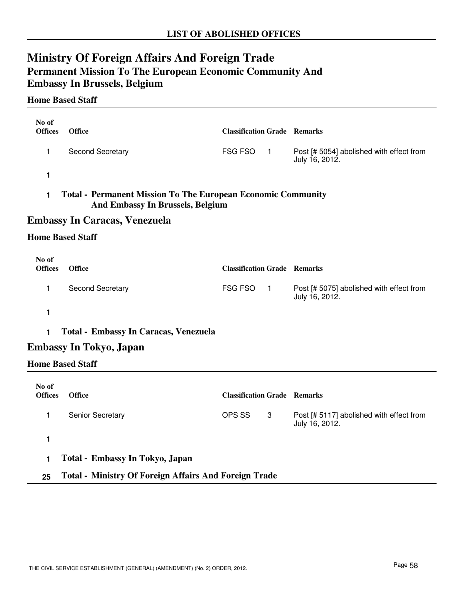## **Ministry Of Foreign Affairs And Foreign Trade Permanent Mission To The European Economic Community And Embassy In Brussels, Belgium**

#### **Home Based Staff**

| No of<br><b>Offices</b> | <b>Office</b>                                                                                                  | <b>Classification Grade Remarks</b> |                                                            |
|-------------------------|----------------------------------------------------------------------------------------------------------------|-------------------------------------|------------------------------------------------------------|
| 1                       | Second Secretary                                                                                               | FSG FSO<br>$\blacksquare$           | Post [# 5054] abolished with effect from<br>July 16, 2012. |
| 1                       |                                                                                                                |                                     |                                                            |
| 1                       | <b>Total - Permanent Mission To The European Economic Community</b><br><b>And Embassy In Brussels, Belgium</b> |                                     |                                                            |
|                         | Embassy In Caracas, Venezuela                                                                                  |                                     |                                                            |
| <b>Home Based Staff</b> |                                                                                                                |                                     |                                                            |
| No of<br><b>Offices</b> | <b>Office</b>                                                                                                  | <b>Classification Grade Remarks</b> |                                                            |
| 1                       | Second Secretary                                                                                               | <b>FSG FSO</b><br>$\blacksquare$ 1  | Post [# 5075] abolished with effect from<br>July 16, 2012. |
| 1                       |                                                                                                                |                                     |                                                            |

**1 Total - Embassy In Caracas, Venezuela**

### **Embassy In Tokyo, Japan**

#### **Home Based Staff**

| No of<br><b>Offices</b> | <b>Office</b>                                                | <b>Classification Grade Remarks</b> |   |                                                            |
|-------------------------|--------------------------------------------------------------|-------------------------------------|---|------------------------------------------------------------|
|                         | <b>Senior Secretary</b>                                      | OPS SS                              | 3 | Post [# 5117] abolished with effect from<br>July 16, 2012. |
|                         |                                                              |                                     |   |                                                            |
|                         | Total - Embassy In Tokyo, Japan                              |                                     |   |                                                            |
| 25                      | <b>Total - Ministry Of Foreign Affairs And Foreign Trade</b> |                                     |   |                                                            |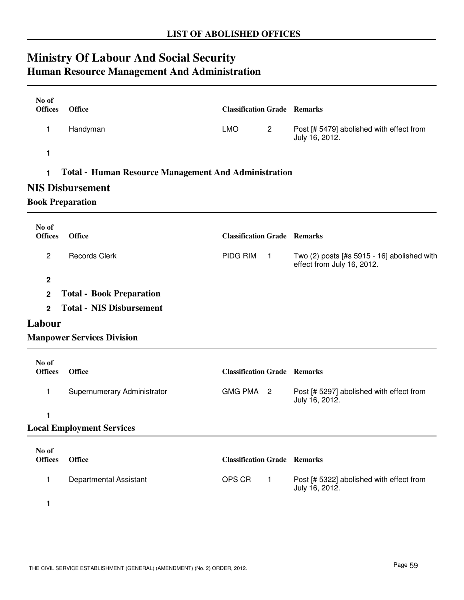# **Ministry Of Labour And Social Security Human Resource Management And Administration**

| No of<br><b>Offices</b> | <b>Office</b>                                               | <b>Classification Grade Remarks</b> |                                                                           |
|-------------------------|-------------------------------------------------------------|-------------------------------------|---------------------------------------------------------------------------|
| 1                       | Handyman                                                    | <b>LMO</b><br>$\overline{2}$        | Post [# 5479] abolished with effect from<br>July 16, 2012.                |
| 1                       |                                                             |                                     |                                                                           |
| 1                       | <b>Total - Human Resource Management And Administration</b> |                                     |                                                                           |
|                         | <b>NIS Disbursement</b>                                     |                                     |                                                                           |
|                         | <b>Book Preparation</b>                                     |                                     |                                                                           |
| No of                   |                                                             |                                     |                                                                           |
| <b>Offices</b>          | <b>Office</b>                                               | <b>Classification Grade Remarks</b> |                                                                           |
| $\overline{c}$          | <b>Records Clerk</b>                                        | PIDG RIM<br>$\blacksquare$          | Two (2) posts [#s 5915 - 16] abolished with<br>effect from July 16, 2012. |
| $\overline{2}$          |                                                             |                                     |                                                                           |
| $\mathbf 2$             | <b>Total - Book Preparation</b>                             |                                     |                                                                           |
| $\overline{2}$          | <b>Total - NIS Disbursement</b>                             |                                     |                                                                           |
| Labour                  |                                                             |                                     |                                                                           |
|                         | <b>Manpower Services Division</b>                           |                                     |                                                                           |
| No of                   |                                                             |                                     |                                                                           |
| <b>Offices</b>          | <b>Office</b>                                               | <b>Classification Grade Remarks</b> |                                                                           |
| 1                       | Supernumerary Administrator                                 | <b>GMG PMA</b><br>$\overline{2}$    | Post [# 5297] abolished with effect from<br>July 16, 2012.                |
| 1                       |                                                             |                                     |                                                                           |
|                         | <b>Local Employment Services</b>                            |                                     |                                                                           |
| No of                   |                                                             |                                     |                                                                           |
| <b>Offices</b>          | <b>Office</b>                                               | <b>Classification Grade Remarks</b> |                                                                           |
| 1                       | Departmental Assistant                                      | OPS CR<br>$\mathbf{1}$              | Post [# 5322] abolished with effect from<br>July 16, 2012.                |
|                         |                                                             |                                     |                                                                           |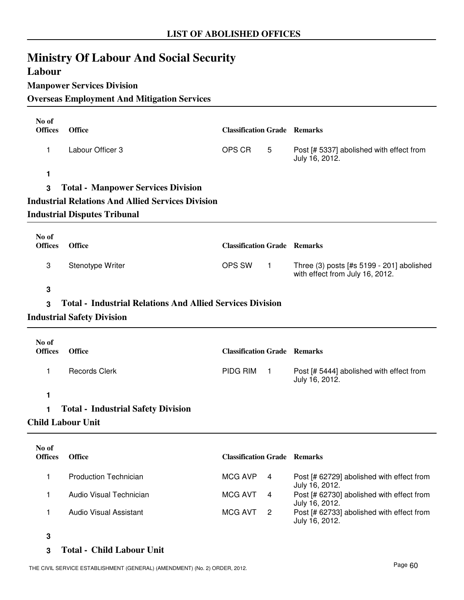# **Ministry Of Labour And Social Security**

### **Labour**

#### **Manpower Services Division**

### **Overseas Employment And Mitigation Services**

| No of<br><b>Offices</b> | <b>Office</b>                                                    | <b>Classification Grade Remarks</b> |                |                                                                               |
|-------------------------|------------------------------------------------------------------|-------------------------------------|----------------|-------------------------------------------------------------------------------|
| $\mathbf{1}$            | Labour Officer 3                                                 | OPS CR                              | 5              | Post [# 5337] abolished with effect from<br>July 16, 2012.                    |
| 1                       |                                                                  |                                     |                |                                                                               |
| 3                       | <b>Total - Manpower Services Division</b>                        |                                     |                |                                                                               |
|                         | <b>Industrial Relations And Allied Services Division</b>         |                                     |                |                                                                               |
|                         | <b>Industrial Disputes Tribunal</b>                              |                                     |                |                                                                               |
| No of<br><b>Offices</b> | <b>Office</b>                                                    | <b>Classification Grade Remarks</b> |                |                                                                               |
| 3                       | Stenotype Writer                                                 | OPS SW                              | $\vert$ 1      | Three (3) posts [#s 5199 - 201] abolished<br>with effect from July 16, 2012.  |
| 3                       |                                                                  |                                     |                |                                                                               |
| 3                       | <b>Total - Industrial Relations And Allied Services Division</b> |                                     |                |                                                                               |
|                         | <b>Industrial Safety Division</b>                                |                                     |                |                                                                               |
|                         |                                                                  |                                     |                |                                                                               |
| No of<br><b>Offices</b> | <b>Office</b>                                                    | <b>Classification Grade Remarks</b> |                |                                                                               |
| $\mathbf{1}$            | <b>Records Clerk</b>                                             | PIDG RIM                            | $\overline{1}$ | Post [# 5444] abolished with effect from<br>July 16, 2012.                    |
| 1                       |                                                                  |                                     |                |                                                                               |
| 1                       | <b>Total - Industrial Safety Division</b>                        |                                     |                |                                                                               |
|                         | <b>Child Labour Unit</b>                                         |                                     |                |                                                                               |
| No of                   |                                                                  |                                     |                |                                                                               |
| <b>Offices</b>          | Office                                                           | <b>Classification Grade Remarks</b> |                |                                                                               |
| $\mathbf{1}$            | <b>Production Technician</b>                                     | <b>MCG AVP</b>                      | 4              | Post [# 62729] abolished with effect from<br>July 16, 2012.                   |
| 1                       | Audio Visual Technician                                          | <b>MCG AVT</b>                      | 4              | Post [# 62730] abolished with effect from                                     |
| 1                       | <b>Audio Visual Assistant</b>                                    | <b>MCG AVT</b>                      | $\overline{2}$ | July 16, 2012.<br>Post [# 62733] abolished with effect from<br>July 16, 2012. |
| 3                       |                                                                  |                                     |                |                                                                               |

#### **3 Total - Child Labour Unit**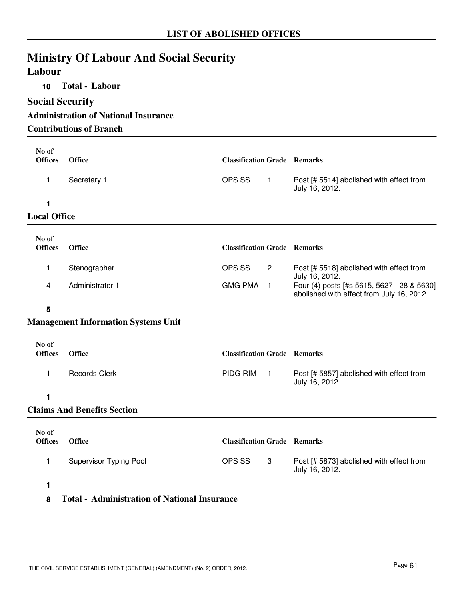# **Ministry Of Labour And Social Security**

### **Labour**

**10 Total - Labour**

### **Social Security**

**Administration of National Insurance Contributions of Branch**

| No of<br><b>Offices</b> | <b>Office</b>                              | <b>Classification Grade Remarks</b> |                |                                                                                         |
|-------------------------|--------------------------------------------|-------------------------------------|----------------|-----------------------------------------------------------------------------------------|
| 1                       | Secretary 1                                | OPS SS                              | $\mathbf{1}$   | Post [# 5514] abolished with effect from<br>July 16, 2012.                              |
| 1                       |                                            |                                     |                |                                                                                         |
| <b>Local Office</b>     |                                            |                                     |                |                                                                                         |
| No of<br><b>Offices</b> | <b>Office</b>                              | <b>Classification Grade Remarks</b> |                |                                                                                         |
| 1                       | Stenographer                               | OPS SS                              | $\overline{2}$ | Post [# 5518] abolished with effect from<br>July 16, 2012.                              |
| 4                       | Administrator 1                            | GMG PMA 1                           |                | Four (4) posts [#s 5615, 5627 - 28 & 5630]<br>abolished with effect from July 16, 2012. |
| 5                       |                                            |                                     |                |                                                                                         |
|                         | <b>Management Information Systems Unit</b> |                                     |                |                                                                                         |
| No of<br><b>Offices</b> | <b>Office</b>                              | <b>Classification Grade Remarks</b> |                |                                                                                         |

**1**

### **Claims And Benefits Section**

| No of<br><b>Offices</b> | <b>Office</b>                 | <b>Classification Grade Remarks</b> |    |                                                            |
|-------------------------|-------------------------------|-------------------------------------|----|------------------------------------------------------------|
|                         | <b>Supervisor Typing Pool</b> | OPS SS                              | -3 | Post [# 5873] abolished with effect from<br>July 16, 2012. |
|                         |                               |                                     |    |                                                            |

1 Records Clerk **PIDG RIM** 1 Post [# 5857] abolished with effect from

PIDG RIM 1

July 16, 2012.

**8 Total - Administration of National Insurance**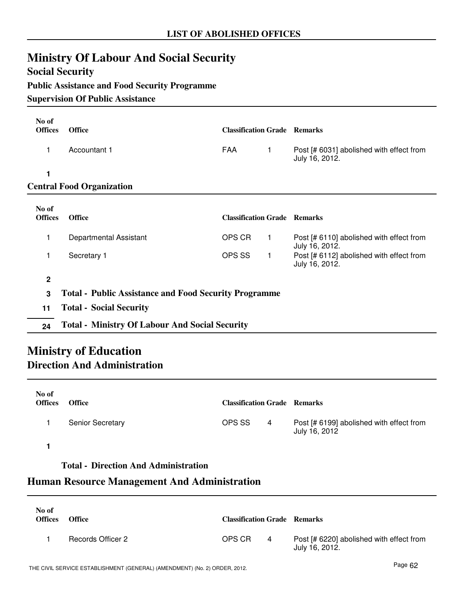# **Ministry Of Labour And Social Security**

### **Social Security**

### **Public Assistance and Food Security Programme**

### **Supervision Of Public Assistance**

| No of<br><b>Offices</b> | <b>Office</b>                                                | <b>Classification Grade Remarks</b> |             |                                                            |  |
|-------------------------|--------------------------------------------------------------|-------------------------------------|-------------|------------------------------------------------------------|--|
| 1                       | Accountant 1                                                 | <b>FAA</b>                          | 1           | Post [# 6031] abolished with effect from<br>July 16, 2012. |  |
| 1                       |                                                              |                                     |             |                                                            |  |
|                         | <b>Central Food Organization</b>                             |                                     |             |                                                            |  |
| No of                   |                                                              |                                     |             |                                                            |  |
| <b>Offices</b>          | <b>Office</b>                                                | <b>Classification Grade Remarks</b> |             |                                                            |  |
| 1                       | Departmental Assistant                                       | OPS CR                              | 1           | Post [# 6110] abolished with effect from<br>July 16, 2012. |  |
| 1                       | Secretary 1                                                  | OPS SS                              | $\mathbf 1$ | Post [# 6112] abolished with effect from<br>July 16, 2012. |  |
| $\mathbf 2$             |                                                              |                                     |             |                                                            |  |
| 3                       | <b>Total - Public Assistance and Food Security Programme</b> |                                     |             |                                                            |  |
| 11                      | <b>Total - Social Security</b>                               |                                     |             |                                                            |  |
| 24                      | <b>Total - Ministry Of Labour And Social Security</b>        |                                     |             |                                                            |  |

### **Ministry of Education Direction And Administration**

| No of<br><b>Offices</b> | <b>Office</b>           | <b>Classification Grade Remarks</b> |   |                                                           |
|-------------------------|-------------------------|-------------------------------------|---|-----------------------------------------------------------|
|                         | <b>Senior Secretary</b> | OPS SS                              | 4 | Post [# 6199] abolished with effect from<br>July 16, 2012 |
|                         |                         |                                     |   |                                                           |

### **Total - Direction And Administration**

### **Human Resource Management And Administration**

| No of<br><b>Offices</b> | <b>Office</b>     | <b>Classification Grade Remarks</b> |                |                                                            |
|-------------------------|-------------------|-------------------------------------|----------------|------------------------------------------------------------|
|                         | Records Officer 2 | OPS CR                              | $\overline{4}$ | Post [# 6220] abolished with effect from<br>July 16, 2012. |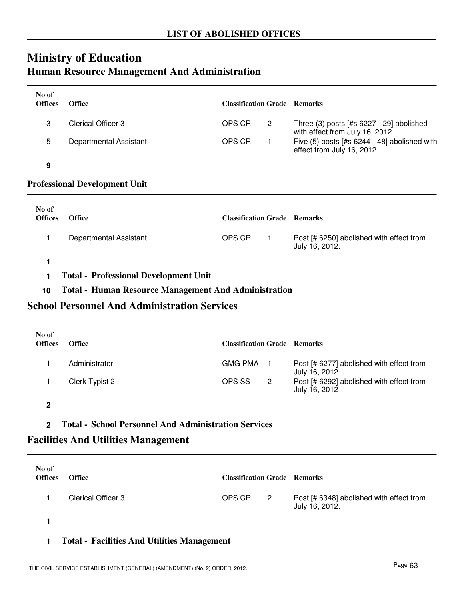### **Ministry of Education Human Resource Management And Administration**

| No of<br><b>Offices</b> | <b>Office</b>          | <b>Classification Grade Remarks</b> |                                                                               |
|-------------------------|------------------------|-------------------------------------|-------------------------------------------------------------------------------|
| 3                       | Clerical Officer 3     | OPS CR<br>-2                        | Three $(3)$ posts [#s 6227 - 29] abolished<br>with effect from July 16, 2012. |
| 5                       | Departmental Assistant | OPS CR                              | Five (5) posts [#s 6244 - 48] abolished with<br>effect from July 16, 2012.    |
| 9                       |                        |                                     |                                                                               |

#### **Professional Development Unit**

| No of<br><b>Offices</b> | <b>Office</b>          | <b>Classification Grade Remarks</b> |                                                            |
|-------------------------|------------------------|-------------------------------------|------------------------------------------------------------|
|                         | Departmental Assistant | OPS CR                              | Post [# 6250] abolished with effect from<br>July 16, 2012. |

**1**

**1 Total - Professional Development Unit**

### **10 Total - Human Resource Management And Administration**

### **School Personnel And Administration Services**

| No of<br><b>Offices</b> | <b>Office</b>  | <b>Classification Grade Remarks</b> |                |                                                            |
|-------------------------|----------------|-------------------------------------|----------------|------------------------------------------------------------|
|                         | Administrator  | <b>GMG PMA</b>                      |                | Post [# 6277] abolished with effect from<br>July 16, 2012. |
|                         | Clerk Typist 2 | OPS SS                              | $\overline{2}$ | Post [# 6292] abolished with effect from<br>July 16, 2012  |

**2**

**2 Total - School Personnel And Administration Services**

### **Facilities And Utilities Management**

| No of<br><b>Offices</b> | <b>Office</b>      | <b>Classification Grade Remarks</b> |                            |                                                            |
|-------------------------|--------------------|-------------------------------------|----------------------------|------------------------------------------------------------|
|                         | Clerical Officer 3 | OPS CR                              | $\overline{\phantom{a}}^2$ | Post [# 6348] abolished with effect from<br>July 16, 2012. |
|                         |                    |                                     |                            |                                                            |

**1 Total - Facilities And Utilities Management**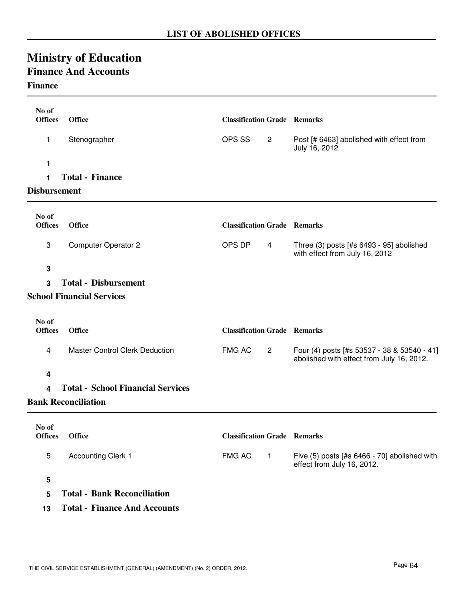# **Ministry of Education**

# **Finance And Accounts**

### **Finance**

| No of<br><b>Offices</b> | <b>Office</b>                            | <b>Classification Grade Remarks</b> |                                                                                          |
|-------------------------|------------------------------------------|-------------------------------------|------------------------------------------------------------------------------------------|
| 1                       | Stenographer                             | OPS SS<br>$\mathbf{2}$              | Post [# 6463] abolished with effect from<br>July 16, 2012                                |
| 1                       |                                          |                                     |                                                                                          |
| 1                       | <b>Total - Finance</b>                   |                                     |                                                                                          |
| <b>Disbursement</b>     |                                          |                                     |                                                                                          |
| No of<br><b>Offices</b> | <b>Office</b>                            | <b>Classification Grade Remarks</b> |                                                                                          |
| 3                       | <b>Computer Operator 2</b>               | OPS DP<br>4                         | Three (3) posts [#s 6493 - 95] abolished<br>with effect from July 16, 2012               |
| 3                       |                                          |                                     |                                                                                          |
| 3                       | <b>Total - Disbursement</b>              |                                     |                                                                                          |
|                         | <b>School Financial Services</b>         |                                     |                                                                                          |
| No of                   |                                          |                                     |                                                                                          |
| <b>Offices</b>          | <b>Office</b>                            | <b>Classification Grade Remarks</b> |                                                                                          |
| 4                       | <b>Master Control Clerk Deduction</b>    | <b>FMG AC</b><br>$\mathbf{2}$       | Four (4) posts [#s 53537 - 38 & 53540 - 41]<br>abolished with effect from July 16, 2012. |
| 4                       |                                          |                                     |                                                                                          |
| 4                       | <b>Total - School Financial Services</b> |                                     |                                                                                          |
|                         | <b>Bank Reconciliation</b>               |                                     |                                                                                          |
| No of                   |                                          |                                     |                                                                                          |
| <b>Offices</b>          | <b>Office</b>                            | <b>Classification Grade Remarks</b> |                                                                                          |
| 5                       | <b>Accounting Clerk 1</b>                | <b>FMG AC</b><br>$\mathbf{1}$       | Five (5) posts [#s 6466 - 70] abolished with<br>effect from July 16, 2012.               |
| 5                       |                                          |                                     |                                                                                          |
| 5                       | <b>Total - Bank Reconciliation</b>       |                                     |                                                                                          |
| 13                      | <b>Total - Finance And Accounts</b>      |                                     |                                                                                          |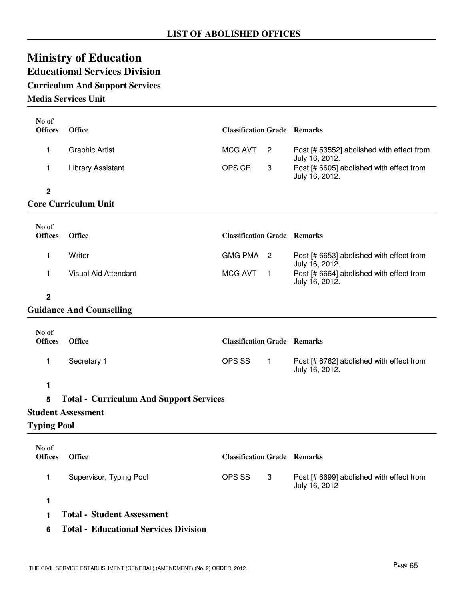# **Ministry of Education Educational Services Division**

# **Curriculum And Support Services**

### **Media Services Unit**

| No of<br><b>Offices</b> | <b>Office</b>                                  | <b>Classification Grade Remarks</b> |                |                                                             |
|-------------------------|------------------------------------------------|-------------------------------------|----------------|-------------------------------------------------------------|
| 1                       | <b>Graphic Artist</b>                          | <b>MCG AVT</b>                      | 2              | Post [# 53552] abolished with effect from<br>July 16, 2012. |
| 1                       | <b>Library Assistant</b>                       | OPS CR                              | 3              | Post [# 6605] abolished with effect from<br>July 16, 2012.  |
| $\mathbf 2$             |                                                |                                     |                |                                                             |
|                         | <b>Core Curriculum Unit</b>                    |                                     |                |                                                             |
| No of<br><b>Offices</b> | <b>Office</b>                                  | <b>Classification Grade Remarks</b> |                |                                                             |
| 1                       | Writer                                         | <b>GMG PMA</b>                      | $\overline{2}$ | Post [# 6653] abolished with effect from<br>July 16, 2012.  |
| 1                       | Visual Aid Attendant                           | <b>MCG AVT</b>                      | $\mathbf 1$    | Post [# 6664] abolished with effect from<br>July 16, 2012.  |
| $\mathbf 2$             |                                                |                                     |                |                                                             |
|                         | <b>Guidance And Counselling</b>                |                                     |                |                                                             |
| No of                   |                                                |                                     |                |                                                             |
| <b>Offices</b>          | <b>Office</b>                                  | <b>Classification Grade Remarks</b> |                |                                                             |
| 1                       | Secretary 1                                    | OPS SS                              | $\mathbf{1}$   | Post [# 6762] abolished with effect from<br>July 16, 2012.  |
| 1                       |                                                |                                     |                |                                                             |
| 5                       | <b>Total - Curriculum And Support Services</b> |                                     |                |                                                             |
|                         | <b>Student Assessment</b>                      |                                     |                |                                                             |
| <b>Typing Pool</b>      |                                                |                                     |                |                                                             |
| No of<br><b>Offices</b> | <b>Office</b>                                  | <b>Classification Grade Remarks</b> |                |                                                             |
| 1                       | Supervisor, Typing Pool                        | OPS SS                              | 3              | Post [# 6699] abolished with effect from<br>July 16, 2012   |
| 1                       |                                                |                                     |                |                                                             |
| 1                       | <b>Total - Student Assessment</b>              |                                     |                |                                                             |
|                         |                                                |                                     |                |                                                             |

**6 Total - Educational Services Division**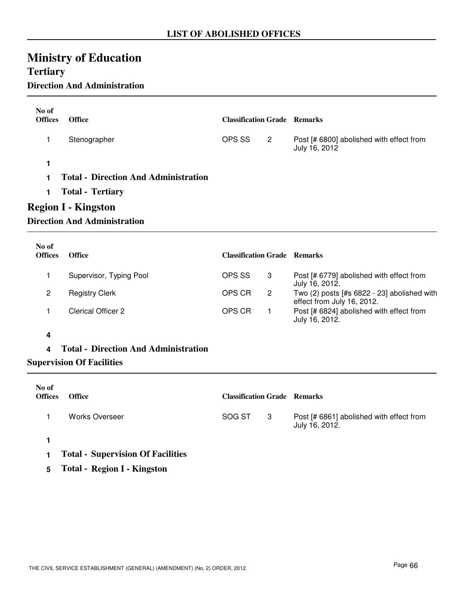# **Ministry of Education Tertiary**

## **Direction And Administration**

| No of<br><b>Offices</b> | <b>Office</b>                                                                                                                               | <b>Classification Grade Remarks</b> |                |                                                           |
|-------------------------|---------------------------------------------------------------------------------------------------------------------------------------------|-------------------------------------|----------------|-----------------------------------------------------------|
|                         | Stenographer                                                                                                                                | OPS SS                              | $\overline{2}$ | Post [# 6800] abolished with effect from<br>July 16, 2012 |
| 1<br>1.<br>1            | <b>Total - Direction And Administration</b><br><b>Total - Tertiary</b><br><b>Region I - Kingston</b><br><b>Direction And Administration</b> |                                     |                |                                                           |

| No of<br><b>Offices</b> | <b>Office</b>           | <b>Classification Grade Remarks</b> |                                                                           |
|-------------------------|-------------------------|-------------------------------------|---------------------------------------------------------------------------|
|                         | Supervisor, Typing Pool | OPS SS<br>3                         | Post [# 6779] abolished with effect from<br>July 16, 2012.                |
| 2                       | <b>Registry Clerk</b>   | OPS CR<br>$\overline{2}$            | Two (2) posts [#s 6822 - 23] abolished with<br>effect from July 16, 2012. |
|                         | Clerical Officer 2      | OPS CR                              | Post [# 6824] abolished with effect from<br>July 16, 2012.                |

#### **4**

**4 Total - Direction And Administration**

**Supervision Of Facilities**

| No of<br><b>Offices</b> | <b>Office</b>                            | <b>Classification Grade Remarks</b> |    |                                                            |
|-------------------------|------------------------------------------|-------------------------------------|----|------------------------------------------------------------|
|                         | Works Overseer                           | SOG ST                              | -3 | Post [# 6861] abolished with effect from<br>July 16, 2012. |
|                         |                                          |                                     |    |                                                            |
|                         | <b>Total - Supervision Of Facilities</b> |                                     |    |                                                            |

**5 Total - Region I - Kingston**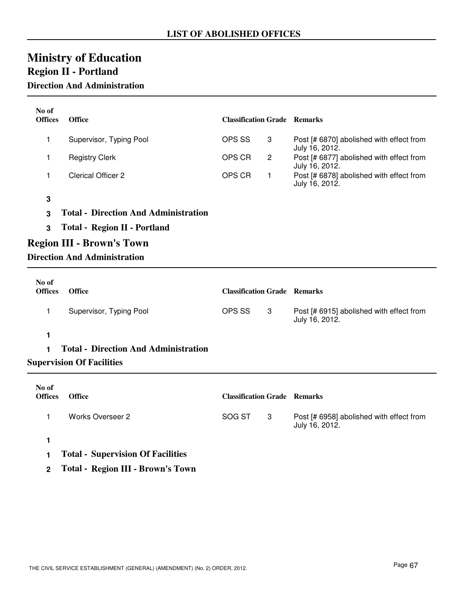# **Ministry of Education Region II - Portland**

### **Direction And Administration**

| No of<br><b>Offices</b>          | <b>Office</b>                               | <b>Classification Grade Remarks</b> |                |                                                            |
|----------------------------------|---------------------------------------------|-------------------------------------|----------------|------------------------------------------------------------|
| 1                                | Supervisor, Typing Pool                     | OPS SS                              | 3              | Post [# 6870] abolished with effect from<br>July 16, 2012. |
| 1                                | <b>Registry Clerk</b>                       | OPS CR                              | $\overline{c}$ | Post [# 6877] abolished with effect from<br>July 16, 2012. |
| 1                                | <b>Clerical Officer 2</b>                   | OPS CR                              | 1              | Post [# 6878] abolished with effect from<br>July 16, 2012. |
| 3                                |                                             |                                     |                |                                                            |
| 3                                | <b>Total - Direction And Administration</b> |                                     |                |                                                            |
| 3                                | <b>Total - Region II - Portland</b>         |                                     |                |                                                            |
| <b>Region III - Brown's Town</b> |                                             |                                     |                |                                                            |
|                                  | <b>Direction And Administration</b>         |                                     |                |                                                            |
|                                  |                                             |                                     |                |                                                            |
|                                  |                                             |                                     |                |                                                            |
| No of<br><b>Offices</b>          | <b>Office</b>                               | <b>Classification Grade Remarks</b> |                |                                                            |
| 1                                | Supervisor, Typing Pool                     | OPS SS                              | 3              | Post [# 6915] abolished with effect from<br>July 16, 2012. |
| 1                                |                                             |                                     |                |                                                            |
| 1                                | <b>Total - Direction And Administration</b> |                                     |                |                                                            |
|                                  | <b>Supervision Of Facilities</b>            |                                     |                |                                                            |
|                                  |                                             |                                     |                |                                                            |
| No of<br><b>Offices</b>          | <b>Office</b>                               | <b>Classification Grade Remarks</b> |                |                                                            |

**1**

- **1 Total Supervision Of Facilities**
- **2 Total Region III Brown's Town**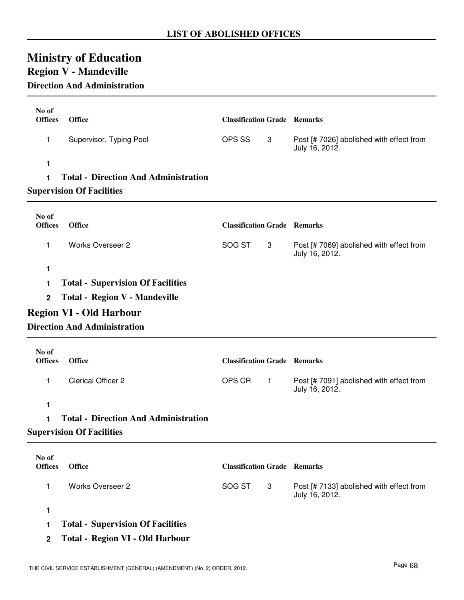## **Ministry of Education Region V - Mandeville**

## **Direction And Administration**

| No of<br><b>Offices</b> | <b>Office</b>                               | <b>Classification Grade Remarks</b> |           |                                                            |
|-------------------------|---------------------------------------------|-------------------------------------|-----------|------------------------------------------------------------|
| 1                       | Supervisor, Typing Pool                     | OPS SS                              | 3         | Post [# 7026] abolished with effect from<br>July 16, 2012. |
| 1                       |                                             |                                     |           |                                                            |
| 1                       | <b>Total - Direction And Administration</b> |                                     |           |                                                            |
|                         | <b>Supervision Of Facilities</b>            |                                     |           |                                                            |
| No of<br><b>Offices</b> | Office                                      | <b>Classification Grade Remarks</b> |           |                                                            |
| 1                       | <b>Works Overseer 2</b>                     | SOG ST                              | 3         | Post [# 7069] abolished with effect from<br>July 16, 2012. |
| 1                       |                                             |                                     |           |                                                            |
| 1                       | <b>Total - Supervision Of Facilities</b>    |                                     |           |                                                            |
| $\overline{2}$          | Total - Region V - Mandeville               |                                     |           |                                                            |
|                         | <b>Region VI - Old Harbour</b>              |                                     |           |                                                            |
|                         | <b>Direction And Administration</b>         |                                     |           |                                                            |
| No of                   |                                             |                                     |           |                                                            |
| <b>Offices</b>          | <b>Office</b>                               | <b>Classification Grade Remarks</b> |           |                                                            |
| 1                       | <b>Clerical Officer 2</b>                   | OPS CR                              | $\vert$ 1 | Post [# 7091] abolished with effect from<br>July 16, 2012. |
| 1                       |                                             |                                     |           |                                                            |
| 1                       | <b>Total - Direction And Administration</b> |                                     |           |                                                            |
|                         | <b>Supervision Of Facilities</b>            |                                     |           |                                                            |
| No of                   |                                             |                                     |           |                                                            |
| <b>Offices</b>          | <b>Office</b>                               | <b>Classification Grade Remarks</b> |           |                                                            |
| 1                       | <b>Works Overseer 2</b>                     | SOG ST                              | 3         | Post [# 7133] abolished with effect from<br>July 16, 2012. |
| 1                       |                                             |                                     |           |                                                            |
|                         |                                             |                                     |           |                                                            |

**2 Total - Region VI - Old Harbour**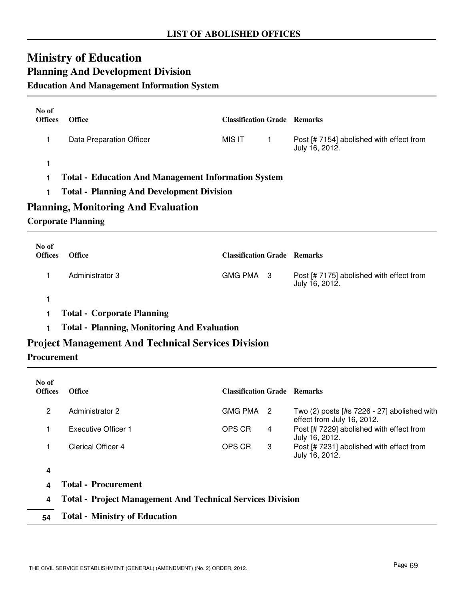## **Ministry of Education Planning And Development Division**

### **Education And Management Information System**

| No of<br><b>Offices</b> | <b>Office</b>            | <b>Classification Grade Remarks</b> |                                                            |
|-------------------------|--------------------------|-------------------------------------|------------------------------------------------------------|
|                         | Data Preparation Officer | MIS IT                              | Post [# 7154] abolished with effect from<br>July 16, 2012. |
|                         |                          |                                     |                                                            |

- **1 Total Education And Management Information System**
- **1 Total Planning And Development Division**

### **Planning, Monitoring And Evaluation**

#### **Corporate Planning**

| No of<br><b>Offices</b> | <b>Office</b>   | <b>Classification Grade Remarks</b> |                                                            |
|-------------------------|-----------------|-------------------------------------|------------------------------------------------------------|
|                         | Administrator 3 | GMG PMA 3                           | Post [# 7175] abolished with effect from<br>July 16, 2012. |

**1**

**1 Total - Corporate Planning**

**1 Total - Planning, Monitoring And Evaluation**

### **Project Management And Technical Services Division**

#### **Procurement**

| No of<br><b>Offices</b> | <b>Office</b>                                                     | <b>Classification Grade Remarks</b> |    |                                                                             |
|-------------------------|-------------------------------------------------------------------|-------------------------------------|----|-----------------------------------------------------------------------------|
| 2                       | <b>Administrator 2</b>                                            | <b>GMG PMA</b>                      | -2 | Two $(2)$ posts [#s 7226 - 27] abolished with<br>effect from July 16, 2012. |
|                         | Executive Officer 1                                               | OPS CR                              | 4  | Post [# 7229] abolished with effect from<br>July 16, 2012.                  |
|                         | <b>Clerical Officer 4</b>                                         | OPS CR                              | 3  | Post [# 7231] abolished with effect from<br>July 16, 2012.                  |
| 4                       |                                                                   |                                     |    |                                                                             |
|                         | <b>Total - Procurement</b>                                        |                                     |    |                                                                             |
| 4                       | <b>Total - Project Management And Technical Services Division</b> |                                     |    |                                                                             |
| 54                      | <b>Total - Ministry of Education</b>                              |                                     |    |                                                                             |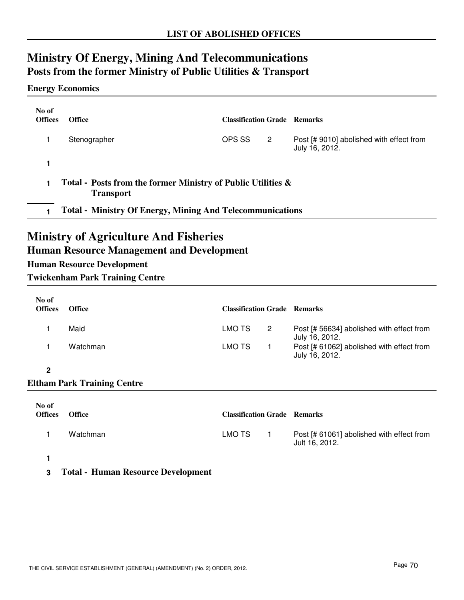## **Ministry Of Energy, Mining And Telecommunications Posts from the former Ministry of Public Utilities & Transport**

#### **Energy Economics**

| No of<br><b>Offices</b>                                                          | <b>Office</b> | <b>Classification Grade Remarks</b> |   |                                                            |
|----------------------------------------------------------------------------------|---------------|-------------------------------------|---|------------------------------------------------------------|
|                                                                                  | Stenographer  | OPS SS                              | 2 | Post [# 9010] abolished with effect from<br>July 16, 2012. |
|                                                                                  |               |                                     |   |                                                            |
| Total - Posts from the former Ministry of Public Utilities &<br><b>Transport</b> |               |                                     |   |                                                            |
| <b>Total - Ministry Of Energy, Mining And Telecommunications</b>                 |               |                                     |   |                                                            |
|                                                                                  |               |                                     |   |                                                            |

### **Ministry of Agriculture And Fisheries**

### **Human Resource Management and Development**

### **Human Resource Development**

**Twickenham Park Training Centre**

| No of<br><b>Offices</b> | <b>Office</b> | <b>Classification Grade Remarks</b> |    |                                                             |
|-------------------------|---------------|-------------------------------------|----|-------------------------------------------------------------|
|                         | Maid          | LMO TS                              | -2 | Post [# 56634] abolished with effect from<br>July 16, 2012. |
|                         | Watchman      | LMO TS                              |    | Post [# 61062] abolished with effect from<br>July 16, 2012. |

#### **2**

### **Eltham Park Training Centre**

| No of<br><b>Offices</b> | <b>Office</b> | <b>Classification Grade Remarks</b> |                                                             |
|-------------------------|---------------|-------------------------------------|-------------------------------------------------------------|
|                         | Watchman      | LMO TS                              | Post [# 61061] abolished with effect from<br>Jult 16, 2012. |
|                         |               |                                     |                                                             |

**3 Total - Human Resource Development**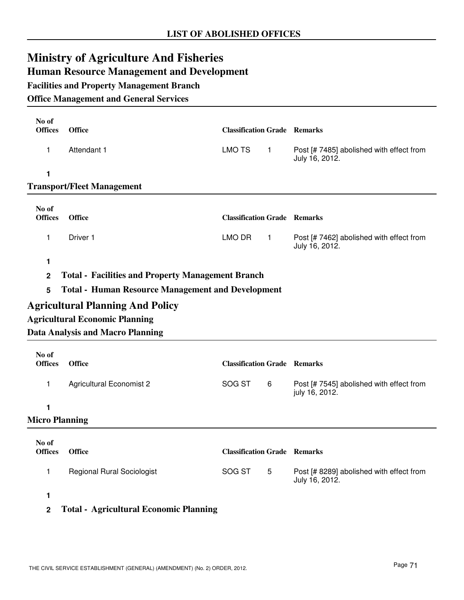# **Ministry of Agriculture And Fisheries**

### **Human Resource Management and Development**

**Facilities and Property Management Branch**

#### **Office Management and General Services**

| No of<br><b>Offices</b> | <b>Office</b>                                            | <b>Classification Grade Remarks</b> |              |                                                            |
|-------------------------|----------------------------------------------------------|-------------------------------------|--------------|------------------------------------------------------------|
| 1                       | Attendant 1                                              | <b>LMO TS</b>                       | $\mathbf{1}$ | Post [# 7485] abolished with effect from<br>July 16, 2012. |
| 1                       |                                                          |                                     |              |                                                            |
|                         | <b>Transport/Fleet Management</b>                        |                                     |              |                                                            |
| No of<br><b>Offices</b> | <b>Office</b>                                            | <b>Classification Grade Remarks</b> |              |                                                            |
| 1                       | Driver 1                                                 | LMO DR                              | $\mathbf{1}$ | Post [# 7462] abolished with effect from<br>July 16, 2012. |
| $\mathbf{1}$            |                                                          |                                     |              |                                                            |
| $\mathbf 2$             | <b>Total - Facilities and Property Management Branch</b> |                                     |              |                                                            |
| 5                       | <b>Total - Human Resource Management and Development</b> |                                     |              |                                                            |
|                         | <b>Agricultural Planning And Policy</b>                  |                                     |              |                                                            |
|                         | <b>Agricultural Economic Planning</b>                    |                                     |              |                                                            |
|                         | <b>Data Analysis and Macro Planning</b>                  |                                     |              |                                                            |
| No of<br><b>Offices</b> | <b>Office</b>                                            | <b>Classification Grade Remarks</b> |              |                                                            |
| $\mathbf{1}$            | <b>Agricultural Economist 2</b>                          | SOG ST                              | 6            | Post [# 7545] abolished with effect from<br>july 16, 2012. |
| 1                       |                                                          |                                     |              |                                                            |
| <b>Micro Planning</b>   |                                                          |                                     |              |                                                            |
| No of<br><b>Offices</b> | <b>Office</b>                                            | <b>Classification Grade Remarks</b> |              |                                                            |
| 1                       | <b>Regional Rural Sociologist</b>                        | SOG ST                              | 5            | Post [# 8289] abolished with effect from<br>July 16, 2012. |
| 1                       |                                                          |                                     |              |                                                            |

### **2 Total - Agricultural Economic Planning**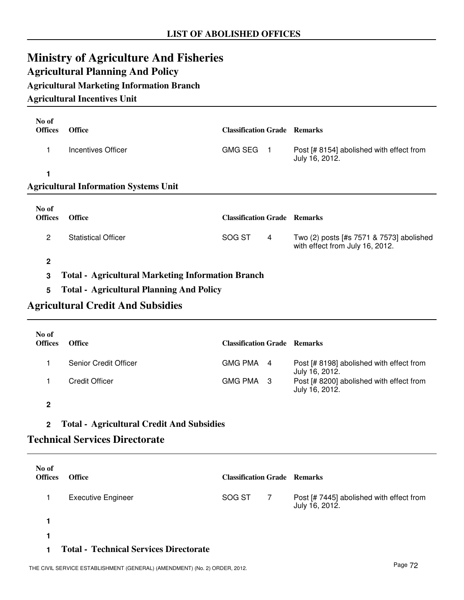## **Ministry of Agriculture And Fisheries Agricultural Planning And Policy**

### **Agricultural Marketing Information Branch**

#### **Agricultural Incentives Unit**

| No of<br><b>Offices</b> | <b>Office</b>                                            | <b>Classification Grade Remarks</b> |                |                                                                             |
|-------------------------|----------------------------------------------------------|-------------------------------------|----------------|-----------------------------------------------------------------------------|
| 1                       | Incentives Officer                                       | <b>GMG SEG</b>                      | $\overline{1}$ | Post [# 8154] abolished with effect from<br>July 16, 2012.                  |
|                         |                                                          |                                     |                |                                                                             |
|                         | <b>Agricultural Information Systems Unit</b>             |                                     |                |                                                                             |
| No of<br><b>Offices</b> | <b>Office</b>                                            | <b>Classification Grade Remarks</b> |                |                                                                             |
| $\overline{2}$          | <b>Statistical Officer</b>                               | SOG ST                              | 4              | Two (2) posts [#s 7571 & 7573] abolished<br>with effect from July 16, 2012. |
| $\mathbf{2}$            |                                                          |                                     |                |                                                                             |
| 3                       | <b>Total - Agricultural Marketing Information Branch</b> |                                     |                |                                                                             |

## **Agricultural Credit And Subsidies**

**5 Total - Agricultural Planning And Policy**

| No of<br><b>Offices</b> | <b>Office</b>         | <b>Classification Grade Remarks</b> |                                                            |
|-------------------------|-----------------------|-------------------------------------|------------------------------------------------------------|
|                         | Senior Credit Officer | GMG PMA 4                           | Post [# 8198] abolished with effect from<br>July 16, 2012. |
|                         | <b>Credit Officer</b> | GMG PMA 3                           | Post [# 8200] abolished with effect from<br>July 16, 2012. |

**2**

#### **2 Total - Agricultural Credit And Subsidies**

#### **Technical Services Directorate**

| No of<br><b>Offices</b> | <b>Office</b>             | <b>Classification Grade Remarks</b> |   |                                                            |
|-------------------------|---------------------------|-------------------------------------|---|------------------------------------------------------------|
|                         | <b>Executive Engineer</b> | SOG ST                              | 7 | Post [# 7445] abolished with effect from<br>July 16, 2012. |
|                         |                           |                                     |   |                                                            |
|                         |                           |                                     |   |                                                            |

#### **1 Total - Technical Services Directorate**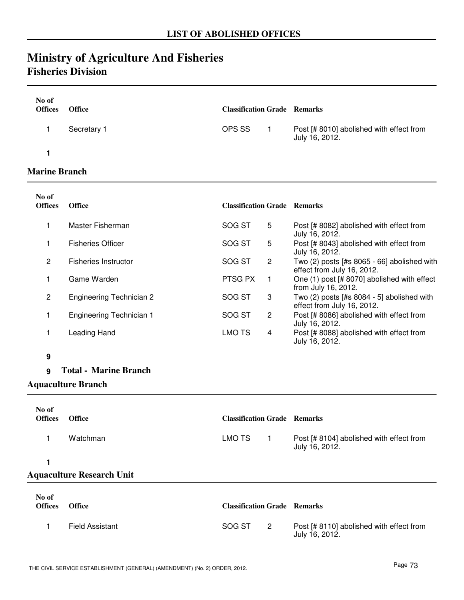## **Ministry of Agriculture And Fisheries Fisheries Division**

| No of<br><b>Offices</b> | <b>Office</b> | <b>Classification Grade Remarks</b> |                                                            |
|-------------------------|---------------|-------------------------------------|------------------------------------------------------------|
|                         | Secretary 1   | OPS SS                              | Post [# 8010] abolished with effect from<br>July 16, 2012. |
|                         |               |                                     |                                                            |

#### **Marine Branch**

| No of<br><b>Offices</b> | <b>Office</b>                   | <b>Classification Grade Remarks</b> |                |                                                                             |
|-------------------------|---------------------------------|-------------------------------------|----------------|-----------------------------------------------------------------------------|
|                         | Master Fisherman                | SOG ST                              | 5              | Post [# 8082] abolished with effect from<br>July 16, 2012.                  |
|                         | <b>Fisheries Officer</b>        | SOG ST                              | 5              | Post [# 8043] abolished with effect from<br>July 16, 2012.                  |
| $\mathbf{2}$            | <b>Fisheries Instructor</b>     | SOG ST                              | $\overline{2}$ | Two $(2)$ posts [#s 8065 - 66] abolished with<br>effect from July 16, 2012. |
|                         | Game Warden                     | PTSG PX                             | 1              | One (1) post [# 8070] abolished with effect<br>from July 16, 2012.          |
| $\overline{c}$          | <b>Engineering Technician 2</b> | SOG ST                              | 3              | Two $(2)$ posts [#s 8084 - 5] abolished with<br>effect from July 16, 2012.  |
|                         | <b>Engineering Technician 1</b> | SOG ST                              | $\overline{2}$ | Post [# 8086] abolished with effect from<br>July 16, 2012.                  |
|                         | Leading Hand                    | LMO TS                              | 4              | Post [# 8088] abolished with effect from<br>July 16, 2012.                  |
| 9                       |                                 |                                     |                |                                                                             |
| 9                       | <b>Total - Marine Branch</b>    |                                     |                |                                                                             |
|                         | <b>Aquaculture Branch</b>       |                                     |                |                                                                             |

| No of<br><b>Offices</b> | <b>Office</b>                    | <b>Classification Grade Remarks</b> |                  |                                                            |
|-------------------------|----------------------------------|-------------------------------------|------------------|------------------------------------------------------------|
|                         | Watchman                         | LMO TS                              | $\blacksquare$ 1 | Post [# 8104] abolished with effect from<br>July 16, 2012. |
|                         |                                  |                                     |                  |                                                            |
|                         | <b>Aquaculture Research Unit</b> |                                     |                  |                                                            |
| No of<br>$\sim$ $\sim$  | $\sim$ $\sim$                    |                                     |                  |                                                            |

| <b>Offices</b> | <b>Office</b>   | <b>Classification Grade Remarks</b> |                                                            |
|----------------|-----------------|-------------------------------------|------------------------------------------------------------|
|                | Field Assistant | SOG ST                              | Post [# 8110] abolished with effect from<br>July 16, 2012. |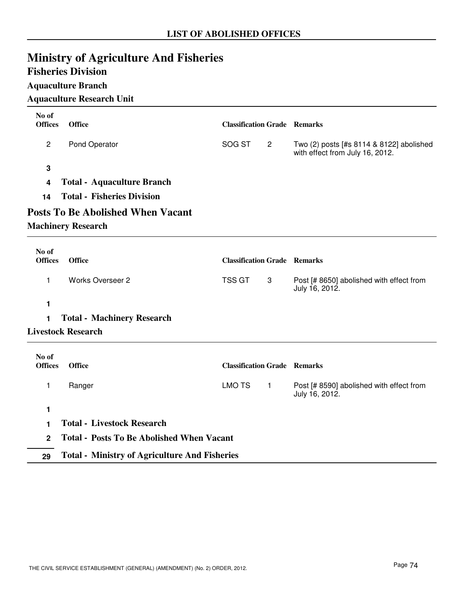## **Ministry of Agriculture And Fisheries**

### **Fisheries Division**

#### **Aquaculture Branch**

### **Aquaculture Research Unit**

| No of          |                                                      |                                     |                |                                                                             |
|----------------|------------------------------------------------------|-------------------------------------|----------------|-----------------------------------------------------------------------------|
| <b>Offices</b> | Office                                               | <b>Classification Grade Remarks</b> |                |                                                                             |
| $\mathbf{2}$   | Pond Operator                                        | SOG ST                              | $\overline{2}$ | Two (2) posts [#s 8114 & 8122] abolished<br>with effect from July 16, 2012. |
| 3              |                                                      |                                     |                |                                                                             |
| 4              | <b>Total - Aquaculture Branch</b>                    |                                     |                |                                                                             |
| 14             | <b>Total - Fisheries Division</b>                    |                                     |                |                                                                             |
|                | <b>Posts To Be Abolished When Vacant</b>             |                                     |                |                                                                             |
|                | <b>Machinery Research</b>                            |                                     |                |                                                                             |
| No of          |                                                      |                                     |                |                                                                             |
| <b>Offices</b> | <b>Office</b>                                        | <b>Classification Grade Remarks</b> |                |                                                                             |
| 1              | <b>Works Overseer 2</b>                              | <b>TSS GT</b>                       | 3              | Post [# 8650] abolished with effect from<br>July 16, 2012.                  |
| 1              |                                                      |                                     |                |                                                                             |
| 1              | <b>Total - Machinery Research</b>                    |                                     |                |                                                                             |
|                | <b>Livestock Research</b>                            |                                     |                |                                                                             |
| No of          |                                                      |                                     |                |                                                                             |
| <b>Offices</b> | <b>Office</b>                                        | <b>Classification Grade Remarks</b> |                |                                                                             |
| 1              | Ranger                                               | <b>LMO TS</b>                       | $\mathbf{1}$   | Post [# 8590] abolished with effect from<br>July 16, 2012.                  |
| 1              |                                                      |                                     |                |                                                                             |
| 1              | <b>Total - Livestock Research</b>                    |                                     |                |                                                                             |
| $\mathbf{2}$   | <b>Total - Posts To Be Abolished When Vacant</b>     |                                     |                |                                                                             |
| 29             | <b>Total - Ministry of Agriculture And Fisheries</b> |                                     |                |                                                                             |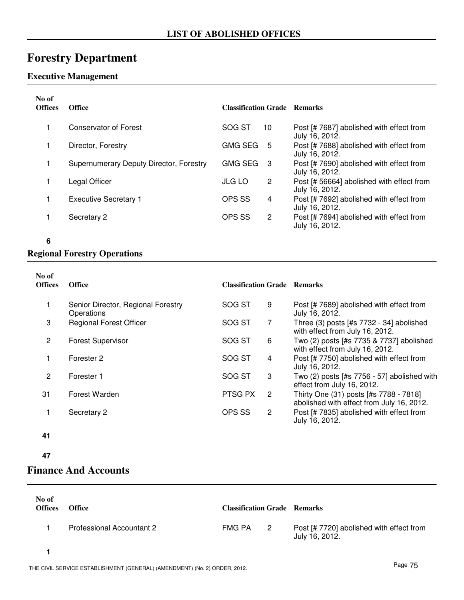## **Forestry Department**

### **Executive Management**

| No of<br><b>Offices</b> | <b>Office</b>                           | <b>Classification Grade Remarks</b> |                                                             |
|-------------------------|-----------------------------------------|-------------------------------------|-------------------------------------------------------------|
|                         | Conservator of Forest                   | SOG ST<br>10                        | Post [# 7687] abolished with effect from<br>July 16, 2012.  |
|                         | Director, Forestry                      | <b>GMG SEG</b><br>-5                | Post [# 7688] abolished with effect from<br>July 16, 2012.  |
|                         | Supernumerary Deputy Director, Forestry | <b>GMG SEG</b><br>-3                | Post [# 7690] abolished with effect from<br>July 16, 2012.  |
|                         | Legal Officer                           | <b>JLG LO</b><br>$\overline{2}$     | Post [# 56664] abolished with effect from<br>July 16, 2012. |
|                         | <b>Executive Secretary 1</b>            | OPS SS<br>4                         | Post [# 7692] abolished with effect from<br>July 16, 2012.  |
|                         | Secretary 2                             | OPS SS<br>2                         | Post [# 7694] abolished with effect from<br>July 16, 2012.  |

**6**

#### **Regional Forestry Operations**

| No of<br><b>Offices</b> | <b>Office</b>                                    | <b>Classification Grade Remarks</b> |              |                                                                                     |
|-------------------------|--------------------------------------------------|-------------------------------------|--------------|-------------------------------------------------------------------------------------|
| 1                       | Senior Director, Regional Forestry<br>Operations | SOG ST                              | 9            | Post [# 7689] abolished with effect from<br>July 16, 2012.                          |
| 3                       | <b>Regional Forest Officer</b>                   | SOG ST                              | 7            | Three $(3)$ posts [#s $7732 - 34$ ] abolished<br>with effect from July 16, 2012.    |
| 2                       | <b>Forest Supervisor</b>                         | SOG ST                              | 6            | Two (2) posts [#s 7735 & 7737] abolished<br>with effect from July 16, 2012.         |
|                         | Forester 2                                       | SOG ST                              | 4            | Post [# 7750] abolished with effect from<br>July 16, 2012.                          |
| $\overline{2}$          | Forester 1                                       | SOG ST                              | 3            | Two $(2)$ posts [#s 7756 - 57] abolished with<br>effect from July 16, 2012.         |
| 31                      | Forest Warden                                    | PTSG PX                             | 2            | Thirty One (31) posts [#s 7788 - 7818]<br>abolished with effect from July 16, 2012. |
|                         | Secretary 2                                      | OPS SS                              | $\mathbf{2}$ | Post [# 7835] abolished with effect from<br>July 16, 2012.                          |

- **41**
- **47**

### **Finance And Accounts**

| No of<br><b>Offices</b> | <b>Office</b>             | <b>Classification Grade Remarks</b> |                |                                                            |
|-------------------------|---------------------------|-------------------------------------|----------------|------------------------------------------------------------|
|                         | Professional Accountant 2 | FMG PA                              | $\overline{2}$ | Post [# 7720] abolished with effect from<br>July 16, 2012. |
|                         |                           |                                     |                |                                                            |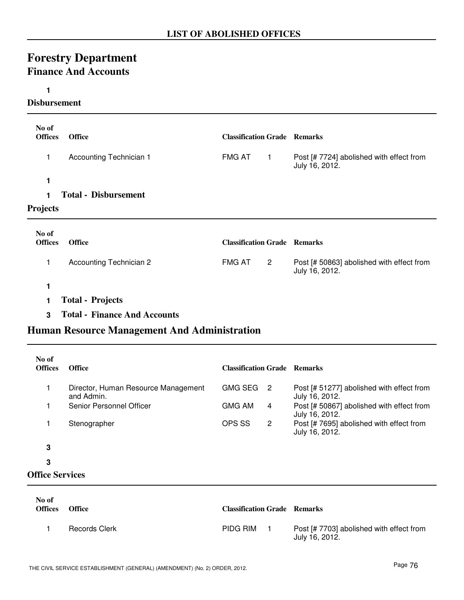## **Forestry Department Finance And Accounts**

#### **1**

#### **Disbursement**

| No of<br><b>Offices</b> | <b>Office</b>                  | <b>Classification Grade Remarks</b> |                |                                                             |
|-------------------------|--------------------------------|-------------------------------------|----------------|-------------------------------------------------------------|
| 1                       | Accounting Technician 1        | <b>FMG AT</b>                       | 1              | Post [# 7724] abolished with effect from<br>July 16, 2012.  |
| 1                       | <b>Total - Disbursement</b>    |                                     |                |                                                             |
| <b>Projects</b>         |                                |                                     |                |                                                             |
| No of<br><b>Offices</b> | <b>Office</b>                  | <b>Classification Grade Remarks</b> |                |                                                             |
| 1                       | <b>Accounting Technician 2</b> | <b>FMG AT</b>                       | $\overline{2}$ | Post [# 50863] abolished with effect from<br>July 16, 2012. |
|                         |                                |                                     |                |                                                             |

- **1 Total Projects**
- **3 Total Finance And Accounts**

### **Human Resource Management And Administration**

| No of<br><b>Offices</b> | <b>Office</b>                                     | <b>Classification Grade</b> |    | <b>Remarks</b>                                              |
|-------------------------|---------------------------------------------------|-----------------------------|----|-------------------------------------------------------------|
|                         | Director, Human Resource Management<br>and Admin. | <b>GMG SEG</b>              | -2 | Post [# 51277] abolished with effect from<br>July 16, 2012. |
|                         | Senior Personnel Officer                          | <b>GMG AM</b>               | 4  | Post [# 50867] abolished with effect from<br>July 16, 2012. |
|                         | Stenographer                                      | OPS SS                      | 2  | Post [# 7695] abolished with effect from<br>July 16, 2012.  |
| 3                       |                                                   |                             |    |                                                             |
| 3                       |                                                   |                             |    |                                                             |
| <b>Office Services</b>  |                                                   |                             |    |                                                             |

| No of<br><b>Offices</b> | <b>Office</b>        | <b>Classification Grade Remarks</b> |                                                            |
|-------------------------|----------------------|-------------------------------------|------------------------------------------------------------|
|                         | <b>Records Clerk</b> | PIDG RIM                            | Post [# 7703] abolished with effect from<br>July 16, 2012. |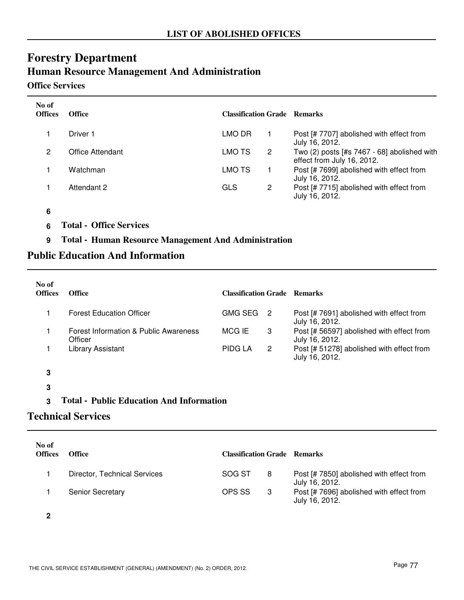## **Forestry Department Human Resource Management And Administration**

#### **Office Services**

| No of<br><b>Offices</b> | <b>Office</b>    | <b>Classification Grade Remarks</b> |   |                                                                           |
|-------------------------|------------------|-------------------------------------|---|---------------------------------------------------------------------------|
|                         | Driver 1         | LMO DR                              |   | Post [# 7707] abolished with effect from<br>July 16, 2012.                |
| 2                       | Office Attendant | LMO TS                              | 2 | Two (2) posts [#s 7467 - 68] abolished with<br>effect from July 16, 2012. |
|                         | Watchman         | LMO TS                              |   | Post [# 7699] abolished with effect from<br>July 16, 2012.                |
|                         | Attendant 2      | GLS                                 | 2 | Post [# 7715] abolished with effect from<br>July 16, 2012.                |

#### **6**

**6 Total - Office Services**

**9 Total - Human Resource Management And Administration**

### **Public Education And Information**

| No of<br><b>Offices</b> | <b>Office</b>                                    | <b>Classification Grade Remarks</b> |                |                                                             |
|-------------------------|--------------------------------------------------|-------------------------------------|----------------|-------------------------------------------------------------|
|                         | <b>Forest Education Officer</b>                  | <b>GMG SEG</b>                      | - 2            | Post [# 7691] abolished with effect from<br>July 16, 2012.  |
|                         | Forest Information & Public Awareness<br>Officer | MCG IE                              | 3              | Post [# 56597] abolished with effect from<br>July 16, 2012. |
|                         | Library Assistant                                | <b>PIDG LA</b>                      | $\overline{2}$ | Post [# 51278] abolished with effect from<br>July 16, 2012. |
| 3                       |                                                  |                                     |                |                                                             |
| 3                       |                                                  |                                     |                |                                                             |

### **3 Total - Public Education And Information**

### **Technical Services**

| No of<br><b>Offices</b> | <b>Office</b>                | <b>Classification Grade Remarks</b> |    |                                                            |
|-------------------------|------------------------------|-------------------------------------|----|------------------------------------------------------------|
|                         | Director, Technical Services | SOG ST                              | -8 | Post [# 7850] abolished with effect from<br>July 16, 2012. |
|                         | <b>Senior Secretary</b>      | OPS SS                              | -3 | Post [# 7696] abolished with effect from<br>July 16, 2012. |

**2**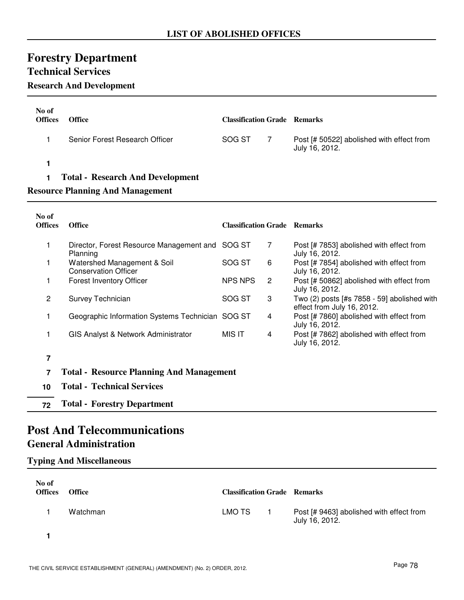## **Forestry Department**

### **Technical Services**

### **Research And Development**

| No of<br><b>Offices</b> | <b>Office</b>                           | <b>Classification Grade Remarks</b> |                                                             |
|-------------------------|-----------------------------------------|-------------------------------------|-------------------------------------------------------------|
|                         | Senior Forest Research Officer          | SOG ST                              | Post [# 50522] abolished with effect from<br>July 16, 2012. |
|                         |                                         |                                     |                                                             |
|                         | <b>Total - Research And Development</b> |                                     |                                                             |

#### **Resource Planning And Management**

| No of<br><b>Offices</b> | <b>Office</b>                                               | <b>Classification Grade Remarks</b> |   |                                                                             |
|-------------------------|-------------------------------------------------------------|-------------------------------------|---|-----------------------------------------------------------------------------|
|                         | Director, Forest Resource Management and SOG ST<br>Planning |                                     | 7 | Post [# 7853] abolished with effect from<br>July 16, 2012.                  |
|                         | Watershed Management & Soil<br><b>Conservation Officer</b>  | SOG ST                              | 6 | Post [# 7854] abolished with effect from<br>July 16, 2012.                  |
|                         | <b>Forest Inventory Officer</b>                             | <b>NPS NPS</b>                      | 2 | Post [# 50862] abolished with effect from<br>July 16, 2012.                 |
| $\overline{2}$          | Survey Technician                                           | SOG ST                              | 3 | Two $(2)$ posts [#s 7858 - 59] abolished with<br>effect from July 16, 2012. |
|                         | Geographic Information Systems Technician SOG ST            |                                     | 4 | Post [# 7860] abolished with effect from<br>July 16, 2012.                  |
|                         | GIS Analyst & Network Administrator                         | MIS IT                              | 4 | Post [# 7862] abolished with effect from<br>July 16, 2012.                  |
| 7                       |                                                             |                                     |   |                                                                             |
| 7                       | <b>Total - Resource Planning And Management</b>             |                                     |   |                                                                             |
| 10                      | <b>Total - Technical Services</b>                           |                                     |   |                                                                             |
| 72                      | <b>Total - Forestry Department</b>                          |                                     |   |                                                                             |

### **Post And Telecommunications General Administration**

#### **Typing And Miscellaneous**

| No of<br><b>Offices</b> | <b>Office</b> | <b>Classification Grade Remarks</b> |                                                            |
|-------------------------|---------------|-------------------------------------|------------------------------------------------------------|
|                         | Watchman      | LMO TS                              | Post [# 9463] abolished with effect from<br>July 16, 2012. |
|                         |               |                                     |                                                            |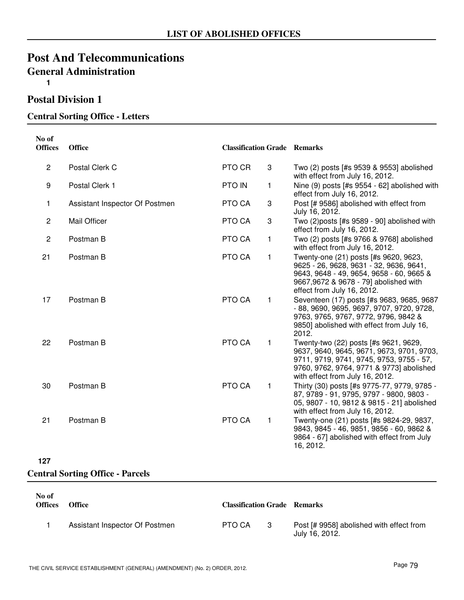### **Post And Telecommunications General Administration 1**

### **Postal Division 1**

#### **Central Sorting Office - Letters**

| No of<br><b>Offices</b> | Office                         | <b>Classification Grade Remarks</b> |              |                                                                                                                                                                                                               |
|-------------------------|--------------------------------|-------------------------------------|--------------|---------------------------------------------------------------------------------------------------------------------------------------------------------------------------------------------------------------|
| $\overline{2}$          | Postal Clerk C                 | PTO CR                              | 3            | Two (2) posts [#s 9539 & 9553] abolished<br>with effect from July 16, 2012.                                                                                                                                   |
| 9                       | Postal Clerk 1                 | <b>PTO IN</b>                       | 1            | Nine (9) posts [#s 9554 - 62] abolished with<br>effect from July 16, 2012.                                                                                                                                    |
| 1                       | Assistant Inspector Of Postmen | PTO CA                              | 3            | Post [# 9586] abolished with effect from<br>July 16, 2012.                                                                                                                                                    |
| $\overline{2}$          | <b>Mail Officer</b>            | PTO CA                              | 3            | Two (2)posts [#s 9589 - 90] abolished with<br>effect from July 16, 2012.                                                                                                                                      |
| $\overline{2}$          | Postman B                      | PTO CA                              | 1            | Two (2) posts [#s 9766 & 9768] abolished<br>with effect from July 16, 2012.                                                                                                                                   |
| 21                      | Postman B                      | PTO CA                              | $\mathbf{1}$ | Twenty-one (21) posts [#s 9620, 9623,<br>9625 - 26, 9628, 9631 - 32, 9636, 9641,<br>9643, 9648 - 49, 9654, 9658 - 60, 9665 &<br>9667,9672 & 9678 - 79] abolished with<br>effect from July 16, 2012.           |
| 17                      | Postman B                      | PTO CA                              | $\mathbf{1}$ | Seventeen (17) posts [#s 9683, 9685, 9687<br>- 88, 9690, 9695, 9697, 9707, 9720, 9728,<br>9763, 9765, 9767, 9772, 9796, 9842 &<br>9850] abolished with effect from July 16,<br>2012.                          |
| 22                      | Postman B                      | PTO CA                              | $\mathbf{1}$ | Twenty-two (22) posts [#s 9621, 9629,<br>9637, 9640, 9645, 9671, 9673, 9701, 9703,<br>9711, 9719, 9741, 9745, 9753, 9755 - 57,<br>9760, 9762, 9764, 9771 & 9773] abolished<br>with effect from July 16, 2012. |
| 30                      | Postman B                      | PTO CA                              | $\mathbf{1}$ | Thirty (30) posts [#s 9775-77, 9779, 9785 -<br>87, 9789 - 91, 9795, 9797 - 9800, 9803 -<br>05, 9807 - 10, 9812 & 9815 - 21] abolished<br>with effect from July 16, 2012.                                      |
| 21                      | Postman B                      | PTO CA                              | $\mathbf{1}$ | Twenty-one (21) posts [#s 9824-29, 9837,<br>9843, 9845 - 46, 9851, 9856 - 60, 9862 &<br>9864 - 67] abolished with effect from July<br>16, 2012.                                                               |

#### **127**

#### **Central Sorting Office - Parcels**

| No of<br><b>Offices</b> | <b>Office</b>                  | <b>Classification Grade Remarks</b> |                                                            |
|-------------------------|--------------------------------|-------------------------------------|------------------------------------------------------------|
|                         | Assistant Inspector Of Postmen | PTO CA                              | Post [# 9958] abolished with effect from<br>July 16, 2012. |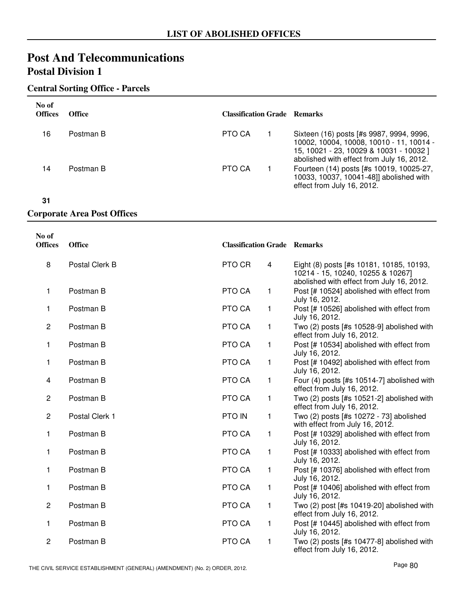#### **Central Sorting Office - Parcels**

| No of<br><b>Offices</b> | <b>Office</b> | <b>Classification Grade Remarks</b> |                                                                                                                                                                              |
|-------------------------|---------------|-------------------------------------|------------------------------------------------------------------------------------------------------------------------------------------------------------------------------|
| 16                      | Postman B     | PTO CA                              | Sixteen (16) posts [#s 9987, 9994, 9996,<br>10002, 10004, 10008, 10010 - 11, 10014 -<br>15, 10021 - 23, 10029 & 10031 - 10032 ]<br>abolished with effect from July 16, 2012. |
| 14                      | Postman B     | PTO CA                              | Fourteen (14) posts [#s 10019, 10025-27,<br>10033, 10037, 10041-48]] abolished with<br>effect from July 16, 2012.                                                            |

**31**

#### **Corporate Area Post Offices**

| No of<br><b>Offices</b> | <b>Office</b>  | <b>Classification Grade Remarks</b> |   |                                                                                                                            |
|-------------------------|----------------|-------------------------------------|---|----------------------------------------------------------------------------------------------------------------------------|
| 8                       | Postal Clerk B | PTO CR                              | 4 | Eight (8) posts [#s 10181, 10185, 10193,<br>10214 - 15, 10240, 10255 & 10267]<br>abolished with effect from July 16, 2012. |
| 1                       | Postman B      | PTO CA                              | 1 | Post [# 10524] abolished with effect from<br>July 16, 2012.                                                                |
| 1                       | Postman B      | PTO CA                              | 1 | Post [# 10526] abolished with effect from<br>July 16, 2012.                                                                |
| $\overline{2}$          | Postman B      | PTO CA                              | 1 | Two (2) posts [#s 10528-9] abolished with<br>effect from July 16, 2012.                                                    |
| 1                       | Postman B      | PTO CA                              | 1 | Post [# 10534] abolished with effect from<br>July 16, 2012.                                                                |
| 1                       | Postman B      | PTO CA                              | 1 | Post [# 10492] abolished with effect from<br>July 16, 2012.                                                                |
| 4                       | Postman B      | PTO CA                              | 1 | Four (4) posts [#s 10514-7] abolished with<br>effect from July 16, 2012.                                                   |
| 2                       | Postman B      | PTO CA                              | 1 | Two (2) posts [#s 10521-2] abolished with<br>effect from July 16, 2012.                                                    |
| $\overline{c}$          | Postal Clerk 1 | PTO IN                              | 1 | Two (2) posts [#s 10272 - 73] abolished<br>with effect from July 16, 2012.                                                 |
| 1                       | Postman B      | PTO CA                              | 1 | Post [# 10329] abolished with effect from<br>July 16, 2012.                                                                |
| 1                       | Postman B      | PTO CA                              | 1 | Post [# 10333] abolished with effect from<br>July 16, 2012.                                                                |
| 1                       | Postman B      | PTO CA                              | 1 | Post [# 10376] abolished with effect from<br>July 16, 2012.                                                                |
| 1.                      | Postman B      | PTO CA                              | 1 | Post [# 10406] abolished with effect from<br>July 16, 2012.                                                                |
| $\overline{c}$          | Postman B      | PTO CA                              | 1 | Two (2) post [#s 10419-20] abolished with<br>effect from July 16, 2012.                                                    |
| 1                       | Postman B      | PTO CA                              | 1 | Post [# 10445] abolished with effect from<br>July 16, 2012.                                                                |
| $\overline{c}$          | Postman B      | PTO CA                              | 1 | Two (2) posts [#s 10477-8] abolished with<br>effect from July 16, 2012.                                                    |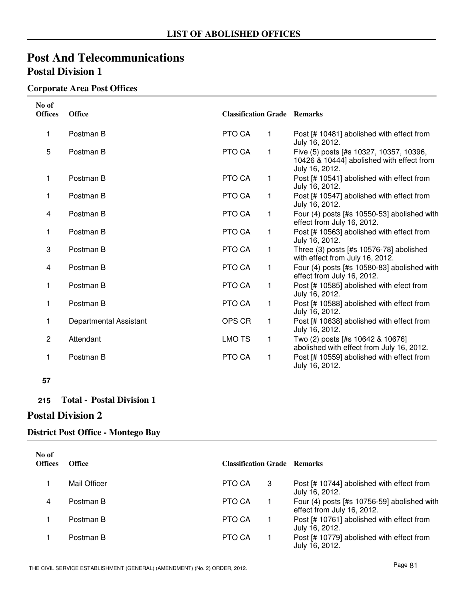#### **Corporate Area Post Offices**

| No of<br><b>Offices</b> | <b>Office</b>          | <b>Classification Grade Remarks</b> |              |                                                                                                        |
|-------------------------|------------------------|-------------------------------------|--------------|--------------------------------------------------------------------------------------------------------|
| 1                       | Postman B              | PTO CA                              | $\mathbf{1}$ | Post [# 10481] abolished with effect from<br>July 16, 2012.                                            |
| 5                       | Postman B              | PTO CA                              | 1            | Five (5) posts [#s 10327, 10357, 10396,<br>10426 & 10444] abolished with effect from<br>July 16, 2012. |
| 1                       | Postman B              | PTO CA                              | 1            | Post [# 10541] abolished with effect from<br>July 16, 2012.                                            |
| 1                       | Postman B              | PTO CA                              | 1            | Post [# 10547] abolished with effect from<br>July 16, 2012.                                            |
| 4                       | Postman B              | PTO CA                              | 1            | Four (4) posts [#s 10550-53] abolished with<br>effect from July 16, 2012.                              |
| 1                       | Postman B              | PTO CA                              | 1            | Post [# 10563] abolished with effect from<br>July 16, 2012.                                            |
| 3                       | Postman B              | PTO CA                              | 1            | Three (3) posts [#s 10576-78] abolished<br>with effect from July 16, 2012.                             |
| 4                       | Postman B              | PTO CA                              | 1            | Four (4) posts [#s 10580-83] abolished with<br>effect from July 16, 2012.                              |
| 1                       | Postman B              | PTO CA                              | 1            | Post [# 10585] abolished with efect from<br>July 16, 2012.                                             |
| 1                       | Postman B              | PTO CA                              | 1            | Post [# 10588] abolished with effect from<br>July 16, 2012.                                            |
| 1                       | Departmental Assistant | OPS CR                              | 1            | Post [# 10638] abolished with effect from<br>July 16, 2012.                                            |
| $\overline{2}$          | Attendant              | <b>LMO TS</b>                       | 1            | Two (2) posts [#s 10642 & 10676]<br>abolished with effect from July 16, 2012.                          |
| 1                       | Postman B              | PTO CA                              | 1            | Post [# 10559] abolished with effect from<br>July 16, 2012.                                            |

**<sup>57</sup>**

#### **215 Total - Postal Division 1**

### **Postal Division 2**

#### **District Post Office - Montego Bay**

| No of<br><b>Offices</b> | <b>Office</b> | <b>Classification Grade Remarks</b> |   |                                                                             |
|-------------------------|---------------|-------------------------------------|---|-----------------------------------------------------------------------------|
|                         | Mail Officer  | PTO CA                              | 3 | Post [# 10744] abolished with effect from<br>July 16, 2012.                 |
| 4                       | Postman B     | PTO CA                              |   | Four $(4)$ posts [#s 10756-59] abolished with<br>effect from July 16, 2012. |
|                         | Postman B     | PTO CA                              |   | Post [# 10761] abolished with effect from<br>July 16, 2012.                 |
|                         | Postman B     | PTO CA                              |   | Post [# 10779] abolished with effect from<br>July 16, 2012.                 |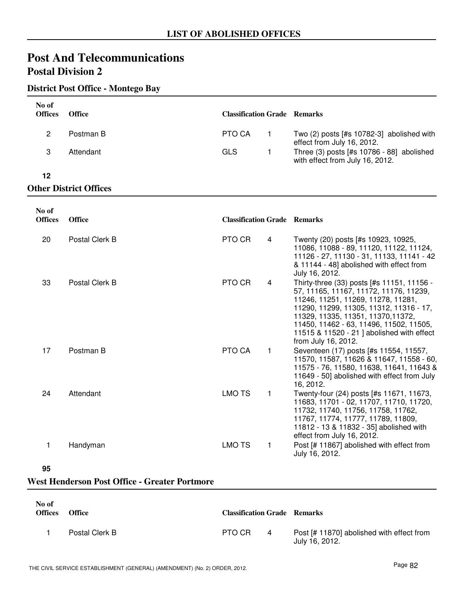#### **District Post Office - Montego Bay**

| No of<br><b>Offices</b> | <b>Office</b>                 | <b>Classification Grade Remarks</b> |                                                                              |
|-------------------------|-------------------------------|-------------------------------------|------------------------------------------------------------------------------|
| 2                       | Postman B                     | PTO CA                              | Two $(2)$ posts $[#s 10782-3]$ abolished with<br>effect from July 16, 2012.  |
| 3                       | Attendant                     | GLS                                 | Three (3) posts [#s 10786 - 88] abolished<br>with effect from July 16, 2012. |
| 12                      |                               |                                     |                                                                              |
|                         | <b>Other District Offices</b> |                                     |                                                                              |

| No of<br><b>Offices</b> | <b>Office</b>  | <b>Classification Grade Remarks</b> |              |                                                                                                                                                                                                                                                                                                                             |
|-------------------------|----------------|-------------------------------------|--------------|-----------------------------------------------------------------------------------------------------------------------------------------------------------------------------------------------------------------------------------------------------------------------------------------------------------------------------|
| 20                      | Postal Clerk B | PTO CR                              | 4            | Twenty (20) posts [#s 10923, 10925,<br>11086, 11088 - 89, 11120, 11122, 11124,<br>11126 - 27, 11130 - 31, 11133, 11141 - 42<br>& 11144 - 48] abolished with effect from<br>July 16, 2012.                                                                                                                                   |
| 33                      | Postal Clerk B | PTO CR                              | 4            | Thirty-three (33) posts [#s 11151, 11156 -<br>57, 11165, 11167, 11172, 11176, 11239,<br>11246, 11251, 11269, 11278, 11281,<br>11290, 11299, 11305, 11312, 11316 - 17,<br>11329, 11335, 11351, 11370, 11372,<br>11450, 11462 - 63, 11496, 11502, 11505,<br>11515 & 11520 - 21 ] abolished with effect<br>from July 16, 2012. |
| 17                      | Postman B      | PTO CA                              | $\mathbf{1}$ | Seventeen (17) posts [#s 11554, 11557,<br>11570, 11587, 11626 & 11647, 11558 - 60,<br>11575 - 76, 11580, 11638, 11641, 11643 &<br>11649 - 50] abolished with effect from July<br>16, 2012.                                                                                                                                  |
| 24                      | Attendant      | <b>LMO TS</b>                       | $\mathbf{1}$ | Twenty-four (24) posts [#s 11671, 11673,<br>11683, 11701 - 02, 11707, 11710, 11720,<br>11732, 11740, 11756, 11758, 11762,<br>11767, 11774, 11777, 11789, 11809,<br>11812 - 13 & 11832 - 35] abolished with<br>effect from July 16, 2012.                                                                                    |
| 1                       | Handyman       | <b>LMO TS</b>                       | 1.           | Post [# 11867] abolished with effect from<br>July 16, 2012.                                                                                                                                                                                                                                                                 |

#### **95**

#### **West Henderson Post Office - Greater Portmore**

| No of<br><b>Offices</b> | <b>Office</b>  | <b>Classification Grade Remarks</b> |   |                                                             |
|-------------------------|----------------|-------------------------------------|---|-------------------------------------------------------------|
|                         | Postal Clerk B | PTO CR                              | 4 | Post [# 11870] abolished with effect from<br>July 16, 2012. |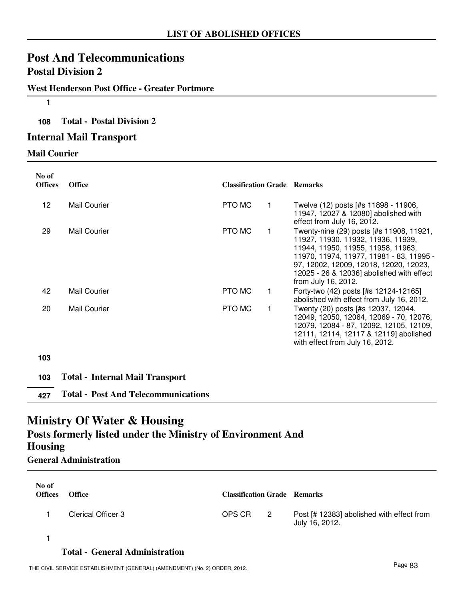#### **West Henderson Post Office - Greater Portmore**

**1**

#### **108 Total - Postal Division 2**

#### **Internal Mail Transport**

#### **Mail Courier**

| No of<br><b>Offices</b> | <b>Office</b>                              | <b>Classification Grade Remarks</b> |             |                                                                                                                                                                                                                                                                                |
|-------------------------|--------------------------------------------|-------------------------------------|-------------|--------------------------------------------------------------------------------------------------------------------------------------------------------------------------------------------------------------------------------------------------------------------------------|
| 12                      | Mail Courier                               | PTO MC                              | 1           | Twelve (12) posts [#s 11898 - 11906,<br>11947, 12027 & 12080] abolished with<br>effect from July 16, 2012.                                                                                                                                                                     |
| 29                      | <b>Mail Courier</b>                        | PTO MC                              |             | Twenty-nine (29) posts [#s 11908, 11921,<br>11927, 11930, 11932, 11936, 11939,<br>11944, 11950, 11955, 11958, 11963,<br>11970, 11974, 11977, 11981 - 83, 11995 -<br>97, 12002, 12009, 12018, 12020, 12023,<br>12025 - 26 & 12036] abolished with effect<br>from July 16, 2012. |
| 42                      | <b>Mail Courier</b>                        | PTO MC                              |             | Forty-two (42) posts [#s 12124-12165]<br>abolished with effect from July 16, 2012.                                                                                                                                                                                             |
| 20                      | Mail Courier                               | PTO MC                              | $\mathbf 1$ | Twenty (20) posts [#s 12037, 12044,<br>12049, 12050, 12064, 12069 - 70, 12076,<br>12079, 12084 - 87, 12092, 12105, 12109,<br>12111, 12114, 12117 & 12119] abolished<br>with effect from July 16, 2012.                                                                         |
| 103                     |                                            |                                     |             |                                                                                                                                                                                                                                                                                |
| 103                     | <b>Total - Internal Mail Transport</b>     |                                     |             |                                                                                                                                                                                                                                                                                |
| 427                     | <b>Total - Post And Telecommunications</b> |                                     |             |                                                                                                                                                                                                                                                                                |

### **Ministry Of Water & Housing**

## **Posts formerly listed under the Ministry of Environment And Housing**

**General Administration**

| No of<br><b>Offices</b> | <b>Office</b>      | <b>Classification Grade Remarks</b> |   |                                                             |
|-------------------------|--------------------|-------------------------------------|---|-------------------------------------------------------------|
|                         | Clerical Officer 3 | OPS CR                              | 2 | Post [# 12383] abolished with effect from<br>July 16, 2012. |

**1**

#### **Total - General Administration**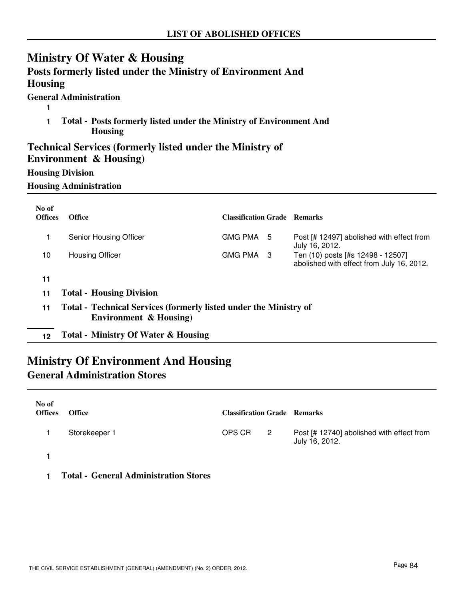## **Ministry Of Water & Housing**

| <b>Housing</b>          | Posts formerly listed under the Ministry of Environment And                                |                                     |                                                                                |
|-------------------------|--------------------------------------------------------------------------------------------|-------------------------------------|--------------------------------------------------------------------------------|
|                         | <b>General Administration</b>                                                              |                                     |                                                                                |
| 1                       | Total - Posts formerly listed under the Ministry of Environment And<br><b>Housing</b>      |                                     |                                                                                |
|                         | <b>Technical Services (formerly listed under the Ministry of</b><br>Environment & Housing) |                                     |                                                                                |
| <b>Housing Division</b> |                                                                                            |                                     |                                                                                |
|                         | <b>Housing Administration</b>                                                              |                                     |                                                                                |
| No of                   |                                                                                            |                                     |                                                                                |
| <b>Offices</b>          | <b>Office</b>                                                                              | <b>Classification Grade Remarks</b> |                                                                                |
| 1                       | Senior Housing Officer                                                                     | GMG PMA 5                           | Post [# 12497] abolished with effect from<br>July 16, 2012.                    |
| 10                      | <b>Housing Officer</b>                                                                     | GMG PMA 3                           | Ten (10) posts [#s 12498 - 12507]<br>abolished with effect from July 16, 2012. |
| 11                      |                                                                                            |                                     |                                                                                |
| 11                      | <b>Total - Housing Division</b>                                                            |                                     |                                                                                |
| 11                      | <b>Total - Technical Services (formerly listed under the Ministry of</b>                   |                                     |                                                                                |

- **Environment & Housing)**
- **12 Total Ministry Of Water & Housing**

## **Ministry Of Environment And Housing General Administration Stores**

| No of<br><b>Offices</b> | <b>Office</b> | <b>Classification Grade Remarks</b> |                            |                                                             |
|-------------------------|---------------|-------------------------------------|----------------------------|-------------------------------------------------------------|
|                         | Storekeeper 1 | OPS CR                              | $\overline{\phantom{a}}^2$ | Post [# 12740] abolished with effect from<br>July 16, 2012. |
|                         |               |                                     |                            |                                                             |

**1 Total - General Administration Stores**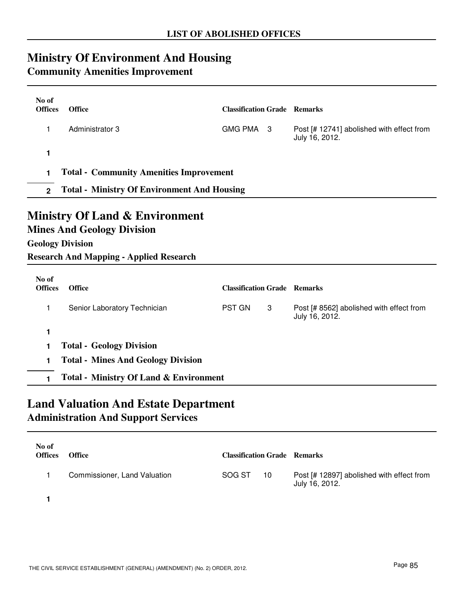## **Ministry Of Environment And Housing**

### **Community Amenities Improvement**

| No of<br><b>Offices</b>                             | <b>Office</b>                                                                                                  | <b>Classification Grade Remarks</b> |   |                                                             |  |  |
|-----------------------------------------------------|----------------------------------------------------------------------------------------------------------------|-------------------------------------|---|-------------------------------------------------------------|--|--|
| 1                                                   | Administrator 3                                                                                                | GMG PMA 3                           |   | Post [# 12741] abolished with effect from<br>July 16, 2012. |  |  |
| 1                                                   |                                                                                                                |                                     |   |                                                             |  |  |
| <b>Total - Community Amenities Improvement</b><br>1 |                                                                                                                |                                     |   |                                                             |  |  |
| $2^{\circ}$                                         | <b>Total - Ministry Of Environment And Housing</b>                                                             |                                     |   |                                                             |  |  |
|                                                     | <b>Mines And Geology Division</b><br><b>Geology Division</b><br><b>Research And Mapping - Applied Research</b> |                                     |   |                                                             |  |  |
| No of<br><b>Offices</b>                             | <b>Office</b>                                                                                                  | <b>Classification Grade Remarks</b> |   |                                                             |  |  |
| 1                                                   | Senior Laboratory Technician                                                                                   | <b>PST GN</b>                       | 3 | Post [# 8562] abolished with effect from<br>July 16, 2012.  |  |  |
| 1                                                   |                                                                                                                |                                     |   |                                                             |  |  |
| 1                                                   | <b>Total - Geology Division</b>                                                                                |                                     |   |                                                             |  |  |
| 1                                                   | <b>Total - Mines And Geology Division</b>                                                                      |                                     |   |                                                             |  |  |

**1 Total - Ministry Of Land & Environment**

## **Land Valuation And Estate Department Administration And Support Services**

| No of<br><b>Offices</b> | <b>Office</b>                | <b>Classification Grade Remarks</b> |    |                                                             |
|-------------------------|------------------------------|-------------------------------------|----|-------------------------------------------------------------|
|                         | Commissioner, Land Valuation | SOG ST                              | 10 | Post [# 12897] abolished with effect from<br>July 16, 2012. |

**1**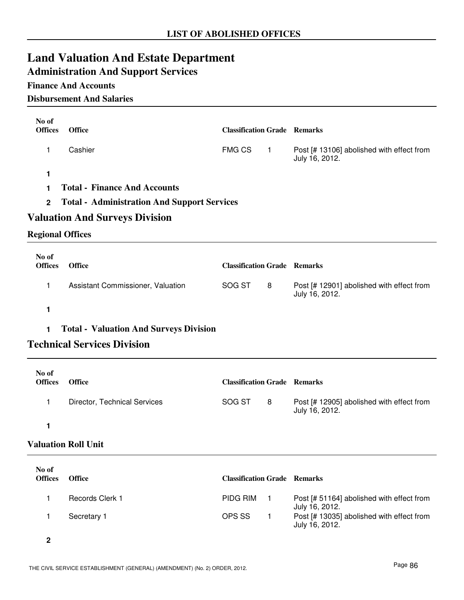## **Land Valuation And Estate Department**

## **Administration And Support Services**

### **Finance And Accounts**

#### **Disbursement And Salaries**

| No of<br><b>Offices</b>                                           | Office                                        | <b>Classification Grade Remarks</b> |                |                                                             |  |
|-------------------------------------------------------------------|-----------------------------------------------|-------------------------------------|----------------|-------------------------------------------------------------|--|
| 1                                                                 | Cashier                                       | <b>FMG CS</b>                       | $\overline{1}$ | Post [# 13106] abolished with effect from<br>July 16, 2012. |  |
| 1                                                                 |                                               |                                     |                |                                                             |  |
| 1                                                                 | <b>Total - Finance And Accounts</b>           |                                     |                |                                                             |  |
| <b>Total - Administration And Support Services</b><br>$\mathbf 2$ |                                               |                                     |                |                                                             |  |
|                                                                   | <b>Valuation And Surveys Division</b>         |                                     |                |                                                             |  |
| <b>Regional Offices</b>                                           |                                               |                                     |                |                                                             |  |
| No of                                                             |                                               |                                     |                |                                                             |  |
| <b>Offices</b>                                                    | <b>Office</b>                                 | <b>Classification Grade Remarks</b> |                |                                                             |  |
| 1                                                                 | Assistant Commissioner, Valuation             | SOG ST                              | 8              | Post [# 12901] abolished with effect from<br>July 16, 2012. |  |
| 1                                                                 |                                               |                                     |                |                                                             |  |
| 1                                                                 | <b>Total - Valuation And Surveys Division</b> |                                     |                |                                                             |  |
|                                                                   | <b>Technical Services Division</b>            |                                     |                |                                                             |  |
| No of<br><b>Offices</b>                                           | <b>Office</b>                                 | <b>Classification Grade Remarks</b> |                |                                                             |  |
| 1                                                                 | Director, Technical Services                  | SOG ST                              | 8              | Post [# 12905] abolished with effect from<br>July 16, 2012. |  |
| 1                                                                 |                                               |                                     |                |                                                             |  |
| <b>Valuation Roll Unit</b>                                        |                                               |                                     |                |                                                             |  |
|                                                                   |                                               |                                     |                |                                                             |  |
| No of<br><b>Offices</b>                                           | <b>Office</b>                                 | <b>Classification Grade Remarks</b> |                |                                                             |  |
| 1                                                                 | Records Clerk 1                               | PIDG RIM                            | 1              | Post [# 51164] abolished with effect from<br>July 16, 2012. |  |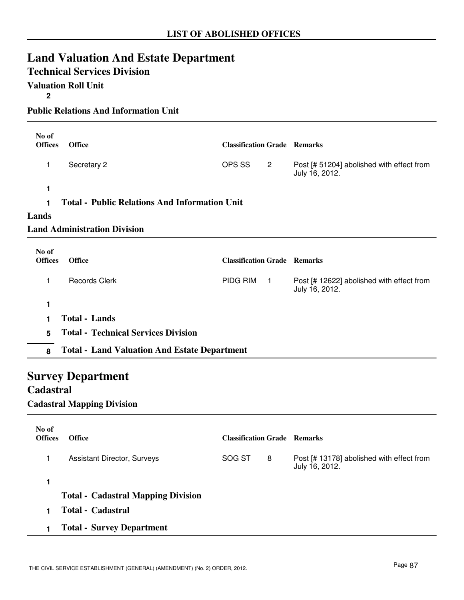## **Land Valuation And Estate Department**

### **Technical Services Division**

**Valuation Roll Unit**

**2**

**Public Relations And Information Unit**

| No of<br><b>Offices</b> | <b>Office</b>                                        | <b>Classification Grade Remarks</b> |                |                                                             |  |  |  |
|-------------------------|------------------------------------------------------|-------------------------------------|----------------|-------------------------------------------------------------|--|--|--|
| 1                       | Secretary 2                                          | OPS SS                              | $\overline{2}$ | Post [# 51204] abolished with effect from<br>July 16, 2012. |  |  |  |
| 1                       |                                                      |                                     |                |                                                             |  |  |  |
|                         | <b>Total - Public Relations And Information Unit</b> |                                     |                |                                                             |  |  |  |
| Lands                   |                                                      |                                     |                |                                                             |  |  |  |
|                         | <b>Land Administration Division</b>                  |                                     |                |                                                             |  |  |  |
| No of<br><b>Offices</b> | <b>Office</b>                                        | <b>Classification Grade Remarks</b> |                |                                                             |  |  |  |
| 1                       | <b>Records Clerk</b>                                 | PIDG RIM                            | $\mathbf{1}$   | Post [# 12622] abolished with effect from<br>July 16, 2012. |  |  |  |
| 1                       |                                                      |                                     |                |                                                             |  |  |  |
|                         | <b>Total - Lands</b>                                 |                                     |                |                                                             |  |  |  |
| 5                       | <b>Total - Technical Services Division</b>           |                                     |                |                                                             |  |  |  |
| 8                       | <b>Total - Land Valuation And Estate Department</b>  |                                     |                |                                                             |  |  |  |
|                         |                                                      |                                     |                |                                                             |  |  |  |

## **Survey Department**

### **Cadastral**

**Cadastral Mapping Division**

| No of<br><b>Offices</b> | <b>Office</b>                             | <b>Classification Grade Remarks</b> |   |                                                             |
|-------------------------|-------------------------------------------|-------------------------------------|---|-------------------------------------------------------------|
|                         | Assistant Director, Surveys               | SOG ST                              | 8 | Post [# 13178] abolished with effect from<br>July 16, 2012. |
|                         |                                           |                                     |   |                                                             |
|                         | <b>Total - Cadastral Mapping Division</b> |                                     |   |                                                             |
|                         | <b>Total - Cadastral</b>                  |                                     |   |                                                             |
|                         | <b>Total - Survey Department</b>          |                                     |   |                                                             |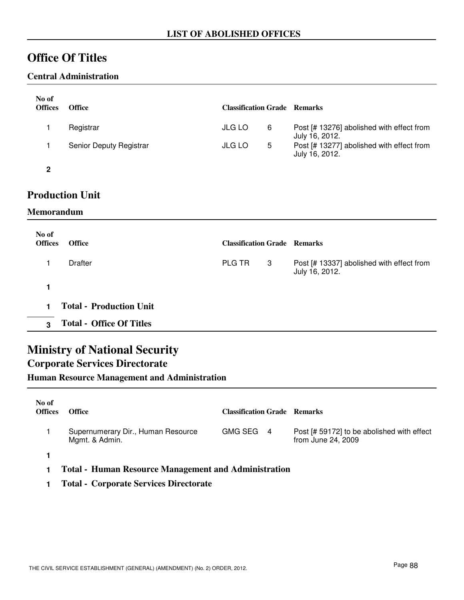## **Office Of Titles**

#### **Central Administration**

| No of<br><b>Offices</b> | <b>Office</b>           | <b>Classification Grade Remarks</b> |   |                                                             |
|-------------------------|-------------------------|-------------------------------------|---|-------------------------------------------------------------|
|                         | Registrar               | <b>JLG LO</b>                       | 6 | Post [# 13276] abolished with effect from<br>July 16, 2012. |
|                         | Senior Deputy Registrar | <b>JLG LO</b>                       | 5 | Post [# 13277] abolished with effect from<br>July 16, 2012. |
| 2                       |                         |                                     |   |                                                             |

### **Production Unit**

#### **Memorandum**

| No of<br><b>Offices</b> | <b>Office</b>                   | <b>Classification Grade Remarks</b> |   |                                                             |
|-------------------------|---------------------------------|-------------------------------------|---|-------------------------------------------------------------|
|                         | Drafter                         | <b>PLG TR</b>                       | 3 | Post [# 13337] abolished with effect from<br>July 16, 2012. |
|                         |                                 |                                     |   |                                                             |
|                         | <b>Total - Production Unit</b>  |                                     |   |                                                             |
| 3                       | <b>Total - Office Of Titles</b> |                                     |   |                                                             |

## **Ministry of National Security**

### **Corporate Services Directorate**

**Human Resource Management and Administration**

| No of<br><b>Offices</b> | <b>Office</b>                                               | <b>Classification Grade Remarks</b> |                                                                  |
|-------------------------|-------------------------------------------------------------|-------------------------------------|------------------------------------------------------------------|
|                         | Supernumerary Dir., Human Resource<br>Mgmt. & Admin.        | GMG SEG 4                           | Post [# 59172] to be abolished with effect<br>from June 24, 2009 |
|                         |                                                             |                                     |                                                                  |
|                         | <b>Total - Human Resource Management and Administration</b> |                                     |                                                                  |

**1 Total - Corporate Services Directorate**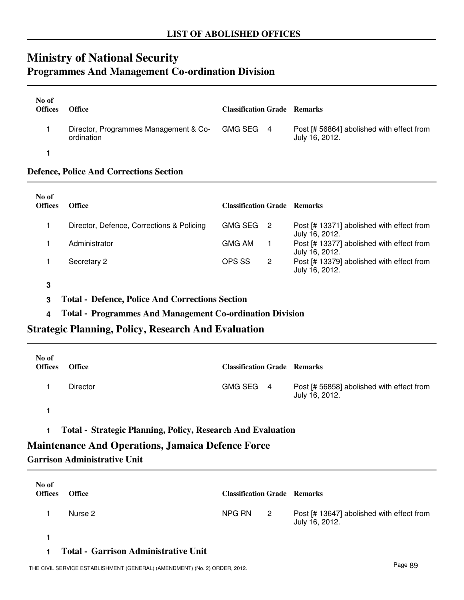### **Ministry of National Security Programmes And Management Co-ordination Division**

| No of<br><b>Offices</b> | <b>Office</b>                                                 | <b>Classification Grade Remarks</b> |                                                             |
|-------------------------|---------------------------------------------------------------|-------------------------------------|-------------------------------------------------------------|
|                         | Director, Programmes Management & Co- GMG SEG 4<br>ordination |                                     | Post [# 56864] abolished with effect from<br>July 16, 2012. |
|                         |                                                               |                                     |                                                             |

#### **Defence, Police And Corrections Section**

| No of<br><b>Offices</b> | <b>Office</b>                             | <b>Classification Grade Remarks</b> |                                                             |
|-------------------------|-------------------------------------------|-------------------------------------|-------------------------------------------------------------|
|                         | Director, Defence, Corrections & Policing | <b>GMG SEG</b><br>- 2               | Post [# 13371] abolished with effect from<br>July 16, 2012. |
|                         | Administrator                             | <b>GMG AM</b>                       | Post [# 13377] abolished with effect from<br>July 16, 2012. |
|                         | Secretary 2                               | OPS SS<br>2                         | Post [# 13379] abolished with effect from<br>July 16, 2012. |

**3**

**3 Total - Defence, Police And Corrections Section**

**4 Total - Programmes And Management Co-ordination Division**

**Strategic Planning, Policy, Research And Evaluation**

| No of<br><b>Offices</b> | <b>Office</b> | <b>Classification Grade Remarks</b> |                                                             |
|-------------------------|---------------|-------------------------------------|-------------------------------------------------------------|
|                         | Director      | GMG SEG 4                           | Post [# 56858] abolished with effect from<br>July 16, 2012. |
|                         |               |                                     |                                                             |

**1 Total - Strategic Planning, Policy, Research And Evaluation**

#### **Maintenance And Operations, Jamaica Defence Force**

**Garrison Administrative Unit**

| No of<br><b>Offices</b> | <b>Office</b> | <b>Classification Grade Remarks</b> |                            |                                                             |
|-------------------------|---------------|-------------------------------------|----------------------------|-------------------------------------------------------------|
|                         | Nurse 2       | NPG RN                              | $\overline{\phantom{a}}^2$ | Post [# 13647] abolished with effect from<br>July 16, 2012. |
|                         |               |                                     |                            |                                                             |

#### **1 Total - Garrison Administrative Unit**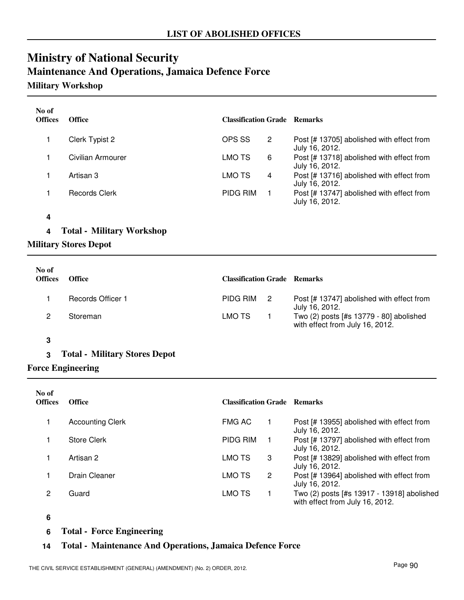## **Ministry of National Security Maintenance And Operations, Jamaica Defence Force**

### **Military Workshop**

| No of<br><b>Offices</b> | <b>Office</b>        | <b>Classification Grade Remarks</b> |   |                                                             |
|-------------------------|----------------------|-------------------------------------|---|-------------------------------------------------------------|
|                         | Clerk Typist 2       | OPS SS                              | 2 | Post [# 13705] abolished with effect from<br>July 16, 2012. |
|                         | Civilian Armourer    | LMO TS                              | 6 | Post [# 13718] abolished with effect from<br>July 16, 2012. |
|                         | Artisan 3            | LMO TS                              | 4 | Post [# 13716] abolished with effect from<br>July 16, 2012. |
|                         | <b>Records Clerk</b> | <b>PIDG RIM</b>                     |   | Post [# 13747] abolished with effect from<br>July 16, 2012. |

#### **4**

#### **4 Total - Military Workshop**

#### **Military Stores Depot**

| No of<br><b>Offices</b> | <b>Office</b>     | <b>Classification Grade Remarks</b> |                                                                            |
|-------------------------|-------------------|-------------------------------------|----------------------------------------------------------------------------|
|                         | Records Officer 1 | PIDG RIM 2                          | Post [# 13747] abolished with effect from<br>July 16, 2012.                |
|                         | Storeman          | LMO TS                              | Two (2) posts [#s 13779 - 80] abolished<br>with effect from July 16, 2012. |

#### **3**

#### **3 Total - Military Stores Depot**

#### **Force Engineering**

| No of<br><b>Offices</b> | <b>Office</b>           | <b>Classification Grade Remarks</b> |                      |                                                                               |
|-------------------------|-------------------------|-------------------------------------|----------------------|-------------------------------------------------------------------------------|
|                         | <b>Accounting Clerk</b> | FMG AC                              |                      | Post [# 13955] abolished with effect from<br>July 16, 2012.                   |
|                         | <b>Store Clerk</b>      | PIDG RIM                            |                      | Post [# 13797] abolished with effect from<br>July 16, 2012.                   |
|                         | Artisan 2               | LMO TS                              | 3                    | Post [# 13829] abolished with effect from<br>July 16, 2012.                   |
|                         | Drain Cleaner           | LMO TS                              | $\mathbf{2}^{\circ}$ | Post [# 13964] abolished with effect from<br>July 16, 2012.                   |
| 2                       | Guard                   | LMO TS                              |                      | Two (2) posts [#s 13917 - 13918] abolished<br>with effect from July 16, 2012. |

**6**

**6 Total - Force Engineering**

#### **14 Total - Maintenance And Operations, Jamaica Defence Force**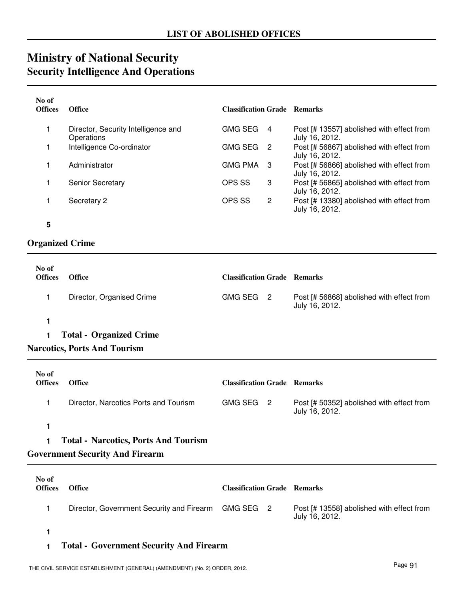## **Ministry of National Security Security Intelligence And Operations**

| No of<br><b>Offices</b> | <b>Office</b>                                     | <b>Classification Grade Remarks</b> |                |                                                             |
|-------------------------|---------------------------------------------------|-------------------------------------|----------------|-------------------------------------------------------------|
|                         | Director, Security Intelligence and<br>Operations | <b>GMG SEG</b>                      | $\overline{4}$ | Post [# 13557] abolished with effect from<br>July 16, 2012. |
|                         | Intelligence Co-ordinator                         | <b>GMG SEG</b>                      | $\overline{2}$ | Post [# 56867] abolished with effect from<br>July 16, 2012. |
|                         | Administrator                                     | <b>GMG PMA</b>                      | -3             | Post [# 56866] abolished with effect from<br>July 16, 2012. |
|                         | <b>Senior Secretary</b>                           | OPS SS                              | 3              | Post [# 56865] abolished with effect from<br>July 16, 2012. |
|                         | Secretary 2                                       | OPS SS                              | 2              | Post [# 13380] abolished with effect from<br>July 16, 2012. |

**<sup>5</sup>**

### **Organized Crime**

| No of<br><b>Offices</b> | Office                         | <b>Classification Grade Remarks</b> |                                                             |
|-------------------------|--------------------------------|-------------------------------------|-------------------------------------------------------------|
|                         | Director, Organised Crime      | GMG SEG 2                           | Post [# 56868] abolished with effect from<br>July 16, 2012. |
|                         |                                |                                     |                                                             |
|                         | <b>Total - Organized Crime</b> |                                     |                                                             |

#### **Narcotics, Ports And Tourism**

| No of<br><b>Offices</b> | <b>Office</b>                         | <b>Classification Grade Remarks</b> |                                                             |
|-------------------------|---------------------------------------|-------------------------------------|-------------------------------------------------------------|
|                         | Director, Narcotics Ports and Tourism | GMG SEG 2                           | Post [# 50352] abolished with effect from<br>July 16, 2012. |

**1**

#### **1 Total - Narcotics, Ports And Tourism**

#### **Government Security And Firearm**

| No of<br><b>Offices</b> | <b>Office</b>                                       | <b>Classification Grade Remarks</b> |                                                             |
|-------------------------|-----------------------------------------------------|-------------------------------------|-------------------------------------------------------------|
|                         | Director, Government Security and Firearm GMG SEG 2 |                                     | Post [# 13558] abolished with effect from<br>July 16, 2012. |
|                         |                                                     |                                     |                                                             |

#### **1 Total - Government Security And Firearm**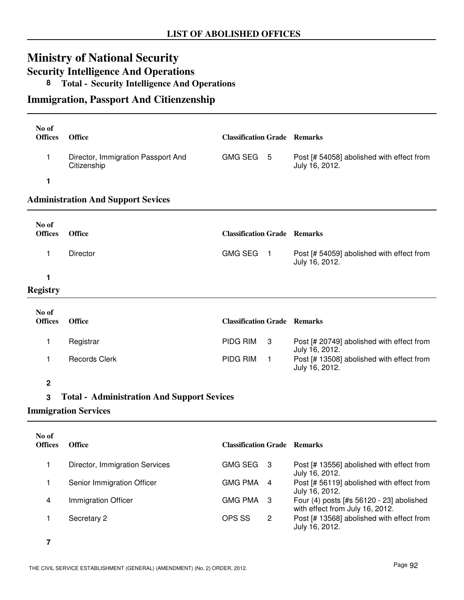## **Ministry of National Security**

**Security Intelligence And Operations**

### **8 Total - Security Intelligence And Operations**

### **Immigration, Passport And Citienzenship**

| No of<br><b>Offices</b> | <b>Office</b>                                     | <b>Classification Grade Remarks</b> |                         |                                                                             |
|-------------------------|---------------------------------------------------|-------------------------------------|-------------------------|-----------------------------------------------------------------------------|
| 1                       | Director, Immigration Passport And<br>Citizenship | GMG SEG 5                           |                         | Post [# 54058] abolished with effect from<br>July 16, 2012.                 |
| 1                       |                                                   |                                     |                         |                                                                             |
|                         | <b>Administration And Support Sevices</b>         |                                     |                         |                                                                             |
| No of<br><b>Offices</b> | <b>Office</b>                                     | <b>Classification Grade Remarks</b> |                         |                                                                             |
| 1                       | Director                                          | <b>GMG SEG</b>                      | $\blacksquare$          | Post [# 54059] abolished with effect from<br>July 16, 2012.                 |
| 1                       |                                                   |                                     |                         |                                                                             |
| <b>Registry</b>         |                                                   |                                     |                         |                                                                             |
| No of<br><b>Offices</b> | <b>Office</b>                                     | <b>Classification Grade Remarks</b> |                         |                                                                             |
| 1                       | Registrar                                         | PIDG RIM                            | 3                       | Post [# 20749] abolished with effect from<br>July 16, 2012.                 |
| 1                       | <b>Records Clerk</b>                              | PIDG RIM                            | 1                       | Post [# 13508] abolished with effect from<br>July 16, 2012.                 |
| 2                       |                                                   |                                     |                         |                                                                             |
| 3                       | <b>Total - Administration And Support Sevices</b> |                                     |                         |                                                                             |
|                         | <b>Immigration Services</b>                       |                                     |                         |                                                                             |
| No of<br><b>Offices</b> | <b>Office</b>                                     | <b>Classification Grade Remarks</b> |                         |                                                                             |
| $\mathbf{1}$            | Director, Immigration Services                    | GMG SEG 3                           |                         |                                                                             |
|                         |                                                   |                                     |                         | Post [# 13556] abolished with effect from<br>July 16, 2012.                 |
| 1                       | Senior Immigration Officer                        | <b>GMG PMA</b>                      | 4                       | Post [# 56119] abolished with effect from<br>July 16, 2012.                 |
| 4                       | Immigration Officer                               | <b>GMG PMA</b>                      | 3                       | Four (4) posts [#s 56120 - 23] abolished<br>with effect from July 16, 2012. |
| 1                       | Secretary 2                                       | OPS SS                              | $\overline{\mathbf{c}}$ | Post [# 13568] abolished with effect from<br>July 16, 2012.                 |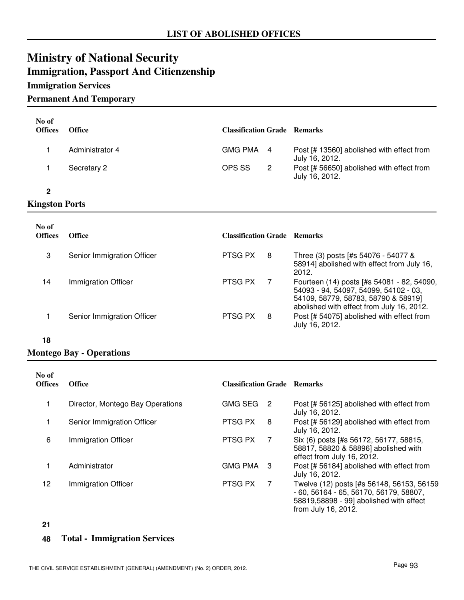## **Ministry of National Security Immigration, Passport And Citienzenship**

#### **Immigration Services**

#### **Permanent And Temporary**

| No of<br><b>Offices</b> | <b>Office</b>   | <b>Classification Grade Remarks</b> |                |                                                             |
|-------------------------|-----------------|-------------------------------------|----------------|-------------------------------------------------------------|
|                         | Administrator 4 | GMG PMA 4                           |                | Post [# 13560] abolished with effect from<br>July 16, 2012. |
|                         | Secretary 2     | OPS SS                              | $\overline{2}$ | Post [# 56650] abolished with effect from<br>July 16, 2012. |
|                         |                 |                                     |                |                                                             |

#### **Kingston Ports**

| No of<br><b>Offices</b> | <b>Office</b>              | <b>Classification Grade Remarks</b> |   |                                                                                                                                                                         |
|-------------------------|----------------------------|-------------------------------------|---|-------------------------------------------------------------------------------------------------------------------------------------------------------------------------|
| 3                       | Senior Immigration Officer | PTSG PX                             | 8 | Three (3) posts [#s 54076 - 54077 &<br>58914] abolished with effect from July 16,<br>2012.                                                                              |
| 14                      | Immigration Officer        | PTSG PX                             |   | Fourteen (14) posts [#s 54081 - 82, 54090,<br>54093 - 94, 54097, 54099, 54102 - 03,<br>54109, 58779, 58783, 58790 & 58919]<br>abolished with effect from July 16, 2012. |
|                         | Senior Immigration Officer | PTSG PX                             | 8 | Post [# 54075] abolished with effect from<br>July 16, 2012.                                                                                                             |

#### **18**

### **Montego Bay - Operations**

| No of<br><b>Offices</b> | <b>Office</b>                    | <b>Classification Grade</b> |    | <b>Remarks</b>                                                                                                                  |
|-------------------------|----------------------------------|-----------------------------|----|---------------------------------------------------------------------------------------------------------------------------------|
|                         | Director, Montego Bay Operations | <b>GMG SEG</b>              | -2 | Post [# 56125] abolished with effect from<br>July 16, 2012.                                                                     |
|                         | Senior Immigration Officer       | PTSG PX                     | 8  | Post [# 56129] abolished with effect from<br>July 16, 2012.                                                                     |
| 6                       | Immigration Officer              | PTSG PX                     | 7  | Six (6) posts [#s 56172, 56177, 58815,<br>58817, 58820 & 58896] abolished with<br>effect from July 16, 2012.                    |
|                         | Administrator                    | <b>GMG PMA</b>              | -3 | Post [# 56184] abolished with effect from<br>July 16, 2012.                                                                     |
| 12                      | Immigration Officer              | PTSG PX                     | 7  | Twelve (12) posts [#s 56148, 56153, 56159<br>$-60, 56164 - 65, 56170, 56179, 58807,$<br>58819,58898 - 99] abolished with effect |

**21**

#### **48 Total - Immigration Services**

from July 16, 2012.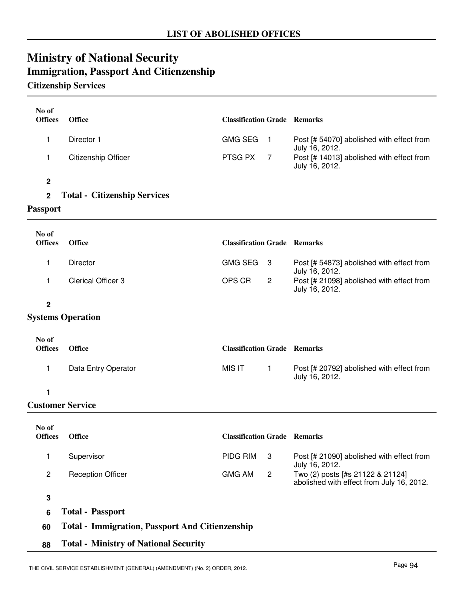## **Ministry of National Security Immigration, Passport And Citienzenship**

### **Citizenship Services**

| No of<br><b>Offices</b> | <b>Office</b>                                          | <b>Classification Grade Remarks</b> |                |                                                                               |
|-------------------------|--------------------------------------------------------|-------------------------------------|----------------|-------------------------------------------------------------------------------|
| 1                       | Director 1                                             | <b>GMG SEG</b>                      | $\overline{1}$ | Post [# 54070] abolished with effect from                                     |
| 1                       | <b>Citizenship Officer</b>                             | PTSG PX                             | 7              | July 16, 2012.<br>Post [# 14013] abolished with effect from<br>July 16, 2012. |
| $\boldsymbol{2}$        |                                                        |                                     |                |                                                                               |
| $\mathbf 2$             | <b>Total - Citizenship Services</b>                    |                                     |                |                                                                               |
| Passport                |                                                        |                                     |                |                                                                               |
| No of<br><b>Offices</b> | <b>Office</b>                                          | <b>Classification Grade Remarks</b> |                |                                                                               |
| 1                       | Director                                               | <b>GMG SEG</b>                      | 3              | Post [# 54873] abolished with effect from<br>July 16, 2012.                   |
| 1                       | <b>Clerical Officer 3</b>                              | OPS CR                              | $\mathbf{2}$   | Post [# 21098] abolished with effect from<br>July 16, 2012.                   |
| $\mathbf 2$             |                                                        |                                     |                |                                                                               |
|                         | <b>Systems Operation</b>                               |                                     |                |                                                                               |
| No of<br><b>Offices</b> | <b>Office</b>                                          | <b>Classification Grade Remarks</b> |                |                                                                               |
| 1                       | Data Entry Operator                                    | <b>MIS IT</b>                       | $\mathbf{1}$   | Post [# 20792] abolished with effect from<br>July 16, 2012.                   |
| 1                       |                                                        |                                     |                |                                                                               |
|                         | <b>Customer Service</b>                                |                                     |                |                                                                               |
| No of<br><b>Offices</b> | <b>Office</b>                                          | <b>Classification Grade Remarks</b> |                |                                                                               |
| 1                       | Supervisor                                             | PIDG RIM                            | 3              | Post [# 21090] abolished with effect from<br>July 16, 2012.                   |
| $\overline{c}$          | <b>Reception Officer</b>                               | <b>GMG AM</b>                       | $\overline{c}$ | Two (2) posts [#s 21122 & 21124]<br>abolished with effect from July 16, 2012. |
| $\mathbf 3$             |                                                        |                                     |                |                                                                               |
| 6                       | <b>Total - Passport</b>                                |                                     |                |                                                                               |
| 60                      | <b>Total - Immigration, Passport And Citienzenship</b> |                                     |                |                                                                               |
| 88                      | <b>Total - Ministry of National Security</b>           |                                     |                |                                                                               |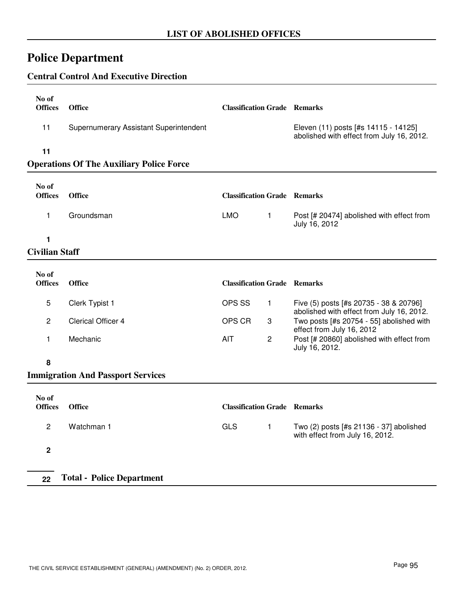## **Police Department**

#### **Central Control And Executive Direction**

| No of<br><b>Offices</b> | <b>Office</b>                                   | <b>Classification Grade Remarks</b> |                                                                                   |
|-------------------------|-------------------------------------------------|-------------------------------------|-----------------------------------------------------------------------------------|
| 11                      | Supernumerary Assistant Superintendent          |                                     | Eleven (11) posts [#s 14115 - 14125]<br>abolished with effect from July 16, 2012. |
| 11                      | <b>Operations Of The Auxiliary Police Force</b> |                                     |                                                                                   |
| No of<br><b>Offices</b> | <b>Office</b>                                   | <b>Classification Grade Remarks</b> |                                                                                   |

LMO 1

July 16, 2012

1 Groundsman **Post [# 20474]** abolished with effect from

**1**

#### **Civilian Staff**

| No of<br><b>Offices</b> | <b>Office</b>      | <b>Classification Grade Remarks</b> |   |                                                                                     |
|-------------------------|--------------------|-------------------------------------|---|-------------------------------------------------------------------------------------|
| 5                       | Clerk Typist 1     | OPS SS                              |   | Five (5) posts [#s 20735 - 38 & 20796]<br>abolished with effect from July 16, 2012. |
|                         | Clerical Officer 4 | OPS CR                              | 3 | Two posts [#s 20754 - 55] abolished with<br>effect from July 16, 2012               |
|                         | Mechanic           | AIT                                 | 2 | Post [# 20860] abolished with effect from<br>July 16, 2012.                         |

#### **8**

### **Immigration And Passport Services**

| No of<br><b>Offices</b> | <b>Office</b>                    | <b>Classification Grade Remarks</b> |                                                                            |
|-------------------------|----------------------------------|-------------------------------------|----------------------------------------------------------------------------|
| 2                       | Watchman 1                       | <b>GLS</b>                          | Two (2) posts [#s 21136 - 37] abolished<br>with effect from July 16, 2012. |
| 2                       |                                  |                                     |                                                                            |
| 22                      | <b>Total - Police Department</b> |                                     |                                                                            |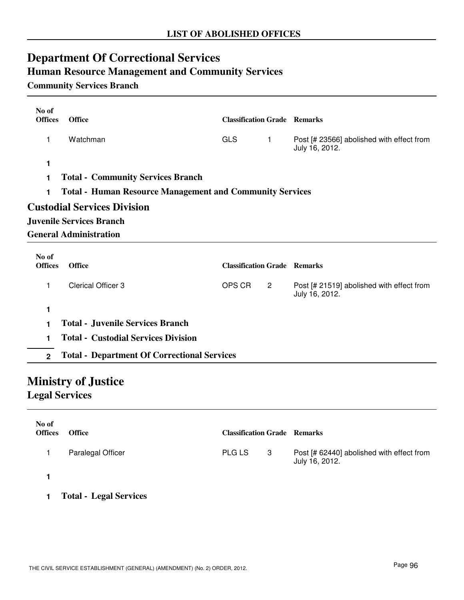## **Department Of Correctional Services Human Resource Management and Community Services**

### **Community Services Branch**

| No of                   |                                                                 |                                     |                |                                                             |  |
|-------------------------|-----------------------------------------------------------------|-------------------------------------|----------------|-------------------------------------------------------------|--|
| <b>Offices</b>          | <b>Office</b>                                                   | <b>Classification Grade Remarks</b> |                |                                                             |  |
| 1                       | Watchman                                                        | <b>GLS</b>                          | $\mathbf{1}$   | Post [# 23566] abolished with effect from<br>July 16, 2012. |  |
| 1                       |                                                                 |                                     |                |                                                             |  |
| 1                       | <b>Total - Community Services Branch</b>                        |                                     |                |                                                             |  |
| 1                       | <b>Total - Human Resource Management and Community Services</b> |                                     |                |                                                             |  |
|                         | <b>Custodial Services Division</b>                              |                                     |                |                                                             |  |
|                         | <b>Juvenile Services Branch</b>                                 |                                     |                |                                                             |  |
|                         | <b>General Administration</b>                                   |                                     |                |                                                             |  |
| No of<br><b>Offices</b> | <b>Office</b>                                                   | <b>Classification Grade Remarks</b> |                |                                                             |  |
|                         |                                                                 |                                     |                |                                                             |  |
| 1                       | <b>Clerical Officer 3</b>                                       | OPS CR                              | $\overline{2}$ | Post [# 21519] abolished with effect from<br>July 16, 2012. |  |
| 1                       |                                                                 |                                     |                |                                                             |  |
| 1                       | <b>Total - Juvenile Services Branch</b>                         |                                     |                |                                                             |  |
| 1                       | <b>Total - Custodial Services Division</b>                      |                                     |                |                                                             |  |
| $2^{\circ}$             | <b>Total - Department Of Correctional Services</b>              |                                     |                |                                                             |  |
|                         | <b>Ministry of Justice</b>                                      |                                     |                |                                                             |  |

**Legal Services**

| No of<br><b>Offices</b> | <b>Office</b>                 | <b>Classification Grade Remarks</b> |   |                                                             |
|-------------------------|-------------------------------|-------------------------------------|---|-------------------------------------------------------------|
|                         | Paralegal Officer             | <b>PLG LS</b>                       | 3 | Post [# 62440] abolished with effect from<br>July 16, 2012. |
|                         |                               |                                     |   |                                                             |
|                         | <b>Total - Legal Services</b> |                                     |   |                                                             |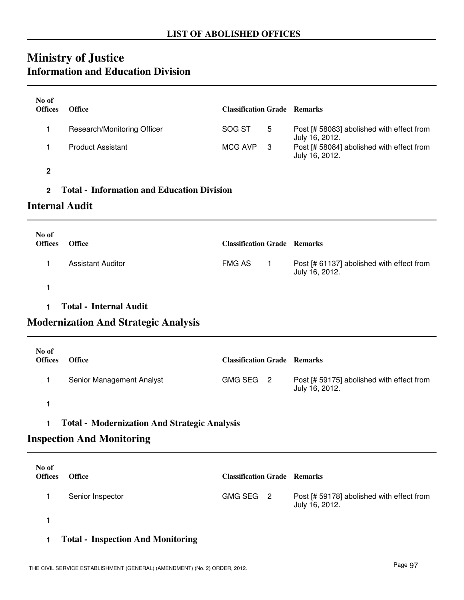## **Ministry of Justice Information and Education Division**

| No of                                                    |                                                   |                                     |                         |                                                             |  |  |
|----------------------------------------------------------|---------------------------------------------------|-------------------------------------|-------------------------|-------------------------------------------------------------|--|--|
| <b>Offices</b>                                           | <b>Office</b>                                     | <b>Classification Grade Remarks</b> |                         |                                                             |  |  |
| 1                                                        | Research/Monitoring Officer                       | SOG ST                              | 5                       | Post [# 58083] abolished with effect from<br>July 16, 2012. |  |  |
| 1                                                        | <b>Product Assistant</b>                          | <b>MCG AVP</b>                      | 3                       | Post [# 58084] abolished with effect from<br>July 16, 2012. |  |  |
| 2                                                        |                                                   |                                     |                         |                                                             |  |  |
| $\overline{2}$                                           | <b>Total - Information and Education Division</b> |                                     |                         |                                                             |  |  |
| <b>Internal Audit</b>                                    |                                                   |                                     |                         |                                                             |  |  |
| No of                                                    |                                                   |                                     |                         |                                                             |  |  |
| <b>Offices</b>                                           | <b>Office</b>                                     | <b>Classification Grade Remarks</b> |                         |                                                             |  |  |
| 1                                                        | <b>Assistant Auditor</b>                          | <b>FMG AS</b>                       | $\mathbf{1}$            | Post [# 61137] abolished with effect from<br>July 16, 2012. |  |  |
| 1                                                        |                                                   |                                     |                         |                                                             |  |  |
| 1                                                        | <b>Total - Internal Audit</b>                     |                                     |                         |                                                             |  |  |
|                                                          | <b>Modernization And Strategic Analysis</b>       |                                     |                         |                                                             |  |  |
| No of                                                    |                                                   |                                     |                         |                                                             |  |  |
| <b>Offices</b>                                           | <b>Office</b>                                     | <b>Classification Grade Remarks</b> |                         |                                                             |  |  |
| 1                                                        | Senior Management Analyst                         | <b>GMG SEG</b>                      | $\overline{\mathbf{c}}$ | Post [# 59175] abolished with effect from<br>July 16, 2012. |  |  |
| 1                                                        |                                                   |                                     |                         |                                                             |  |  |
| <b>Total - Modernization And Strategic Analysis</b><br>1 |                                                   |                                     |                         |                                                             |  |  |
|                                                          | <b>Inspection And Monitoring</b>                  |                                     |                         |                                                             |  |  |
| No of                                                    |                                                   |                                     |                         |                                                             |  |  |
| <b>Offices</b>                                           | <b>Office</b>                                     | <b>Classification Grade Remarks</b> |                         |                                                             |  |  |
| 1                                                        | Senior Inspector                                  | <b>GMG SEG</b>                      | $\overline{2}$          | Post [# 59178] abolished with effect from<br>July 16, 2012. |  |  |

**1**

**1 Total - Inspection And Monitoring**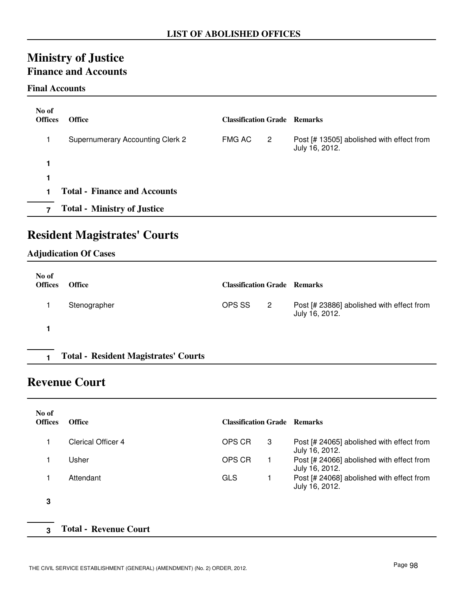## **Ministry of Justice Finance and Accounts**

#### **Final Accounts**

| No of<br><b>Offices</b> | <b>Office</b>                           | <b>Classification Grade Remarks</b> |                |                                                             |
|-------------------------|-----------------------------------------|-------------------------------------|----------------|-------------------------------------------------------------|
|                         | <b>Supernumerary Accounting Clerk 2</b> | FMG AC                              | $\overline{2}$ | Post [# 13505] abolished with effect from<br>July 16, 2012. |
| 1                       |                                         |                                     |                |                                                             |
| 1                       |                                         |                                     |                |                                                             |
|                         | <b>Total - Finance and Accounts</b>     |                                     |                |                                                             |
| 7                       | <b>Total - Ministry of Justice</b>      |                                     |                |                                                             |

## **Resident Magistrates' Courts**

#### **Adjudication Of Cases**

| No of<br><b>Offices</b> | <b>Office</b>                               | <b>Classification Grade Remarks</b> |   |                                                             |
|-------------------------|---------------------------------------------|-------------------------------------|---|-------------------------------------------------------------|
|                         | Stenographer                                | OPS SS                              | 2 | Post [# 23886] abolished with effect from<br>July 16, 2012. |
|                         |                                             |                                     |   |                                                             |
|                         | <b>Total - Resident Magistrates' Courts</b> |                                     |   |                                                             |

### **Revenue Court**

| No of<br><b>Offices</b> | <b>Office</b>             | <b>Classification Grade Remarks</b> |   |                                                             |
|-------------------------|---------------------------|-------------------------------------|---|-------------------------------------------------------------|
|                         | <b>Clerical Officer 4</b> | OPS CR                              | 3 | Post [# 24065] abolished with effect from<br>July 16, 2012. |
|                         | Usher                     | OPS CR                              | 1 | Post [# 24066] abolished with effect from<br>July 16, 2012. |
|                         | Attendant                 | <b>GLS</b>                          |   | Post [# 24068] abolished with effect from<br>July 16, 2012. |
| 3                       |                           |                                     |   |                                                             |

#### **3 Total - Revenue Court**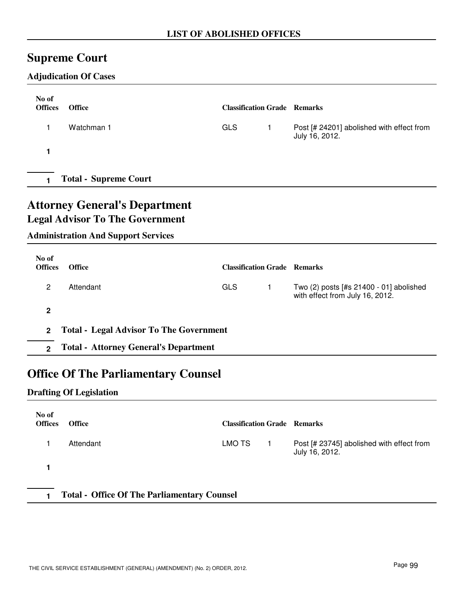## **Supreme Court**

### **Adjudication Of Cases**

| No of<br><b>Offices</b> | <b>Office</b>                | <b>Classification Grade Remarks</b> |                                                             |
|-------------------------|------------------------------|-------------------------------------|-------------------------------------------------------------|
|                         | Watchman 1                   | <b>GLS</b>                          | Post [# 24201] abolished with effect from<br>July 16, 2012. |
|                         |                              |                                     |                                                             |
|                         | <b>Total - Supreme Court</b> |                                     |                                                             |

## **Attorney General's Department Legal Advisor To The Government**

### **Administration And Support Services**

| No of<br><b>Offices</b> | <b>Office</b>                                | <b>Classification Grade Remarks</b> |  |                                                                            |
|-------------------------|----------------------------------------------|-------------------------------------|--|----------------------------------------------------------------------------|
| 2                       | Attendant                                    | GLS                                 |  | Two (2) posts [#s 21400 - 01] abolished<br>with effect from July 16, 2012. |
| $\mathbf{2}$            |                                              |                                     |  |                                                                            |
|                         | 2 Total - Legal Advisor To The Government    |                                     |  |                                                                            |
| $\mathfrak{p}$          | <b>Total - Attorney General's Department</b> |                                     |  |                                                                            |

## **Office Of The Parliamentary Counsel**

#### **Drafting Of Legislation**

| No of<br><b>Offices</b>                            | <b>Office</b> | <b>Classification Grade Remarks</b> |  |                                                             |
|----------------------------------------------------|---------------|-------------------------------------|--|-------------------------------------------------------------|
|                                                    | Attendant     | LMO TS                              |  | Post [# 23745] abolished with effect from<br>July 16, 2012. |
|                                                    |               |                                     |  |                                                             |
| <b>Total - Office Of The Parliamentary Counsel</b> |               |                                     |  |                                                             |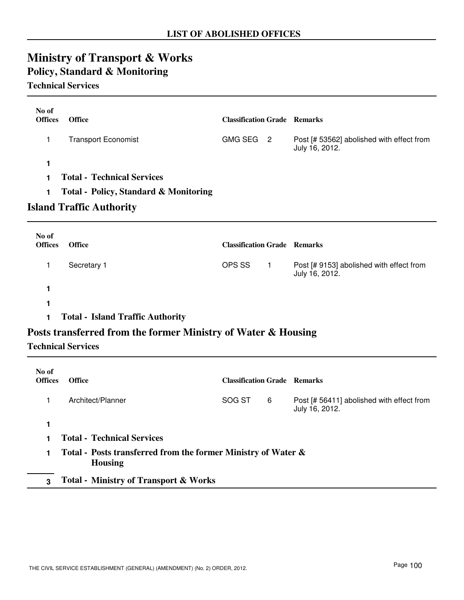## **Ministry of Transport & Works Policy, Standard & Monitoring**

#### **Technical Services**

| No of<br><b>Offices</b> | <b>Office</b>                                    | <b>Classification Grade Remarks</b> |    |                                                             |
|-------------------------|--------------------------------------------------|-------------------------------------|----|-------------------------------------------------------------|
|                         | <b>Transport Economist</b>                       | <b>GMG SEG</b>                      | -2 | Post [# 53562] abolished with effect from<br>July 16, 2012. |
| 1                       |                                                  |                                     |    |                                                             |
|                         | <b>Total - Technical Services</b>                |                                     |    |                                                             |
| 1.                      | <b>Total - Policy, Standard &amp; Monitoring</b> |                                     |    |                                                             |
|                         | <b>Island Traffic Authority</b>                  |                                     |    |                                                             |

| No of<br><b>Offices</b> | <b>Office</b> | <b>Classification Grade Remarks</b> |                                                            |
|-------------------------|---------------|-------------------------------------|------------------------------------------------------------|
|                         | Secretary 1   | OPS SS                              | Post [# 9153] abolished with effect from<br>July 16, 2012. |
|                         |               |                                     |                                                            |
|                         |               |                                     |                                                            |

**1 Total - Island Traffic Authority**

### **Posts transferred from the former Ministry of Water & Housing**

#### **Technical Services**

| No of<br><b>Offices</b> | <b>Office</b>                                                                   | <b>Classification Grade Remarks</b> |   |                                                             |
|-------------------------|---------------------------------------------------------------------------------|-------------------------------------|---|-------------------------------------------------------------|
|                         | Architect/Planner                                                               | SOG ST                              | 6 | Post [# 56411] abolished with effect from<br>July 16, 2012. |
|                         |                                                                                 |                                     |   |                                                             |
|                         | <b>Total - Technical Services</b>                                               |                                     |   |                                                             |
|                         | Total - Posts transferred from the former Ministry of Water &<br><b>Housing</b> |                                     |   |                                                             |
| 3                       | <b>Total - Ministry of Transport &amp; Works</b>                                |                                     |   |                                                             |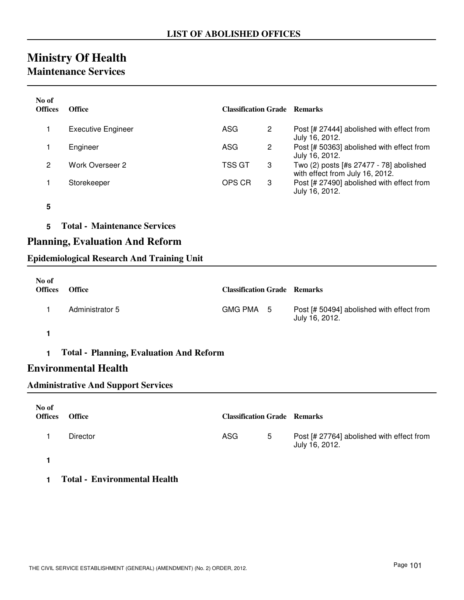## **Ministry Of Health**

### **Maintenance Services**

| No of<br><b>Offices</b> | <b>Office</b>                          | <b>Classification Grade Remarks</b> |                |                                                                            |  |  |
|-------------------------|----------------------------------------|-------------------------------------|----------------|----------------------------------------------------------------------------|--|--|
| 1                       | <b>Executive Engineer</b>              | ASG                                 | $\overline{2}$ | Post [# 27444] abolished with effect from<br>July 16, 2012.                |  |  |
| 1                       | Engineer                               | ASG                                 | $\overline{2}$ | Post [# 50363] abolished with effect from<br>July 16, 2012.                |  |  |
| $\overline{2}$          | Work Overseer 2                        | <b>TSS GT</b>                       | 3              | Two (2) posts [#s 27477 - 78] abolished<br>with effect from July 16, 2012. |  |  |
| 1                       | Storekeeper                            | OPS CR                              | 3              | Post [# 27490] abolished with effect from<br>July 16, 2012.                |  |  |
| 5                       |                                        |                                     |                |                                                                            |  |  |
| 5                       | <b>Total - Maintenance Services</b>    |                                     |                |                                                                            |  |  |
|                         | <b>Planning, Evaluation And Reform</b> |                                     |                |                                                                            |  |  |

#### **Epidemiological Research And Training Unit**

| No of<br><b>Offices</b> | <b>Office</b>   | <b>Classification Grade Remarks</b> |                                                             |
|-------------------------|-----------------|-------------------------------------|-------------------------------------------------------------|
|                         | Administrator 5 | GMG PMA 5                           | Post [# 50494] abolished with effect from<br>July 16, 2012. |
|                         |                 |                                     |                                                             |

#### **1 Total - Planning, Evaluation And Reform**

### **Environmental Health**

#### **Administrative And Support Services**

| No of<br><b>Offices</b> | <b>Office</b>   | <b>Classification Grade Remarks</b> |   |                                                             |
|-------------------------|-----------------|-------------------------------------|---|-------------------------------------------------------------|
|                         | <b>Director</b> | <b>ASG</b>                          | 5 | Post [# 27764] abolished with effect from<br>July 16, 2012. |
|                         |                 |                                     |   |                                                             |

#### **1 Total - Environmental Health**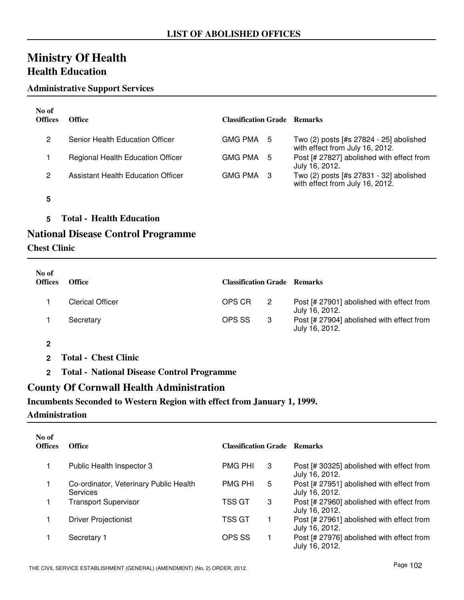## **Ministry Of Health Health Education**

#### **Administrative Support Services**

| No of<br><b>Offices</b> | Office                             | <b>Classification Grade Remarks</b> |                                                                            |
|-------------------------|------------------------------------|-------------------------------------|----------------------------------------------------------------------------|
| 2                       | Senior Health Education Officer    | GMG PMA 5                           | Two (2) posts [#s 27824 - 25] abolished<br>with effect from July 16, 2012. |
|                         | Regional Health Education Officer  | GMG PMA 5                           | Post [# 27827] abolished with effect from<br>July 16, 2012.                |
| 2                       | Assistant Health Education Officer | GMG PMA 3                           | Two (2) posts [#s 27831 - 32] abolished<br>with effect from July 16, 2012. |

- **5**
- **5 Total Health Education**

### **National Disease Control Programme**

#### **Chest Clinic**

| No of<br><b>Offices</b> | <b>Office</b>           | <b>Classification Grade Remarks</b> |    |                                                             |
|-------------------------|-------------------------|-------------------------------------|----|-------------------------------------------------------------|
|                         | <b>Clerical Officer</b> | OPS CR                              | -2 | Post [# 27901] abolished with effect from<br>July 16, 2012. |
|                         | Secretary               | OPS SS                              | -3 | Post [# 27904] abolished with effect from<br>July 16, 2012. |

- **2**
- **2 Total Chest Clinic**
- **2 Total National Disease Control Programme**

### **County Of Cornwall Health Administration**

#### **Incumbents Seconded to Western Region with effect from January 1, 1999.**

#### **Administration**

| No of<br><b>Offices</b> | <b>Office</b>                                      | <b>Classification Grade Remarks</b> |   |                                                             |
|-------------------------|----------------------------------------------------|-------------------------------------|---|-------------------------------------------------------------|
|                         | Public Health Inspector 3                          | <b>PMG PHI</b>                      | 3 | Post [# 30325] abolished with effect from<br>July 16, 2012. |
|                         | Co-ordinator, Veterinary Public Health<br>Services | <b>PMG PHI</b>                      | 5 | Post [# 27951] abolished with effect from<br>July 16, 2012. |
|                         | <b>Transport Supervisor</b>                        | TSS GT                              | 3 | Post [# 27960] abolished with effect from<br>July 16, 2012. |
|                         | <b>Driver Projectionist</b>                        | TSS GT                              |   | Post [# 27961] abolished with effect from<br>July 16, 2012. |
|                         | Secretary 1                                        | OPS SS                              |   | Post [# 27976] abolished with effect from<br>July 16, 2012. |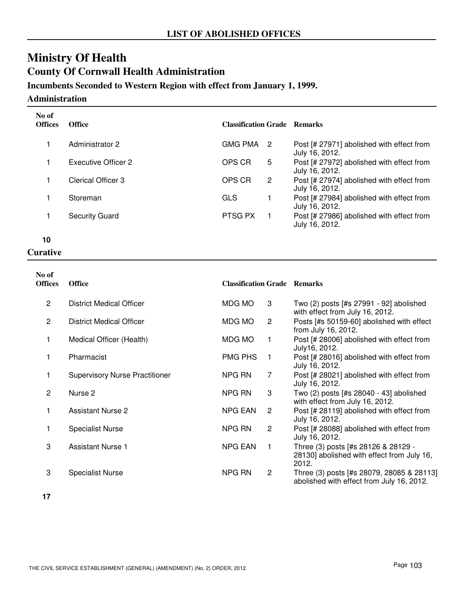## **Ministry Of Health County Of Cornwall Health Administration**

### **Incumbents Seconded to Western Region with effect from January 1, 1999.**

**Administration**

| No of<br><b>Offices</b> | <b>Office</b>              | <b>Classification Grade Remarks</b> |    |                                                             |
|-------------------------|----------------------------|-------------------------------------|----|-------------------------------------------------------------|
|                         | Administrator 2            | <b>GMG PMA</b>                      | -2 | Post [# 27971] abolished with effect from<br>July 16, 2012. |
|                         | <b>Executive Officer 2</b> | OPS CR                              | 5  | Post [# 27972] abolished with effect from<br>July 16, 2012. |
|                         | Clerical Officer 3         | OPS CR                              | 2  | Post [# 27974] abolished with effect from<br>July 16, 2012. |
|                         | Storeman                   | GLS                                 |    | Post [# 27984] abolished with effect from<br>July 16, 2012. |
|                         | <b>Security Guard</b>      | PTSG PX                             |    | Post [# 27986] abolished with effect from<br>July 16, 2012. |

**10**

#### **Curative**

| No of<br><b>Offices</b> | <b>Office</b>                         | <b>Classification Grade Remarks</b> |                |                                                                                            |
|-------------------------|---------------------------------------|-------------------------------------|----------------|--------------------------------------------------------------------------------------------|
| $\overline{2}$          | <b>District Medical Officer</b>       | MDG MO                              | 3              | Two (2) posts [#s 27991 - 92] abolished<br>with effect from July 16, 2012.                 |
| $\overline{2}$          | District Medical Officer              | MDG MO                              | $\overline{2}$ | Posts [#s 50159-60] abolished with effect<br>from July 16, 2012.                           |
| 1                       | Medical Officer (Health)              | MDG MO                              | 1              | Post [# 28006] abolished with effect from<br>July16, 2012.                                 |
|                         | Pharmacist                            | <b>PMG PHS</b>                      | 1              | Post [# 28016] abolished with effect from<br>July 16, 2012.                                |
|                         | <b>Supervisory Nurse Practitioner</b> | NPG RN                              | 7              | Post [# 28021] abolished with effect from<br>July 16, 2012.                                |
| $\overline{2}$          | Nurse 2                               | NPG RN                              | 3              | Two (2) posts [#s 28040 - 43] abolished<br>with effect from July 16, 2012.                 |
|                         | <b>Assistant Nurse 2</b>              | <b>NPG EAN</b>                      | 2              | Post [# 28119] abolished with effect from<br>July 16, 2012.                                |
| 1                       | <b>Specialist Nurse</b>               | NPG RN                              | $\overline{2}$ | Post [# 28088] abolished with effect from<br>July 16, 2012.                                |
| 3                       | <b>Assistant Nurse 1</b>              | <b>NPG EAN</b>                      | 1              | Three (3) posts [#s 28126 & 28129 -<br>28130] abolished with effect from July 16,<br>2012. |
| 3                       | <b>Specialist Nurse</b>               | NPG RN                              | 2              | Three (3) posts [#s 28079, 28085 & 28113]<br>abolished with effect from July 16, 2012.     |

**17**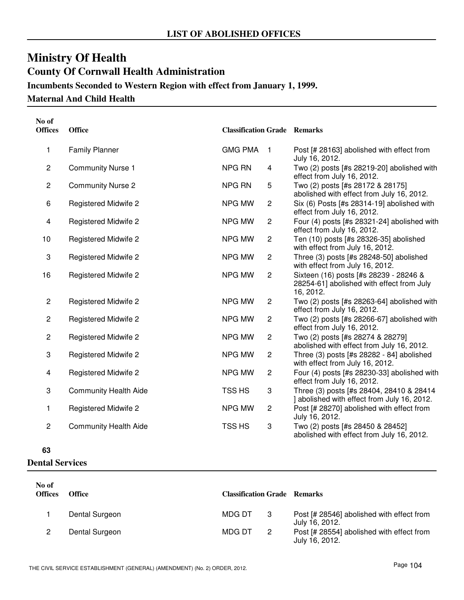# **Ministry Of Health County Of Cornwall Health Administration Incumbents Seconded to Western Region with effect from January 1, 1999.**

### **Maternal And Child Health**

| No of<br><b>Offices</b> | <b>Office</b>                | <b>Classification Grade Remarks</b> |                |                                                                                                  |
|-------------------------|------------------------------|-------------------------------------|----------------|--------------------------------------------------------------------------------------------------|
| 1                       | <b>Family Planner</b>        | <b>GMG PMA</b>                      | $\mathbf{1}$   | Post [# 28163] abolished with effect from<br>July 16, 2012.                                      |
| $\overline{c}$          | <b>Community Nurse 1</b>     | <b>NPG RN</b>                       | 4              | Two (2) posts [#s 28219-20] abolished with<br>effect from July 16, 2012.                         |
| $\overline{\mathbf{c}}$ | <b>Community Nurse 2</b>     | <b>NPG RN</b>                       | 5              | Two (2) posts [#s 28172 & 28175]<br>abolished with effect from July 16, 2012.                    |
| 6                       | <b>Registered Midwife 2</b>  | NPG MW                              | $\overline{c}$ | Six (6) Posts [#s 28314-19] abolished with<br>effect from July 16, 2012.                         |
| 4                       | <b>Registered Midwife 2</b>  | NPG MW                              | $\overline{c}$ | Four (4) posts [#s 28321-24] abolished with<br>effect from July 16, 2012.                        |
| 10                      | <b>Registered Midwife 2</b>  | <b>NPG MW</b>                       | $\overline{c}$ | Ten (10) posts [#s 28326-35] abolished<br>with effect from July 16, 2012.                        |
| 3                       | <b>Registered Midwife 2</b>  | NPG MW                              | $\overline{c}$ | Three (3) posts [#s 28248-50] abolished<br>with effect from July 16, 2012.                       |
| 16                      | <b>Registered Midwife 2</b>  | NPG MW                              | $\overline{2}$ | Sixteen (16) posts [#s 28239 - 28246 &<br>28254-61] abolished with effect from July<br>16, 2012. |
| $\overline{2}$          | <b>Registered Midwife 2</b>  | NPG MW                              | $\overline{2}$ | Two (2) posts [#s 28263-64] abolished with<br>effect from July 16, 2012.                         |
| $\overline{c}$          | <b>Registered Midwife 2</b>  | NPG MW                              | $\overline{2}$ | Two (2) posts [#s 28266-67] abolished with<br>effect from July 16, 2012.                         |
| $\overline{c}$          | <b>Registered Midwife 2</b>  | NPG MW                              | $\overline{c}$ | Two (2) posts [#s 28274 & 28279]<br>abolished with effect from July 16, 2012.                    |
| 3                       | <b>Registered Midwife 2</b>  | NPG MW                              | $\overline{c}$ | Three (3) posts [#s 28282 - 84] abolished<br>with effect from July 16, 2012.                     |
| 4                       | <b>Registered Midwife 2</b>  | <b>NPG MW</b>                       | $\overline{c}$ | Four (4) posts [#s 28230-33] abolished with<br>effect from July 16, 2012.                        |
| 3                       | <b>Community Health Aide</b> | TSS HS                              | 3              | Three (3) posts [#s 28404, 28410 & 28414<br>] abolished with effect from July 16, 2012.          |
| 1                       | <b>Registered Midwife 2</b>  | NPG MW                              | 2              | Post [# 28270] abolished with effect from<br>July 16, 2012.                                      |
| $\overline{c}$          | <b>Community Health Aide</b> | TSS HS                              | 3              | Two (2) posts [#s 28450 & 28452]<br>abolished with effect from July 16, 2012.                    |

**63**

**Dental Services**

| No of<br><b>Offices</b> | <b>Office</b>  | <b>Classification Grade Remarks</b> |   |                                                             |
|-------------------------|----------------|-------------------------------------|---|-------------------------------------------------------------|
|                         | Dental Surgeon | MDG DT                              | 3 | Post [# 28546] abolished with effect from<br>July 16, 2012. |
|                         | Dental Surgeon | MDG DT                              | 2 | Post [# 28554] abolished with effect from<br>July 16, 2012. |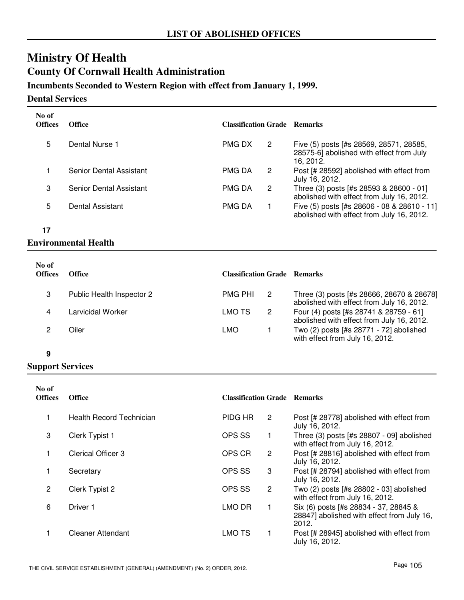# **Ministry Of Health County Of Cornwall Health Administration**

## **Incumbents Seconded to Western Region with effect from January 1, 1999.**

**Dental Services**

| No of<br><b>Offices</b> | <b>Office</b>           | <b>Classification Grade</b> |   | <b>Remarks</b>                                                                                   |
|-------------------------|-------------------------|-----------------------------|---|--------------------------------------------------------------------------------------------------|
| 5                       | Dental Nurse 1          | <b>PMG DX</b>               | 2 | Five (5) posts [#s 28569, 28571, 28585,<br>28575-6] abolished with effect from July<br>16. 2012. |
|                         | Senior Dental Assistant | <b>PMG DA</b>               | 2 | Post [# 28592] abolished with effect from<br>July 16, 2012.                                      |
| 3                       | Senior Dental Assistant | <b>PMG DA</b>               | 2 | Three (3) posts [#s 28593 & 28600 - 01]<br>abolished with effect from July 16, 2012.             |
| 5                       | Dental Assistant        | <b>PMG DA</b>               |   | Five (5) posts [#s 28606 - 08 & 28610 - 11]<br>abolished with effect from July 16, 2012.         |

**17**

## **Environmental Health**

| No of<br><b>Offices</b> | <b>Office</b>             | <b>Classification Grade Remarks</b> |    |                                                                                        |
|-------------------------|---------------------------|-------------------------------------|----|----------------------------------------------------------------------------------------|
| 3                       | Public Health Inspector 2 | <b>PMG PHI</b>                      | -2 | Three (3) posts [#s 28666, 28670 & 28678]<br>abolished with effect from July 16, 2012. |
| 4                       | Larvicidal Worker         | LMO TS                              | 2  | Four (4) posts [#s 28741 & 28759 - 61]<br>abolished with effect from July 16, 2012.    |
|                         | Oiler                     | LMO                                 |    | Two (2) posts [#s 28771 - 72] abolished<br>with effect from July 16, 2012.             |

### **9**

| No of<br><b>Offices</b> | <b>Office</b>            | <b>Classification Grade Remarks</b> |                       |                                                                                              |
|-------------------------|--------------------------|-------------------------------------|-----------------------|----------------------------------------------------------------------------------------------|
|                         | Health Record Technician | <b>PIDG HR</b>                      | 2                     | Post [# 28778] abolished with effect from<br>July 16, 2012.                                  |
| 3                       | Clerk Typist 1           | OPS SS                              | 1.                    | Three (3) posts [#s 28807 - 09] abolished<br>with effect from July 16, 2012.                 |
|                         | Clerical Officer 3       | OPS CR                              | $\mathbf{2}^{\prime}$ | Post [# 28816] abolished with effect from<br>July 16, 2012.                                  |
|                         | Secretary                | OPS SS                              | 3                     | Post [# 28794] abolished with effect from<br>July 16, 2012.                                  |
| 2                       | Clerk Typist 2           | OPS SS                              | 2                     | Two (2) posts [#s 28802 - 03] abolished<br>with effect from July 16, 2012.                   |
| 6                       | Driver 1                 | LMO DR                              | 1                     | Six (6) posts [#s 28834 - 37, 28845 &<br>28847] abolished with effect from July 16,<br>2012. |
|                         | Cleaner Attendant        | <b>LMO TS</b>                       | 1.                    | Post [# 28945] abolished with effect from<br>July 16, 2012.                                  |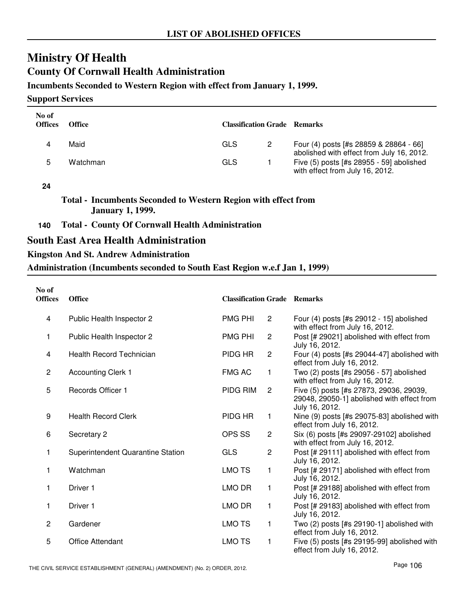# **Ministry Of Health County Of Cornwall Health Administration**

### **Incumbents Seconded to Western Region with effect from January 1, 1999.**

**Support Services**

| No of<br><b>Offices</b> | Office   | <b>Classification Grade Remarks</b> |                                                                                     |
|-------------------------|----------|-------------------------------------|-------------------------------------------------------------------------------------|
|                         | Maid     | GLS                                 | Four (4) posts [#s 28859 & 28864 - 66]<br>abolished with effect from July 16, 2012. |
|                         | Watchman | GLS                                 | Five (5) posts [#s 28955 - 59] abolished<br>with effect from July 16, 2012.         |

#### **24**

**Total - Incumbents Seconded to Western Region with effect from January 1, 1999.**

**140 Total - County Of Cornwall Health Administration**

## **South East Area Health Administration**

### **Kingston And St. Andrew Administration**

**Administration (Incumbents seconded to South East Region w.e.f Jan 1, 1999)**

| No of<br><b>Offices</b> | <b>Office</b>                     | <b>Classification Grade Remarks</b> |                |                                                                                                         |
|-------------------------|-----------------------------------|-------------------------------------|----------------|---------------------------------------------------------------------------------------------------------|
| 4                       | Public Health Inspector 2         | <b>PMG PHI</b>                      | $\mathbf{2}$   | Four (4) posts [#s 29012 - 15] abolished<br>with effect from July 16, 2012.                             |
| 1                       | Public Health Inspector 2         | <b>PMG PHI</b>                      | $\overline{2}$ | Post [# 29021] abolished with effect from<br>July 16, 2012.                                             |
| 4                       | <b>Health Record Technician</b>   | PIDG HR                             | $\mathbf{2}$   | Four (4) posts [#s 29044-47] abolished with<br>effect from July 16, 2012.                               |
| $\overline{c}$          | <b>Accounting Clerk 1</b>         | <b>FMG AC</b>                       | $\mathbf{1}$   | Two (2) posts [#s 29056 - 57] abolished<br>with effect from July 16, 2012.                              |
| 5                       | <b>Records Officer 1</b>          | PIDG RIM                            | $\overline{2}$ | Five (5) posts [#s 27873, 29036, 29039,<br>29048, 29050-1] abolished with effect from<br>July 16, 2012. |
| 9                       | <b>Health Record Clerk</b>        | PIDG HR                             | $\mathbf{1}$   | Nine (9) posts [#s 29075-83] abolished with<br>effect from July 16, 2012.                               |
| 6                       | Secretary 2                       | OPS SS                              | $\mathbf{2}$   | Six (6) posts [#s 29097-29102] abolished<br>with effect from July 16, 2012.                             |
| 1                       | Superintendent Quarantine Station | <b>GLS</b>                          | $\overline{2}$ | Post [# 29111] abolished with effect from<br>July 16, 2012.                                             |
| 1                       | Watchman                          | <b>LMOTS</b>                        | 1              | Post [# 29171] abolished with effect from<br>July 16, 2012.                                             |
| 1                       | Driver 1                          | LMO DR                              | 1              | Post [# 29188] abolished with effect from<br>July 16, 2012.                                             |
| 1                       | Driver <sub>1</sub>               | LMO DR                              | 1              | Post [# 29183] abolished with effect from<br>July 16, 2012.                                             |
| $\mathbf{2}$            | Gardener                          | <b>LMO TS</b>                       | 1              | Two $(2)$ posts [#s 29190-1] abolished with<br>effect from July 16, 2012.                               |
| 5                       | <b>Office Attendant</b>           | <b>LMO TS</b>                       | 1              | Five (5) posts [#s 29195-99] abolished with<br>effect from July 16, 2012.                               |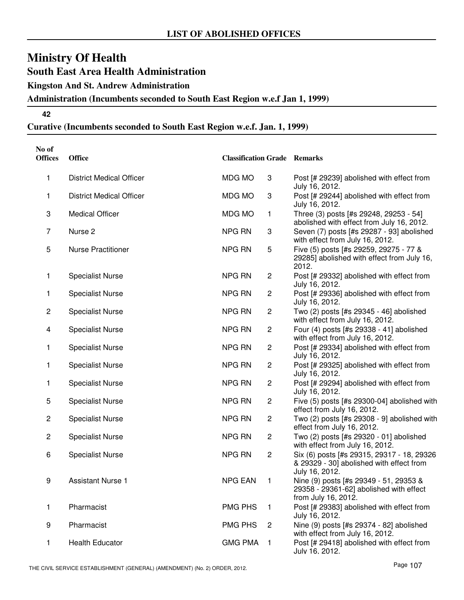**South East Area Health Administration**

**Kingston And St. Andrew Administration**

**Administration (Incumbents seconded to South East Region w.e.f Jan 1, 1999)**

**42**

# **Curative (Incumbents seconded to South East Region w.e.f. Jan. 1, 1999)**

| No of<br><b>Offices</b> | <b>Office</b>                   | <b>Classification Grade Remarks</b> |                |                                                                                                          |
|-------------------------|---------------------------------|-------------------------------------|----------------|----------------------------------------------------------------------------------------------------------|
| 1                       | <b>District Medical Officer</b> | MDG MO                              | 3              | Post [# 29239] abolished with effect from<br>July 16, 2012.                                              |
| 1                       | <b>District Medical Officer</b> | MDG MO                              | 3              | Post [# 29244] abolished with effect from<br>July 16, 2012.                                              |
| 3                       | <b>Medical Officer</b>          | MDG MO                              | $\mathbf{1}$   | Three (3) posts [#s 29248, 29253 - 54]<br>abolished with effect from July 16, 2012.                      |
| $\overline{7}$          | Nurse <sub>2</sub>              | NPG RN                              | 3              | Seven (7) posts [#s 29287 - 93] abolished<br>with effect from July 16, 2012.                             |
| 5                       | <b>Nurse Practitioner</b>       | NPG RN                              | 5              | Five (5) posts [#s 29259, 29275 - 77 &<br>29285] abolished with effect from July 16,<br>2012.            |
| 1                       | <b>Specialist Nurse</b>         | <b>NPG RN</b>                       | $\overline{c}$ | Post [# 29332] abolished with effect from<br>July 16, 2012.                                              |
| 1                       | <b>Specialist Nurse</b>         | <b>NPG RN</b>                       | $\overline{c}$ | Post [# 29336] abolished with effect from<br>July 16, 2012.                                              |
| $\overline{\mathbf{c}}$ | <b>Specialist Nurse</b>         | NPG RN                              | $\overline{c}$ | Two (2) posts [#s 29345 - 46] abolished<br>with effect from July 16, 2012.                               |
| 4                       | <b>Specialist Nurse</b>         | NPG RN                              | $\sqrt{2}$     | Four (4) posts [#s 29338 - 41] abolished<br>with effect from July 16, 2012.                              |
| 1                       | <b>Specialist Nurse</b>         | NPG RN                              | $\sqrt{2}$     | Post [# 29334] abolished with effect from<br>July 16, 2012.                                              |
| 1                       | <b>Specialist Nurse</b>         | <b>NPG RN</b>                       | $\overline{c}$ | Post [# 29325] abolished with effect from<br>July 16, 2012.                                              |
| 1                       | <b>Specialist Nurse</b>         | <b>NPG RN</b>                       | $\overline{c}$ | Post [# 29294] abolished with effect from<br>July 16, 2012.                                              |
| 5                       | <b>Specialist Nurse</b>         | NPG RN                              | $\overline{c}$ | Five (5) posts [#s 29300-04] abolished with<br>effect from July 16, 2012.                                |
| $\overline{\mathbf{c}}$ | <b>Specialist Nurse</b>         | NPG RN                              | $\overline{c}$ | Two (2) posts [#s 29308 - 9] abolished with<br>effect from July 16, 2012.                                |
| $\overline{c}$          | <b>Specialist Nurse</b>         | NPG RN                              | $\overline{c}$ | Two (2) posts [#s 29320 - 01] abolished<br>with effect from July 16, 2012.                               |
| 6                       | <b>Specialist Nurse</b>         | NPG RN                              | $\overline{c}$ | Six (6) posts [#s 29315, 29317 - 18, 29326<br>& 29329 - 30] abolished with effect from<br>July 16, 2012. |
| 9                       | <b>Assistant Nurse 1</b>        | <b>NPG EAN</b>                      | 1              | Nine (9) posts [#s 29349 - 51, 29353 &<br>29358 - 29361-62] abolished with effect<br>from July 16, 2012. |
| 1                       | Pharmacist                      | <b>PMG PHS</b>                      | 1              | Post [# 29383] abolished with effect from<br>July 16, 2012.                                              |
| 9                       | Pharmacist                      | <b>PMG PHS</b>                      | 2              | Nine (9) posts [#s 29374 - 82] abolished<br>with effect from July 16, 2012.                              |
| 1                       | <b>Health Educator</b>          | <b>GMG PMA</b>                      | $\mathbf{1}$   | Post [# 29418] abolished with effect from<br>July 16, 2012.                                              |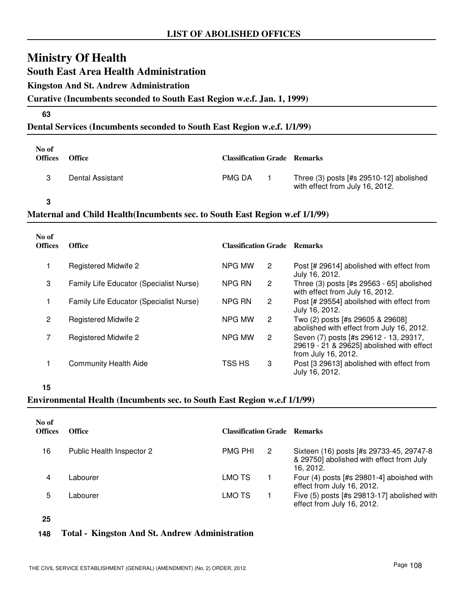**South East Area Health Administration**

### **Kingston And St. Andrew Administration**

#### **Curative (Incumbents seconded to South East Region w.e.f. Jan. 1, 1999)**

#### **63**

### **Dental Services (Incumbents seconded to South East Region w.e.f. 1/1/99)**

| No of<br><b>Offices</b> | <b>Office</b>    | <b>Classification Grade Remarks</b> |                                                                              |
|-------------------------|------------------|-------------------------------------|------------------------------------------------------------------------------|
|                         | Dental Assistant | <b>PMG DA</b>                       | Three $(3)$ posts [#s 29510-12] abolished<br>with effect from July 16, 2012. |

**3**

## **Maternal and Child Health(Incumbents sec. to South East Region w.ef 1/1/99)**

| No of<br><b>Offices</b> | <b>Office</b>                           | <b>Classification Grade Remarks</b> |                       |                                                                                                            |
|-------------------------|-----------------------------------------|-------------------------------------|-----------------------|------------------------------------------------------------------------------------------------------------|
|                         | Registered Midwife 2                    | NPG MW                              | 2                     | Post [# 29614] abolished with effect from<br>July 16, 2012.                                                |
| 3                       | Family Life Educator (Specialist Nurse) | NPG RN                              | 2                     | Three (3) posts [#s 29563 - 65] abolished<br>with effect from July 16, 2012.                               |
|                         | Family Life Educator (Specialist Nurse) | NPG RN                              | $\mathbf{2}^{\prime}$ | Post [# 29554] aboilshed with effect from<br>July 16, 2012.                                                |
| 2                       | <b>Registered Midwife 2</b>             | NPG MW                              | 2                     | Two (2) posts [#s 29605 & 29608]<br>abolished with effect from July 16, 2012.                              |
|                         | <b>Registered Midwife 2</b>             | NPG MW                              | 2                     | Seven (7) posts [#s 29612 - 13, 29317,<br>29619 - 21 & 29625] abolished with effect<br>from July 16, 2012. |
|                         | <b>Community Health Aide</b>            | TSS HS                              | 3                     | Post [3 29613] abolished with effect from<br>July 16, 2012.                                                |

**<sup>15</sup>**

### **Environmental Health (Incumbents sec. to South East Region w.e.f 1/1/99)**

| No of<br><b>Offices</b> | <b>Office</b>             | <b>Classification Grade Remarks</b> |                |                                                                                                   |
|-------------------------|---------------------------|-------------------------------------|----------------|---------------------------------------------------------------------------------------------------|
| 16                      | Public Health Inspector 2 | <b>PMG PHI</b>                      | $\overline{2}$ | Sixteen (16) posts [#s 29733-45, 29747-8<br>& 29750] abolished with effect from July<br>16. 2012. |
| 4                       | Labourer                  | LMO TS                              |                | Four $(4)$ posts [#s 29801-4] aboished with<br>effect from July 16, 2012.                         |
| 5                       | Labourer                  | LMO TS                              |                | Five (5) posts [#s 29813-17] abolished with<br>effect from July 16, 2012.                         |

**25**

#### **148 Total - Kingston And St. Andrew Administration**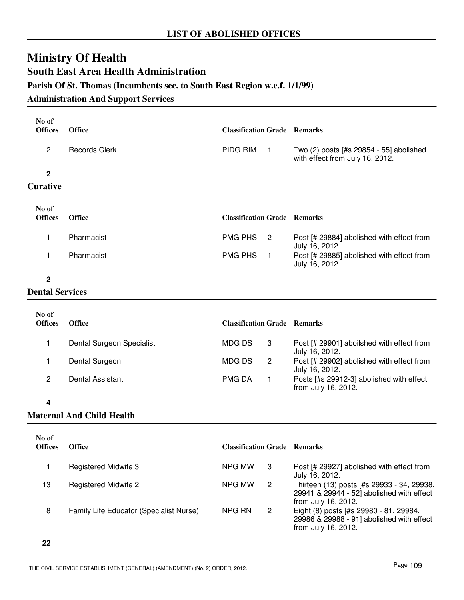# **Ministry Of Health South East Area Health Administration Parish Of St. Thomas (Incumbents sec. to South East Region w.e.f. 1/1/99)**

### **Administration And Support Services**

| No of<br><b>Offices</b> | <b>Office</b>                    | <b>Classification Grade Remarks</b> |                |                                                                            |
|-------------------------|----------------------------------|-------------------------------------|----------------|----------------------------------------------------------------------------|
| $\overline{2}$          | <b>Records Clerk</b>             | PIDG RIM                            | $\mathbf{1}$   | Two (2) posts [#s 29854 - 55] abolished<br>with effect from July 16, 2012. |
| $\mathbf 2$             |                                  |                                     |                |                                                                            |
| <b>Curative</b>         |                                  |                                     |                |                                                                            |
| No of                   |                                  |                                     |                |                                                                            |
| <b>Offices</b>          | <b>Office</b>                    | <b>Classification Grade Remarks</b> |                |                                                                            |
| 1                       | Pharmacist                       | <b>PMG PHS</b>                      | $\overline{2}$ | Post [# 29884] abolished with effect from<br>July 16, 2012.                |
| 1                       | Pharmacist                       | <b>PMG PHS</b>                      | $\overline{1}$ | Post [# 29885] abolished with effect from<br>July 16, 2012.                |
| $\overline{2}$          |                                  |                                     |                |                                                                            |
| <b>Dental Services</b>  |                                  |                                     |                |                                                                            |
| No of<br><b>Offices</b> | <b>Office</b>                    | <b>Classification Grade Remarks</b> |                |                                                                            |
| 1                       | Dental Surgeon Specialist        | <b>MDGDS</b>                        | 3              | Post [# 29901] aboilshed with effect from<br>July 16, 2012.                |
| 1                       | Dental Surgeon                   | MDG DS                              | $\overline{c}$ | Post [# 29902] abolished with effect from<br>July 16, 2012.                |
| $\overline{c}$          | <b>Dental Assistant</b>          | <b>PMG DA</b>                       | 1              | Posts [#s 29912-3] abolished with effect<br>from July 16, 2012.            |
| 4                       |                                  |                                     |                |                                                                            |
|                         | <b>Maternal And Child Health</b> |                                     |                |                                                                            |

| No of<br><b>Offices</b> | <b>Office</b>                           | <b>Classification Grade Remarks</b> |   |                                                                                                                |
|-------------------------|-----------------------------------------|-------------------------------------|---|----------------------------------------------------------------------------------------------------------------|
|                         | Registered Midwife 3                    | NPG MW                              | 3 | Post [# 29927] abolished with effect from<br>July 16, 2012.                                                    |
| 13                      | <b>Registered Midwife 2</b>             | NPG MW                              | 2 | Thirteen (13) posts [#s 29933 - 34, 29938,<br>29941 & 29944 - 52] abolished with effect<br>from July 16, 2012. |
| 8                       | Family Life Educator (Specialist Nurse) | NPG RN                              | 2 | Eight (8) posts [#s 29980 - 81, 29984,<br>29986 & 29988 - 91] abolished with effect<br>from July 16, 2012.     |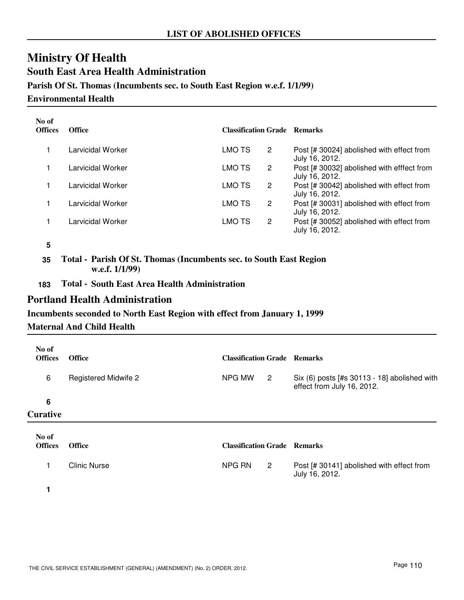# **Ministry Of Health South East Area Health Administration Parish Of St. Thomas (Incumbents sec. to South East Region w.e.f. 1/1/99)**

### **Environmental Health**

| No of<br><b>Offices</b> | <b>Office</b>     | <b>Classification Grade Remarks</b> |   |                                                              |
|-------------------------|-------------------|-------------------------------------|---|--------------------------------------------------------------|
|                         | Larvicidal Worker | LMO TS                              | 2 | Post [# 30024] abolished with effect from<br>July 16, 2012.  |
|                         | Larvicidal Worker | LMO TS                              | 2 | Post [# 30032] abolished with efffect from<br>July 16, 2012. |
|                         | Larvicidal Worker | LMO TS                              | 2 | Post [# 30042] abolished with effect from<br>July 16, 2012.  |
|                         | Larvicidal Worker | LMO TS                              | 2 | Post [# 30031] abolished with effect from<br>July 16, 2012.  |
|                         | Larvicidal Worker | LMO TS                              | 2 | Post [# 30052] abolished with effect from<br>July 16, 2012.  |

**<sup>5</sup>**

**35 Total - Parish Of St. Thomas (Incumbents sec. to South East Region w.e.f. 1/1/99)**

**183 Total - South East Area Health Administration**

# **Portland Health Administration**

#### **Incumbents seconded to North East Region with effect from January 1, 1999**

#### **Maternal And Child Health**

| No of<br><b>Offices</b> | <b>Office</b>               | <b>Classification Grade Remarks</b> |                            |                                                                              |
|-------------------------|-----------------------------|-------------------------------------|----------------------------|------------------------------------------------------------------------------|
| 6                       | <b>Registered Midwife 2</b> | NPG MW                              | $\overline{\mathbf{c}}$    | Six $(6)$ posts [#s 30113 - 18] abolished with<br>effect from July 16, 2012. |
| 6                       |                             |                                     |                            |                                                                              |
| <b>Curative</b>         |                             |                                     |                            |                                                                              |
| No of<br><b>Offices</b> | <b>Office</b>               | <b>Classification Grade Remarks</b> |                            |                                                                              |
|                         | Clinic Nurse                | NPG RN                              | $\overline{\phantom{a}}^2$ | Post [# 30141] abolished with effect from<br>July 16, 2012.                  |

**1**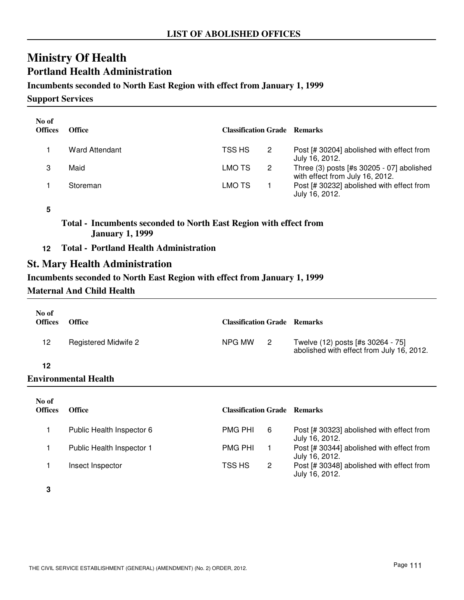# **Ministry Of Health Portland Health Administration**

### **Incumbents seconded to North East Region with effect from January 1, 1999**

**Support Services**

| No of<br><b>Offices</b> | <b>Office</b>  | <b>Classification Grade Remarks</b> |   |                                                                              |
|-------------------------|----------------|-------------------------------------|---|------------------------------------------------------------------------------|
|                         | Ward Attendant | TSS HS                              | 2 | Post [# 30204] abolished with effect from<br>July 16, 2012.                  |
|                         | Maid           | LMO TS                              | 2 | Three (3) posts [#s 30205 - 07] abolished<br>with effect from July 16, 2012. |
|                         | Storeman       | LMO TS                              |   | Post [# 30232] abolished with effect from<br>July 16, 2012.                  |

**5**

**Total - Incumbents seconded to North East Region with effect from January 1, 1999**

**12 Total - Portland Health Administration**

# **St. Mary Health Administration**

### **Incumbents seconded to North East Region with effect from January 1, 1999**

### **Maternal And Child Health**

| No of<br><b>Offices</b> | <b>Office</b>               | <b>Classification Grade Remarks</b> |                |                                                                                |
|-------------------------|-----------------------------|-------------------------------------|----------------|--------------------------------------------------------------------------------|
| 12                      | <b>Registered Midwife 2</b> | NPG MW                              | $\overline{2}$ | Twelve (12) posts [#s 30264 - 75]<br>abolished with effect from July 16, 2012. |
| 12                      |                             |                                     |                |                                                                                |
|                         | Environmental Health        |                                     |                |                                                                                |
| No of                   |                             |                                     |                |                                                                                |

| <b>Offices</b> | <b>Office</b>             | <b>Classification Grade Remarks</b> |   |                                                             |
|----------------|---------------------------|-------------------------------------|---|-------------------------------------------------------------|
|                | Public Health Inspector 6 | <b>PMG PHI</b>                      | 6 | Post [# 30323] abolished with effect from<br>July 16, 2012. |
|                | Public Health Inspector 1 | <b>PMG PHI</b>                      |   | Post [# 30344] abolished with effect from<br>July 16, 2012. |
|                | Insect Inspector          | TSS HS                              | 2 | Post [# 30348] abolished with effect from<br>July 16, 2012. |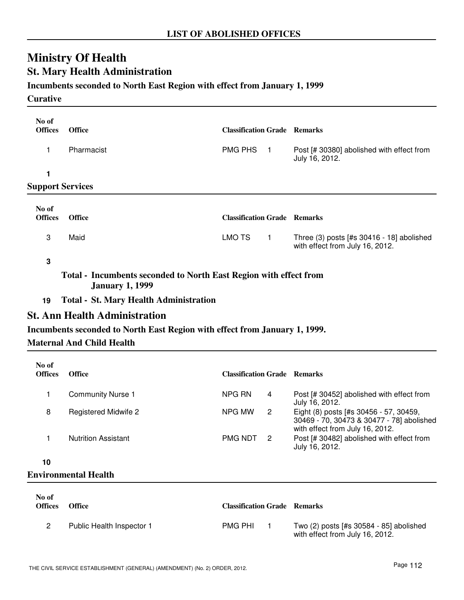# **Ministry Of Health St. Mary Health Administration**

## **Incumbents seconded to North East Region with effect from January 1, 1999**

#### **Curative**

| No of<br><b>Offices</b> | <b>Office</b> | <b>Classification Grade Remarks</b> |                                                                              |
|-------------------------|---------------|-------------------------------------|------------------------------------------------------------------------------|
|                         | Pharmacist    | <b>PMG PHS</b>                      | Post [# 30380] abolished with effect from<br>July 16, 2012.                  |
|                         |               |                                     |                                                                              |
| <b>Support Services</b> |               |                                     |                                                                              |
| No of<br><b>Offices</b> | <b>Office</b> | <b>Classification Grade Remarks</b> |                                                                              |
| 3                       | Maid          | <b>LMO TS</b>                       | Three (3) posts [#s 30416 - 18] abolished<br>with effect from July 16, 2012. |

**3**

**Total - Incumbents seconded to North East Region with effect from January 1, 1999**

**19 Total - St. Mary Health Administration**

# **St. Ann Health Administration**

### **Incumbents seconded to North East Region with effect from January 1, 1999.**

### **Maternal And Child Health**

| No of<br><b>Offices</b> | <b>Office</b>              | <b>Classification Grade</b> |    | <b>Remarks</b>                                                                                                         |
|-------------------------|----------------------------|-----------------------------|----|------------------------------------------------------------------------------------------------------------------------|
|                         | <b>Community Nurse 1</b>   | NPG RN                      | 4  | Post [# 30452] abolished with effect from<br>July 16, 2012.                                                            |
| 8                       | Registered Midwife 2       | NPG MW                      | 2  | Eight (8) posts [#s 30456 - 57, 30459,<br>30469 - 70, 30473 & 30477 - 78] abolished<br>with effect from July 16, 2012. |
|                         | <b>Nutrition Assistant</b> | <b>PMG NDT</b>              | -2 | Post [# 30482] abolished with effect from<br>July 16, 2012.                                                            |
| 10                      |                            |                             |    |                                                                                                                        |

## **Environmental Health**

| No of<br><b>Offices</b> | <b>Office</b>             | <b>Classification Grade Remarks</b> |                                                                            |
|-------------------------|---------------------------|-------------------------------------|----------------------------------------------------------------------------|
|                         | Public Health Inspector 1 | <b>PMG PHI</b>                      | Two (2) posts [#s 30584 - 85] abolished<br>with effect from July 16, 2012. |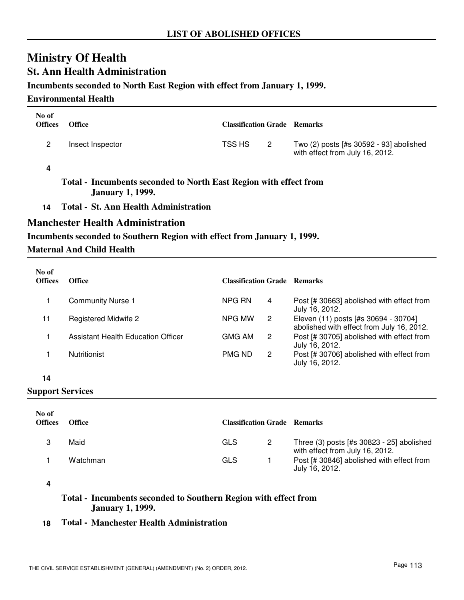# **Ministry Of Health St. Ann Health Administration**

### **Incumbents seconded to North East Region with effect from January 1, 1999.**

#### **Environmental Health**

| No of<br><b>Offices</b> | <b>Office</b>    | <b>Classification Grade Remarks</b> |                |                                                                            |
|-------------------------|------------------|-------------------------------------|----------------|----------------------------------------------------------------------------|
| 2                       | Insect Inspector | TSS HS                              | $\overline{2}$ | Two (2) posts [#s 30592 - 93] abolished<br>with effect from July 16, 2012. |
|                         |                  |                                     |                |                                                                            |

- **Total Incumbents seconded to North East Region with effect from January 1, 1999.**
- **14 Total St. Ann Health Administration**

## **Manchester Health Administration**

### **Incumbents seconded to Southern Region with effect from January 1, 1999.**

### **Maternal And Child Health**

| No of<br><b>Offices</b> | <b>Office</b>                      | <b>Classification Grade Remarks</b> |   |                                                                                   |
|-------------------------|------------------------------------|-------------------------------------|---|-----------------------------------------------------------------------------------|
|                         | <b>Community Nurse 1</b>           | NPG RN                              | 4 | Post [# 30663] abolished with effect from<br>July 16, 2012.                       |
| 11                      | Registered Midwife 2               | NPG MW                              | 2 | Eleven (11) posts [#s 30694 - 30704]<br>abolished with effect from July 16, 2012. |
|                         | Assistant Health Education Officer | GMG AM                              | 2 | Post [# 30705] abolished with effect from<br>July 16, 2012.                       |
|                         | <b>Nutritionist</b>                | PMG ND                              | 2 | Post [# 30706] abolished with effect from<br>July 16, 2012.                       |

#### **14**

**Support Services**

| No of<br><b>Offices</b> | <b>Office</b> | <b>Classification Grade Remarks</b> |                                                                              |
|-------------------------|---------------|-------------------------------------|------------------------------------------------------------------------------|
|                         | Maid          | GLS                                 | Three (3) posts [#s 30823 - 25] abolished<br>with effect from July 16, 2012. |
|                         | Watchman      | GLS                                 | Post [# 30846] abolished with effect from<br>July 16, 2012.                  |

**<sup>4</sup>**

**Total - Incumbents seconded to Southern Region with effect from January 1, 1999.**

### **18 Total - Manchester Health Administration**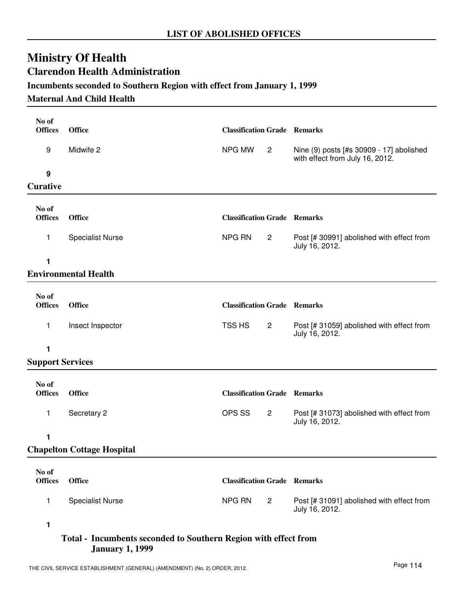# **Ministry Of Health Clarendon Health Administration**

# **Incumbents seconded to Southern Region with effect from January 1, 1999**

### **Maternal And Child Health**

| No of                   |                                   |                                     |                |                                                                             |
|-------------------------|-----------------------------------|-------------------------------------|----------------|-----------------------------------------------------------------------------|
| <b>Offices</b>          | <b>Office</b>                     | <b>Classification Grade Remarks</b> |                |                                                                             |
| 9                       | Midwife 2                         | NPG MW                              | $\overline{2}$ | Nine (9) posts [#s 30909 - 17] abolished<br>with effect from July 16, 2012. |
| $\boldsymbol{9}$        |                                   |                                     |                |                                                                             |
| <b>Curative</b>         |                                   |                                     |                |                                                                             |
| No of<br><b>Offices</b> | <b>Office</b>                     | <b>Classification Grade Remarks</b> |                |                                                                             |
| 1                       | <b>Specialist Nurse</b>           | NPG RN                              | 2              | Post [# 30991] abolished with effect from<br>July 16, 2012.                 |
| 1                       |                                   |                                     |                |                                                                             |
|                         | <b>Environmental Health</b>       |                                     |                |                                                                             |
| No of                   |                                   |                                     |                |                                                                             |
| <b>Offices</b>          | <b>Office</b>                     | <b>Classification Grade Remarks</b> |                |                                                                             |
| 1                       | Insect Inspector                  | TSS HS                              | $\overline{2}$ | Post [# 31059] abolished with effect from<br>July 16, 2012.                 |
| 1                       |                                   |                                     |                |                                                                             |
| <b>Support Services</b> |                                   |                                     |                |                                                                             |
| No of                   |                                   |                                     |                |                                                                             |
| <b>Offices</b>          | <b>Office</b>                     | <b>Classification Grade Remarks</b> |                |                                                                             |
| 1                       | Secretary 2                       | OPS SS                              | $\overline{2}$ | Post [# 31073] abolished with effect from<br>July 16, 2012.                 |
| 1                       |                                   |                                     |                |                                                                             |
|                         | <b>Chapelton Cottage Hospital</b> |                                     |                |                                                                             |
| No of<br><b>Offices</b> | <b>Office</b>                     | <b>Classification Grade Remarks</b> |                |                                                                             |
| $\mathbf{1}$            | <b>Specialist Nurse</b>           | NPG RN                              | $\overline{c}$ | Post [# 31091] abolished with effect from<br>July 16, 2012.                 |
| 1                       |                                   |                                     |                |                                                                             |

### **Total - Incumbents seconded to Southern Region with effect from January 1, 1999**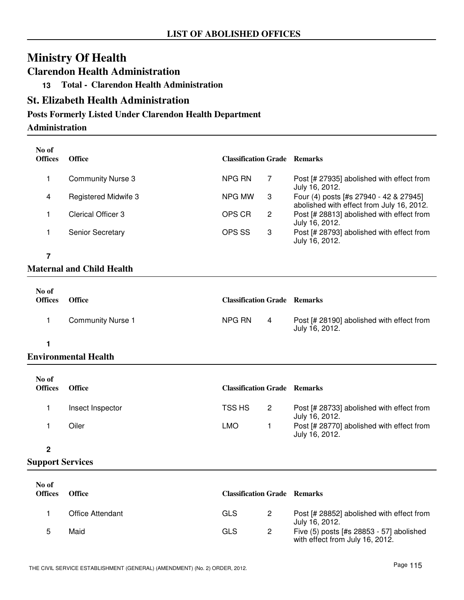# **Clarendon Health Administration**

**13 Total - Clarendon Health Administration**

# **St. Elizabeth Health Administration**

# **Posts Formerly Listed Under Clarendon Health Department**

### **Administration**

| No of<br><b>Offices</b> | <b>Office</b>               | <b>Classification Grade Remarks</b> |   |                                                                                     |
|-------------------------|-----------------------------|-------------------------------------|---|-------------------------------------------------------------------------------------|
|                         | <b>Community Nurse 3</b>    | NPG RN                              | 7 | Post [# 27935] abolished with effect from<br>July 16, 2012.                         |
| 4                       | <b>Registered Midwife 3</b> | NPG MW                              | 3 | Four (4) posts [#s 27940 - 42 & 27945]<br>abolished with effect from July 16, 2012. |
|                         | Clerical Officer 3          | OPS CR                              | 2 | Post [# 28813] abolished with effect from<br>July 16, 2012.                         |
|                         | <b>Senior Secretary</b>     | OPS SS                              | 3 | Post [# 28793] abolished with effect from<br>July 16, 2012.                         |

# **7**

# **Maternal and Child Health**

| No of<br><b>Offices</b> | <b>Office</b>            | <b>Classification Grade Remarks</b> |   |                                                             |
|-------------------------|--------------------------|-------------------------------------|---|-------------------------------------------------------------|
|                         | <b>Community Nurse 1</b> | NPG RN                              | 4 | Post [# 28190] abolished with effect from<br>July 16, 2012. |

# **1**

# **Environmental Health**

| No of<br><b>Offices</b> | <b>Office</b>    | <b>Classification Grade Remarks</b> |   |                                                             |
|-------------------------|------------------|-------------------------------------|---|-------------------------------------------------------------|
|                         | Insect Inspector | TSS HS                              | 2 | Post [# 28733] abolished with effect from<br>July 16, 2012. |
|                         | Oiler            | LMO                                 |   | Post [# 28770] abolished with effect from<br>July 16, 2012. |

#### **2**

| No of<br><b>Offices</b> | Office           | <b>Classification Grade Remarks</b> |                                                                             |
|-------------------------|------------------|-------------------------------------|-----------------------------------------------------------------------------|
|                         | Office Attendant | GLS                                 | Post [# 28852] abolished with effect from<br>July 16, 2012.                 |
|                         | Maid             | GLS                                 | Five (5) posts [#s 28853 - 57] abolished<br>with effect from July 16, 2012. |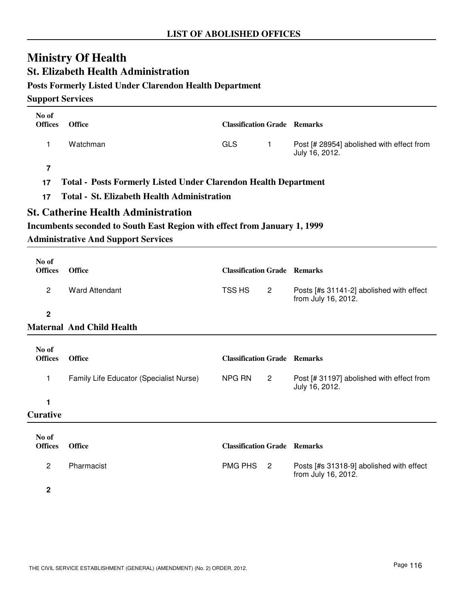# **St. Elizabeth Health Administration**

# **Posts Formerly Listed Under Clarendon Health Department**

| No of<br><b>Offices</b> | <b>Office</b>                                                                                                           | <b>Classification Grade Remarks</b> |                |                                                                 |  |  |  |
|-------------------------|-------------------------------------------------------------------------------------------------------------------------|-------------------------------------|----------------|-----------------------------------------------------------------|--|--|--|
|                         |                                                                                                                         |                                     |                |                                                                 |  |  |  |
| 1                       | Watchman                                                                                                                | <b>GLS</b>                          | $\mathbf{1}$   | Post [# 28954] abolished with effect from<br>July 16, 2012.     |  |  |  |
| $\overline{7}$          |                                                                                                                         |                                     |                |                                                                 |  |  |  |
| 17                      | <b>Total - Posts Formerly Listed Under Clarendon Health Department</b>                                                  |                                     |                |                                                                 |  |  |  |
| 17                      | <b>Total - St. Elizabeth Health Administration</b>                                                                      |                                     |                |                                                                 |  |  |  |
|                         | <b>St. Catherine Health Administration</b>                                                                              |                                     |                |                                                                 |  |  |  |
|                         |                                                                                                                         |                                     |                |                                                                 |  |  |  |
|                         | Incumbents seconded to South East Region with effect from January 1, 1999<br><b>Administrative And Support Services</b> |                                     |                |                                                                 |  |  |  |
|                         |                                                                                                                         |                                     |                |                                                                 |  |  |  |
| No of<br><b>Offices</b> | <b>Office</b>                                                                                                           | <b>Classification Grade Remarks</b> |                |                                                                 |  |  |  |
| $\overline{c}$          | <b>Ward Attendant</b>                                                                                                   | TSS HS                              | 2              | Posts [#s 31141-2] abolished with effect<br>from July 16, 2012. |  |  |  |
| $\overline{\mathbf{2}}$ |                                                                                                                         |                                     |                |                                                                 |  |  |  |
|                         | <b>Maternal And Child Health</b>                                                                                        |                                     |                |                                                                 |  |  |  |
|                         |                                                                                                                         |                                     |                |                                                                 |  |  |  |
| No of<br><b>Offices</b> | <b>Office</b>                                                                                                           | <b>Classification Grade Remarks</b> |                |                                                                 |  |  |  |
| 1                       | Family Life Educator (Specialist Nurse)                                                                                 | NPG RN                              | $\mathbf{2}$   | Post [# 31197] abolished with effect from<br>July 16, 2012.     |  |  |  |
| 1                       |                                                                                                                         |                                     |                |                                                                 |  |  |  |
| <b>Curative</b>         |                                                                                                                         |                                     |                |                                                                 |  |  |  |
|                         |                                                                                                                         |                                     |                |                                                                 |  |  |  |
| No of<br><b>Offices</b> | <b>Office</b>                                                                                                           | <b>Classification Grade Remarks</b> |                |                                                                 |  |  |  |
| 2                       | Pharmacist                                                                                                              | <b>PMG PHS</b>                      | $\overline{2}$ | Posts [#s 31318-9] abolished with effect<br>from July 16, 2012. |  |  |  |
| 2                       |                                                                                                                         |                                     |                |                                                                 |  |  |  |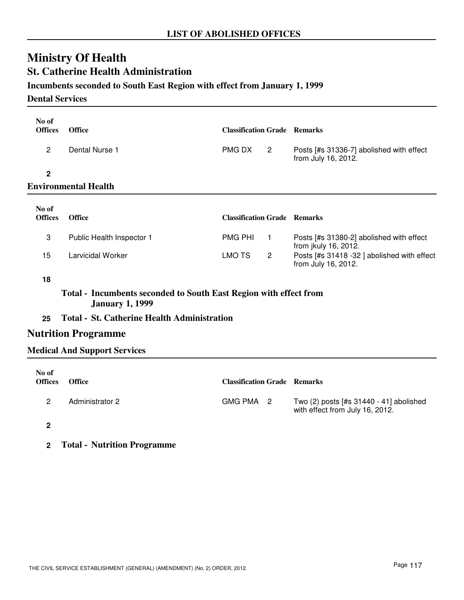# **Ministry Of Health St. Catherine Health Administration**

# **Incumbents seconded to South East Region with effect from January 1, 1999**

#### **Dental Services**

| No of<br><b>Offices</b> | <b>Office</b>             | <b>Classification Grade Remarks</b> |                |                                                                  |
|-------------------------|---------------------------|-------------------------------------|----------------|------------------------------------------------------------------|
| $\overline{2}$          | Dental Nurse 1            | <b>PMG DX</b>                       | $\overline{2}$ | Posts [#s 31336-7] abolished with effect<br>from July 16, 2012.  |
| $\mathbf{2}$            | Environmental Health      |                                     |                |                                                                  |
|                         |                           |                                     |                |                                                                  |
| No of<br><b>Offices</b> | <b>Office</b>             | <b>Classification Grade Remarks</b> |                |                                                                  |
| 3                       | Public Health Inspector 1 | <b>PMG PHI</b>                      | $\mathbf{1}$   | Posts [#s 31380-2] abolished with effect<br>from jkuly 16, 2012. |

**18**

# **Total - Incumbents seconded to South East Region with effect from January 1, 1999**

## **25 Total - St. Catherine Health Administration**

### **Nutrition Programme**

### **Medical And Support Services**

| No of<br><b>Offices</b> | <b>Office</b>          | <b>Classification Grade Remarks</b> |                                                                            |
|-------------------------|------------------------|-------------------------------------|----------------------------------------------------------------------------|
| 2                       | <b>Administrator 2</b> | GMG PMA 2                           | Two (2) posts [#s 31440 - 41] abolished<br>with effect from July 16, 2012. |
| 2                       |                        |                                     |                                                                            |

**2 Total - Nutrition Programme**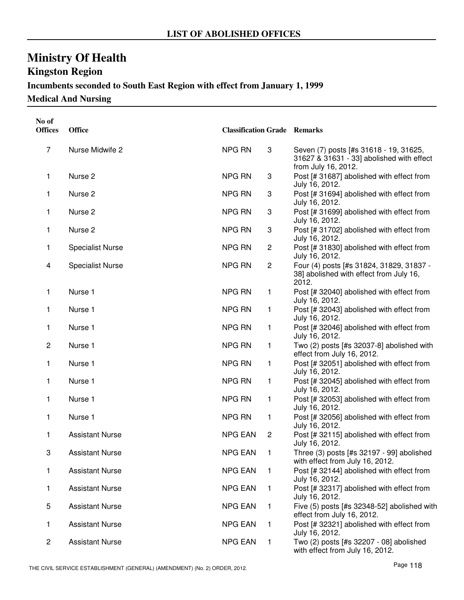# **Kingston Region**

# **Incumbents seconded to South East Region with effect from January 1, 1999**

**Medical And Nursing**

| No of<br><b>Offices</b> | <b>Office</b>           | <b>Classification Grade Remarks</b> |                |                                                                                                            |
|-------------------------|-------------------------|-------------------------------------|----------------|------------------------------------------------------------------------------------------------------------|
| 7                       | Nurse Midwife 2         | NPG RN                              | 3              | Seven (7) posts [#s 31618 - 19, 31625,<br>31627 & 31631 - 33] abolished with effect<br>from July 16, 2012. |
| 1                       | Nurse <sub>2</sub>      | NPG RN                              | 3              | Post [# 31687] abolished with effect from<br>July 16, 2012.                                                |
| 1                       | Nurse <sub>2</sub>      | <b>NPG RN</b>                       | 3              | Post [# 31694] abolished with effect from<br>July 16, 2012.                                                |
| 1                       | Nurse <sub>2</sub>      | <b>NPG RN</b>                       | 3              | Post [# 31699] abolished with effect from<br>July 16, 2012.                                                |
| 1                       | Nurse <sub>2</sub>      | <b>NPG RN</b>                       | 3              | Post [# 31702] abolished with effect from<br>July 16, 2012.                                                |
| 1                       | <b>Specialist Nurse</b> | <b>NPG RN</b>                       | $\overline{c}$ | Post [# 31830] abolished with effect from<br>July 16, 2012.                                                |
| 4                       | <b>Specialist Nurse</b> | NPG RN                              | $\overline{c}$ | Four (4) posts [#s 31824, 31829, 31837 -<br>38] abolished with effect from July 16,<br>2012.               |
| 1                       | Nurse 1                 | <b>NPG RN</b>                       | $\mathbf{1}$   | Post [# 32040] abolished with effect from<br>July 16, 2012.                                                |
| 1                       | Nurse 1                 | <b>NPG RN</b>                       | 1              | Post [# 32043] abolished with effect from<br>July 16, 2012.                                                |
| 1                       | Nurse 1                 | <b>NPG RN</b>                       | 1              | Post [# 32046] abolished with effect from<br>July 16, 2012.                                                |
| $\overline{c}$          | Nurse 1                 | <b>NPG RN</b>                       | $\mathbf{1}$   | Two (2) posts [#s 32037-8] abolished with<br>effect from July 16, 2012.                                    |
| 1                       | Nurse 1                 | <b>NPG RN</b>                       | $\mathbf{1}$   | Post [# 32051] abolished with effect from<br>July 16, 2012.                                                |
| 1                       | Nurse 1                 | <b>NPG RN</b>                       | $\mathbf{1}$   | Post [# 32045] abolished with effect from<br>July 16, 2012.                                                |
| 1                       | Nurse 1                 | <b>NPG RN</b>                       | 1              | Post [# 32053] abolished with effect from<br>July 16, 2012.                                                |
| 1                       | Nurse 1                 | <b>NPG RN</b>                       | 1              | Post [# 32056] abolished with effect from<br>July 16, 2012.                                                |
| 1                       | <b>Assistant Nurse</b>  | <b>NPG EAN</b>                      | $\overline{c}$ | Post [# 32115] abolished with effect from<br>July 16, 2012.                                                |
| 3                       | <b>Assistant Nurse</b>  | <b>NPG EAN</b>                      | 1              | Three (3) posts [#s 32197 - 99] abolished<br>with effect from July 16, 2012.                               |
| 1                       | <b>Assistant Nurse</b>  | <b>NPG EAN</b>                      | $\mathbf 1$    | Post [# 32144] abolished with effect from<br>July 16, 2012.                                                |
| 1                       | <b>Assistant Nurse</b>  | <b>NPG EAN</b>                      | $\mathbf{1}$   | Post [# 32317] abolished with effect from<br>July 16, 2012.                                                |
| 5                       | <b>Assistant Nurse</b>  | <b>NPG EAN</b>                      | $\mathbf{1}$   | Five (5) posts [#s 32348-52] abolished with<br>effect from July 16, 2012.                                  |
| 1                       | <b>Assistant Nurse</b>  | <b>NPG EAN</b>                      | 1              | Post [# 32321] abolished with effect from<br>July 16, 2012.                                                |
| 2                       | <b>Assistant Nurse</b>  | <b>NPG EAN</b>                      | 1              | Two (2) posts [#s 32207 - 08] abolished<br>with effect from July 16, 2012.                                 |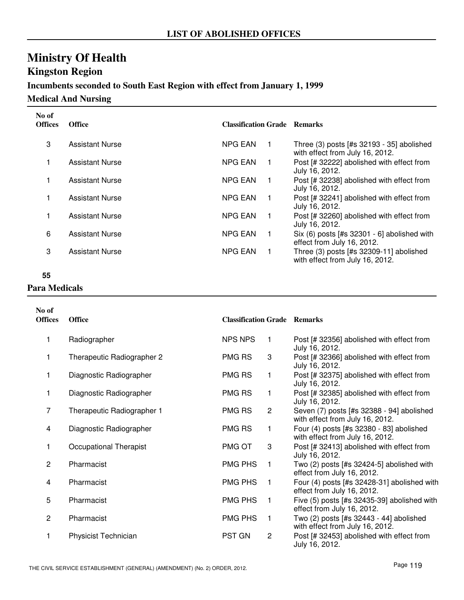# **Kingston Region**

# **Incumbents seconded to South East Region with effect from January 1, 1999**

**Medical And Nursing**

| No of<br><b>Offices</b> | <b>Office</b>          | <b>Classification Grade Remarks</b> |             |                                                                                |
|-------------------------|------------------------|-------------------------------------|-------------|--------------------------------------------------------------------------------|
| 3                       | <b>Assistant Nurse</b> | <b>NPG EAN</b>                      | $\mathbf 1$ | Three $(3)$ posts [#s 32193 - 35] abolished<br>with effect from July 16, 2012. |
|                         | <b>Assistant Nurse</b> | <b>NPG EAN</b>                      | $\mathbf 1$ | Post [# 32222] abolished with effect from<br>July 16, 2012.                    |
|                         | <b>Assistant Nurse</b> | <b>NPG EAN</b>                      | $\mathbf 1$ | Post [# 32238] abolished with effect from<br>July 16, 2012.                    |
|                         | <b>Assistant Nurse</b> | <b>NPG EAN</b>                      | 1           | Post [# 32241] abolished with effect from<br>July 16, 2012.                    |
|                         | <b>Assistant Nurse</b> | <b>NPG EAN</b>                      | 1           | Post [# 32260] abolished with effect from<br>July 16, 2012.                    |
| 6                       | <b>Assistant Nurse</b> | <b>NPG EAN</b>                      | 1           | Six $(6)$ posts [#s 32301 - 6] abolished with<br>effect from July 16, 2012.    |
| 3                       | <b>Assistant Nurse</b> | <b>NPG EAN</b>                      | $\mathbf 1$ | Three $(3)$ posts [#s 32309-11] abolished<br>with effect from July 16, 2012.   |

## **55 Para Medicals**

| No of<br><b>Offices</b> | <b>Office</b>               | <b>Classification Grade Remarks</b> |              |                                                                              |
|-------------------------|-----------------------------|-------------------------------------|--------------|------------------------------------------------------------------------------|
| 1                       | Radiographer                | <b>NPS NPS</b>                      | $\mathbf 1$  | Post [# 32356] abolished with effect from<br>July 16, 2012.                  |
| 1                       | Therapeutic Radiographer 2  | <b>PMG RS</b>                       | 3            | Post [# 32366] abolished with effect from<br>July 16, 2012.                  |
| 1                       | Diagnostic Radiographer     | PMG RS                              | 1            | Post [# 32375] abolished with effect from<br>July 16, 2012.                  |
| 1                       | Diagnostic Radiographer     | <b>PMG RS</b>                       | 1            | Post [# 32385] abolished with effect from<br>July 16, 2012.                  |
| 7                       | Therapeutic Radiographer 1  | PMG RS                              | $\mathbf{2}$ | Seven (7) posts [#s 32388 - 94] abolished<br>with effect from July 16, 2012. |
| 4                       | Diagnostic Radiographer     | PMG RS                              | 1            | Four (4) posts [#s 32380 - 83] abolished<br>with effect from July 16, 2012.  |
| 1                       | Occupational Therapist      | PMG OT                              | 3            | Post [# 32413] abolished with effect from<br>July 16, 2012.                  |
| $\overline{2}$          | Pharmacist                  | PMG PHS                             | 1            | Two $(2)$ posts [#s 32424-5] abolished with<br>effect from July 16, 2012.    |
| 4                       | Pharmacist                  | PMG PHS                             | 1            | Four (4) posts [#s 32428-31] abolished with<br>effect from July 16, 2012.    |
| 5                       | Pharmacist                  | <b>PMG PHS</b>                      | 1            | Five (5) posts [#s 32435-39] abolished with<br>effect from July 16, 2012.    |
| $\overline{2}$          | Pharmacist                  | PMG PHS                             | 1            | Two (2) posts [#s 32443 - 44] abolished<br>with effect from July 16, 2012.   |
| 1                       | <b>Physicist Technician</b> | <b>PST GN</b>                       | $\mathbf{2}$ | Post [# 32453] abolished with effect from<br>July 16, 2012.                  |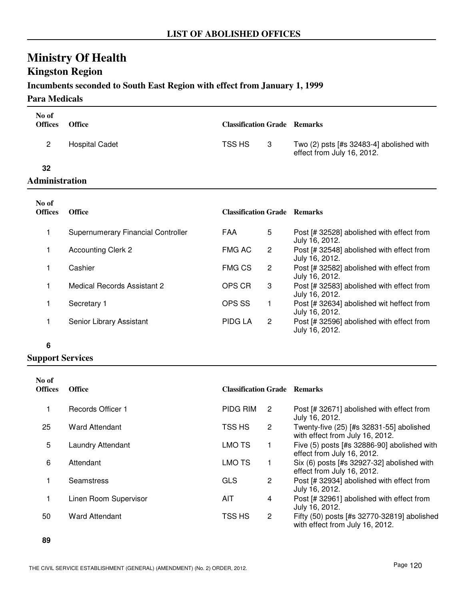# **Kingston Region**

### **Incumbents seconded to South East Region with effect from January 1, 1999**

### **Para Medicals**

| No of<br><b>Offices</b> | <b>Office</b>                             | <b>Classification Grade Remarks</b> |   |                                                                               |
|-------------------------|-------------------------------------------|-------------------------------------|---|-------------------------------------------------------------------------------|
| $\overline{2}$          | <b>Hospital Cadet</b>                     | TSS HS                              | 3 | Two $(2)$ psts [#s 32483-4] abolished with<br>effect from July 16, 2012.      |
| 32                      |                                           |                                     |   |                                                                               |
| <b>Administration</b>   |                                           |                                     |   |                                                                               |
| No of<br><b>Offices</b> | <b>Office</b>                             | <b>Classification Grade Remarks</b> |   |                                                                               |
| 1                       | <b>Supernumerary Financial Controller</b> | FAA                                 | 5 | Post [# 32528] abolished with effect from<br>July 16, 2012.                   |
| 1                       | <b>Accounting Clerk 2</b>                 | <b>FMG AC</b>                       | 2 | Post [# 32548] abolished with effect from                                     |
|                         |                                           |                                     |   |                                                                               |
|                         | Cashier                                   | <b>FMG CS</b>                       | 2 | July 16, 2012.<br>Post [# 32582] abolished with effect from<br>July 16, 2012. |

1 Secretary 1 **Post [# 32634]** abolished wit heffect from July 16, 2012. OPS SS 1 1 Senior Library Assistant **PIDG LA** 2 Post [# 32596] abolished with effect from PIDG LA

July 16, 2012.

July 16, 2012.

#### **6**

| No of<br><b>Offices</b> | <b>Office</b>            | <b>Classification Grade Remarks</b> |                |                                                                                |
|-------------------------|--------------------------|-------------------------------------|----------------|--------------------------------------------------------------------------------|
|                         | <b>Records Officer 1</b> | PIDG RIM                            | 2              | Post [# 32671] abolished with effect from<br>July 16, 2012.                    |
| 25                      | <b>Ward Attendant</b>    | TSS HS                              | $\overline{2}$ | Twenty-five (25) [#s 32831-55] abolished<br>with effect from July 16, 2012.    |
| 5                       | <b>Laundry Attendant</b> | LMO TS                              |                | Five (5) posts [#s 32886-90] abolished with<br>effect from July 16, 2012.      |
| 6                       | Attendant                | <b>LMO TS</b>                       |                | Six (6) posts [#s 32927-32] abolished with<br>effect from July 16, 2012.       |
|                         | <b>Seamstress</b>        | <b>GLS</b>                          | 2              | Post [# 32934] abolished with effect from<br>July 16, 2012.                    |
|                         | Linen Room Supervisor    | AIT                                 | 4              | Post [# 32961] abolished with effect from<br>July 16, 2012.                    |
| 50                      | <b>Ward Attendant</b>    | TSS HS                              | 2              | Fifty (50) posts [#s 32770-32819] abolished<br>with effect from July 16, 2012. |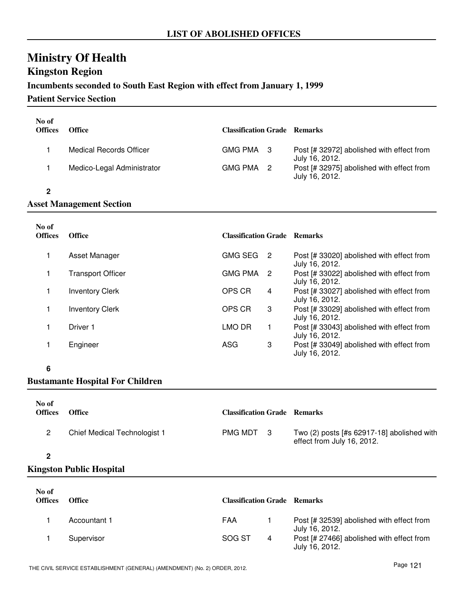# **Ministry Of Health Kingston Region**

## **Incumbents seconded to South East Region with effect from January 1, 1999**

### **Patient Service Section**

| No of<br><b>Offices</b> | <b>Office</b>                  | <b>Classification Grade</b> Remarks |                                                             |
|-------------------------|--------------------------------|-------------------------------------|-------------------------------------------------------------|
|                         | <b>Medical Records Officer</b> | GMG PMA 3                           | Post [# 32972] abolished with effect from<br>July 16, 2012. |
|                         | Medico-Legal Administrator     | GMG PMA 2                           | Post [# 32975] abolished with effect from<br>July 16, 2012. |
|                         |                                |                                     |                                                             |

#### **Asset Management Section**

| No of<br><b>Offices</b> | <b>Office</b>            | <b>Classification Grade Remarks</b> |    |                                                             |
|-------------------------|--------------------------|-------------------------------------|----|-------------------------------------------------------------|
|                         | Asset Manager            | <b>GMG SEG</b>                      | -2 | Post [# 33020] abolished with effect from<br>July 16, 2012. |
|                         | <b>Transport Officer</b> | <b>GMG PMA</b>                      | -2 | Post [# 33022] abolished with effect from<br>July 16, 2012. |
|                         | <b>Inventory Clerk</b>   | OPS CR                              | 4  | Post [# 33027] abolished with effect from<br>July 16, 2012. |
|                         | <b>Inventory Clerk</b>   | OPS CR                              | 3  | Post [# 33029] abolished with effect from<br>July 16, 2012. |
|                         | Driver 1                 | LMO DR                              |    | Post [# 33043] abolished with effect from<br>July 16, 2012. |
|                         | Engineer                 | ASG                                 | 3  | Post [# 33049] abolished with effect from<br>July 16, 2012. |

#### **6**

## **Bustamante Hospital For Children**

| No of<br><b>Offices</b> | <b>Office</b>                | <b>Classification Grade Remarks</b> |                                                                            |
|-------------------------|------------------------------|-------------------------------------|----------------------------------------------------------------------------|
|                         | Chief Medical Technologist 1 | PMG MDT 3                           | Two $(2)$ posts [#s 62917-18] abolished with<br>effect from July 16, 2012. |
|                         |                              |                                     |                                                                            |

#### **2**

## **Kingston Public Hospital**

| No of<br><b>Offices</b> | <b>Office</b> | <b>Classification Grade Remarks</b> |   |                                                             |
|-------------------------|---------------|-------------------------------------|---|-------------------------------------------------------------|
|                         | Accountant 1  | FAA                                 |   | Post [# 32539] abolished with effect from<br>July 16, 2012. |
|                         | Supervisor    | SOG ST                              | 4 | Post [# 27466] abolished with effect from<br>July 16, 2012. |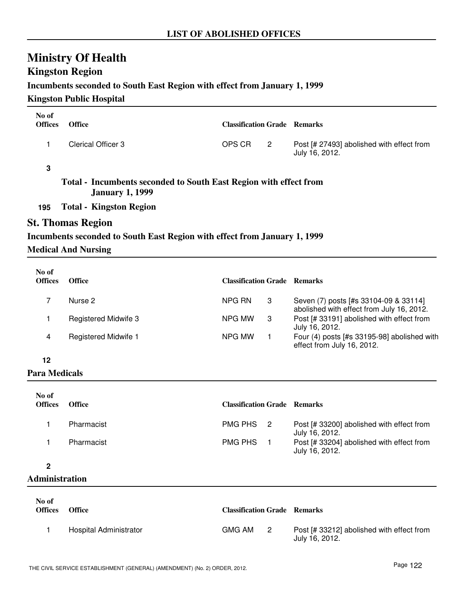# **Kingston Region**

### **Incumbents seconded to South East Region with effect from January 1, 1999**

### **Kingston Public Hospital**

| No of<br><b>Offices</b> | <b>Office</b>                                                                               | <b>Classification Grade Remarks</b> |                |                                                                                    |
|-------------------------|---------------------------------------------------------------------------------------------|-------------------------------------|----------------|------------------------------------------------------------------------------------|
| 1                       | <b>Clerical Officer 3</b>                                                                   | OPS CR                              | $\overline{2}$ | Post [# 27493] abolished with effect from<br>July 16, 2012.                        |
| 3                       |                                                                                             |                                     |                |                                                                                    |
|                         | Total - Incumbents seconded to South East Region with effect from<br><b>January 1, 1999</b> |                                     |                |                                                                                    |
| 195                     | <b>Total - Kingston Region</b>                                                              |                                     |                |                                                                                    |
|                         | <b>St. Thomas Region</b>                                                                    |                                     |                |                                                                                    |
|                         | Incumbents seconded to South East Region with effect from January 1, 1999                   |                                     |                |                                                                                    |
|                         | <b>Medical And Nursing</b>                                                                  |                                     |                |                                                                                    |
| No of<br><b>Offices</b> | <b>Office</b>                                                                               | <b>Classification Grade Remarks</b> |                |                                                                                    |
|                         |                                                                                             |                                     |                |                                                                                    |
| 7                       | Nurse 2                                                                                     | NPG RN                              | 3              | Seven (7) posts [#s 33104-09 & 33114]<br>abolished with effect from July 16, 2012. |
| 1                       | <b>Registered Midwife 3</b>                                                                 | NPG MW                              | 3              | Post [# 33191] abolished with effect from<br>July 16, 2012.                        |

4 Registered Midwife 1 **Four (4) posts [#s 33195-98]** abolished with effect from July 16, 2012. NPG MW 1

**12**

# **Para Medicals**

| No of<br><b>Offices</b> | <b>Office</b> | <b>Classification Grade Remarks</b> |                                                             |
|-------------------------|---------------|-------------------------------------|-------------------------------------------------------------|
|                         | Pharmacist    | PMG PHS 2                           | Post [# 33200] abolished with effect from<br>July 16, 2012. |
|                         | Pharmacist    | PMG PHS                             | Post [# 33204] abolished with effect from<br>July 16, 2012. |

### **2**

### **Administration**

| No of<br><b>Offices</b> | <b>Office</b>          | <b>Classification Grade Remarks</b> |   |                                                             |
|-------------------------|------------------------|-------------------------------------|---|-------------------------------------------------------------|
|                         | Hospital Administrator | GMG AM                              | 2 | Post [# 33212] abolished with effect from<br>July 16, 2012. |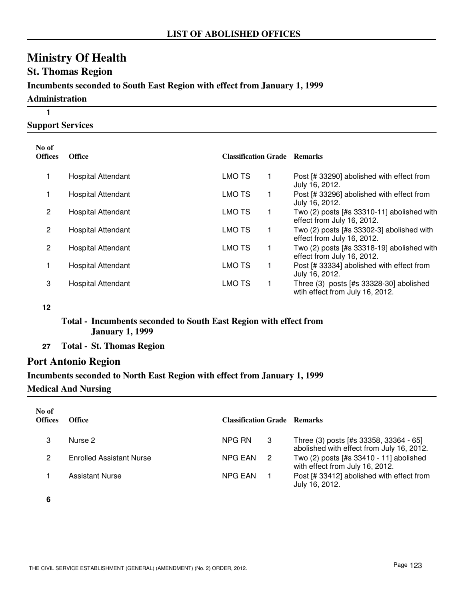# **Ministry Of Health St. Thomas Region Incumbents seconded to South East Region with effect from January 1, 1999 Administration 1**

**Support Services**

| No of<br>Offices | <b>Office</b>             | <b>Classification Grade Remarks</b> |                                                                            |
|------------------|---------------------------|-------------------------------------|----------------------------------------------------------------------------|
|                  | <b>Hospital Attendant</b> | <b>LMO TS</b>                       | Post [# 33290] abolished with effect from<br>July 16, 2012.                |
|                  | <b>Hospital Attendant</b> | <b>LMO TS</b>                       | Post [# 33296] abolished with effect from<br>July 16, 2012.                |
| 2                | Hospital Attendant        | LMO TS                              | Two $(2)$ posts [#s 33310-11] abolished with<br>effect from July 16, 2012. |
| 2                | <b>Hospital Attendant</b> | <b>LMO TS</b>                       | Two (2) posts [#s 33302-3] abolished with<br>effect from July 16, 2012.    |
| 2                | <b>Hospital Attendant</b> | <b>LMO TS</b>                       | Two (2) posts [#s 33318-19] abolished with<br>effect from July 16, 2012.   |
|                  | <b>Hospital Attendant</b> | LMO TS                              | Post [# 33334] abolished with effect from<br>July 16, 2012.                |
| 3                | <b>Hospital Attendant</b> | <b>LMO TS</b>                       | Three (3) posts [#s 33328-30] abolished<br>wtih effect from July 16, 2012. |

**12**

## **Total - Incumbents seconded to South East Region with effect from January 1, 1999**

**27 Total - St. Thomas Region**

## **Port Antonio Region**

# **Incumbents seconded to North East Region with effect from January 1, 1999 Medical And Nursing**

| No of<br><b>Offices</b> | Office                          | <b>Classification Grade Remarks</b> |   |                                                                                     |
|-------------------------|---------------------------------|-------------------------------------|---|-------------------------------------------------------------------------------------|
|                         | Nurse 2                         | NPG RN                              | 3 | Three (3) posts [#s 33358, 33364 - 65]<br>abolished with effect from July 16, 2012. |
| 2                       | <b>Enrolled Assistant Nurse</b> | NPG EAN                             | 2 | Two (2) posts [#s 33410 - 11] abolished<br>with effect from July 16, 2012.          |
|                         | Assistant Nurse                 | <b>NPG EAN</b>                      |   | Post [# 33412] abolished with effect from<br>July 16, 2012.                         |

**6**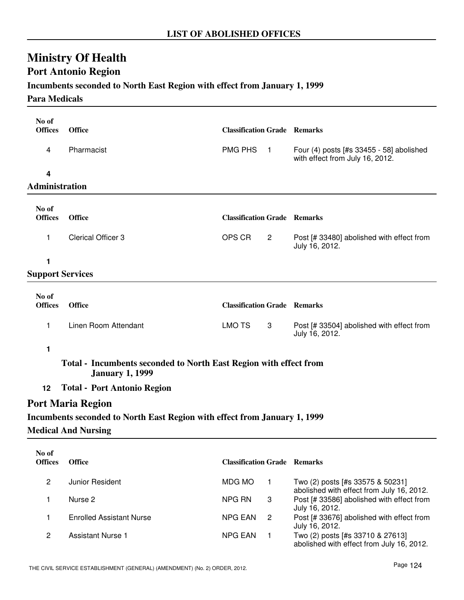# **Port Antonio Region**

# **Incumbents seconded to North East Region with effect from January 1, 1999**

### **Para Medicals**

| No of<br><b>Offices</b>    | <b>Office</b>                                                                               | <b>Classification Grade Remarks</b> |                  |                                                                             |  |  |
|----------------------------|---------------------------------------------------------------------------------------------|-------------------------------------|------------------|-----------------------------------------------------------------------------|--|--|
| 4                          | Pharmacist                                                                                  | <b>PMG PHS</b>                      | $\blacksquare$ 1 | Four (4) posts [#s 33455 - 58] abolished<br>with effect from July 16, 2012. |  |  |
| $\overline{\mathbf{4}}$    |                                                                                             |                                     |                  |                                                                             |  |  |
| Administration             |                                                                                             |                                     |                  |                                                                             |  |  |
| No of                      |                                                                                             |                                     |                  |                                                                             |  |  |
| <b>Offices</b>             | <b>Office</b>                                                                               | <b>Classification Grade Remarks</b> |                  |                                                                             |  |  |
| 1                          | <b>Clerical Officer 3</b>                                                                   | OPS CR                              | $\overline{2}$   | Post [# 33480] abolished with effect from<br>July 16, 2012.                 |  |  |
| 1                          |                                                                                             |                                     |                  |                                                                             |  |  |
| <b>Support Services</b>    |                                                                                             |                                     |                  |                                                                             |  |  |
| No of                      |                                                                                             |                                     |                  |                                                                             |  |  |
| <b>Offices</b>             | <b>Office</b>                                                                               | <b>Classification Grade Remarks</b> |                  |                                                                             |  |  |
| 1                          | Linen Room Attendant                                                                        | <b>LMO TS</b>                       | 3                | Post [# 33504] abolished with effect from<br>July 16, 2012.                 |  |  |
| 1                          |                                                                                             |                                     |                  |                                                                             |  |  |
|                            | Total - Incumbents seconded to North East Region with effect from<br><b>January 1, 1999</b> |                                     |                  |                                                                             |  |  |
| 12                         | <b>Total - Port Antonio Region</b>                                                          |                                     |                  |                                                                             |  |  |
|                            | <b>Port Maria Region</b>                                                                    |                                     |                  |                                                                             |  |  |
|                            | Incumbents seconded to North East Region with effect from January 1, 1999                   |                                     |                  |                                                                             |  |  |
| <b>Medical And Nursing</b> |                                                                                             |                                     |                  |                                                                             |  |  |

| No of<br><b>Offices</b> | <b>Office</b>            | <b>Classification Grade Remarks</b> |    |                                                                               |
|-------------------------|--------------------------|-------------------------------------|----|-------------------------------------------------------------------------------|
| 2                       | Junior Resident          | MDG MO                              |    | Two (2) posts [#s 33575 & 50231]<br>abolished with effect from July 16, 2012. |
|                         | Nurse 2                  | NPG RN                              | 3  | Post [# 33586] abolished with effect from<br>July 16, 2012.                   |
|                         | Enrolled Assistant Nurse | NPG EAN                             | -2 | Post [# 33676] abolished with effect from<br>July 16, 2012.                   |
| 2                       | <b>Assistant Nurse 1</b> | <b>NPG EAN</b>                      |    | Two (2) posts [#s 33710 & 27613]<br>abolished with effect from July 16, 2012. |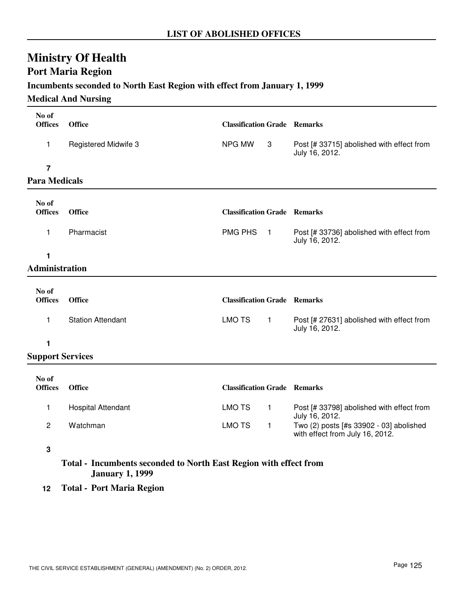# **Port Maria Region**

### **Incumbents seconded to North East Region with effect from January 1, 1999**

#### **Medical And Nursing**

| No of<br><b>Offices</b> | <b>Office</b>               | <b>Classification Grade Remarks</b> |                  |                                                                            |
|-------------------------|-----------------------------|-------------------------------------|------------------|----------------------------------------------------------------------------|
| 1                       | <b>Registered Midwife 3</b> | NPG MW                              | 3                | Post [# 33715] abolished with effect from<br>July 16, 2012.                |
| 7                       |                             |                                     |                  |                                                                            |
| <b>Para Medicals</b>    |                             |                                     |                  |                                                                            |
| No of<br><b>Offices</b> | <b>Office</b>               | <b>Classification Grade Remarks</b> |                  |                                                                            |
| 1                       | Pharmacist                  | <b>PMG PHS</b>                      | $\blacksquare$ 1 | Post [# 33736] abolished with effect from<br>July 16, 2012.                |
| 1                       |                             |                                     |                  |                                                                            |
| <b>Administration</b>   |                             |                                     |                  |                                                                            |
| No of<br><b>Offices</b> | <b>Office</b>               | <b>Classification Grade Remarks</b> |                  |                                                                            |
| 1                       | <b>Station Attendant</b>    | <b>LMO TS</b>                       | $\overline{1}$   | Post [# 27631] abolished with effect from<br>July 16, 2012.                |
| 1                       |                             |                                     |                  |                                                                            |
| <b>Support Services</b> |                             |                                     |                  |                                                                            |
| No of<br><b>Offices</b> | <b>Office</b>               | <b>Classification Grade Remarks</b> |                  |                                                                            |
| 1                       | <b>Hospital Attendant</b>   | <b>LMO TS</b>                       | $\mathbf{1}$     | Post [# 33798] abolished with effect from<br>July 16, 2012.                |
| 2                       | Watchman                    | <b>LMO TS</b>                       | $\mathbf{1}$     | Two (2) posts [#s 33902 - 03] abolished<br>with effect from July 16, 2012. |

### **3**

# **Total - Incumbents seconded to North East Region with effect from January 1, 1999**

**12 Total - Port Maria Region**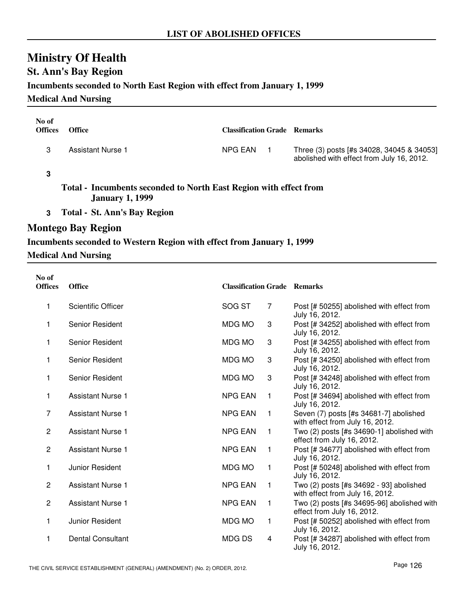# **St. Ann's Bay Region**

### **Incumbents seconded to North East Region with effect from January 1, 1999**

**Medical And Nursing**

| No of<br><b>Offices</b>                                           | <b>Office</b>     | <b>Classification Grade Remarks</b> |                                                                                        |  |
|-------------------------------------------------------------------|-------------------|-------------------------------------|----------------------------------------------------------------------------------------|--|
| З                                                                 | Assistant Nurse 1 | NPG EAN                             | Three (3) posts [#s 34028, 34045 & 34053]<br>abolished with effect from July 16, 2012. |  |
|                                                                   |                   |                                     |                                                                                        |  |
| Total - Incumbents seconded to North East Region with effect from |                   |                                     |                                                                                        |  |

**January 1, 1999**

**3 Total - St. Ann's Bay Region**

# **Montego Bay Region**

# **Incumbents seconded to Western Region with effect from January 1, 1999**

### **Medical And Nursing**

| No of<br><b>Offices</b> | <b>Office</b>             | <b>Classification Grade Remarks</b> |                |                                                                            |
|-------------------------|---------------------------|-------------------------------------|----------------|----------------------------------------------------------------------------|
| 1                       | <b>Scientific Officer</b> | SOG ST                              | $\overline{7}$ | Post [# 50255] abolished with effect from<br>July 16, 2012.                |
| 1                       | Senior Resident           | <b>MDG MO</b>                       | 3              | Post [# 34252] abolished with effect from<br>July 16, 2012.                |
| 1                       | Senior Resident           | <b>MDG MO</b>                       | 3              | Post [# 34255] abolished with effect from<br>July 16, 2012.                |
| 1                       | Senior Resident           | MDG MO                              | 3              | Post [# 34250] abolished with effect from<br>July 16, 2012.                |
| 1                       | Senior Resident           | <b>MDG MO</b>                       | 3              | Post [# 34248] abolished with effect from<br>July 16, 2012.                |
| 1                       | <b>Assistant Nurse 1</b>  | <b>NPG EAN</b>                      | $\mathbf{1}$   | Post [# 34694] abolished with effect from<br>July 16, 2012.                |
| $\overline{7}$          | Assistant Nurse 1         | <b>NPG EAN</b>                      | $\mathbf{1}$   | Seven (7) posts [#s 34681-7] abolished<br>with effect from July 16, 2012.  |
| $\overline{c}$          | <b>Assistant Nurse 1</b>  | <b>NPG EAN</b>                      | $\mathbf{1}$   | Two (2) posts [#s 34690-1] abolished with<br>effect from July 16, 2012.    |
| $\overline{c}$          | <b>Assistant Nurse 1</b>  | <b>NPG EAN</b>                      | $\mathbf{1}$   | Post [# 34677] abolished with effect from<br>July 16, 2012.                |
| 1                       | Junior Resident           | <b>MDG MO</b>                       | $\mathbf{1}$   | Post [# 50248] abolished with effect from<br>July 16, 2012.                |
| $\overline{2}$          | <b>Assistant Nurse 1</b>  | <b>NPG EAN</b>                      | $\mathbf{1}$   | Two (2) posts [#s 34692 - 93] abolished<br>with effect from July 16, 2012. |
| $\overline{c}$          | <b>Assistant Nurse 1</b>  | <b>NPG EAN</b>                      | $\mathbf{1}$   | Two (2) posts [#s 34695-96] abolished with<br>effect from July 16, 2012.   |
| 1                       | Junior Resident           | MDG MO                              | 1              | Post [# 50252] abolished with effect from<br>July 16, 2012.                |
| 1                       | <b>Dental Consultant</b>  | <b>MDGDS</b>                        | 4              | Post [# 34287] abolished with effect from<br>July 16, 2012.                |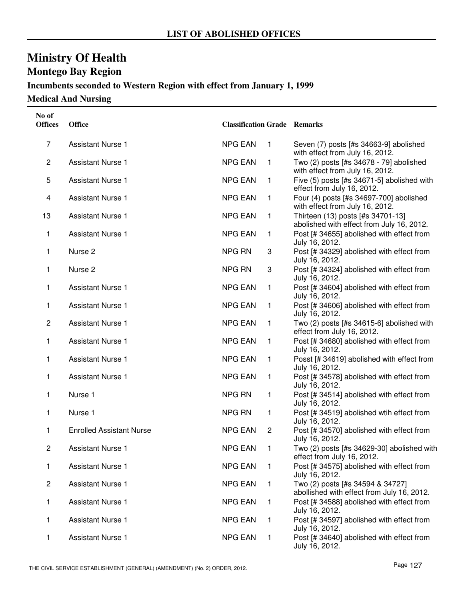# **Montego Bay Region**

# **Incumbents seconded to Western Region with effect from January 1, 1999**

**Medical And Nursing**

| No of<br><b>Offices</b> | <b>Office</b>                   | <b>Classification Grade Remarks</b> |              |                                                                                |
|-------------------------|---------------------------------|-------------------------------------|--------------|--------------------------------------------------------------------------------|
| 7                       | <b>Assistant Nurse 1</b>        | <b>NPG EAN</b>                      | $\mathbf{1}$ | Seven (7) posts [#s 34663-9] abolished<br>with effect from July 16, 2012.      |
| $\overline{c}$          | <b>Assistant Nurse 1</b>        | <b>NPG EAN</b>                      | 1            | Two (2) posts [#s 34678 - 79] abolished<br>with effect from July 16, 2012.     |
| 5                       | <b>Assistant Nurse 1</b>        | <b>NPG EAN</b>                      | 1            | Five (5) posts [#s 34671-5] abolished with<br>effect from July 16, 2012.       |
| 4                       | <b>Assistant Nurse 1</b>        | <b>NPG EAN</b>                      | 1            | Four (4) posts [#s 34697-700] abolished<br>with effect from July 16, 2012.     |
| 13                      | <b>Assistant Nurse 1</b>        | <b>NPG EAN</b>                      | 1            | Thirteen (13) posts [#s 34701-13]<br>abolished with effect from July 16, 2012. |
| 1                       | <b>Assistant Nurse 1</b>        | <b>NPG EAN</b>                      | 1            | Post [# 34655] abolished with effect from<br>July 16, 2012.                    |
| 1                       | Nurse <sub>2</sub>              | <b>NPG RN</b>                       | 3            | Post [# 34329] abolished with effect from<br>July 16, 2012.                    |
| 1                       | Nurse <sub>2</sub>              | <b>NPG RN</b>                       | 3            | Post [# 34324] abolished with effect from<br>July 16, 2012.                    |
| 1                       | <b>Assistant Nurse 1</b>        | <b>NPG EAN</b>                      | 1            | Post [# 34604] abolished with effect from<br>July 16, 2012.                    |
| 1                       | <b>Assistant Nurse 1</b>        | <b>NPG EAN</b>                      | 1            | Post [# 34606] abolished with effect from<br>July 16, 2012.                    |
| $\overline{2}$          | <b>Assistant Nurse 1</b>        | <b>NPG EAN</b>                      | 1            | Two (2) posts [#s 34615-6] abolished with<br>effect from July 16, 2012.        |
| 1                       | <b>Assistant Nurse 1</b>        | <b>NPG EAN</b>                      | 1            | Post [# 34680] abolished with effect from<br>July 16, 2012.                    |
| 1                       | <b>Assistant Nurse 1</b>        | <b>NPG EAN</b>                      | 1            | Posst [# 34619] abolished with effect from<br>July 16, 2012.                   |
| 1                       | <b>Assistant Nurse 1</b>        | <b>NPG EAN</b>                      | 1            | Post [# 34578] abolished with effect from<br>July 16, 2012.                    |
| 1                       | Nurse 1                         | <b>NPG RN</b>                       | 1            | Post [# 34514] abolished with effect from<br>July 16, 2012.                    |
| 1                       | Nurse 1                         | <b>NPG RN</b>                       | 1            | Post [# 34519] abolished wtih effect from<br>July 16, 2012.                    |
| 1                       | <b>Enrolled Assistant Nurse</b> | <b>NPG EAN</b>                      | $\mathbf{2}$ | Post [# 34570] abolished with effect from<br>July 16, 2012.                    |
| 2                       | <b>Assistant Nurse 1</b>        | <b>NPG EAN</b>                      | 1            | Two (2) posts [#s 34629-30] abolished with<br>effect from July 16, 2012.       |
| 1                       | <b>Assistant Nurse 1</b>        | <b>NPG EAN</b>                      | 1            | Post [# 34575] abolished with effect from<br>July 16, 2012.                    |
| $\overline{c}$          | <b>Assistant Nurse 1</b>        | <b>NPG EAN</b>                      | 1            | Two (2) posts [#s 34594 & 34727]<br>abollished with effect from July 16, 2012. |
| 1                       | <b>Assistant Nurse 1</b>        | <b>NPG EAN</b>                      | 1            | Post [# 34588] abolished with effect from<br>July 16, 2012.                    |
| 1                       | <b>Assistant Nurse 1</b>        | <b>NPG EAN</b>                      | 1            | Post [# 34597] abolished with effect from<br>July 16, 2012.                    |
| 1                       | <b>Assistant Nurse 1</b>        | <b>NPG EAN</b>                      | $\mathbf 1$  | Post [# 34640] abolished with effect from<br>July 16, 2012.                    |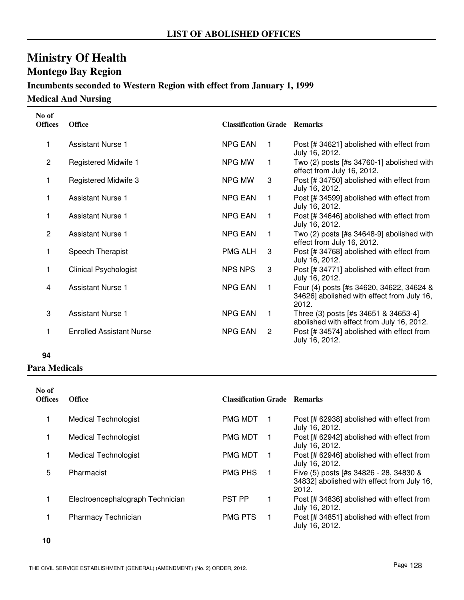# **Montego Bay Region**

# **Incumbents seconded to Western Region with effect from January 1, 1999**

**Medical And Nursing**

| No of<br><b>Offices</b> | <b>Office</b>                   | <b>Classification Grade Remarks</b> |                |                                                                                                 |
|-------------------------|---------------------------------|-------------------------------------|----------------|-------------------------------------------------------------------------------------------------|
|                         | Assistant Nurse 1               | <b>NPG EAN</b>                      | 1              | Post [# 34621] abolished with effect from<br>July 16, 2012.                                     |
| $\overline{2}$          | Registered Midwife 1            | NPG MW                              | 1              | Two $(2)$ posts [#s 34760-1] abolished with<br>effect from July 16, 2012.                       |
| 1                       | Registered Midwife 3            | NPG MW                              | 3              | Post [# 34750] abolished with effect from<br>July 16, 2012.                                     |
|                         | <b>Assistant Nurse 1</b>        | <b>NPG EAN</b>                      | 1              | Post [# 34599] abolished with effect from<br>July 16, 2012.                                     |
| 1                       | <b>Assistant Nurse 1</b>        | <b>NPG EAN</b>                      | 1              | Post [# 34646] abolished with effect from<br>July 16, 2012.                                     |
| $\overline{2}$          | <b>Assistant Nurse 1</b>        | <b>NPG EAN</b>                      | 1              | Two (2) posts [#s 34648-9] abolished with<br>effect from July 16, 2012.                         |
|                         | Speech Therapist                | <b>PMG ALH</b>                      | 3              | Post [# 34768] abolished with effect from<br>July 16, 2012.                                     |
| 1                       | <b>Clinical Psychologist</b>    | <b>NPS NPS</b>                      | 3              | Post [# 34771] abolished with effect from<br>July 16, 2012.                                     |
| 4                       | <b>Assistant Nurse 1</b>        | <b>NPG EAN</b>                      | $\mathbf{1}$   | Four (4) posts [#s 34620, 34622, 34624 &<br>34626] abolished with effect from July 16,<br>2012. |
| 3                       | <b>Assistant Nurse 1</b>        | <b>NPG EAN</b>                      | $\overline{1}$ | Three (3) posts [#s 34651 & 34653-4]<br>abolished with effect from July 16, 2012.               |
|                         | <b>Enrolled Assistant Nurse</b> | <b>NPG EAN</b>                      | $\overline{2}$ | Post [# 34574] abolished with effect from<br>July 16, 2012.                                     |

### **94**

## **Para Medicals**

| No of<br><b>Offices</b> | <b>Office</b>                    | <b>Classification Grade Remarks</b> |                                                                                               |
|-------------------------|----------------------------------|-------------------------------------|-----------------------------------------------------------------------------------------------|
|                         | Medical Technologist             | <b>PMG MDT</b>                      | Post [# 62938] abolished with effect from<br>July 16, 2012.                                   |
|                         | Medical Technologist             | <b>PMG MDT</b>                      | Post [# 62942] abolished with effect from<br>July 16, 2012.                                   |
|                         | <b>Medical Technologist</b>      | <b>PMG MDT</b><br>1                 | Post [# 62946] abolished with effect from<br>July 16, 2012.                                   |
| 5                       | Pharmacist                       | <b>PMG PHS</b><br>$\blacksquare$    | Five (5) posts [#s 34826 - 28, 34830 &<br>34832] abolished with effect from July 16,<br>2012. |
|                         | Electroencephalograph Technician | <b>PST PP</b><br>1                  | Post [# 34836] abolished with effect from<br>July 16, 2012.                                   |
|                         | Pharmacy Technician              | <b>PMG PTS</b><br>1                 | Post [# 34851] abolished with effect from<br>July 16, 2012.                                   |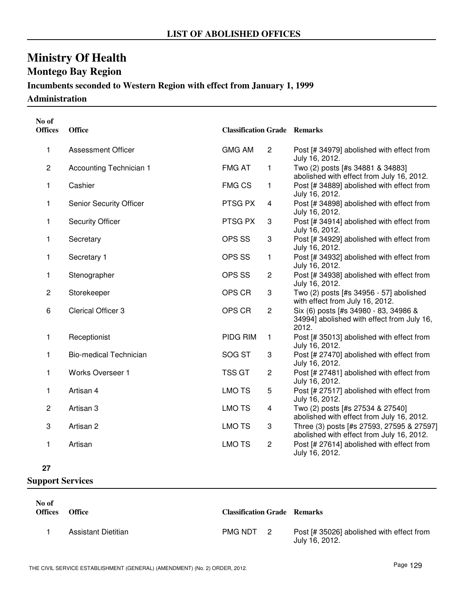# **Montego Bay Region**

# **Incumbents seconded to Western Region with effect from January 1, 1999**

**Administration**

| No of<br><b>Offices</b> | <b>Office</b>                 | <b>Classification Grade Remarks</b> |                         |                                                                                              |
|-------------------------|-------------------------------|-------------------------------------|-------------------------|----------------------------------------------------------------------------------------------|
| 1                       | <b>Assessment Officer</b>     | <b>GMG AM</b>                       | $\overline{c}$          | Post [# 34979] abolished with effect from<br>July 16, 2012.                                  |
| $\overline{c}$          | Accounting Technician 1       | <b>FMG AT</b>                       | $\mathbf{1}$            | Two (2) posts [#s 34881 & 34883]<br>abolished with effect from July 16, 2012.                |
| 1                       | Cashier                       | <b>FMG CS</b>                       | $\mathbf{1}$            | Post [# 34889] abolished with effect from<br>July 16, 2012.                                  |
| 1                       | Senior Security Officer       | PTSG PX                             | $\overline{4}$          | Post [# 34898] abolished with effect from<br>July 16, 2012.                                  |
| 1                       | <b>Security Officer</b>       | PTSG PX                             | 3                       | Post [# 34914] abolished with effect from<br>July 16, 2012.                                  |
| 1                       | Secretary                     | OPS SS                              | 3                       | Post [# 34929] abolished with effect from<br>July 16, 2012.                                  |
| 1                       | Secretary 1                   | OPS SS                              | $\mathbf{1}$            | Post [# 34932] abolished with effect from<br>July 16, 2012.                                  |
| 1                       | Stenographer                  | OPS SS                              | $\overline{c}$          | Post [# 34938] abolished with effect from<br>July 16, 2012.                                  |
| $\overline{c}$          | Storekeeper                   | OPS CR                              | 3                       | Two (2) posts [#s 34956 - 57] abolished<br>with effect from July 16, 2012.                   |
| 6                       | <b>Clerical Officer 3</b>     | OPS CR                              | $\overline{c}$          | Six (6) posts [#s 34980 - 83, 34986 &<br>34994] abolished with effect from July 16,<br>2012. |
| 1                       | Receptionist                  | PIDG RIM                            | 1                       | Post [# 35013] abolished with effect from<br>July 16, 2012.                                  |
| 1                       | <b>Bio-medical Technician</b> | SOG ST                              | 3                       | Post [# 27470] abolished with effect from<br>July 16, 2012.                                  |
| 1                       | Works Overseer 1              | <b>TSS GT</b>                       | $\overline{c}$          | Post [# 27481] abolished with effect from<br>July 16, 2012.                                  |
| 1                       | Artisan 4                     | <b>LMO TS</b>                       | 5                       | Post [# 27517] abolished with effect from<br>July 16, 2012.                                  |
| $\overline{c}$          | Artisan 3                     | <b>LMO TS</b>                       | $\overline{\mathbf{4}}$ | Two (2) posts [#s 27534 & 27540]<br>abolished with effect from July 16, 2012.                |
| 3                       | Artisan 2                     | <b>LMO TS</b>                       | 3                       | Three (3) posts [#s 27593, 27595 & 27597]<br>abolished with effect from July 16, 2012.       |
| 1                       | Artisan                       | <b>LMO TS</b>                       | $\overline{c}$          | Post [# 27614] abolished with effect from<br>July 16, 2012.                                  |

#### **27**

| No of<br><b>Offices</b> | <b>Office</b>       | <b>Classification Grade Remarks</b> |                                                             |
|-------------------------|---------------------|-------------------------------------|-------------------------------------------------------------|
|                         | Assistant Dietitian | PMG NDT 2                           | Post [# 35026] abolished with effect from<br>July 16, 2012. |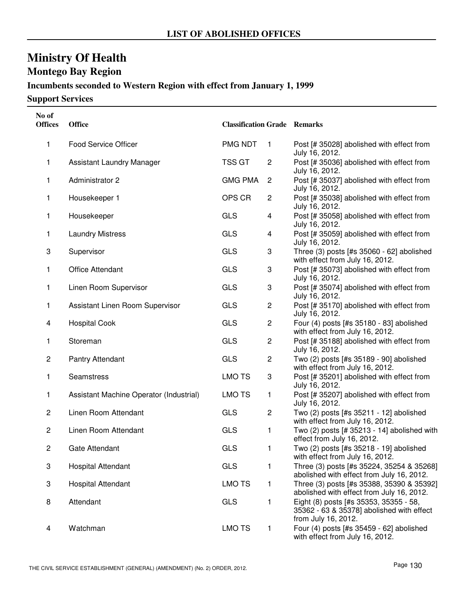# **Ministry Of Health Montego Bay Region**

# **Incumbents seconded to Western Region with effect from January 1, 1999**

| No of<br><b>Offices</b> | <b>Office</b>                           | <b>Classification Grade Remarks</b> |                         |                                                                                                            |
|-------------------------|-----------------------------------------|-------------------------------------|-------------------------|------------------------------------------------------------------------------------------------------------|
| 1                       | <b>Food Service Officer</b>             | PMG NDT                             | $\mathbf{1}$            | Post [# 35028] abolished with effect from<br>July 16, 2012.                                                |
| 1                       | Assistant Laundry Manager               | <b>TSS GT</b>                       | $\overline{c}$          | Post [# 35036] abolished with effect from<br>July 16, 2012.                                                |
| 1                       | Administrator 2                         | <b>GMG PMA</b>                      | $\overline{2}$          | Post [# 35037] abolished with effect from<br>July 16, 2012.                                                |
| 1                       | Housekeeper 1                           | OPS CR                              | $\overline{2}$          | Post [# 35038] abolished with effect from<br>July 16, 2012.                                                |
| 1                       | Housekeeper                             | <b>GLS</b>                          | $\overline{\mathbf{4}}$ | Post [# 35058] abolished with effect from<br>July 16, 2012.                                                |
| 1                       | <b>Laundry Mistress</b>                 | <b>GLS</b>                          | 4                       | Post [# 35059] abolished with effect from<br>July 16, 2012.                                                |
| 3                       | Supervisor                              | <b>GLS</b>                          | 3                       | Three (3) posts [#s 35060 - 62] abolished<br>with effect from July 16, 2012.                               |
| 1                       | <b>Office Attendant</b>                 | <b>GLS</b>                          | 3                       | Post [# 35073] abolished with effect from<br>July 16, 2012.                                                |
| 1                       | Linen Room Supervisor                   | <b>GLS</b>                          | 3                       | Post [# 35074] abolished with effect from<br>July 16, 2012.                                                |
| 1                       | Assistant Linen Room Supervisor         | <b>GLS</b>                          | $\overline{c}$          | Post [# 35170] abolished with effect from<br>July 16, 2012.                                                |
| 4                       | <b>Hospital Cook</b>                    | <b>GLS</b>                          | $\overline{c}$          | Four (4) posts [#s 35180 - 83] abolished<br>with effect from July 16, 2012.                                |
| 1                       | Storeman                                | <b>GLS</b>                          | $\overline{c}$          | Post [# 35188] abolished with effect from<br>July 16, 2012.                                                |
| 2                       | Pantry Attendant                        | <b>GLS</b>                          | $\overline{c}$          | Two (2) posts [#s 35189 - 90] abolished<br>with effect from July 16, 2012.                                 |
| 1                       | Seamstress                              | <b>LMO TS</b>                       | 3                       | Post [# 35201] abolished with effect from<br>July 16, 2012.                                                |
| 1                       | Assistant Machine Operator (Industrial) | <b>LMO TS</b>                       | 1                       | Post [# 35207] abolished with effect from<br>July 16, 2012.                                                |
| $\overline{c}$          | Linen Room Attendant                    | <b>GLS</b>                          | $\overline{c}$          | Two (2) posts [#s 35211 - 12] abolished<br>with effect from July 16, 2012.                                 |
| 2                       | Linen Room Attendant                    | <b>GLS</b>                          | 1                       | Two (2) posts [# 35213 - 14] abolished with<br>effect from July 16, 2012.                                  |
| $\overline{c}$          | Gate Attendant                          | <b>GLS</b>                          | 1                       | Two (2) posts [#s 35218 - 19] abolished<br>with effect from July 16, 2012.                                 |
| 3                       | <b>Hospital Attendant</b>               | <b>GLS</b>                          | 1                       | Three (3) posts [#s 35224, 35254 & 35268]<br>abolished with effect from July 16, 2012.                     |
| 3                       | <b>Hospital Attendant</b>               | <b>LMO TS</b>                       | 1                       | Three (3) posts [#s 35388, 35390 & 35392]<br>abolished with effect from July 16, 2012.                     |
| 8                       | Attendant                               | <b>GLS</b>                          | 1                       | Eight (8) posts [#s 35353, 35355 - 58,<br>35362 - 63 & 35378] abolished with effect<br>from July 16, 2012. |
| 4                       | Watchman                                | <b>LMO TS</b>                       | 1                       | Four (4) posts [#s 35459 - 62] abolished<br>with effect from July 16, 2012.                                |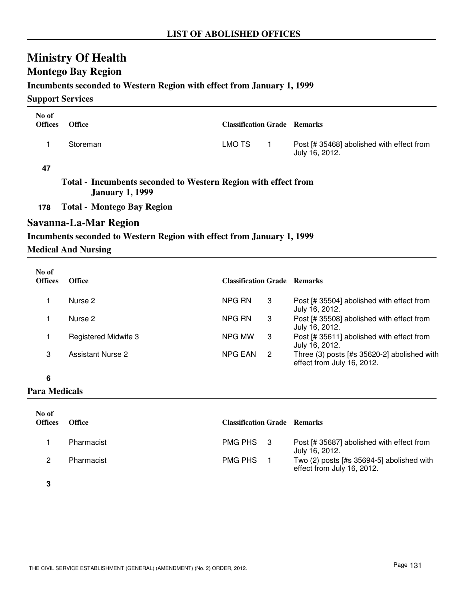# **Montego Bay Region**

### **Incumbents seconded to Western Region with effect from January 1, 1999**

**Support Services**

| No of<br><b>Offices</b> | <b>Office</b>                                                                            | <b>Classification Grade Remarks</b> |              |                                                             |
|-------------------------|------------------------------------------------------------------------------------------|-------------------------------------|--------------|-------------------------------------------------------------|
| 1                       | Storeman                                                                                 | LMO TS                              | $\mathbf{1}$ | Post [# 35468] abolished with effect from<br>July 16, 2012. |
| 47                      |                                                                                          |                                     |              |                                                             |
|                         | Total - Incumbents seconded to Western Region with effect from<br><b>January 1, 1999</b> |                                     |              |                                                             |
| 178                     | <b>Total - Montego Bay Region</b>                                                        |                                     |              |                                                             |
|                         | Savanna-La-Mar Region                                                                    |                                     |              |                                                             |
|                         | Incumbents seconded to Western Region with effect from January 1, 1999                   |                                     |              |                                                             |
|                         | <b>Medical And Nursing</b>                                                               |                                     |              |                                                             |
| No of<br><b>Offices</b> | <b>Office</b>                                                                            | <b>Classification Grade Remarks</b> |              |                                                             |
| 1                       | Nurse 2                                                                                  | NPG RN                              | 3            | Post [# 35504] abolished with effect from<br>July 16, 2012. |
| 1                       | Nurse 2                                                                                  | NPG RN                              | 3            | Post [# 35508] abolished with effect from                   |

- July 16, 2012. 1 Registered Midwife 3 **Post [# 35611]** abolished with effect from July 16, 2012. NPG MW 3 Assistant Nurse 2 Three (3) posts [#s 35620-2] abolished with effect from July 16, 2012. NPG EAN 2
- **6**

**Para Medicals**

| No of<br><b>Offices</b> | Office     | <b>Classification Grade Remarks</b> |                                                                         |
|-------------------------|------------|-------------------------------------|-------------------------------------------------------------------------|
|                         | Pharmacist | PMG PHS 3                           | Post [# 35687] abolished with effect from<br>July 16, 2012.             |
|                         | Pharmacist | PMG PHS                             | Two (2) posts [#s 35694-5] abolished with<br>effect from July 16, 2012. |

**3**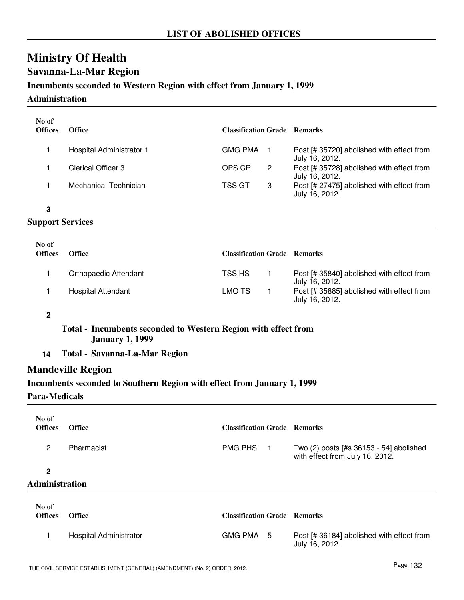# **Savanna-La-Mar Region**

# **Incumbents seconded to Western Region with effect from January 1, 1999**

**Administration**

| No of<br><b>Offices</b> | <b>Office</b>            | <b>Classification Grade Remarks</b> |   |                                                             |
|-------------------------|--------------------------|-------------------------------------|---|-------------------------------------------------------------|
|                         | Hospital Administrator 1 | GMG PMA                             |   | Post [# 35720] abolished with effect from<br>July 16, 2012. |
|                         | Clerical Officer 3       | OPS CR                              | 2 | Post [# 35728] abolished with effect from<br>July 16, 2012. |
|                         | Mechanical Technician    | TSS GT<br>3                         |   | Post [# 27475] abolished with effect from<br>July 16, 2012. |

#### **3**

### **Support Services**

| No of<br><b>Offices</b> | <b>Office</b>             | <b>Classification Grade Remarks</b> |                                                             |
|-------------------------|---------------------------|-------------------------------------|-------------------------------------------------------------|
|                         | Orthopaedic Attendant     | TSS HS                              | Post [# 35840] abolished with effect from<br>July 16, 2012. |
|                         | <b>Hospital Attendant</b> | LMO TS                              | Post [# 35885] abolished with effect from<br>July 16, 2012. |

### **2**

### **Total - Incumbents seconded to Western Region with effect from January 1, 1999**

**14 Total - Savanna-La-Mar Region**

## **Mandeville Region**

### **Incumbents seconded to Southern Region with effect from January 1, 1999**

#### **Para-Medicals**

| No of<br><b>Offices</b>        | <b>Office</b>          | <b>Classification Grade Remarks</b> |     |                                                                            |
|--------------------------------|------------------------|-------------------------------------|-----|----------------------------------------------------------------------------|
| $\mathbf{2}^{\circ}$           | Pharmacist             | <b>PMG PHS</b>                      | - 1 | Two (2) posts [#s 36153 - 54] abolished<br>with effect from July 16, 2012. |
| $\mathbf{2}$<br>Administration |                        |                                     |     |                                                                            |
| No of<br><b>Offices</b>        | <b>Office</b>          | <b>Classification Grade Remarks</b> |     |                                                                            |
|                                | Hospital Administrator | <b>GMG PMA</b>                      | 5   | Post [# 36184] abolished with effect from                                  |

July 16, 2012.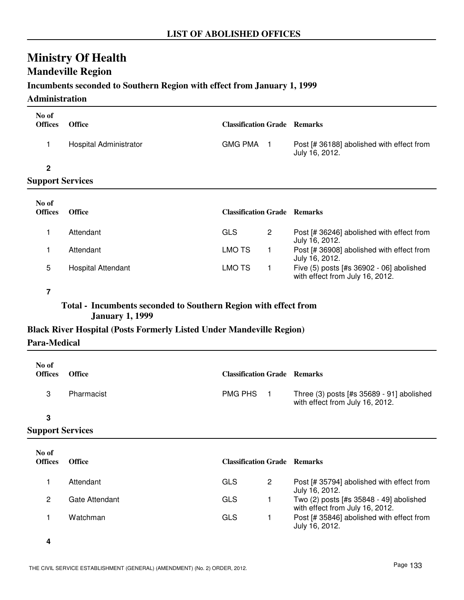# **Ministry Of Health Mandeville Region**

## **Incumbents seconded to Southern Region with effect from January 1, 1999**

### **Administration**

| No of<br><b>Offices</b> | <b>Office</b>             | <b>Classification Grade Remarks</b> |             |                                                             |
|-------------------------|---------------------------|-------------------------------------|-------------|-------------------------------------------------------------|
| 1                       | Hospital Administrator    | <b>GMG PMA</b>                      | -1          | Post [# 36188] abolished with effect from<br>July 16, 2012. |
| $\mathbf{2}$            |                           |                                     |             |                                                             |
| <b>Support Services</b> |                           |                                     |             |                                                             |
| No of<br><b>Offices</b> | <b>Office</b>             | <b>Classification Grade Remarks</b> |             |                                                             |
| 1                       | Attendant                 | <b>GLS</b>                          | 2           | Post [# 36246] abolished with effect from<br>July 16, 2012. |
| 1                       | Attendant                 | <b>LMO TS</b>                       | $\mathbf 1$ | Post [# 36908] abolished with effect from<br>July 16, 2012. |
| 5                       | <b>Hospital Attendant</b> | <b>LMO TS</b>                       | 1           | Five (5) posts [#s 36902 - 06] abolished                    |

#### **7**

**Total - Incumbents seconded to Southern Region with effect from January 1, 1999**

### **Black River Hospital (Posts Formerly Listed Under Mandeville Region)**

### **Para-Medical**

| No of<br><b>Offices</b> | <b>Office</b> | <b>Classification Grade Remarks</b> |                                                                              |
|-------------------------|---------------|-------------------------------------|------------------------------------------------------------------------------|
|                         | Pharmacist    | <b>PMG PHS</b>                      | Three (3) posts [#s 35689 - 91] abolished<br>with effect from July 16, 2012. |

#### **3**

| No of<br><b>Offices</b> | Office         | <b>Classification Grade Remarks</b> |   |                                                                            |
|-------------------------|----------------|-------------------------------------|---|----------------------------------------------------------------------------|
|                         | Attendant      | GLS                                 | 2 | Post [# 35794] abolished with effect from<br>July 16, 2012.                |
| 2                       | Gate Attendant | GLS                                 |   | Two (2) posts [#s 35848 - 49] abolished<br>with effect from July 16, 2012. |
|                         | Watchman       | GLS                                 |   | Post [# 35846] abolished with effect from<br>July 16, 2012.                |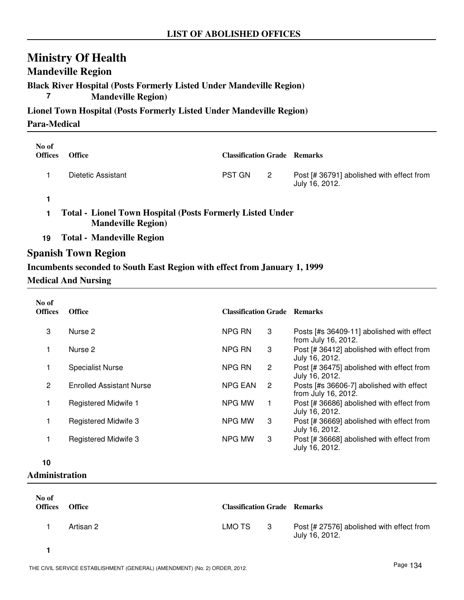# **Mandeville Region**

# **Black River Hospital (Posts Formerly Listed Under Mandeville Region)**

**7 Mandeville Region)**

**Lionel Town Hospital (Posts Formerly Listed Under Mandeville Region) Para-Medical**

| No of<br><b>Offices</b> | <b>Office</b>      | <b>Classification Grade Remarks</b> |   |                                                             |
|-------------------------|--------------------|-------------------------------------|---|-------------------------------------------------------------|
|                         | Dietetic Assistant | <b>PST GN</b>                       | 2 | Post [# 36791] abolished with effect from<br>July 16, 2012. |
|                         |                    |                                     |   |                                                             |

**1 Total - Lionel Town Hospital (Posts Formerly Listed Under Mandeville Region)**

**19 Total - Mandeville Region**

## **Spanish Town Region**

### **Incumbents seconded to South East Region with effect from January 1, 1999**

### **Medical And Nursing**

| No of<br><b>Offices</b> | <b>Office</b>                   | <b>Classification Grade Remarks</b> |              |                                                                  |
|-------------------------|---------------------------------|-------------------------------------|--------------|------------------------------------------------------------------|
| 3                       | Nurse 2                         | NPG RN                              | 3            | Posts [#s 36409-11] abolished with effect<br>from July 16, 2012. |
|                         | Nurse 2                         | NPG RN                              | 3            | Post [# 36412] abolished with effect from<br>July 16, 2012.      |
| 1                       | <b>Specialist Nurse</b>         | NPG RN                              | $\mathbf{2}$ | Post [# 36475] abolished with effect from<br>July 16, 2012.      |
| 2                       | <b>Enrolled Assistant Nurse</b> | <b>NPG EAN</b>                      | 2            | Posts [#s 36606-7] abolished with effect<br>from July 16, 2012.  |
|                         | Registered Midwife 1            | <b>NPG MW</b>                       | 1.           | Post [# 36686] abolished with effect from<br>July 16, 2012.      |
|                         | Registered Midwife 3            | NPG MW                              | 3            | Post [# 36669] abolished with effect from<br>July 16, 2012.      |
|                         | <b>Registered Midwife 3</b>     | NPG MW                              | 3            | Post [# 36668] abolished with effect from<br>July 16, 2012.      |
| 10                      |                                 |                                     |              |                                                                  |

**Administration**

| No of<br><b>Offices</b> | <b>Office</b> | <b>Classification Grade Remarks</b> |     |                                                             |
|-------------------------|---------------|-------------------------------------|-----|-------------------------------------------------------------|
|                         | Artisan 2     | LMO TS                              | - 3 | Post [# 27576] abolished with effect from<br>July 16, 2012. |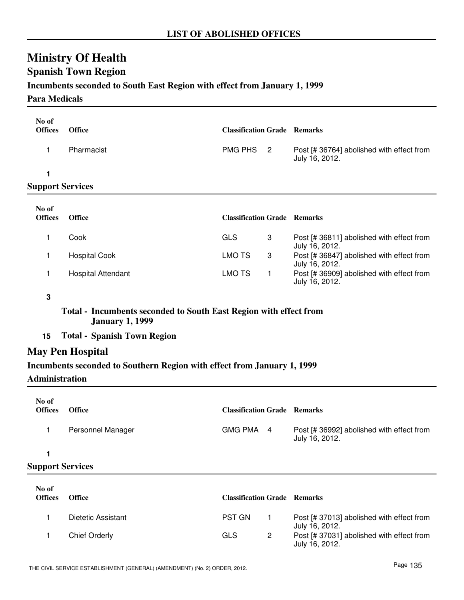# **Spanish Town Region**

### **Incumbents seconded to South East Region with effect from January 1, 1999**

### **Para Medicals**

| No of<br><b>Offices</b> | <b>Office</b> | <b>Classification Grade Remarks</b> |                                                             |
|-------------------------|---------------|-------------------------------------|-------------------------------------------------------------|
|                         | Pharmacist    | PMG PHS 2                           | Post [# 36764] abolished with effect from<br>July 16, 2012. |
| 1                       |               |                                     |                                                             |
| <b>Support Services</b> |               |                                     |                                                             |
| No of<br><b>Offices</b> | <b>Office</b> | <b>Classification Grade Remarks</b> |                                                             |

| Cook                      | GLS    |   | Post [# 36811] abolished with effect from<br>July 16, 2012. |
|---------------------------|--------|---|-------------------------------------------------------------|
| <b>Hospital Cook</b>      | LMO TS | 3 | Post [# 36847] abolished with effect from<br>July 16, 2012. |
| <b>Hospital Attendant</b> | LMO TS |   | Post [# 36909] abolished with effect from<br>July 16, 2012. |

**3**

### **Total - Incumbents seconded to South East Region with effect from January 1, 1999**

**15 Total - Spanish Town Region**

# **May Pen Hospital**

### **Incumbents seconded to Southern Region with effect from January 1, 1999**

#### **Administration**

| No of<br><b>Offices</b> | <b>Office</b>     | <b>Classification Grade Remarks</b> |                                                             |
|-------------------------|-------------------|-------------------------------------|-------------------------------------------------------------|
|                         | Personnel Manager | GMG PMA 4                           | Post [# 36992] abolished with effect from<br>July 16, 2012. |
|                         |                   |                                     |                                                             |

| No of<br><b>Offices</b> | Office             | <b>Classification Grade Remarks</b> |                                                             |
|-------------------------|--------------------|-------------------------------------|-------------------------------------------------------------|
|                         | Dietetic Assistant | <b>PST GN</b>                       | Post [# 37013] abolished with effect from<br>July 16, 2012. |
|                         | Chief Orderly      | GLS                                 | Post [# 37031] abolished with effect from<br>July 16, 2012. |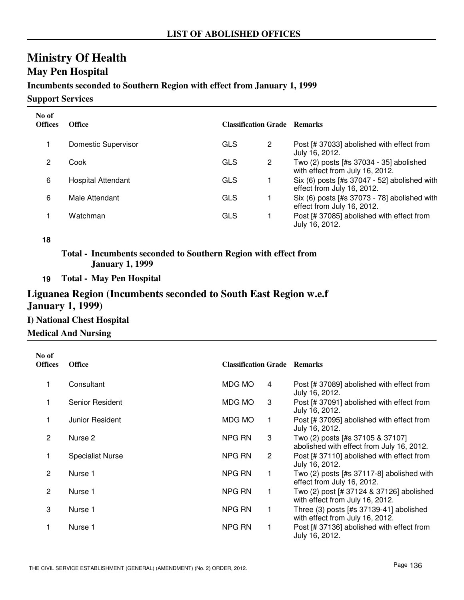# **May Pen Hospital**

## **Incumbents seconded to Southern Region with effect from January 1, 1999**

**Support Services**

| No of<br><b>Offices</b> | <b>Office</b>       | <b>Classification Grade Remarks</b> |   |                                                                            |
|-------------------------|---------------------|-------------------------------------|---|----------------------------------------------------------------------------|
|                         | Domestic Supervisor | <b>GLS</b>                          | 2 | Post [# 37033] abolished with effect from<br>July 16, 2012.                |
| 2                       | Cook                | GLS                                 | 2 | Two (2) posts [#s 37034 - 35] abolished<br>with effect from July 16, 2012. |
| 6                       | Hospital Attendant  | <b>GLS</b>                          |   | Six (6) posts [#s 37047 - 52] abolished with<br>effect from July 16, 2012. |
| 6                       | Male Attendant      | <b>GLS</b>                          |   | Six (6) posts [#s 37073 - 78] abolished with<br>effect from July 16, 2012. |
|                         | Watchman            | GLS                                 |   | Post [# 37085] abolished with effect from<br>July 16, 2012.                |

#### **18**

**Total - Incumbents seconded to Southern Region with effect from January 1, 1999**

**19 Total - May Pen Hospital**

# **Liguanea Region (Incumbents seconded to South East Region w.e.f January 1, 1999)**

# **I) National Chest Hospital**

| <b>Medical And Nursing</b> |  |
|----------------------------|--|
|----------------------------|--|

| No of<br><b>Offices</b> | <b>Office</b>           | <b>Classification Grade Remarks</b> |   |                                                                               |
|-------------------------|-------------------------|-------------------------------------|---|-------------------------------------------------------------------------------|
| 1                       | Consultant              | MDG MO                              | 4 | Post [# 37089] abolished with effect from<br>July 16, 2012.                   |
| 1                       | Senior Resident         | MDG MO                              | 3 | Post [# 37091] abolished with effect from<br>July 16, 2012.                   |
| 1                       | Junior Resident         | MDG MO                              |   | Post [# 37095] abolished with effect from<br>July 16, 2012.                   |
| 2                       | Nurse 2                 | NPG RN                              | 3 | Two (2) posts [#s 37105 & 37107]<br>abolished with effect from July 16, 2012. |
| 1                       | <b>Specialist Nurse</b> | NPG RN                              | 2 | Post [# 37110] abolished with effect from<br>July 16, 2012.                   |
| 2                       | Nurse 1                 | NPG RN                              |   | Two $(2)$ posts [#s 37117-8] abolished with<br>effect from July 16, 2012.     |
| 2                       | Nurse 1                 | NPG RN                              |   | Two (2) post [# 37124 & 37126] abolished<br>with effect from July 16, 2012.   |
| 3                       | Nurse 1                 | NPG RN                              |   | Three $(3)$ posts [#s 37139-41] abolished<br>with effect from July 16, 2012.  |
| 1                       | Nurse 1                 | NPG RN                              |   | Post [# 37136] abolished with effect from<br>July 16, 2012.                   |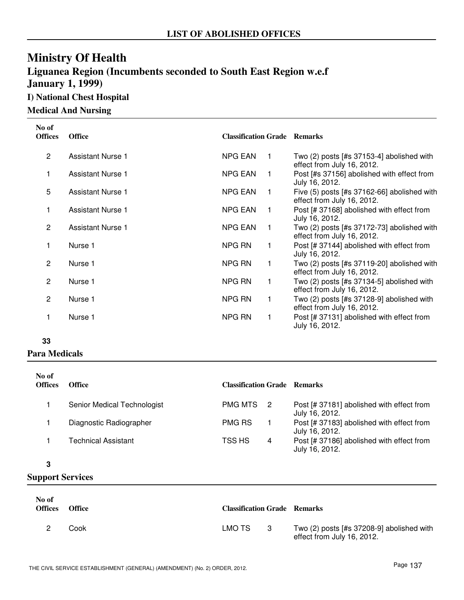# **Ministry Of Health Liguanea Region (Incumbents seconded to South East Region w.e.f January 1, 1999)**

**I) National Chest Hospital**

**Medical And Nursing**

| No of<br><b>Offices</b> | <b>Office</b>            | <b>Classification Grade Remarks</b> |             |                                                                             |
|-------------------------|--------------------------|-------------------------------------|-------------|-----------------------------------------------------------------------------|
| $\overline{2}$          | Assistant Nurse 1        | <b>NPG EAN</b>                      | $\mathbf 1$ | Two $(2)$ posts [#s 37153-4] abolished with<br>effect from July 16, 2012.   |
| 1                       | <b>Assistant Nurse 1</b> | <b>NPG EAN</b>                      | -1          | Post [#s 37156] abolished with effect from<br>July 16, 2012.                |
| 5                       | <b>Assistant Nurse 1</b> | <b>NPG EAN</b>                      | $\mathbf 1$ | Five $(5)$ posts [#s 37162-66] abolished with<br>effect from July 16, 2012. |
| 1                       | <b>Assistant Nurse 1</b> | <b>NPG EAN</b>                      |             | Post [# 37168] abolished with effect from<br>July 16, 2012.                 |
| $\overline{2}$          | <b>Assistant Nurse 1</b> | <b>NPG EAN</b>                      |             | Two (2) posts [#s 37172-73] abolished with<br>effect from July 16, 2012.    |
| 1                       | Nurse 1                  | NPG RN                              | 1           | Post [# 37144] abolished with effect from<br>July 16, 2012.                 |
| 2                       | Nurse 1                  | NPG RN                              | 1           | Two (2) posts [#s 37119-20] abolished with<br>effect from July 16, 2012.    |
| 2                       | Nurse 1                  | NPG RN                              | 1           | Two $(2)$ posts $[#s 37134-5]$ abolished with<br>effect from July 16, 2012. |
| $\overline{2}$          | Nurse 1                  | NPG RN                              | 1           | Two (2) posts [#s 37128-9] abolished with<br>effect from July 16, 2012.     |
| 1                       | Nurse 1                  | NPG RN                              | 1           | Post [# 37131] abolished with effect from<br>July 16, 2012.                 |

#### **33**

### **Para Medicals**

| No of<br><b>Offices</b> | <b>Office</b>               | <b>Classification Grade Remarks</b> |   |                                                             |
|-------------------------|-----------------------------|-------------------------------------|---|-------------------------------------------------------------|
|                         | Senior Medical Technologist | <b>PMG MTS</b>                      |   | Post [# 37181] abolished with effect from<br>July 16, 2012. |
|                         | Diagnostic Radiographer     | <b>PMG RS</b>                       |   | Post [# 37183] abolished with effect from<br>July 16, 2012. |
|                         | <b>Technical Assistant</b>  | TSS HS                              | 4 | Post [# 37186] abolished with effect from<br>July 16, 2012. |

#### **3**

| No of<br><b>Offices</b> | Office | <b>Classification Grade Remarks</b> |     |                                                                           |
|-------------------------|--------|-------------------------------------|-----|---------------------------------------------------------------------------|
|                         | Cook   | LMO TS                              | - 3 | Two $(2)$ posts [#s 37208-9] abolished with<br>effect from July 16, 2012. |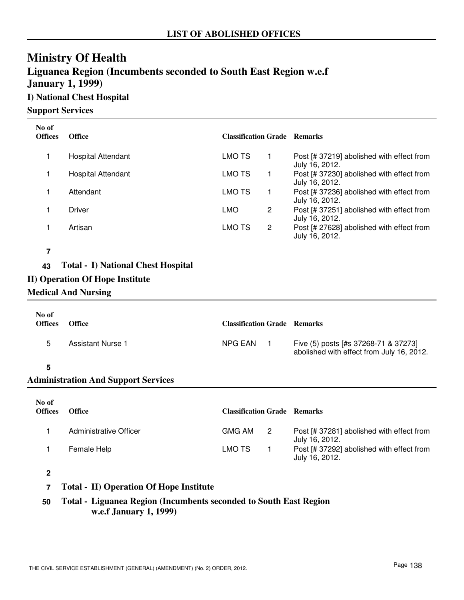# **Ministry Of Health Liguanea Region (Incumbents seconded to South East Region w.e.f January 1, 1999)**

# **I) National Chest Hospital**

#### **Support Services**

| No of<br><b>Offices</b> | <b>Office</b>             | <b>Classification Grade Remarks</b> |   |                                                             |
|-------------------------|---------------------------|-------------------------------------|---|-------------------------------------------------------------|
|                         | <b>Hospital Attendant</b> | LMO TS                              |   | Post [# 37219] abolished with effect from<br>July 16, 2012. |
|                         | <b>Hospital Attendant</b> | LMO TS                              |   | Post [# 37230] abolished with effect from<br>July 16, 2012. |
|                         | Attendant                 | LMO TS                              |   | Post [# 37236] abolished with effect from<br>July 16, 2012. |
|                         | <b>Driver</b>             | <b>LMO</b>                          | 2 | Post [# 37251] abolished with effect from<br>July 16, 2012. |
|                         | Artisan                   | LMO TS                              | 2 | Post [# 27628] abolished with effect from<br>July 16, 2012. |

#### **7**

### **43 Total - I) National Chest Hospital**

- **II) Operation Of Hope Institute**
- **Medical And Nursing**

| No of<br><b>Offices</b> | <b>Office</b>     | <b>Classification Grade Remarks</b> |                                                                                   |
|-------------------------|-------------------|-------------------------------------|-----------------------------------------------------------------------------------|
| .5                      | Assistant Nurse 1 | NPG EAN                             | Five (5) posts [#s 37268-71 & 37273]<br>abolished with effect from July 16, 2012. |
|                         |                   |                                     |                                                                                   |

### **5**

## **Administration And Support Services**

| No of<br><b>Offices</b> | <b>Office</b>          | <b>Classification Grade Remarks</b> |     |                                                             |
|-------------------------|------------------------|-------------------------------------|-----|-------------------------------------------------------------|
|                         | Administrative Officer | <b>GMG AM</b>                       | - 2 | Post [# 37281] abolished with effect from<br>July 16, 2012. |
|                         | Female Help            | LMO TS                              |     | Post [# 37292] abolished with effect from<br>July 16, 2012. |

### **2**

- **7 Total II) Operation Of Hope Institute**
- **50 Total Liguanea Region (Incumbents seconded to South East Region w.e.f January 1, 1999)**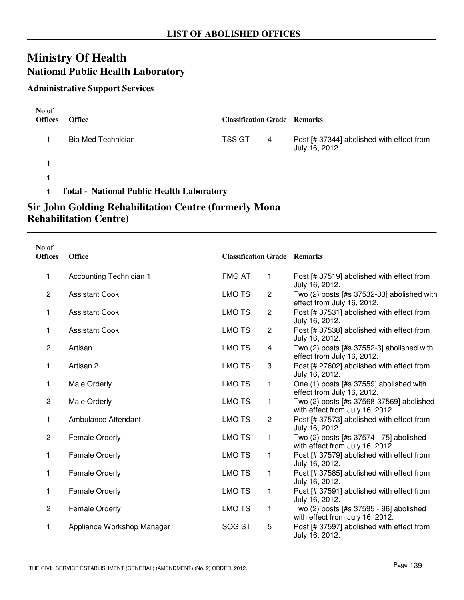# **Ministry Of Health National Public Health Laboratory**

### **Administrative Support Services**

| No of<br><b>Offices</b> | <b>Office</b>                                    | <b>Classification Grade Remarks</b> |   |                                                             |
|-------------------------|--------------------------------------------------|-------------------------------------|---|-------------------------------------------------------------|
|                         | <b>Bio Med Technician</b>                        | <b>TSS GT</b>                       | 4 | Post [# 37344] abolished with effect from<br>July 16, 2012. |
|                         |                                                  |                                     |   |                                                             |
|                         |                                                  |                                     |   |                                                             |
|                         | <b>Total - National Public Health Laboratory</b> |                                     |   |                                                             |

# **Sir John Golding Rehabilitation Centre (formerly Mona Rehabilitation Centre)**

| No of<br><b>Offices</b> | <b>Office</b>              | <b>Classification Grade Remarks</b> |                |                                                                             |
|-------------------------|----------------------------|-------------------------------------|----------------|-----------------------------------------------------------------------------|
| 1                       | Accounting Technician 1    | <b>FMG AT</b>                       | $\mathbf{1}$   | Post [# 37519] abolished with effect from<br>July 16, 2012.                 |
| $\overline{2}$          | <b>Assistant Cook</b>      | <b>LMO TS</b>                       | $\overline{c}$ | Two (2) posts [#s 37532-33] abolished with<br>effect from July 16, 2012.    |
| 1                       | <b>Assistant Cook</b>      | <b>LMO TS</b>                       | $\sqrt{2}$     | Post [# 37531] abolished with effect from<br>July 16, 2012.                 |
| 1                       | <b>Assistant Cook</b>      | <b>LMO TS</b>                       | $\overline{c}$ | Post [# 37538] abolished with effect from<br>July 16, 2012.                 |
| $\overline{c}$          | Artisan                    | <b>LMO TS</b>                       | 4              | Two (2) posts [#s 37552-3] abolished with<br>effect from July 16, 2012.     |
| 1                       | Artisan 2                  | <b>LMO TS</b>                       | 3              | Post [# 27602] abolished with effect from<br>July 16, 2012.                 |
| 1                       | Male Orderly               | <b>LMO TS</b>                       | 1              | One (1) posts [#s 37559] abolished with<br>effect from July 16, 2012.       |
| $\overline{c}$          | <b>Male Orderly</b>        | <b>LMO TS</b>                       | 1              | Two (2) posts [#s 37568-37569] abolished<br>with effect from July 16, 2012. |
| 1                       | Ambulance Attendant        | <b>LMO TS</b>                       | $\overline{2}$ | Post [# 37573] abolished with effect from<br>July 16, 2012.                 |
| $\overline{c}$          | <b>Female Orderly</b>      | <b>LMO TS</b>                       | 1              | Two (2) posts [#s 37574 - 75] abolished<br>with effect from July 16, 2012.  |
| 1                       | Female Orderly             | <b>LMO TS</b>                       | $\mathbf{1}$   | Post [# 37579] abolished with effect from<br>July 16, 2012.                 |
| 1                       | Female Orderly             | <b>LMO TS</b>                       | 1              | Post [# 37585] abolished with effect from<br>July 16, 2012.                 |
| 1                       | <b>Female Orderly</b>      | <b>LMO TS</b>                       | 1              | Post [# 37591] abolished with effect from<br>July 16, 2012.                 |
| $\mathbf{2}$            | <b>Female Orderly</b>      | <b>LMO TS</b>                       | 1              | Two (2) posts [#s 37595 - 96] abolished<br>with effect from July 16, 2012.  |
| 1                       | Appliance Workshop Manager | SOG ST                              | 5              | Post [# 37597] abolished with effect from<br>July 16, 2012.                 |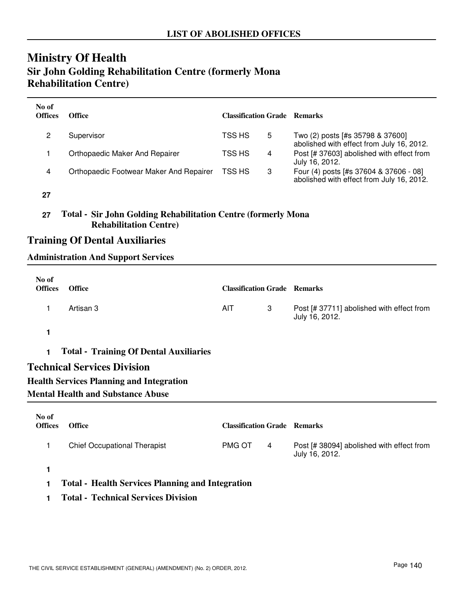### **Ministry Of Health Sir John Golding Rehabilitation Centre (formerly Mona Rehabilitation Centre)**

| No of<br><b>Offices</b> | Office                                  | <b>Classification Grade Remarks</b> |   |                                                                                     |
|-------------------------|-----------------------------------------|-------------------------------------|---|-------------------------------------------------------------------------------------|
|                         | Supervisor                              | TSS HS                              | 5 | Two (2) posts [#s 35798 & 37600]<br>abolished with effect from July 16, 2012.       |
|                         | Orthopaedic Maker And Repairer          | TSS HS                              | 4 | Post [# 37603] abolished with effect from<br>July 16, 2012.                         |
| 4                       | Orthopaedic Footwear Maker And Repairer | TSS HS                              | 3 | Four (4) posts [#s 37604 & 37606 - 08]<br>abolished with effect from July 16, 2012. |

**27**

#### **27 Total - Sir John Golding Rehabilitation Centre (formerly Mona Rehabilitation Centre)**

#### **Training Of Dental Auxiliaries**

#### **Administration And Support Services**

| No of<br><b>Offices</b> | <b>Office</b>                                   | <b>Classification Grade Remarks</b> |   |                                                             |
|-------------------------|-------------------------------------------------|-------------------------------------|---|-------------------------------------------------------------|
|                         | Artisan 3                                       | <b>AIT</b>                          | 3 | Post [# 37711] abolished with effect from<br>July 16, 2012. |
| 1                       |                                                 |                                     |   |                                                             |
| 1.                      | <b>Total - Training Of Dental Auxiliaries</b>   |                                     |   |                                                             |
|                         | <b>Technical Services Division</b>              |                                     |   |                                                             |
|                         | <b>Health Services Planning and Integration</b> |                                     |   |                                                             |
|                         | <b>Mental Health and Substance Abuse</b>        |                                     |   |                                                             |
|                         |                                                 |                                     |   |                                                             |

| No of<br><b>Offices</b> | <b>Office</b>                                           | <b>Classification Grade Remarks</b> |   |                                                             |  |
|-------------------------|---------------------------------------------------------|-------------------------------------|---|-------------------------------------------------------------|--|
|                         | <b>Chief Occupational Therapist</b>                     | <b>PMG OT</b>                       | 4 | Post [# 38094] abolished with effect from<br>July 16, 2012. |  |
|                         |                                                         |                                     |   |                                                             |  |
|                         | <b>Total - Health Services Planning and Integration</b> |                                     |   |                                                             |  |

**1 Total - Technical Services Division**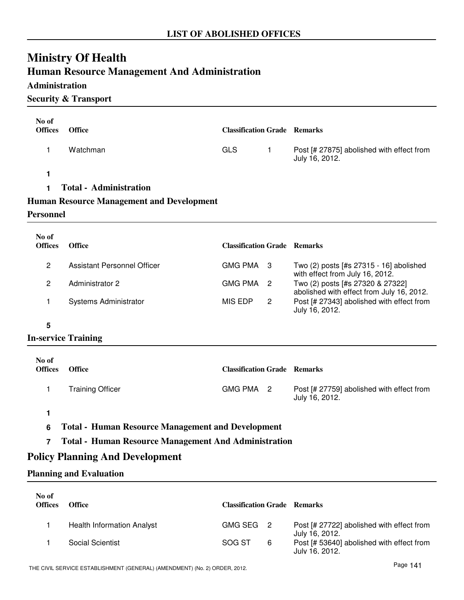# **Ministry Of Health**

### **Human Resource Management And Administration**

#### **Administration**

#### **Security & Transport**

| No of<br><b>Offices</b>                                       | <b>Office</b>                                    | <b>Classification Grade Remarks</b> |                |                                                                               |  |
|---------------------------------------------------------------|--------------------------------------------------|-------------------------------------|----------------|-------------------------------------------------------------------------------|--|
| 1                                                             | Watchman                                         | <b>GLS</b>                          | $\mathbf{1}$   | Post [# 27875] abolished with effect from<br>July 16, 2012.                   |  |
| 1                                                             |                                                  |                                     |                |                                                                               |  |
| 1                                                             | <b>Total - Administration</b>                    |                                     |                |                                                                               |  |
|                                                               | <b>Human Resource Management and Development</b> |                                     |                |                                                                               |  |
| <b>Personnel</b>                                              |                                                  |                                     |                |                                                                               |  |
| No of<br><b>Offices</b>                                       | Office                                           | <b>Classification Grade Remarks</b> |                |                                                                               |  |
| $\overline{c}$                                                | <b>Assistant Personnel Officer</b>               | <b>GMG PMA</b>                      | -3             | Two (2) posts [#s 27315 - 16] abolished<br>with effect from July 16, 2012.    |  |
| $\overline{c}$                                                | Administrator 2                                  | <b>GMG PMA</b>                      | $\overline{2}$ | Two (2) posts [#s 27320 & 27322]<br>abolished with effect from July 16, 2012. |  |
| 1                                                             | Systems Administrator                            | <b>MIS EDP</b>                      | $\overline{2}$ | Post [# 27343] abolished with effect from<br>July 16, 2012.                   |  |
| 5                                                             |                                                  |                                     |                |                                                                               |  |
| <b>In-service Training</b>                                    |                                                  |                                     |                |                                                                               |  |
| No of<br><b>Offices</b>                                       | Office                                           | <b>Classification Grade Remarks</b> |                |                                                                               |  |
| 1                                                             | <b>Training Officer</b>                          | GMG PMA 2                           |                | Post [# 27759] abolished with effect from<br>July 16, 2012.                   |  |
| 1                                                             |                                                  |                                     |                |                                                                               |  |
| <b>Total - Human Resource Management and Development</b><br>6 |                                                  |                                     |                |                                                                               |  |

**7 Total - Human Resource Management And Administration**

### **Policy Planning And Development**

#### **Planning and Evaluation**

| No of<br><b>Offices</b> | <b>Office</b>              | <b>Classification Grade Remarks</b> |   |                                                             |
|-------------------------|----------------------------|-------------------------------------|---|-------------------------------------------------------------|
|                         | Health Information Analyst | GMG SEG 2                           |   | Post [# 27722] abolished with effect from<br>July 16, 2012. |
|                         | Social Scientist           | SOG ST                              | 6 | Post [# 53640] abolished with effect from<br>July 16, 2012. |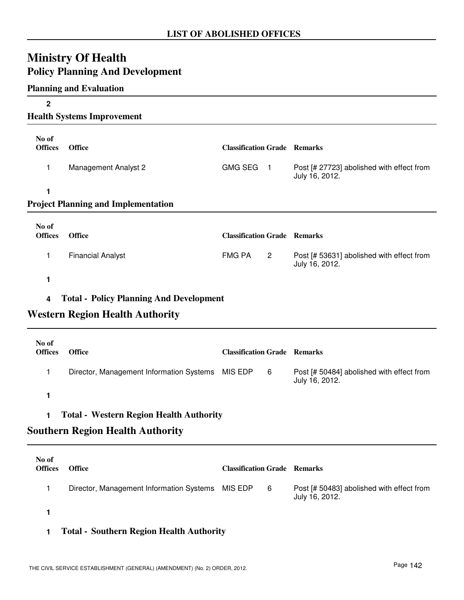## **Ministry Of Health Policy Planning And Development**

#### **Planning and Evaluation**

| $\mathbf 2$             |                                                |                                     |                |                                                             |
|-------------------------|------------------------------------------------|-------------------------------------|----------------|-------------------------------------------------------------|
|                         | <b>Health Systems Improvement</b>              |                                     |                |                                                             |
| No of<br><b>Offices</b> | <b>Office</b>                                  | <b>Classification Grade Remarks</b> |                |                                                             |
| 1                       | <b>Management Analyst 2</b>                    | <b>GMG SEG</b>                      | $\blacksquare$ | Post [# 27723] abolished with effect from<br>July 16, 2012. |
| 1                       |                                                |                                     |                |                                                             |
|                         | <b>Project Planning and Implementation</b>     |                                     |                |                                                             |
|                         |                                                |                                     |                |                                                             |
| No of<br><b>Offices</b> | <b>Office</b>                                  | <b>Classification Grade Remarks</b> |                |                                                             |
| 1                       | <b>Financial Analyst</b>                       | <b>FMG PA</b>                       | $\overline{c}$ | Post [# 53631] abolished with effect from<br>July 16, 2012. |
| 1                       |                                                |                                     |                |                                                             |
| 4                       | <b>Total - Policy Planning And Development</b> |                                     |                |                                                             |
|                         |                                                |                                     |                |                                                             |
|                         | <b>Western Region Health Authority</b>         |                                     |                |                                                             |
| No of                   |                                                |                                     |                |                                                             |
| <b>Offices</b>          | <b>Office</b>                                  | <b>Classification Grade Remarks</b> |                |                                                             |
| 1                       | Director, Management Information Systems       | MIS EDP                             | 6              | Post [# 50484] abolished with effect from<br>July 16, 2012. |
| 1                       |                                                |                                     |                |                                                             |
| 1                       | <b>Total - Western Region Health Authority</b> |                                     |                |                                                             |
|                         | <b>Southern Region Health Authority</b>        |                                     |                |                                                             |
|                         |                                                |                                     |                |                                                             |
| No of<br><b>Offices</b> | <b>Office</b>                                  | <b>Classification Grade Remarks</b> |                |                                                             |
| 1                       | Director, Management Information Systems       | MIS EDP                             | 6              | Post [# 50483] abolished with effect from<br>July 16, 2012. |
| 1                       |                                                |                                     |                |                                                             |
|                         |                                                |                                     |                |                                                             |

## **1 Total - Southern Region Health Authority**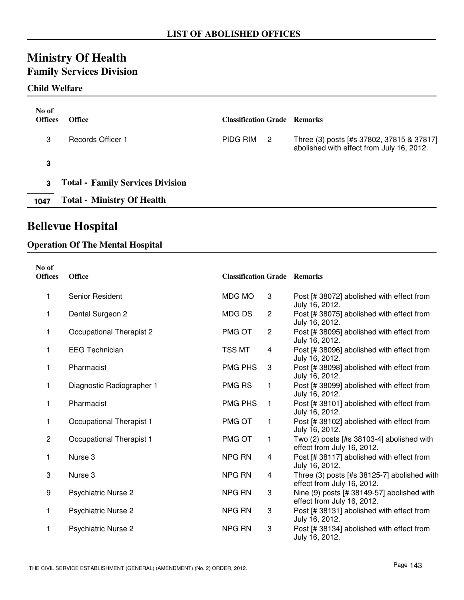# **Ministry Of Health**

## **Family Services Division**

#### **Child Welfare**

| No of<br><b>Offices</b> | <b>Office</b>                           | <b>Classification Grade Remarks</b> |                |                                                                                        |
|-------------------------|-----------------------------------------|-------------------------------------|----------------|----------------------------------------------------------------------------------------|
| 3                       | <b>Records Officer 1</b>                | PIDG RIM                            | $\overline{2}$ | Three (3) posts [#s 37802, 37815 & 37817]<br>abolished with effect from July 16, 2012. |
| 3                       |                                         |                                     |                |                                                                                        |
| 3                       | <b>Total - Family Services Division</b> |                                     |                |                                                                                        |
| 1047                    | <b>Total - Ministry Of Health</b>       |                                     |                |                                                                                        |

## **Bellevue Hospital**

#### **Operation Of The Mental Hospital**

| No of<br><b>Offices</b> | <b>Office</b>              | <b>Classification Grade Remarks</b> |                         |                                                                           |
|-------------------------|----------------------------|-------------------------------------|-------------------------|---------------------------------------------------------------------------|
| 1                       | Senior Resident            | MDG MO                              | 3                       | Post [# 38072] abolished with effect from<br>July 16, 2012.               |
| 1                       | Dental Surgeon 2           | <b>MDGDS</b>                        | $\overline{2}$          | Post [# 38075] abolished with effect from<br>July 16, 2012.               |
| 1                       | Occupational Therapist 2   | PMG OT                              | $\overline{c}$          | Post [# 38095] abolished with effect from<br>July 16, 2012.               |
| 1                       | <b>EEG Technician</b>      | TSS MT                              | 4                       | Post [# 38096] abolished with effect from<br>July 16, 2012.               |
| 1                       | Pharmacist                 | <b>PMG PHS</b>                      | 3                       | Post [# 38098] abolished with effect from<br>July 16, 2012.               |
| 1                       | Diagnostic Radiographer 1  | <b>PMG RS</b>                       | 1                       | Post [# 38099] abolished with effect from<br>July 16, 2012.               |
| 1                       | Pharmacist                 | <b>PMG PHS</b>                      | 1                       | Post [# 38101] abolished with effect from<br>July 16, 2012.               |
| 1                       | Occupational Therapist 1   | PMG OT                              | 1                       | Post [# 38102] abolished with effect from<br>July 16, 2012.               |
| $\overline{c}$          | Occupational Therapist 1   | PMG OT                              | 1                       | Two (2) posts [#s 38103-4] abolished with<br>effect from July 16, 2012.   |
| 1                       | Nurse 3                    | NPG RN                              | 4                       | Post [# 38117] abolished with effect from<br>July 16, 2012.               |
| 3                       | Nurse 3                    | NPG RN                              | $\overline{\mathbf{4}}$ | Three (3) posts [#s 38125-7] abolished with<br>effect from July 16, 2012. |
| 9                       | <b>Psychiatric Nurse 2</b> | <b>NPG RN</b>                       | 3                       | Nine (9) posts [# 38149-57] abolished with<br>effect from July 16, 2012.  |
| 1                       | <b>Psychiatric Nurse 2</b> | NPG RN                              | 3                       | Post [# 38131] abolished with effect from<br>July 16, 2012.               |
| 1                       | <b>Psychiatric Nurse 2</b> | <b>NPG RN</b>                       | 3                       | Post [# 38134] abolished with effect from<br>July 16, 2012.               |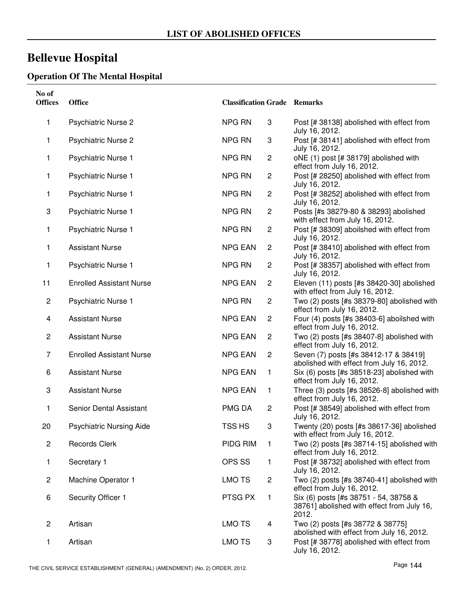## **Bellevue Hospital**

#### **Operation Of The Mental Hospital**

| No of<br><b>Offices</b> | Office                          | <b>Classification Grade Remarks</b> |                         |                                                                                              |
|-------------------------|---------------------------------|-------------------------------------|-------------------------|----------------------------------------------------------------------------------------------|
| 1                       | <b>Psychiatric Nurse 2</b>      | <b>NPG RN</b>                       | 3                       | Post [# 38138] abolished with effect from<br>July 16, 2012.                                  |
| 1                       | <b>Psychiatric Nurse 2</b>      | NPG RN                              | 3                       | Post [# 38141] abolished with effect from<br>July 16, 2012.                                  |
| 1                       | <b>Psychiatric Nurse 1</b>      | <b>NPG RN</b>                       | $\overline{c}$          | oNE (1) post [# 38179] abolished with<br>effect from July 16, 2012.                          |
| 1                       | <b>Psychiatric Nurse 1</b>      | <b>NPG RN</b>                       | $\overline{c}$          | Post [# 28250] abolished with effect from<br>July 16, 2012.                                  |
| 1                       | <b>Psychiatric Nurse 1</b>      | <b>NPG RN</b>                       | $\overline{\mathbf{c}}$ | Post [# 38252] abolished with effect from<br>July 16, 2012.                                  |
| 3                       | <b>Psychiatric Nurse 1</b>      | <b>NPG RN</b>                       | $\overline{c}$          | Posts [#s 38279-80 & 38293] abolished<br>with effect from July 16, 2012.                     |
| 1                       | <b>Psychiatric Nurse 1</b>      | <b>NPG RN</b>                       | $\overline{c}$          | Post [# 38309] aboilshed with effect from<br>July 16, 2012.                                  |
| 1                       | <b>Assistant Nurse</b>          | <b>NPG EAN</b>                      | $\mathbf{2}$            | Post [# 38410] abolished with effect from<br>July 16, 2012.                                  |
| 1                       | <b>Psychiatric Nurse 1</b>      | NPG RN                              | $\overline{c}$          | Post [# 38357] abolished with effect from<br>July 16, 2012.                                  |
| 11                      | <b>Enrolled Assistant Nurse</b> | <b>NPG EAN</b>                      | $\overline{c}$          | Eleven (11) posts [#s 38420-30] abolished<br>with effect from July 16, 2012.                 |
| 2                       | <b>Psychiatric Nurse 1</b>      | NPG RN                              | $\overline{c}$          | Two (2) posts [#s 38379-80] abolished with<br>effect from July 16, 2012.                     |
| 4                       | <b>Assistant Nurse</b>          | <b>NPG EAN</b>                      | $\overline{c}$          | Four (4) posts [#s 38403-6] aboilshed with<br>effect from July 16, 2012.                     |
| $\mathbf{2}$            | <b>Assistant Nurse</b>          | <b>NPG EAN</b>                      | $\overline{c}$          | Two (2) posts [#s 38407-8] abolished with<br>effect from July 16, 2012.                      |
| 7                       | <b>Enrolled Assistant Nurse</b> | <b>NPG EAN</b>                      | $\mathbf{2}$            | Seven (7) posts [#s 38412-17 & 38419]<br>abolished with effect from July 16, 2012.           |
| 6                       | <b>Assistant Nurse</b>          | <b>NPG EAN</b>                      | $\mathbf{1}$            | Six (6) posts [#s 38518-23] abolished with<br>effect from July 16, 2012.                     |
| 3                       | <b>Assistant Nurse</b>          | <b>NPG EAN</b>                      | 1                       | Three (3) posts [#s 38526-8] abolished with<br>effect from July 16, 2012.                    |
| 1                       | Senior Dental Assistant         | PMG DA                              | $\overline{c}$          | Post [# 38549] abolished with effect from<br>July 16, 2012.                                  |
| 20                      | <b>Psychiatric Nursing Aide</b> | TSS HS                              | 3                       | Twenty (20) posts [#s 38617-36] abolished<br>with effect from July 16, 2012.                 |
| $\overline{2}$          | <b>Records Clerk</b>            | PIDG RIM                            | 1                       | Two (2) posts [#s 38714-15] abolished with<br>effect from July 16, 2012.                     |
| 1.                      | Secretary 1                     | OPS SS                              | 1                       | Post [# 38732] abolished with effect from<br>July 16, 2012.                                  |
| $\overline{c}$          | Machine Operator 1              | LMO TS                              | 2                       | Two (2) posts [#s 38740-41] abolished with<br>effect from July 16, 2012.                     |
| 6                       | Security Officer 1              | PTSG PX                             | 1                       | Six (6) posts [#s 38751 - 54, 38758 &<br>38761] abolished with effect from July 16,<br>2012. |
| $\overline{c}$          | Artisan                         | LMO TS                              | 4                       | Two (2) posts [#s 38772 & 38775]<br>abolished with effect from July 16, 2012.                |
| 1                       | Artisan                         | LMO TS                              | 3                       | Post [# 38778] abolished with effect from<br>July 16, 2012.                                  |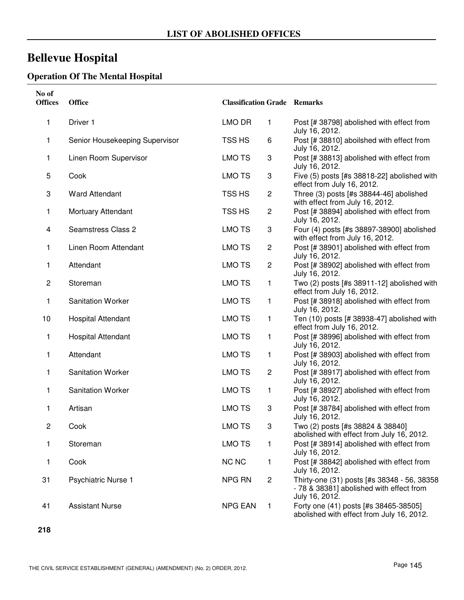## **Bellevue Hospital**

### **Operation Of The Mental Hospital**

| No of<br><b>Offices</b> | <b>Office</b>                  | <b>Classification Grade Remarks</b> |                |                                                                                                           |
|-------------------------|--------------------------------|-------------------------------------|----------------|-----------------------------------------------------------------------------------------------------------|
| 1                       | Driver 1                       | LMO DR                              | 1              | Post [# 38798] abolished with effect from<br>July 16, 2012.                                               |
| 1                       | Senior Housekeeping Supervisor | TSS HS                              | 6              | Post [# 38810] aboilshed with effect from<br>July 16, 2012.                                               |
| 1                       | Linen Room Supervisor          | LMO TS                              | 3              | Post [# 38813] abolished with effect from<br>July 16, 2012.                                               |
| 5                       | Cook                           | <b>LMO TS</b>                       | 3              | Five (5) posts [#s 38818-22] abolished with<br>effect from July 16, 2012.                                 |
| 3                       | <b>Ward Attendant</b>          | TSS HS                              | $\overline{c}$ | Three (3) posts [#s 38844-46] abolished<br>with effect from July 16, 2012.                                |
| 1                       | Mortuary Attendant             | TSS HS                              | $\overline{c}$ | Post [# 38894] abolished with effect from<br>July 16, 2012.                                               |
| 4                       | <b>Seamstress Class 2</b>      | <b>LMO TS</b>                       | 3              | Four (4) posts [#s 38897-38900] abolished<br>with effect from July 16, 2012.                              |
| 1                       | Linen Room Attendant           | <b>LMO TS</b>                       | $\overline{c}$ | Post [# 38901] abolished with effect from<br>July 16, 2012.                                               |
| 1                       | Attendant                      | <b>LMO TS</b>                       | 2              | Post [# 38902] abolished with effect from<br>July 16, 2012.                                               |
| $\overline{c}$          | Storeman                       | <b>LMO TS</b>                       | 1              | Two (2) posts [#s 38911-12] abolished with<br>effect from July 16, 2012.                                  |
| 1                       | <b>Sanitation Worker</b>       | <b>LMO TS</b>                       | 1              | Post [# 38918] abolished with effect from<br>July 16, 2012.                                               |
| 10                      | <b>Hospital Attendant</b>      | <b>LMO TS</b>                       | 1              | Ten (10) posts [# 38938-47] abolished with<br>effect from July 16, 2012.                                  |
| 1                       | <b>Hospital Attendant</b>      | <b>LMO TS</b>                       | 1              | Post [# 38996] abolished with effect from<br>July 16, 2012.                                               |
| 1                       | Attendant                      | <b>LMO TS</b>                       | 1              | Post [# 38903] abolished with effect from<br>July 16, 2012.                                               |
| 1                       | <b>Sanitation Worker</b>       | <b>LMO TS</b>                       | 2              | Post [# 38917] abolished with effect from<br>July 16, 2012.                                               |
| 1                       | <b>Sanitation Worker</b>       | <b>LMO TS</b>                       | 1              | Post [# 38927] abolished with effect from<br>July 16, 2012.                                               |
| 1                       | Artisan                        | <b>LMO TS</b>                       | 3              | Post [# 38784] abolished with effect from<br>July 16, 2012.                                               |
| $\overline{c}$          | Cook                           | <b>LMO TS</b>                       | 3              | Two (2) posts [#s 38824 & 38840]<br>abolished with effect from July 16, 2012.                             |
| 1                       | Storeman                       | <b>LMO TS</b>                       | 1              | Post [# 38914] abolished with effect from<br>July 16, 2012.                                               |
| 1                       | Cook                           | <b>NC NC</b>                        | 1              | Post [# 38842] abolished with effect from<br>July 16, 2012.                                               |
| 31                      | Psychiatric Nurse 1            | NPG RN                              | 2              | Thirty-one (31) posts [#s 38348 - 56, 38358<br>- 78 & 38381] abolished with effect from<br>July 16, 2012. |
| 41                      | <b>Assistant Nurse</b>         | <b>NPG EAN</b>                      | 1              | Forty one (41) posts [#s 38465-38505]<br>abolished with effect from July 16, 2012.                        |

**218**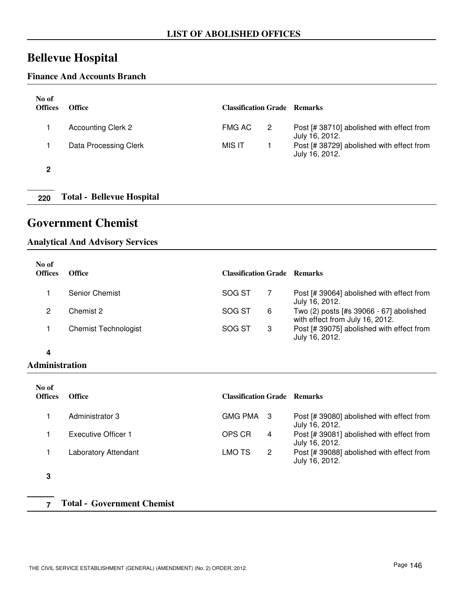## **Bellevue Hospital**

#### **Finance And Accounts Branch**

| No of<br><b>Offices</b> | <b>Office</b>             | <b>Classification Grade Remarks</b> |   |                                                             |
|-------------------------|---------------------------|-------------------------------------|---|-------------------------------------------------------------|
|                         | <b>Accounting Clerk 2</b> | FMG AC                              | 2 | Post [# 38710] abolished with effect from<br>July 16, 2012. |
|                         | Data Processing Clerk     | MIS IT                              |   | Post [# 38729] abolished with effect from<br>July 16, 2012. |
| 2                       |                           |                                     |   |                                                             |

**220 Total - Bellevue Hospital**

### **Government Chemist**

#### **Analytical And Advisory Services**

| No of<br><b>Offices</b> | <b>Office</b>               | <b>Classification Grade Remarks</b> |   |                                                                            |
|-------------------------|-----------------------------|-------------------------------------|---|----------------------------------------------------------------------------|
|                         | Senior Chemist              | SOG ST                              |   | Post [# 39064] abolished with effect from<br>July 16, 2012.                |
|                         | Chemist 2                   | SOG ST                              | 6 | Two (2) posts [#s 39066 - 67] abolished<br>with effect from July 16, 2012. |
|                         | <b>Chemist Technologist</b> | SOG ST                              | 3 | Post [# 39075] abolished with effect from<br>July 16, 2012.                |

#### **4**

#### **Administration**

| No of<br><b>Offices</b> | <b>Office</b>               | <b>Classification Grade Remarks</b> |                                                             |
|-------------------------|-----------------------------|-------------------------------------|-------------------------------------------------------------|
|                         | Administrator 3             | GMG PMA 3                           | Post [# 39080] abolished with effect from<br>July 16, 2012. |
|                         | Executive Officer 1         | OPS CR<br>4                         | Post [# 39081] abolished with effect from<br>July 16, 2012. |
| $\ddot{\,}$             | <b>Laboratory Attendant</b> | 2<br>LMO TS                         | Post [# 39088] abolished with effect from<br>July 16, 2012. |

**3**

**7 Total - Government Chemist**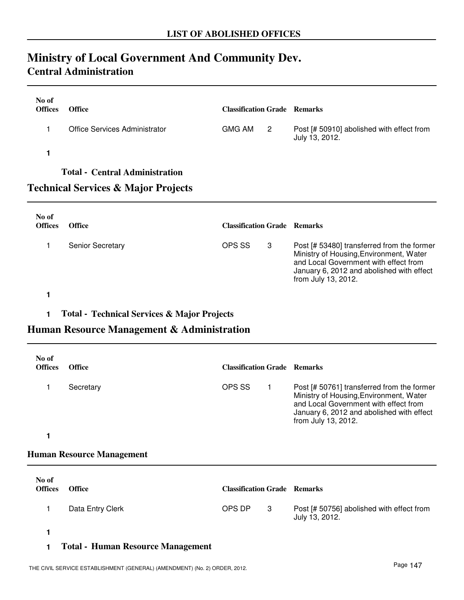## **Ministry of Local Government And Community Dev. Central Administration**

| No of<br><b>Offices</b> | <b>Office</b>                         | <b>Classification Grade Remarks</b> |                            |                                                             |
|-------------------------|---------------------------------------|-------------------------------------|----------------------------|-------------------------------------------------------------|
|                         | <b>Office Services Administrator</b>  | <b>GMG AM</b>                       | $\overline{\phantom{a}}$ 2 | Post [# 50910] abolished with effect from<br>July 13, 2012. |
|                         | <b>Total - Central Administration</b> |                                     |                            |                                                             |

### **Technical Services & Major Projects**

| No of<br><b>Offices</b> | <b>Office</b>           | <b>Classification Grade Remarks</b> |    |                                                                                                                                                                                                    |
|-------------------------|-------------------------|-------------------------------------|----|----------------------------------------------------------------------------------------------------------------------------------------------------------------------------------------------------|
|                         | <b>Senior Secretary</b> | OPS SS                              | -3 | Post [# 53480] transferred from the former<br>Ministry of Housing, Environment, Water<br>and Local Government with effect from<br>January 6, 2012 and abolished with effect<br>from July 13, 2012. |
|                         |                         |                                     |    |                                                                                                                                                                                                    |

#### **1 Total - Technical Services & Major Projects**

### **Human Resource Management & Administration**

| No of<br><b>Offices</b> | <b>Office</b> | <b>Classification Grade Remarks</b> |                                                                                                                                                                                                    |
|-------------------------|---------------|-------------------------------------|----------------------------------------------------------------------------------------------------------------------------------------------------------------------------------------------------|
|                         | Secretary     | OPS SS                              | Post [# 50761] transferred from the former<br>Ministry of Housing, Environment, Water<br>and Local Government with effect from<br>January 6, 2012 and abolished with effect<br>from July 13, 2012. |

**1**

#### **Human Resource Management**

| No of<br><b>Offices</b> | <b>Office</b>    | <b>Classification Grade Remarks</b> |     |                                                             |
|-------------------------|------------------|-------------------------------------|-----|-------------------------------------------------------------|
|                         | Data Entry Clerk | OPS DP                              | - 3 | Post [# 50756] abolished with effect from<br>July 13, 2012. |
|                         |                  |                                     |     |                                                             |

#### **1 Total - Human Resource Management**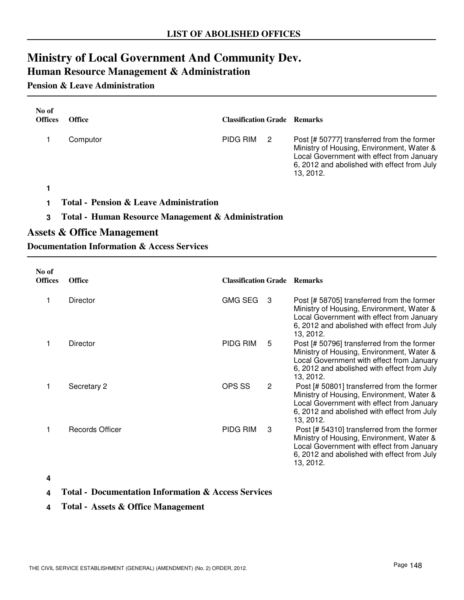## **Ministry of Local Government And Community Dev.**

## **Human Resource Management & Administration**

#### **Pension & Leave Administration**

| No of<br><b>Offices</b> | <b>Office</b> | <b>Classification Grade Remarks</b> |   |                                                                                                                                                                                                 |
|-------------------------|---------------|-------------------------------------|---|-------------------------------------------------------------------------------------------------------------------------------------------------------------------------------------------------|
|                         | Computor      | PIDG RIM                            | 2 | Post [# 50777] transferred from the former<br>Ministry of Housing, Environment, Water &<br>Local Government with effect from January<br>6, 2012 and abolished with effect from July<br>13.2012. |
|                         |               |                                     |   |                                                                                                                                                                                                 |

- **1 Total Pension & Leave Administration**
- **3 Total Human Resource Management & Administration**

#### **Assets & Office Management**

#### **Documentation Information & Access Services**

| No of<br><b>Offices</b> | <b>Office</b>   | <b>Classification Grade Remarks</b> |                                                                                                                                                                                                  |
|-------------------------|-----------------|-------------------------------------|--------------------------------------------------------------------------------------------------------------------------------------------------------------------------------------------------|
|                         | <b>Director</b> | <b>GMG SEG</b><br>3                 | Post [# 58705] transferred from the former<br>Ministry of Housing, Environment, Water &<br>Local Government with effect from January<br>6, 2012 and abolished with effect from July<br>13, 2012. |
|                         | Director        | PIDG RIM<br>5                       | Post [# 50796] transferred from the former<br>Ministry of Housing, Environment, Water &<br>Local Government with effect from January<br>6, 2012 and abolished with effect from July<br>13, 2012. |
|                         | Secretary 2     | OPS SS<br>2                         | Post [# 50801] transferred from the former<br>Ministry of Housing, Environment, Water &<br>Local Government with effect from January<br>6, 2012 and abolished with effect from July<br>13, 2012. |
|                         | Records Officer | PIDG RIM<br>3                       | Post [# 54310] transferred from the former<br>Ministry of Housing, Environment, Water &<br>Local Government with effect from January<br>6, 2012 and abolished with effect from July<br>13, 2012. |

#### **4**

- **4 Total Documentation Information & Access Services**
- **4 Total Assets & Office Management**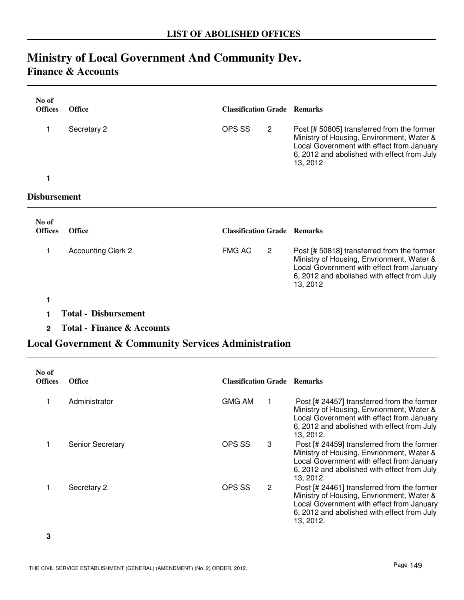# **Ministry of Local Government And Community Dev.**

### **Finance & Accounts**

| No of<br><b>Offices</b> | <b>Office</b>             | <b>Classification Grade Remarks</b> |                |                                                                                                                                                                                                 |
|-------------------------|---------------------------|-------------------------------------|----------------|-------------------------------------------------------------------------------------------------------------------------------------------------------------------------------------------------|
|                         | Secretary 2               | OPS SS                              | $\overline{2}$ | Post [# 50805] transferred from the former<br>Ministry of Housing, Environment, Water &<br>Local Government with effect from January<br>6, 2012 and abolished with effect from July<br>13, 2012 |
|                         |                           |                                     |                |                                                                                                                                                                                                 |
| Disbursement            |                           |                                     |                |                                                                                                                                                                                                 |
| No of                   |                           |                                     |                |                                                                                                                                                                                                 |
| <b>Offices</b>          | <b>Office</b>             | <b>Classification Grade Remarks</b> |                |                                                                                                                                                                                                 |
|                         | <b>Accounting Clerk 2</b> | <b>FMG AC</b>                       | $\overline{2}$ | Post [# 50818] transferred from the former<br>Ministry of Housing, Envrionment, Water &<br>Local Government with effect from January                                                            |

**1**

**1 Total - Disbursement**

**2 Total - Finance & Accounts**

### **Local Government & Community Services Administration**

| No of<br><b>Offices</b> | <b>Office</b>    | <b>Classification Grade Remarks</b> |                |                                                                                                                                                                                                  |
|-------------------------|------------------|-------------------------------------|----------------|--------------------------------------------------------------------------------------------------------------------------------------------------------------------------------------------------|
|                         | Administrator    | <b>GMG AM</b>                       |                | Post [# 24457] transferred from the former<br>Ministry of Housing, Envrionment, Water &<br>Local Government with effect from January<br>6, 2012 and abolished with effect from July<br>13, 2012. |
|                         | Senior Secretary | OPS SS                              | 3              | Post [# 24459] transferred from the former<br>Ministry of Housing, Envrionment, Water &<br>Local Government with effect from January<br>6, 2012 and abolished with effect from July<br>13, 2012. |
|                         | Secretary 2      | OPS SS                              | $\overline{2}$ | Post [# 24461] transferred from the former<br>Ministry of Housing, Envrionment, Water &<br>Local Government with effect from January<br>6, 2012 and abolished with effect from July<br>13, 2012. |

**3**

6, 2012 and abolished with effect from July

13, 2012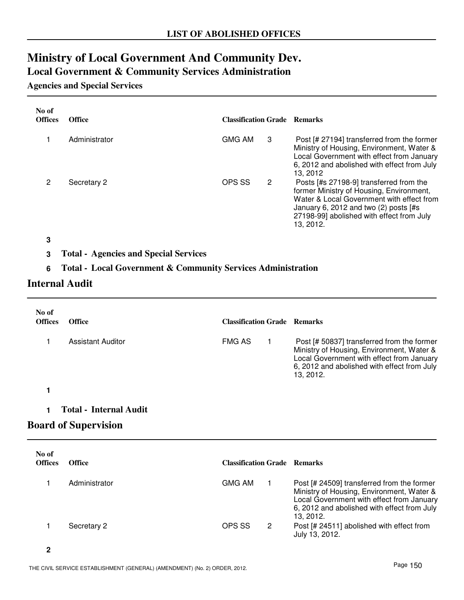## **Ministry of Local Government And Community Dev.**

**Local Government & Community Services Administration**

#### **Agencies and Special Services**

| No of<br><b>Offices</b> | <b>Office</b> | <b>Classification Grade Remarks</b> |   |                                                                                                                                                                                                                                       |
|-------------------------|---------------|-------------------------------------|---|---------------------------------------------------------------------------------------------------------------------------------------------------------------------------------------------------------------------------------------|
|                         | Administrator | <b>GMG AM</b>                       | 3 | Post [# 27194] transferred from the former<br>Ministry of Housing, Environment, Water &<br>Local Government with effect from January<br>6, 2012 and abolished with effect from July<br>13.2012                                        |
| 2                       | Secretary 2   | OPS SS                              | 2 | Posts [#s 27198-9] transferred from the<br>former Ministry of Housing, Environment,<br>Water & Local Government with effect from<br>January 6, 2012 and two $(2)$ posts [#s<br>27198-99] abolished with effect from July<br>13, 2012. |

**3**

**3 Total - Agencies and Special Services**

#### **6 Total - Local Government & Community Services Administration**

#### **Internal Audit**

| No of<br><b>Offices</b> | Office                        | <b>Classification Grade Remarks</b> |                                                                                                                                                                                                  |
|-------------------------|-------------------------------|-------------------------------------|--------------------------------------------------------------------------------------------------------------------------------------------------------------------------------------------------|
|                         | <b>Assistant Auditor</b>      | <b>FMG AS</b>                       | Post [# 50837] transferred from the former<br>Ministry of Housing, Environment, Water &<br>Local Government with effect from January<br>6, 2012 and abolished with effect from July<br>13, 2012. |
|                         |                               |                                     |                                                                                                                                                                                                  |
|                         | <b>Total - Internal Audit</b> |                                     |                                                                                                                                                                                                  |

### **Board of Supervision**

| No of<br><b>Offices</b> | <b>Office</b> | <b>Classification Grade Remarks</b> |   |                                                                                                                                                                                                  |
|-------------------------|---------------|-------------------------------------|---|--------------------------------------------------------------------------------------------------------------------------------------------------------------------------------------------------|
|                         | Administrator | <b>GMG AM</b>                       |   | Post [# 24509] transferred from the former<br>Ministry of Housing, Environment, Water &<br>Local Government with effect from January<br>6, 2012 and abolished with effect from July<br>13, 2012. |
|                         | Secretary 2   | OPS SS                              | 2 | Post [# 24511] abolished with effect from<br>July 13, 2012.                                                                                                                                      |